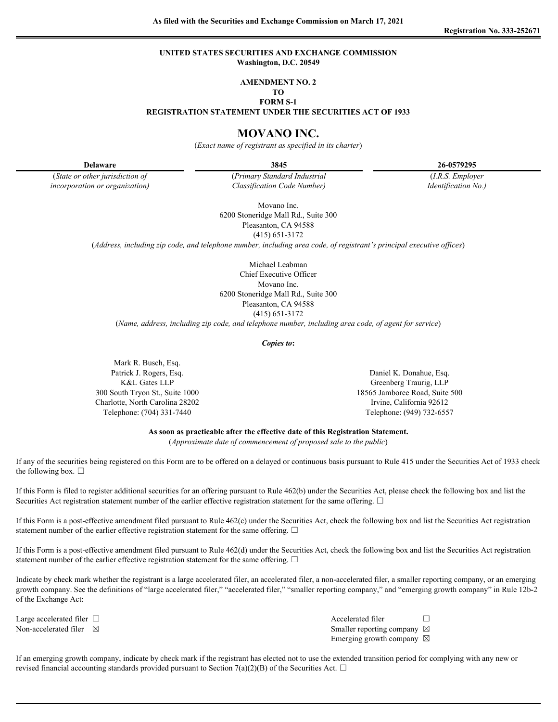### **UNITED STATES SECURITIES AND EXCHANGE COMMISSION Washington, D.C. 20549**

#### **AMENDMENT NO. 2**

**TO FORM S-1**

**REGISTRATION STATEMENT UNDER THE SECURITIES ACT OF 1933**

# **MOVANO INC.**

(*Exact name of registrant as specified in its charter*)

**Delaware 3845 26-0579295**

(*State or other jurisdiction of* (*Primary Standard Industrial* (*I.R.S. Employer incorporation or organization) Classification Code Number) Identification No.)*

> Movano Inc. 6200 Stoneridge Mall Rd., Suite 300

Pleasanton, CA 94588 (415) 651-3172

(*Address, including zip code, and telephone number, including area code, of registrant's principal executive offices*)

Michael Leabman Chief Executive Officer Movano Inc. 6200 Stoneridge Mall Rd., Suite 300 Pleasanton, CA 94588 (415) 651-3172

(*Name, address, including zip code, and telephone number, including area code, of agent for service*)

*Copies to***:**

Mark R. Busch, Esq. Patrick J. Rogers, Esq. Daniel K. Donahue, Esq. Charlotte, North Carolina 28202 Irvine, California 92612

K&L Gates LLP Greenberg Traurig, LLP 300 South Tryon St., Suite 1000 18565 Jamboree Road, Suite 500 Telephone: (704) 331-7440 Telephone: (949) 732-6557

**As soon as practicable after the effective date of this Registration Statement.**

(*Approximate date of commencement of proposed sale to the public*)

If any of the securities being registered on this Form are to be offered on a delayed or continuous basis pursuant to Rule 415 under the Securities Act of 1933 check the following box.  $\Box$ 

If this Form is filed to register additional securities for an offering pursuant to Rule 462(b) under the Securities Act, please check the following box and list the Securities Act registration statement number of the earlier effective registration statement for the same offering. □

If this Form is a post-effective amendment filed pursuant to Rule 462(c) under the Securities Act, check the following box and list the Securities Act registration statement number of the earlier effective registration statement for the same offering.  $\Box$ 

If this Form is a post-effective amendment filed pursuant to Rule 462(d) under the Securities Act, check the following box and list the Securities Act registration statement number of the earlier effective registration statement for the same offering.  $\Box$ 

Indicate by check mark whether the registrant is a large accelerated filer, an accelerated filer, a non-accelerated filer, a smaller reporting company, or an emerging growth company. See the definitions of "large accelerated filer," "accelerated filer," "smaller reporting company," and "emerging growth company" in Rule 12b-2 of the Exchange Act:

Large accelerated filer  $\Box$ Non-accelerated filer  $\boxtimes$ Emerging growth company  $\boxtimes$ 

If an emerging growth company, indicate by check mark if the registrant has elected not to use the extended transition period for complying with any new or revised financial accounting standards provided pursuant to Section 7(a)(2)(B) of the Securities Act.  $\Box$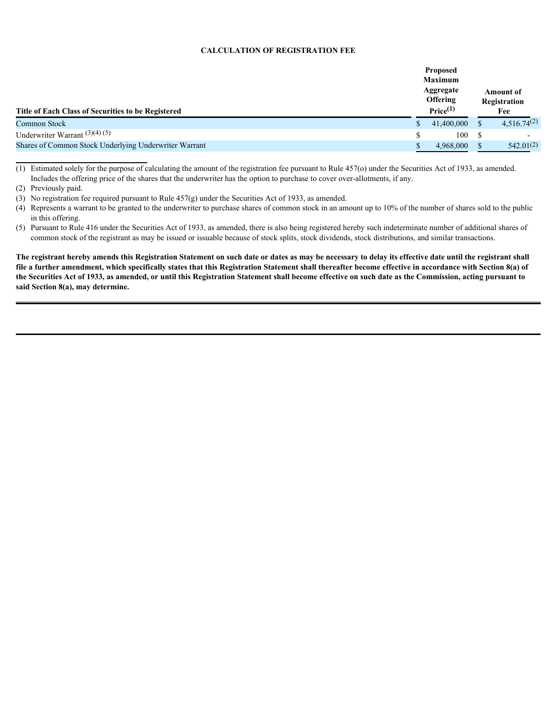### **CALCULATION OF REGISTRATION FEE**

| Registration<br>Price <sup>(1)</sup><br>Title of Each Class of Securities to be Registered<br>Fee<br>$4,516.74^{(2)}$<br>41,400,000<br>Common Stock<br>Underwriter Warrant $(3)(4)(5)$<br>100<br>Shares of Common Stock Underlying Underwriter Warrant<br>542.01(2)<br>4,968,000 |                 | <b>Proposed</b><br>Maximum<br>Aggregate |  | <b>Amount of</b> |  |
|----------------------------------------------------------------------------------------------------------------------------------------------------------------------------------------------------------------------------------------------------------------------------------|-----------------|-----------------------------------------|--|------------------|--|
|                                                                                                                                                                                                                                                                                  | <b>Offering</b> |                                         |  |                  |  |
|                                                                                                                                                                                                                                                                                  |                 |                                         |  |                  |  |
|                                                                                                                                                                                                                                                                                  |                 |                                         |  |                  |  |
|                                                                                                                                                                                                                                                                                  |                 |                                         |  |                  |  |

(1) Estimated solely for the purpose of calculating the amount of the registration fee pursuant to Rule 457(o) under the Securities Act of 1933, as amended. Includes the offering price of the shares that the underwriter has the option to purchase to cover over-allotments, if any.

(3) No registration fee required pursuant to Rule 457(g) under the Securities Act of 1933, as amended.

**The registrant hereby amends this Registration Statement on such date or dates as may be necessary to delay its effective date until the registrant shall file a further amendment, which specifically states that this Registration Statement shall thereafter become effective in accordance with Section 8(a) of the Securities Act of 1933, as amended, or until this Registration Statement shall become effective on such date as the Commission, acting pursuant to said Section 8(a), may determine.**

<sup>(2)</sup> Previously paid.

<sup>(4)</sup> Represents a warrant to be granted to the underwriter to purchase shares of common stock in an amount up to 10% of the number of shares sold to the public in this offering.

<sup>(5)</sup> Pursuant to Rule 416 under the Securities Act of 1933, as amended, there is also being registered hereby such indeterminate number of additional shares of common stock of the registrant as may be issued or issuable because of stock splits, stock dividends, stock distributions, and similar transactions.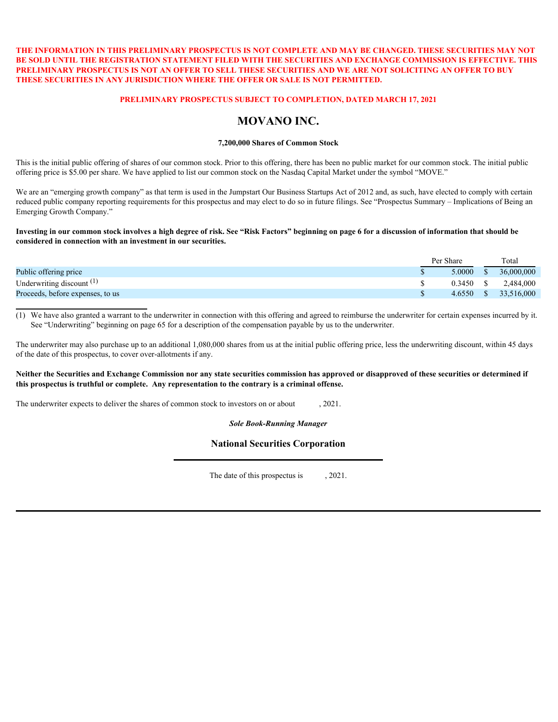# **THE INFORMATION IN THIS PRELIMINARY PROSPECTUS IS NOT COMPLETE AND MAY BE CHANGED. THESE SECURITIES MAY NOT BE SOLD UNTIL THE REGISTRATION STATEMENT FILED WITH THE SECURITIES AND EXCHANGE COMMISSION IS EFFECTIVE. THIS PRELIMINARY PROSPECTUS IS NOT AN OFFER TO SELL THESE SECURITIES AND WE ARE NOT SOLICITING AN OFFER TO BUY THESE SECURITIES IN ANY JURISDICTION WHERE THE OFFER OR SALE IS NOT PERMITTED.**

### **PRELIMINARY PROSPECTUS SUBJECT TO COMPLETION, DATED MARCH 17, 2021**

# **MOVANO INC.**

### **7,200,000 Shares of Common Stock**

This is the initial public offering of shares of our common stock. Prior to this offering, there has been no public market for our common stock. The initial public offering price is \$5.00 per share. We have applied to list our common stock on the Nasdaq Capital Market under the symbol "MOVE."

We are an "emerging growth company" as that term is used in the Jumpstart Our Business Startups Act of 2012 and, as such, have elected to comply with certain reduced public company reporting requirements for this prospectus and may elect to do so in future filings. See "Prospectus Summary – Implications of Being an Emerging Growth Company."

#### **Investing in our common stock involves a high degree of risk. See "Risk Factors" beginning on page 6 for a discussion of information that should be considered in connection with an investment in our securities.**

| 5.0000<br>36,000,000                                     |                             | Per Share |  | Total |
|----------------------------------------------------------|-----------------------------|-----------|--|-------|
|                                                          | Public offering price       |           |  |       |
| 2,484,000<br>0.3450                                      | Underwriting discount $(1)$ |           |  |       |
| 33,516,000<br>4.6550<br>Proceeds, before expenses, to us |                             |           |  |       |

(1) We have also granted a warrant to the underwriter in connection with this offering and agreed to reimburse the underwriter for certain expenses incurred by it. See "Underwriting" beginning on page 65 for a description of the compensation payable by us to the underwriter.

The underwriter may also purchase up to an additional 1,080,000 shares from us at the initial public offering price, less the underwriting discount, within 45 days of the date of this prospectus, to cover over-allotments if any.

#### **Neither the Securities and Exchange Commission nor any state securities commission has approved or disapproved of these securities or determined if this prospectus is truthful or complete. Any representation to the contrary is a criminal offense.**

The underwriter expects to deliver the shares of common stock to investors on or about  $\qquad 2021$ .

*Sole Book-Running Manager*

# **National Securities Corporation**

The date of this prospectus is  $, 2021$ .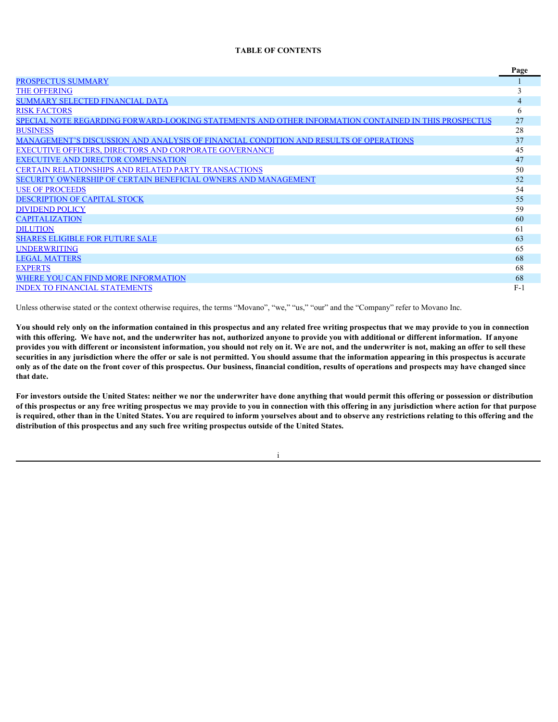### **TABLE OF CONTENTS**

|                                                                                                      | Page  |
|------------------------------------------------------------------------------------------------------|-------|
| <b>PROSPECTUS SUMMARY</b>                                                                            |       |
| <b>THE OFFERING</b>                                                                                  |       |
| <b>SUMMARY SELECTED FINANCIAL DATA</b>                                                               |       |
| <b>RISK FACTORS</b>                                                                                  | 6     |
| SPECIAL NOTE REGARDING FORWARD-LOOKING STATEMENTS AND OTHER INFORMATION CONTAINED IN THIS PROSPECTUS | 27    |
| <b>BUSINESS</b>                                                                                      | 28    |
| MANAGEMENT'S DISCUSSION AND ANALYSIS OF FINANCIAL CONDITION AND RESULTS OF OPERATIONS                | 37    |
| <b>EXECUTIVE OFFICERS, DIRECTORS AND CORPORATE GOVERNANCE</b>                                        | 45    |
| <b>EXECUTIVE AND DIRECTOR COMPENSATION</b>                                                           | 47    |
| <b>CERTAIN RELATIONSHIPS AND RELATED PARTY TRANSACTIONS</b>                                          | 50    |
| SECURITY OWNERSHIP OF CERTAIN BENEFICIAL OWNERS AND MANAGEMENT                                       | 52    |
| <b>USE OF PROCEEDS</b>                                                                               | 54    |
| <b>DESCRIPTION OF CAPITAL STOCK</b>                                                                  | 55    |
| <b>DIVIDEND POLICY</b>                                                                               | 59    |
| <b>CAPITALIZATION</b>                                                                                | 60    |
| <b>DILUTION</b>                                                                                      | 61    |
| <b>SHARES ELIGIBLE FOR FUTURE SALE</b>                                                               | 63    |
| <b>UNDERWRITING</b>                                                                                  | 65    |
| <b>LEGAL MATTERS</b>                                                                                 | 68    |
| <b>EXPERTS</b>                                                                                       | 68    |
| WHERE YOU CAN FIND MORE INFORMATION                                                                  | 68    |
| <b>INDEX TO FINANCIAL STATEMENTS</b>                                                                 | $F-1$ |
|                                                                                                      |       |

Unless otherwise stated or the context otherwise requires, the terms "Movano", "we," "us," "our" and the "Company" refer to Movano Inc.

**You should rely only on the information contained in this prospectus and any related free writing prospectus that we may provide to you in connection with this offering. We have not, and the underwriter has not, authorized anyone to provide you with additional or different information. If anyone provides you with different or inconsistent information, you should not rely on it. We are not, and the underwriter is not, making an offer to sell these securities in any jurisdiction where the offer or sale is not permitted. You should assume that the information appearing in this prospectus is accurate only as of the date on the front cover of this prospectus. Our business, financial condition, results of operations and prospects may have changed since that date.**

**For investors outside the United States: neither we nor the underwriter have done anything that would permit this offering or possession or distribution of this prospectus or any free writing prospectus we may provide to you in connection with this offering in any jurisdiction where action for that purpose is required, other than in the United States. You are required to inform yourselves about and to observe any restrictions relating to this offering and the distribution of this prospectus and any such free writing prospectus outside of the United States.**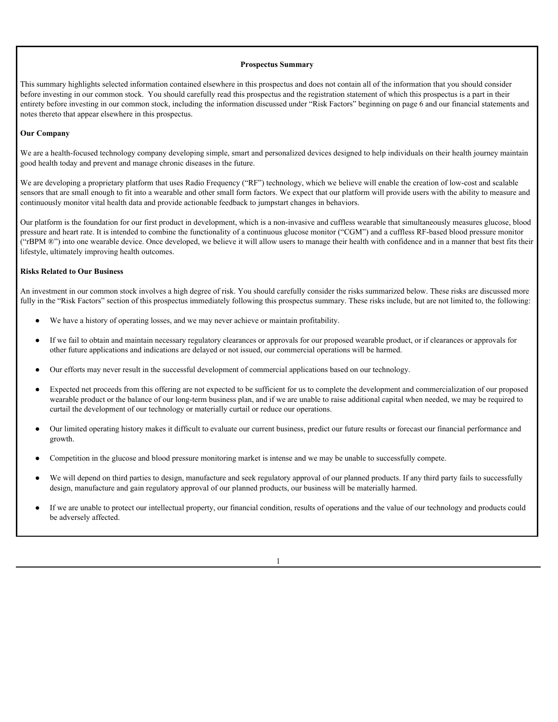#### <span id="page-4-0"></span>**Prospectus Summary**

This summary highlights selected information contained elsewhere in this prospectus and does not contain all of the information that you should consider before investing in our common stock. You should carefully read this prospectus and the registration statement of which this prospectus is a part in their entirety before investing in our common stock, including the information discussed under "Risk Factors" beginning on page 6 and our financial statements and notes thereto that appear elsewhere in this prospectus.

#### **Our Company**

We are a health-focused technology company developing simple, smart and personalized devices designed to help individuals on their health journey maintain good health today and prevent and manage chronic diseases in the future.

We are developing a proprietary platform that uses Radio Frequency ("RF") technology, which we believe will enable the creation of low-cost and scalable sensors that are small enough to fit into a wearable and other small form factors. We expect that our platform will provide users with the ability to measure and continuously monitor vital health data and provide actionable feedback to jumpstart changes in behaviors.

Our platform is the foundation for our first product in development, which is a non-invasive and cuffless wearable that simultaneously measures glucose, blood pressure and heart rate. It is intended to combine the functionality of a continuous glucose monitor ("CGM") and a cuffless RF-based blood pressure monitor ("rBPM ®") into one wearable device. Once developed, we believe it will allow users to manage their health with confidence and in a manner that best fits their lifestyle, ultimately improving health outcomes.

#### **Risks Related to Our Business**

An investment in our common stock involves a high degree of risk. You should carefully consider the risks summarized below. These risks are discussed more fully in the "Risk Factors" section of this prospectus immediately following this prospectus summary. These risks include, but are not limited to, the following:

- We have a history of operating losses, and we may never achieve or maintain profitability.
- If we fail to obtain and maintain necessary regulatory clearances or approvals for our proposed wearable product, or if clearances or approvals for other future applications and indications are delayed or not issued, our commercial operations will be harmed.
- Our efforts may never result in the successful development of commercial applications based on our technology.
- Expected net proceeds from this offering are not expected to be sufficient for us to complete the development and commercialization of our proposed wearable product or the balance of our long-term business plan, and if we are unable to raise additional capital when needed, we may be required to curtail the development of our technology or materially curtail or reduce our operations.
- ● Our limited operating history makes it difficult to evaluate our current business, predict our future results or forecast our financial performance and growth.
- Competition in the glucose and blood pressure monitoring market is intense and we may be unable to successfully compete.
- We will depend on third parties to design, manufacture and seek regulatory approval of our planned products. If any third party fails to successfully design, manufacture and gain regulatory approval of our planned products, our business will be materially harmed.
- If we are unable to protect our intellectual property, our financial condition, results of operations and the value of our technology and products could be adversely affected.

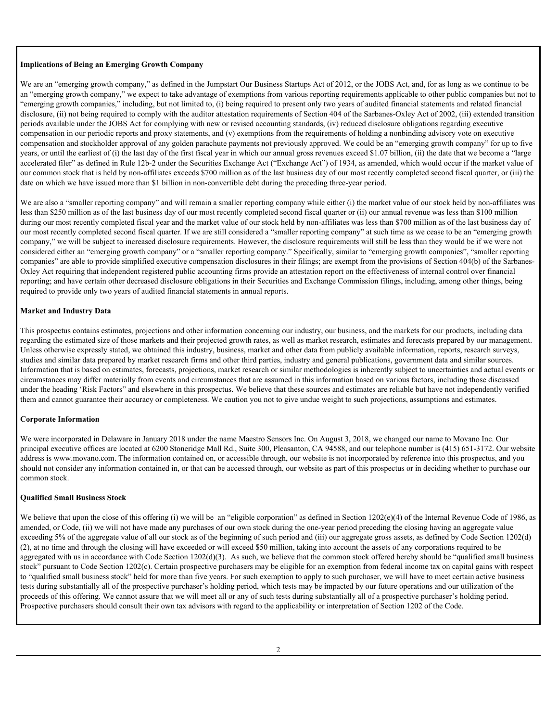#### **Implications of Being an Emerging Growth Company**

We are an "emerging growth company," as defined in the Jumpstart Our Business Startups Act of 2012, or the JOBS Act, and, for as long as we continue to be an "emerging growth company," we expect to take advantage of exemptions from various reporting requirements applicable to other public companies but not to "emerging growth companies," including, but not limited to, (i) being required to present only two years of audited financial statements and related financial disclosure, (ii) not being required to comply with the auditor attestation requirements of Section 404 of the Sarbanes-Oxley Act of 2002, (iii) extended transition periods available under the JOBS Act for complying with new or revised accounting standards, (iv) reduced disclosure obligations regarding executive compensation in our periodic reports and proxy statements, and (v) exemptions from the requirements of holding a nonbinding advisory vote on executive compensation and stockholder approval of any golden parachute payments not previously approved. We could be an "emerging growth company" for up to five years, or until the earliest of (i) the last day of the first fiscal year in which our annual gross revenues exceed \$1.07 billion, (ii) the date that we become a "large accelerated filer" as defined in Rule 12b-2 under the Securities Exchange Act ("Exchange Act") of 1934, as amended, which would occur if the market value of our common stock that is held by non-affiliates exceeds \$700 million as of the last business day of our most recently completed second fiscal quarter, or (iii) the date on which we have issued more than \$1 billion in non-convertible debt during the preceding three-year period.

We are also a "smaller reporting company" and will remain a smaller reporting company while either (i) the market value of our stock held by non-affiliates was less than \$250 million as of the last business day of our most recently completed second fiscal quarter or (ii) our annual revenue was less than \$100 million during our most recently completed fiscal year and the market value of our stock held by non-affiliates was less than \$700 million as of the last business day of our most recently completed second fiscal quarter. If we are still considered a "smaller reporting company" at such time as we cease to be an "emerging growth company," we will be subject to increased disclosure requirements. However, the disclosure requirements will still be less than they would be if we were not considered either an "emerging growth company" or a "smaller reporting company." Specifically, similar to "emerging growth companies", "smaller reporting companies" are able to provide simplified executive compensation disclosures in their filings; are exempt from the provisions of Section 404(b) of the Sarbanes-Oxley Act requiring that independent registered public accounting firms provide an attestation report on the effectiveness of internal control over financial reporting; and have certain other decreased disclosure obligations in their Securities and Exchange Commission filings, including, among other things, being required to provide only two years of audited financial statements in annual reports.

### **Market and Industry Data**

This prospectus contains estimates, projections and other information concerning our industry, our business, and the markets for our products, including data regarding the estimated size of those markets and their projected growth rates, as well as market research, estimates and forecasts prepared by our management. Unless otherwise expressly stated, we obtained this industry, business, market and other data from publicly available information, reports, research surveys, studies and similar data prepared by market research firms and other third parties, industry and general publications, government data and similar sources. Information that is based on estimates, forecasts, projections, market research or similar methodologies is inherently subject to uncertainties and actual events or circumstances may differ materially from events and circumstances that are assumed in this information based on various factors, including those discussed under the heading 'Risk Factors" and elsewhere in this prospectus. We believe that these sources and estimates are reliable but have not independently verified them and cannot guarantee their accuracy or completeness. We caution you not to give undue weight to such projections, assumptions and estimates.

#### **Corporate Information**

We were incorporated in Delaware in January 2018 under the name Maestro Sensors Inc. On August 3, 2018, we changed our name to Movano Inc. Our principal executive offices are located at 6200 Stoneridge Mall Rd., Suite 300, Pleasanton, CA 94588, and our telephone number is (415) 651-3172. Our website address is www.movano.com. The information contained on, or accessible through, our website is not incorporated by reference into this prospectus, and you should not consider any information contained in, or that can be accessed through, our website as part of this prospectus or in deciding whether to purchase our common stock.

#### **Qualified Small Business Stock**

We believe that upon the close of this offering (i) we will be an "eligible corporation" as defined in Section 1202(e)(4) of the Internal Revenue Code of 1986, as amended, or Code, (ii) we will not have made any purchases of our own stock during the one-year period preceding the closing having an aggregate value exceeding 5% of the aggregate value of all our stock as of the beginning of such period and (iii) our aggregate gross assets, as defined by Code Section 1202(d) (2), at no time and through the closing will have exceeded or will exceed \$50 million, taking into account the assets of any corporations required to be aggregated with us in accordance with Code Section  $1202(d)(3)$ . As such, we believe that the common stock offered hereby should be "qualified small business stock" pursuant to Code Section 1202(c). Certain prospective purchasers may be eligible for an exemption from federal income tax on capital gains with respect to "qualified small business stock" held for more than five years. For such exemption to apply to such purchaser, we will have to meet certain active business tests during substantially all of the prospective purchaser's holding period, which tests may be impacted by our future operations and our utilization of the proceeds of this offering. We cannot assure that we will meet all or any of such tests during substantially all of a prospective purchaser's holding period. Prospective purchasers should consult their own tax advisors with regard to the applicability or interpretation of Section 1202 of the Code.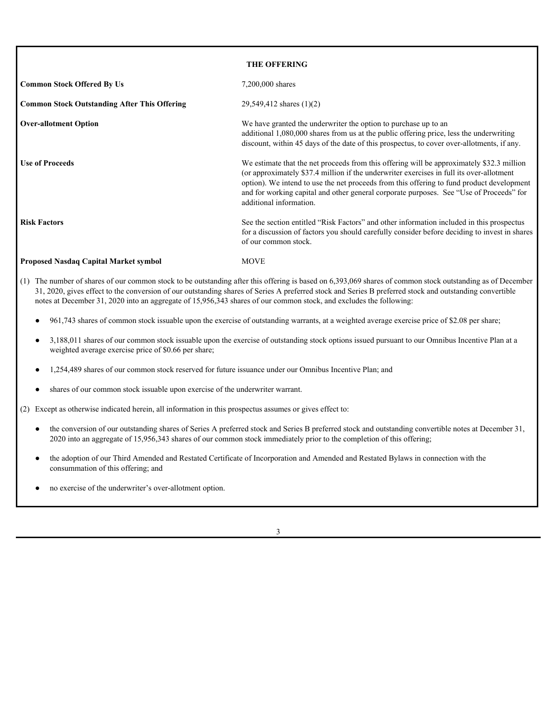<span id="page-6-0"></span>

|                                                     | <b>THE OFFERING</b>                                                                                                                                                                                                                                                                                                                                                                                      |
|-----------------------------------------------------|----------------------------------------------------------------------------------------------------------------------------------------------------------------------------------------------------------------------------------------------------------------------------------------------------------------------------------------------------------------------------------------------------------|
| <b>Common Stock Offered By Us</b>                   | 7,200,000 shares                                                                                                                                                                                                                                                                                                                                                                                         |
| <b>Common Stock Outstanding After This Offering</b> | 29,549,412 shares $(1)(2)$                                                                                                                                                                                                                                                                                                                                                                               |
| <b>Over-allotment Option</b>                        | We have granted the underwriter the option to purchase up to an<br>additional 1,080,000 shares from us at the public offering price, less the underwriting<br>discount, within 45 days of the date of this prospectus, to cover over-allotments, if any.                                                                                                                                                 |
| <b>Use of Proceeds</b>                              | We estimate that the net proceeds from this offering will be approximately \$32.3 million<br>(or approximately \$37.4 million if the underwriter exercises in full its over-allotment<br>option). We intend to use the net proceeds from this offering to fund product development<br>and for working capital and other general corporate purposes. See "Use of Proceeds" for<br>additional information. |
| <b>Risk Factors</b>                                 | See the section entitled "Risk Factors" and other information included in this prospectus<br>for a discussion of factors you should carefully consider before deciding to invest in shares<br>of our common stock.                                                                                                                                                                                       |
| <b>Proposed Nasdaq Capital Market symbol</b>        | <b>MOVE</b>                                                                                                                                                                                                                                                                                                                                                                                              |

- (1) The number of shares of our common stock to be outstanding after this offering is based on 6,393,069 shares of common stock outstanding as of December 31, 2020, gives effect to the conversion of our outstanding shares of Series A preferred stock and Series B preferred stock and outstanding convertible notes at December 31, 2020 into an aggregate of 15,956,343 shares of our common stock, and excludes the following:
	- 961,743 shares of common stock issuable upon the exercise of outstanding warrants, at a weighted average exercise price of \$2.08 per share;
	- 3,188,011 shares of our common stock issuable upon the exercise of outstanding stock options issued pursuant to our Omnibus Incentive Plan at a weighted average exercise price of \$0.66 per share;
	- 1,254,489 shares of our common stock reserved for future issuance under our Omnibus Incentive Plan; and
	- shares of our common stock issuable upon exercise of the underwriter warrant.

(2) Except as otherwise indicated herein, all information in this prospectus assumes or gives effect to:

- the conversion of our outstanding shares of Series A preferred stock and Series B preferred stock and outstanding convertible notes at December 31, 2020 into an aggregate of 15,956,343 shares of our common stock immediately prior to the completion of this offering;
- the adoption of our Third Amended and Restated Certificate of Incorporation and Amended and Restated Bylaws in connection with the consummation of this offering; and
- no exercise of the underwriter's over-allotment option.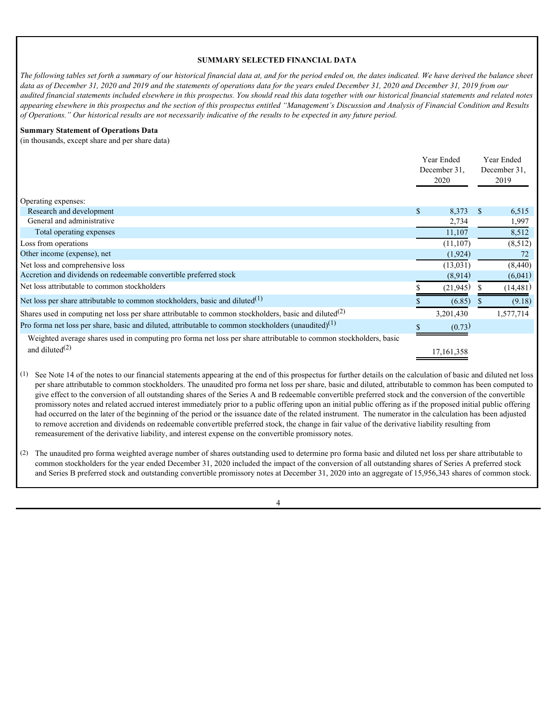### <span id="page-7-0"></span>**SUMMARY SELECTED FINANCIAL DATA**

*The following tables set forth a summary of our historical financial data at, and for the period ended on, the dates indicated. We have derived the balance sheet data as of December 31, 2020 and 2019 and the statements of operations data for the years ended December 31, 2020 and December 31, 2019 from our audited financial statements included elsewhere in this prospectus. You should read this data together with our historical financial statements and related notes appearing elsewhere in this prospectus and the section of this prospectus entitled "Management's Discussion and Analysis of Financial Condition and Results of Operations." Our historical results are not necessarily indicative of the results to be expected in any future period.*

#### **Summary Statement of Operations Data**

(in thousands, except share and per share data)

|                                                                                                                                        | Year Ended<br>December 31.<br>2020 |      | Year Ended<br>December 31,<br>2019 |  |
|----------------------------------------------------------------------------------------------------------------------------------------|------------------------------------|------|------------------------------------|--|
| Operating expenses:                                                                                                                    |                                    |      |                                    |  |
| Research and development                                                                                                               | 8,373                              | - \$ | 6,515                              |  |
| General and administrative                                                                                                             | 2,734                              |      | 1,997                              |  |
| Total operating expenses                                                                                                               | 11,107                             |      | 8,512                              |  |
| Loss from operations                                                                                                                   | (11, 107)                          |      | (8,512)                            |  |
| Other income (expense), net                                                                                                            | (1,924)                            |      | 72                                 |  |
| Net loss and comprehensive loss                                                                                                        | (13, 031)                          |      | (8,440)                            |  |
| Accretion and dividends on redeemable convertible preferred stock                                                                      | (8,914)                            |      | (6,041)                            |  |
| Net loss attributable to common stockholders                                                                                           | (21, 945)                          |      | (14, 481)                          |  |
| Net loss per share attributable to common stockholders, basic and diluted $(1)$                                                        | (6.85)                             |      | (9.18)                             |  |
| Shares used in computing net loss per share attributable to common stockholders, basic and diluted <sup>(2)</sup>                      | 3,201,430                          |      | 1,577,714                          |  |
| Pro forma net loss per share, basic and diluted, attributable to common stockholders (unaudited) <sup>(1)</sup>                        | (0.73)                             |      |                                    |  |
| Weighted average shares used in computing pro forma net loss per share attributable to common stockholders, basic<br>and diluted $(2)$ | 7,161,358                          |      |                                    |  |

(1) See Note 14 of the notes to our financial statements appearing at the end of this prospectus for further details on the calculation of basic and diluted net loss per share attributable to common stockholders. The unaudited pro forma net loss per share, basic and diluted, attributable to common has been computed to give effect to the conversion of all outstanding shares of the Series A and B redeemable convertible preferred stock and the conversion of the convertible promissory notes and related accrued interest immediately prior to a public offering upon an initial public offering as if the proposed initial public offering had occurred on the later of the beginning of the period or the issuance date of the related instrument. The numerator in the calculation has been adjusted to remove accretion and dividends on redeemable convertible preferred stock, the change in fair value of the derivative liability resulting from remeasurement of the derivative liability, and interest expense on the convertible promissory notes.

(2) The unaudited pro forma weighted average number of shares outstanding used to determine pro forma basic and diluted net loss per share attributable to common stockholders for the year ended December 31, 2020 included the impact of the conversion of all outstanding shares of Series A preferred stock and Series B preferred stock and outstanding convertible promissory notes at December 31, 2020 into an aggregate of 15,956,343 shares of common stock.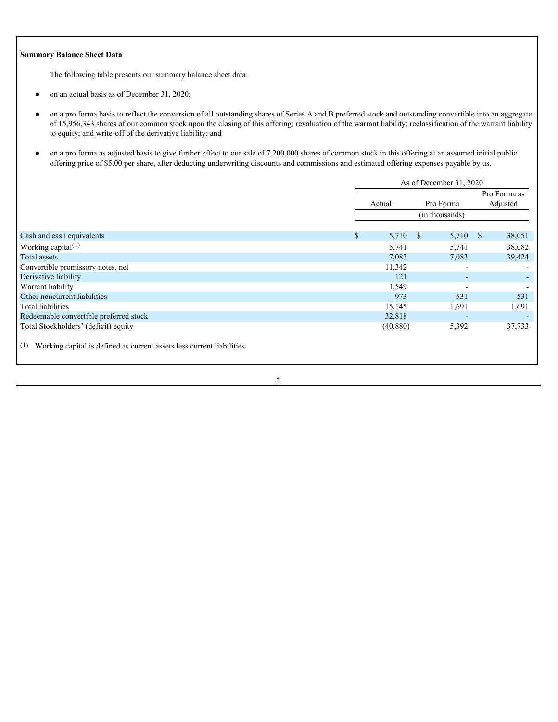### **Summary Balance Sheet Data**

The following table presents our summary balance sheet data:

- on an actual basis as of December 31, 2020;
- on a pro forma basis to reflect the conversion of all outstanding shares of Series A and B preferred stock and outstanding convertible into an aggregate of 15,956,343 shares of our common stock upon the closing of this offering; revaluation of the warrant liability; reclassification of the warrant liability to equity; and write-off of the derivative liability; and
- on a pro forma as adjusted basis to give further effect to our sale of 7,200,000 shares of common stock in this offering at an assumed initial public offering price of \$5.00 per share, after deducting underwriting discounts and commissions and estimated offering expenses payable by us.

|                                                                            | As of December 31, 2020 |            |                |                          |  |              |
|----------------------------------------------------------------------------|-------------------------|------------|----------------|--------------------------|--|--------------|
|                                                                            |                         |            |                |                          |  | Pro Forma as |
|                                                                            |                         | Actual     |                | Pro Forma                |  | Adjusted     |
|                                                                            |                         |            | (in thousands) |                          |  |              |
|                                                                            |                         |            |                |                          |  |              |
| Cash and cash equivalents                                                  | <sup>\$</sup>           | $5,710$ \$ |                | $5,710$ \$               |  | 38,051       |
| Working capital $(1)$                                                      |                         | 5,741      |                | 5,741                    |  | 38,082       |
| Total assets                                                               |                         | 7,083      |                | 7,083                    |  | 39,424       |
| Convertible promissory notes, net                                          |                         | 11,342     |                | $\overline{\phantom{a}}$ |  |              |
| Derivative liability                                                       |                         | 121        |                | $\sim$                   |  |              |
| Warrant liability                                                          |                         | 1,549      |                | $\overline{\phantom{0}}$ |  |              |
| Other noncurrent liabilities                                               |                         | 973        |                | 531                      |  | 531          |
| Total liabilities                                                          |                         | 15,145     |                | 1,691                    |  | 1,691        |
| Redeemable convertible preferred stock                                     |                         | 32,818     |                | $\overline{\phantom{a}}$ |  |              |
| Total Stockholders' (deficit) equity                                       |                         | (40, 880)  |                | 5,392                    |  | 37,733       |
| (1) Working capital is defined as current assets less current liabilities. |                         |            |                |                          |  |              |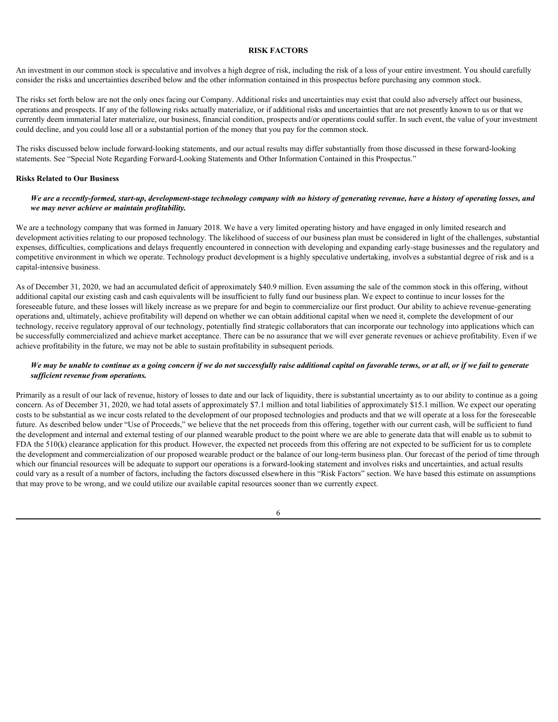#### <span id="page-9-0"></span>**RISK FACTORS**

An investment in our common stock is speculative and involves a high degree of risk, including the risk of a loss of your entire investment. You should carefully consider the risks and uncertainties described below and the other information contained in this prospectus before purchasing any common stock.

The risks set forth below are not the only ones facing our Company. Additional risks and uncertainties may exist that could also adversely affect our business, operations and prospects. If any of the following risks actually materialize, or if additional risks and uncertainties that are not presently known to us or that we currently deem immaterial later materialize, our business, financial condition, prospects and/or operations could suffer. In such event, the value of your investment could decline, and you could lose all or a substantial portion of the money that you pay for the common stock.

The risks discussed below include forward-looking statements, and our actual results may differ substantially from those discussed in these forward-looking statements. See "Special Note Regarding Forward-Looking Statements and Other Information Contained in this Prospectus."

#### **Risks Related to Our Business**

#### *We are a recently-formed, start-up, development-stage technology company with no history of generating revenue, have a history of operating losses, and we may never achieve or maintain profitability.*

We are a technology company that was formed in January 2018. We have a very limited operating history and have engaged in only limited research and development activities relating to our proposed technology. The likelihood of success of our business plan must be considered in light of the challenges, substantial expenses, difficulties, complications and delays frequently encountered in connection with developing and expanding early-stage businesses and the regulatory and competitive environment in which we operate. Technology product development is a highly speculative undertaking, involves a substantial degree of risk and is a capital-intensive business.

As of December 31, 2020, we had an accumulated deficit of approximately \$40.9 million. Even assuming the sale of the common stock in this offering, without additional capital our existing cash and cash equivalents will be insufficient to fully fund our business plan. We expect to continue to incur losses for the foreseeable future, and these losses will likely increase as we prepare for and begin to commercialize our first product. Our ability to achieve revenue-generating operations and, ultimately, achieve profitability will depend on whether we can obtain additional capital when we need it, complete the development of our technology, receive regulatory approval of our technology, potentially find strategic collaborators that can incorporate our technology into applications which can be successfully commercialized and achieve market acceptance. There can be no assurance that we will ever generate revenues or achieve profitability. Even if we achieve profitability in the future, we may not be able to sustain profitability in subsequent periods.

# *We may be unable to continue as a going concern if we do not successfully raise additional capital on favorable terms, or at all, or if we fail to generate sufficient revenue from operations.*

Primarily as a result of our lack of revenue, history of losses to date and our lack of liquidity, there is substantial uncertainty as to our ability to continue as a going concern. As of December 31, 2020, we had total assets of approximately \$7.1 million and total liabilities of approximately \$15.1 million. We expect our operating costs to be substantial as we incur costs related to the development of our proposed technologies and products and that we will operate at a loss for the foreseeable future. As described below under "Use of Proceeds," we believe that the net proceeds from this offering, together with our current cash, will be sufficient to fund the development and internal and external testing of our planned wearable product to the point where we are able to generate data that will enable us to submit to FDA the 510(k) clearance application for this product. However, the expected net proceeds from this offering are not expected to be sufficient for us to complete the development and commercialization of our proposed wearable product or the balance of our long-term business plan. Our forecast of the period of time through which our financial resources will be adequate to support our operations is a forward-looking statement and involves risks and uncertainties, and actual results could vary as a result of a number of factors, including the factors discussed elsewhere in this "Risk Factors" section. We have based this estimate on assumptions that may prove to be wrong, and we could utilize our available capital resources sooner than we currently expect.

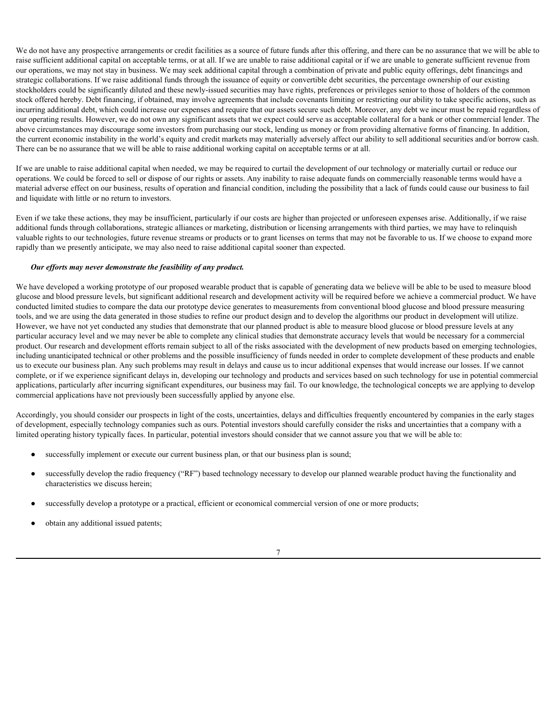We do not have any prospective arrangements or credit facilities as a source of future funds after this offering, and there can be no assurance that we will be able to raise sufficient additional capital on acceptable terms, or at all. If we are unable to raise additional capital or if we are unable to generate sufficient revenue from our operations, we may not stay in business. We may seek additional capital through a combination of private and public equity offerings, debt financings and strategic collaborations. If we raise additional funds through the issuance of equity or convertible debt securities, the percentage ownership of our existing stockholders could be significantly diluted and these newly-issued securities may have rights, preferences or privileges senior to those of holders of the common stock offered hereby. Debt financing, if obtained, may involve agreements that include covenants limiting or restricting our ability to take specific actions, such as incurring additional debt, which could increase our expenses and require that our assets secure such debt. Moreover, any debt we incur must be repaid regardless of our operating results. However, we do not own any significant assets that we expect could serve as acceptable collateral for a bank or other commercial lender. The above circumstances may discourage some investors from purchasing our stock, lending us money or from providing alternative forms of financing. In addition, the current economic instability in the world's equity and credit markets may materially adversely affect our ability to sell additional securities and/or borrow cash. There can be no assurance that we will be able to raise additional working capital on acceptable terms or at all.

If we are unable to raise additional capital when needed, we may be required to curtail the development of our technology or materially curtail or reduce our operations. We could be forced to sell or dispose of our rights or assets. Any inability to raise adequate funds on commercially reasonable terms would have a material adverse effect on our business, results of operation and financial condition, including the possibility that a lack of funds could cause our business to fail and liquidate with little or no return to investors.

Even if we take these actions, they may be insufficient, particularly if our costs are higher than projected or unforeseen expenses arise. Additionally, if we raise additional funds through collaborations, strategic alliances or marketing, distribution or licensing arrangements with third parties, we may have to relinquish valuable rights to our technologies, future revenue streams or products or to grant licenses on terms that may not be favorable to us. If we choose to expand more rapidly than we presently anticipate, we may also need to raise additional capital sooner than expected.

#### *Our efforts may never demonstrate the feasibility of any product.*

We have developed a working prototype of our proposed wearable product that is capable of generating data we believe will be able to be used to measure blood glucose and blood pressure levels, but significant additional research and development activity will be required before we achieve a commercial product. We have conducted limited studies to compare the data our prototype device generates to measurements from conventional blood glucose and blood pressure measuring tools, and we are using the data generated in those studies to refine our product design and to develop the algorithms our product in development will utilize. However, we have not yet conducted any studies that demonstrate that our planned product is able to measure blood glucose or blood pressure levels at any particular accuracy level and we may never be able to complete any clinical studies that demonstrate accuracy levels that would be necessary for a commercial product. Our research and development efforts remain subject to all of the risks associated with the development of new products based on emerging technologies, including unanticipated technical or other problems and the possible insufficiency of funds needed in order to complete development of these products and enable us to execute our business plan. Any such problems may result in delays and cause us to incur additional expenses that would increase our losses. If we cannot complete, or if we experience significant delays in, developing our technology and products and services based on such technology for use in potential commercial applications, particularly after incurring significant expenditures, our business may fail. To our knowledge, the technological concepts we are applying to develop commercial applications have not previously been successfully applied by anyone else.

Accordingly, you should consider our prospects in light of the costs, uncertainties, delays and difficulties frequently encountered by companies in the early stages of development, especially technology companies such as ours. Potential investors should carefully consider the risks and uncertainties that a company with a limited operating history typically faces. In particular, potential investors should consider that we cannot assure you that we will be able to:

- successfully implement or execute our current business plan, or that our business plan is sound;
- successfully develop the radio frequency ("RF") based technology necessary to develop our planned wearable product having the functionality and characteristics we discuss herein;
- successfully develop a prototype or a practical, efficient or economical commercial version of one or more products;
- obtain any additional issued patents;

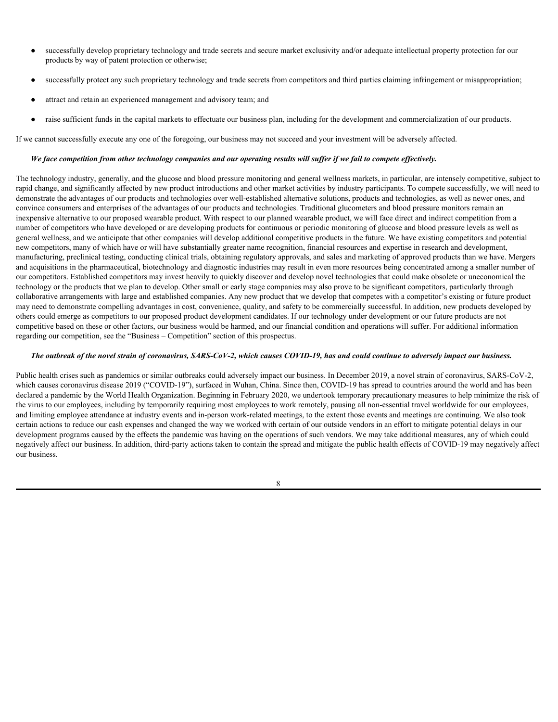- successfully develop proprietary technology and trade secrets and secure market exclusivity and/or adequate intellectual property protection for our products by way of patent protection or otherwise;
- successfully protect any such proprietary technology and trade secrets from competitors and third parties claiming infringement or misappropriation;
- attract and retain an experienced management and advisory team; and
- raise sufficient funds in the capital markets to effectuate our business plan, including for the development and commercialization of our products.

If we cannot successfully execute any one of the foregoing, our business may not succeed and your investment will be adversely affected.

#### *We face competition from other technology companies and our operating results will suffer if we fail to compete effectively.*

The technology industry, generally, and the glucose and blood pressure monitoring and general wellness markets, in particular, are intensely competitive, subject to rapid change, and significantly affected by new product introductions and other market activities by industry participants. To compete successfully, we will need to demonstrate the advantages of our products and technologies over well-established alternative solutions, products and technologies, as well as newer ones, and convince consumers and enterprises of the advantages of our products and technologies. Traditional glucometers and blood pressure monitors remain an inexpensive alternative to our proposed wearable product. With respect to our planned wearable product, we will face direct and indirect competition from a number of competitors who have developed or are developing products for continuous or periodic monitoring of glucose and blood pressure levels as well as general wellness, and we anticipate that other companies will develop additional competitive products in the future. We have existing competitors and potential new competitors, many of which have or will have substantially greater name recognition, financial resources and expertise in research and development, manufacturing, preclinical testing, conducting clinical trials, obtaining regulatory approvals, and sales and marketing of approved products than we have. Mergers and acquisitions in the pharmaceutical, biotechnology and diagnostic industries may result in even more resources being concentrated among a smaller number of our competitors. Established competitors may invest heavily to quickly discover and develop novel technologies that could make obsolete or uneconomical the technology or the products that we plan to develop. Other small or early stage companies may also prove to be significant competitors, particularly through collaborative arrangements with large and established companies. Any new product that we develop that competes with a competitor's existing or future product may need to demonstrate compelling advantages in cost, convenience, quality, and safety to be commercially successful. In addition, new products developed by others could emerge as competitors to our proposed product development candidates. If our technology under development or our future products are not competitive based on these or other factors, our business would be harmed, and our financial condition and operations will suffer. For additional information regarding our competition, see the "Business – Competition" section of this prospectus.

### *The outbreak of the novel strain of coronavirus, SARS-CoV-2, which causes COVID-19, has and could continue to adversely impact our business.*

Public health crises such as pandemics or similar outbreaks could adversely impact our business. In December 2019, a novel strain of coronavirus, SARS-CoV-2, which causes coronavirus disease 2019 ("COVID-19"), surfaced in Wuhan, China. Since then, COVID-19 has spread to countries around the world and has been declared a pandemic by the World Health Organization. Beginning in February 2020, we undertook temporary precautionary measures to help minimize the risk of the virus to our employees, including by temporarily requiring most employees to work remotely, pausing all non-essential travel worldwide for our employees, and limiting employee attendance at industry events and in-person work-related meetings, to the extent those events and meetings are continuing. We also took certain actions to reduce our cash expenses and changed the way we worked with certain of our outside vendors in an effort to mitigate potential delays in our development programs caused by the effects the pandemic was having on the operations of such vendors. We may take additional measures, any of which could negatively affect our business. In addition, third-party actions taken to contain the spread and mitigate the public health effects of COVID-19 may negatively affect our business.

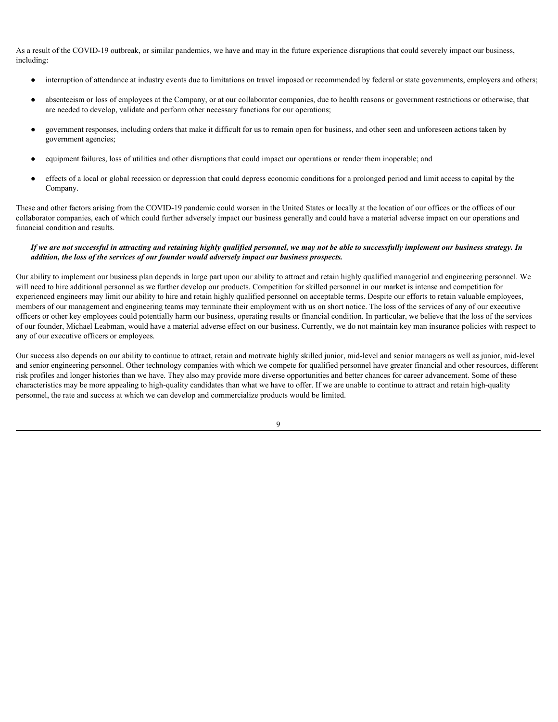As a result of the COVID-19 outbreak, or similar pandemics, we have and may in the future experience disruptions that could severely impact our business, including:

- interruption of attendance at industry events due to limitations on travel imposed or recommended by federal or state governments, employers and others;
- absenteeism or loss of employees at the Company, or at our collaborator companies, due to health reasons or government restrictions or otherwise, that are needed to develop, validate and perform other necessary functions for our operations;
- government responses, including orders that make it difficult for us to remain open for business, and other seen and unforeseen actions taken by government agencies;
- equipment failures, loss of utilities and other disruptions that could impact our operations or render them inoperable; and
- effects of a local or global recession or depression that could depress economic conditions for a prolonged period and limit access to capital by the Company.

These and other factors arising from the COVID-19 pandemic could worsen in the United States or locally at the location of our offices or the offices of our collaborator companies, each of which could further adversely impact our business generally and could have a material adverse impact on our operations and financial condition and results.

### *If we are not successful in attracting and retaining highly qualified personnel, we may not be able to successfully implement our business strategy. In addition, the loss of the services of our founder would adversely impact our business prospects.*

Our ability to implement our business plan depends in large part upon our ability to attract and retain highly qualified managerial and engineering personnel. We will need to hire additional personnel as we further develop our products. Competition for skilled personnel in our market is intense and competition for experienced engineers may limit our ability to hire and retain highly qualified personnel on acceptable terms. Despite our efforts to retain valuable employees, members of our management and engineering teams may terminate their employment with us on short notice. The loss of the services of any of our executive officers or other key employees could potentially harm our business, operating results or financial condition. In particular, we believe that the loss of the services of our founder, Michael Leabman, would have a material adverse effect on our business. Currently, we do not maintain key man insurance policies with respect to any of our executive officers or employees.

Our success also depends on our ability to continue to attract, retain and motivate highly skilled junior, mid-level and senior managers as well as junior, mid-level and senior engineering personnel. Other technology companies with which we compete for qualified personnel have greater financial and other resources, different risk profiles and longer histories than we have. They also may provide more diverse opportunities and better chances for career advancement. Some of these characteristics may be more appealing to high-quality candidates than what we have to offer. If we are unable to continue to attract and retain high-quality personnel, the rate and success at which we can develop and commercialize products would be limited.

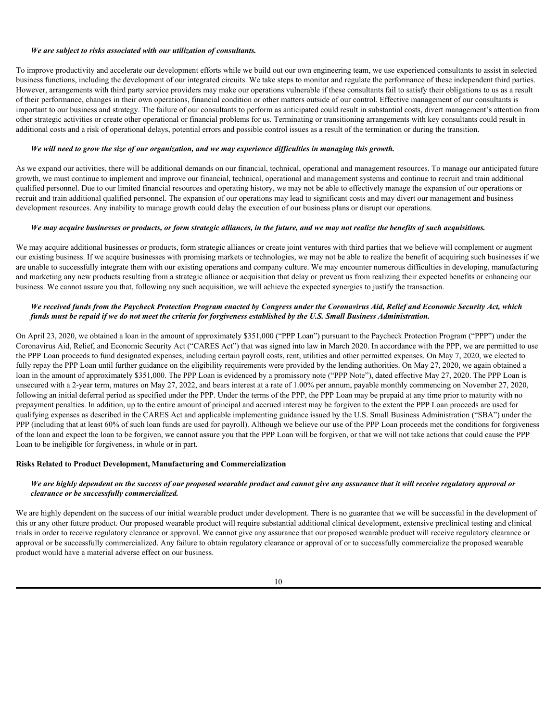### *We are subject to risks associated with our utilization of consultants.*

To improve productivity and accelerate our development efforts while we build out our own engineering team, we use experienced consultants to assist in selected business functions, including the development of our integrated circuits. We take steps to monitor and regulate the performance of these independent third parties. However, arrangements with third party service providers may make our operations vulnerable if these consultants fail to satisfy their obligations to us as a result of their performance, changes in their own operations, financial condition or other matters outside of our control. Effective management of our consultants is important to our business and strategy. The failure of our consultants to perform as anticipated could result in substantial costs, divert management's attention from other strategic activities or create other operational or financial problems for us. Terminating or transitioning arrangements with key consultants could result in additional costs and a risk of operational delays, potential errors and possible control issues as a result of the termination or during the transition.

#### *We will need to grow the size of our organization, and we may experience difficulties in managing this growth.*

As we expand our activities, there will be additional demands on our financial, technical, operational and management resources. To manage our anticipated future growth, we must continue to implement and improve our financial, technical, operational and management systems and continue to recruit and train additional qualified personnel. Due to our limited financial resources and operating history, we may not be able to effectively manage the expansion of our operations or recruit and train additional qualified personnel. The expansion of our operations may lead to significant costs and may divert our management and business development resources. Any inability to manage growth could delay the execution of our business plans or disrupt our operations.

#### *We may acquire businesses or products, or form strategic alliances, in the future, and we may not realize the benefits of such acquisitions.*

We may acquire additional businesses or products, form strategic alliances or create joint ventures with third parties that we believe will complement or augment our existing business. If we acquire businesses with promising markets or technologies, we may not be able to realize the benefit of acquiring such businesses if we are unable to successfully integrate them with our existing operations and company culture. We may encounter numerous difficulties in developing, manufacturing and marketing any new products resulting from a strategic alliance or acquisition that delay or prevent us from realizing their expected benefits or enhancing our business. We cannot assure you that, following any such acquisition, we will achieve the expected synergies to justify the transaction.

### *We received funds from the Paycheck Protection Program enacted by Congress under the Coronavirus Aid, Relief and Economic Security Act, which funds must be repaid if we do not meet the criteria for forgiveness established by the U.S. Small Business Administration.*

On April 23, 2020, we obtained a loan in the amount of approximately \$351,000 ("PPP Loan") pursuant to the Paycheck Protection Program ("PPP") under the Coronavirus Aid, Relief, and Economic Security Act ("CARES Act") that was signed into law in March 2020. In accordance with the PPP, we are permitted to use the PPP Loan proceeds to fund designated expenses, including certain payroll costs, rent, utilities and other permitted expenses. On May 7, 2020, we elected to fully repay the PPP Loan until further guidance on the eligibility requirements were provided by the lending authorities. On May 27, 2020, we again obtained a loan in the amount of approximately \$351,000. The PPP Loan is evidenced by a promissory note ("PPP Note"), dated effective May 27, 2020. The PPP Loan is unsecured with a 2-year term, matures on May 27, 2022, and bears interest at a rate of 1.00% per annum, payable monthly commencing on November 27, 2020, following an initial deferral period as specified under the PPP. Under the terms of the PPP, the PPP Loan may be prepaid at any time prior to maturity with no prepayment penalties. In addition, up to the entire amount of principal and accrued interest may be forgiven to the extent the PPP Loan proceeds are used for qualifying expenses as described in the CARES Act and applicable implementing guidance issued by the U.S. Small Business Administration ("SBA") under the PPP (including that at least 60% of such loan funds are used for payroll). Although we believe our use of the PPP Loan proceeds met the conditions for forgiveness of the loan and expect the loan to be forgiven, we cannot assure you that the PPP Loan will be forgiven, or that we will not take actions that could cause the PPP Loan to be ineligible for forgiveness, in whole or in part.

#### **Risks Related to Product Development, Manufacturing and Commercialization**

### *We are highly dependent on the success of our proposed wearable product and cannot give any assurance that it will receive regulatory approval or clearance or be successfully commercialized.*

We are highly dependent on the success of our initial wearable product under development. There is no guarantee that we will be successful in the development of this or any other future product. Our proposed wearable product will require substantial additional clinical development, extensive preclinical testing and clinical trials in order to receive regulatory clearance or approval. We cannot give any assurance that our proposed wearable product will receive regulatory clearance or approval or be successfully commercialized. Any failure to obtain regulatory clearance or approval of or to successfully commercialize the proposed wearable product would have a material adverse effect on our business.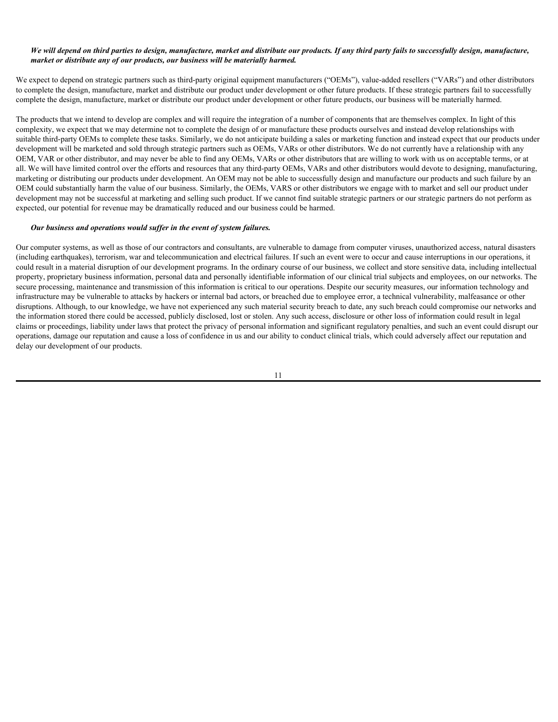#### *We will depend on third parties to design, manufacture, market and distribute our products. If any third party fails to successfully design, manufacture, market or distribute any of our products, our business will be materially harmed.*

We expect to depend on strategic partners such as third-party original equipment manufacturers ("OEMs"), value-added resellers ("VARs") and other distributors to complete the design, manufacture, market and distribute our product under development or other future products. If these strategic partners fail to successfully complete the design, manufacture, market or distribute our product under development or other future products, our business will be materially harmed.

The products that we intend to develop are complex and will require the integration of a number of components that are themselves complex. In light of this complexity, we expect that we may determine not to complete the design of or manufacture these products ourselves and instead develop relationships with suitable third-party OEMs to complete these tasks. Similarly, we do not anticipate building a sales or marketing function and instead expect that our products under development will be marketed and sold through strategic partners such as OEMs, VARs or other distributors. We do not currently have a relationship with any OEM, VAR or other distributor, and may never be able to find any OEMs, VARs or other distributors that are willing to work with us on acceptable terms, or at all. We will have limited control over the efforts and resources that any third-party OEMs, VARs and other distributors would devote to designing, manufacturing, marketing or distributing our products under development. An OEM may not be able to successfully design and manufacture our products and such failure by an OEM could substantially harm the value of our business. Similarly, the OEMs, VARS or other distributors we engage with to market and sell our product under development may not be successful at marketing and selling such product. If we cannot find suitable strategic partners or our strategic partners do not perform as expected, our potential for revenue may be dramatically reduced and our business could be harmed.

#### *Our business and operations would suffer in the event of system failures.*

Our computer systems, as well as those of our contractors and consultants, are vulnerable to damage from computer viruses, unauthorized access, natural disasters (including earthquakes), terrorism, war and telecommunication and electrical failures. If such an event were to occur and cause interruptions in our operations, it could result in a material disruption of our development programs. In the ordinary course of our business, we collect and store sensitive data, including intellectual property, proprietary business information, personal data and personally identifiable information of our clinical trial subjects and employees, on our networks. The secure processing, maintenance and transmission of this information is critical to our operations. Despite our security measures, our information technology and infrastructure may be vulnerable to attacks by hackers or internal bad actors, or breached due to employee error, a technical vulnerability, malfeasance or other disruptions. Although, to our knowledge, we have not experienced any such material security breach to date, any such breach could compromise our networks and the information stored there could be accessed, publicly disclosed, lost or stolen. Any such access, disclosure or other loss of information could result in legal claims or proceedings, liability under laws that protect the privacy of personal information and significant regulatory penalties, and such an event could disrupt our operations, damage our reputation and cause a loss of confidence in us and our ability to conduct clinical trials, which could adversely affect our reputation and delay our development of our products.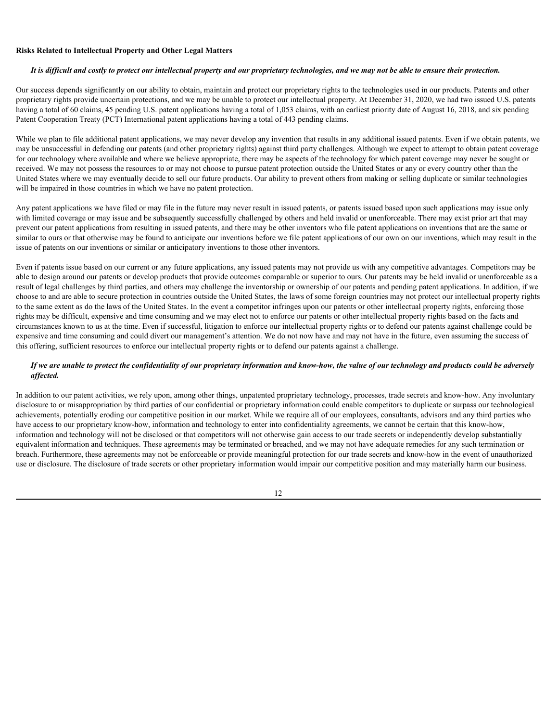#### **Risks Related to Intellectual Property and Other Legal Matters**

### *It is difficult and costly to protect our intellectual property and our proprietary technologies, and we may not be able to ensure their protection.*

Our success depends significantly on our ability to obtain, maintain and protect our proprietary rights to the technologies used in our products. Patents and other proprietary rights provide uncertain protections, and we may be unable to protect our intellectual property. At December 31, 2020, we had two issued U.S. patents having a total of 60 claims, 45 pending U.S. patent applications having a total of 1,053 claims, with an earliest priority date of August 16, 2018, and six pending Patent Cooperation Treaty (PCT) International patent applications having a total of 443 pending claims.

While we plan to file additional patent applications, we may never develop any invention that results in any additional issued patents. Even if we obtain patents, we may be unsuccessful in defending our patents (and other proprietary rights) against third party challenges. Although we expect to attempt to obtain patent coverage for our technology where available and where we believe appropriate, there may be aspects of the technology for which patent coverage may never be sought or received. We may not possess the resources to or may not choose to pursue patent protection outside the United States or any or every country other than the United States where we may eventually decide to sell our future products. Our ability to prevent others from making or selling duplicate or similar technologies will be impaired in those countries in which we have no patent protection.

Any patent applications we have filed or may file in the future may never result in issued patents, or patents issued based upon such applications may issue only with limited coverage or may issue and be subsequently successfully challenged by others and held invalid or unenforceable. There may exist prior art that may prevent our patent applications from resulting in issued patents, and there may be other inventors who file patent applications on inventions that are the same or similar to ours or that otherwise may be found to anticipate our inventions before we file patent applications of our own on our inventions, which may result in the issue of patents on our inventions or similar or anticipatory inventions to those other inventors.

Even if patents issue based on our current or any future applications, any issued patents may not provide us with any competitive advantages*.* Competitors may be able to design around our patents or develop products that provide outcomes comparable or superior to ours. Our patents may be held invalid or unenforceable as a result of legal challenges by third parties, and others may challenge the inventorship or ownership of our patents and pending patent applications. In addition, if we choose to and are able to secure protection in countries outside the United States, the laws of some foreign countries may not protect our intellectual property rights to the same extent as do the laws of the United States. In the event a competitor infringes upon our patents or other intellectual property rights, enforcing those rights may be difficult, expensive and time consuming and we may elect not to enforce our patents or other intellectual property rights based on the facts and circumstances known to us at the time. Even if successful, litigation to enforce our intellectual property rights or to defend our patents against challenge could be expensive and time consuming and could divert our management's attention. We do not now have and may not have in the future, even assuming the success of this offering, sufficient resources to enforce our intellectual property rights or to defend our patents against a challenge.

### *If we are unable to protect the confidentiality of our proprietary information and know-how, the value of our technology and products could be adversely affected.*

In addition to our patent activities, we rely upon, among other things, unpatented proprietary technology, processes, trade secrets and know-how. Any involuntary disclosure to or misappropriation by third parties of our confidential or proprietary information could enable competitors to duplicate or surpass our technological achievements, potentially eroding our competitive position in our market. While we require all of our employees, consultants, advisors and any third parties who have access to our proprietary know-how, information and technology to enter into confidentiality agreements, we cannot be certain that this know-how, information and technology will not be disclosed or that competitors will not otherwise gain access to our trade secrets or independently develop substantially equivalent information and techniques. These agreements may be terminated or breached, and we may not have adequate remedies for any such termination or breach. Furthermore, these agreements may not be enforceable or provide meaningful protection for our trade secrets and know-how in the event of unauthorized use or disclosure. The disclosure of trade secrets or other proprietary information would impair our competitive position and may materially harm our business.

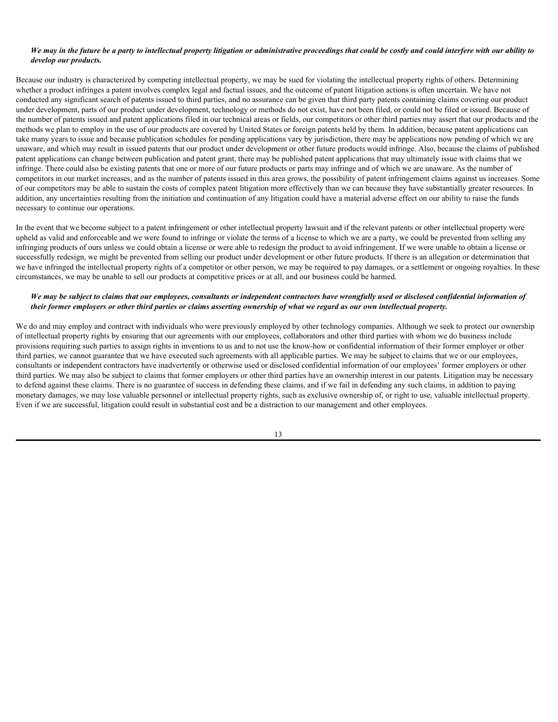### *We may in the future be a party to intellectual property litigation or administrative proceedings that could be costly and could interfere with our ability to develop our products.*

Because our industry is characterized by competing intellectual property, we may be sued for violating the intellectual property rights of others. Determining whether a product infringes a patent involves complex legal and factual issues, and the outcome of patent litigation actions is often uncertain. We have not conducted any significant search of patents issued to third parties, and no assurance can be given that third party patents containing claims covering our product under development, parts of our product under development, technology or methods do not exist, have not been filed, or could not be filed or issued. Because of the number of patents issued and patent applications filed in our technical areas or fields, our competitors or other third parties may assert that our products and the methods we plan to employ in the use of our products are covered by United States or foreign patents held by them. In addition, because patent applications can take many years to issue and because publication schedules for pending applications vary by jurisdiction, there may be applications now pending of which we are unaware, and which may result in issued patents that our product under development or other future products would infringe. Also, because the claims of published patent applications can change between publication and patent grant, there may be published patent applications that may ultimately issue with claims that we infringe. There could also be existing patents that one or more of our future products or parts may infringe and of which we are unaware. As the number of competitors in our market increases, and as the number of patents issued in this area grows, the possibility of patent infringement claims against us increases. Some of our competitors may be able to sustain the costs of complex patent litigation more effectively than we can because they have substantially greater resources. In addition, any uncertainties resulting from the initiation and continuation of any litigation could have a material adverse effect on our ability to raise the funds necessary to continue our operations.

In the event that we become subject to a patent infringement or other intellectual property lawsuit and if the relevant patents or other intellectual property were upheld as valid and enforceable and we were found to infringe or violate the terms of a license to which we are a party, we could be prevented from selling any infringing products of ours unless we could obtain a license or were able to redesign the product to avoid infringement. If we were unable to obtain a license or successfully redesign, we might be prevented from selling our product under development or other future products. If there is an allegation or determination that we have infringed the intellectual property rights of a competitor or other person, we may be required to pay damages, or a settlement or ongoing royalties. In these circumstances, we may be unable to sell our products at competitive prices or at all, and our business could be harmed.

### *We may be subject to claims that our employees, consultants or independent contractors have wrongfully used or disclosed confidential information of their former employers or other third parties or claims asserting ownership of what we regard as our own intellectual property.*

We do and may employ and contract with individuals who were previously employed by other technology companies. Although we seek to protect our ownership of intellectual property rights by ensuring that our agreements with our employees, collaborators and other third parties with whom we do business include provisions requiring such parties to assign rights in inventions to us and to not use the know-how or confidential information of their former employer or other third parties, we cannot guarantee that we have executed such agreements with all applicable parties. We may be subject to claims that we or our employees, consultants or independent contractors have inadvertently or otherwise used or disclosed confidential information of our employees' former employers or other third parties. We may also be subject to claims that former employers or other third parties have an ownership interest in our patents. Litigation may be necessary to defend against these claims. There is no guarantee of success in defending these claims, and if we fail in defending any such claims, in addition to paying monetary damages, we may lose valuable personnel or intellectual property rights, such as exclusive ownership of, or right to use, valuable intellectual property. Even if we are successful, litigation could result in substantial cost and be a distraction to our management and other employees.

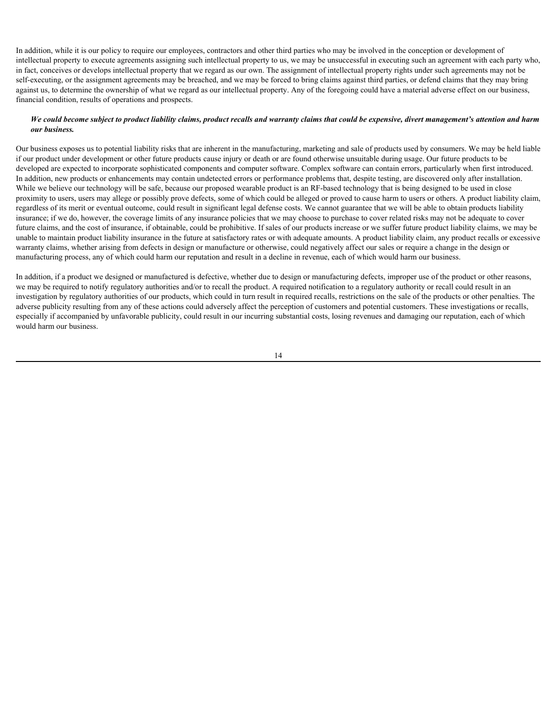In addition, while it is our policy to require our employees, contractors and other third parties who may be involved in the conception or development of intellectual property to execute agreements assigning such intellectual property to us, we may be unsuccessful in executing such an agreement with each party who, in fact, conceives or develops intellectual property that we regard as our own. The assignment of intellectual property rights under such agreements may not be self-executing, or the assignment agreements may be breached, and we may be forced to bring claims against third parties, or defend claims that they may bring against us, to determine the ownership of what we regard as our intellectual property. Any of the foregoing could have a material adverse effect on our business, financial condition, results of operations and prospects.

# *We could become subject to product liability claims, product recalls and warranty claims that could be expensive, divert management's attention and harm our business.*

Our business exposes us to potential liability risks that are inherent in the manufacturing, marketing and sale of products used by consumers. We may be held liable if our product under development or other future products cause injury or death or are found otherwise unsuitable during usage. Our future products to be developed are expected to incorporate sophisticated components and computer software. Complex software can contain errors, particularly when first introduced. In addition, new products or enhancements may contain undetected errors or performance problems that, despite testing, are discovered only after installation. While we believe our technology will be safe, because our proposed wearable product is an RF-based technology that is being designed to be used in close proximity to users, users may allege or possibly prove defects, some of which could be alleged or proved to cause harm to users or others. A product liability claim, regardless of its merit or eventual outcome, could result in significant legal defense costs. We cannot guarantee that we will be able to obtain products liability insurance; if we do, however, the coverage limits of any insurance policies that we may choose to purchase to cover related risks may not be adequate to cover future claims, and the cost of insurance, if obtainable, could be prohibitive. If sales of our products increase or we suffer future product liability claims, we may be unable to maintain product liability insurance in the future at satisfactory rates or with adequate amounts. A product liability claim, any product recalls or excessive warranty claims, whether arising from defects in design or manufacture or otherwise, could negatively affect our sales or require a change in the design or manufacturing process, any of which could harm our reputation and result in a decline in revenue, each of which would harm our business.

In addition, if a product we designed or manufactured is defective, whether due to design or manufacturing defects, improper use of the product or other reasons, we may be required to notify regulatory authorities and/or to recall the product. A required notification to a regulatory authority or recall could result in an investigation by regulatory authorities of our products, which could in turn result in required recalls, restrictions on the sale of the products or other penalties. The adverse publicity resulting from any of these actions could adversely affect the perception of customers and potential customers. These investigations or recalls, especially if accompanied by unfavorable publicity, could result in our incurring substantial costs, losing revenues and damaging our reputation, each of which would harm our business.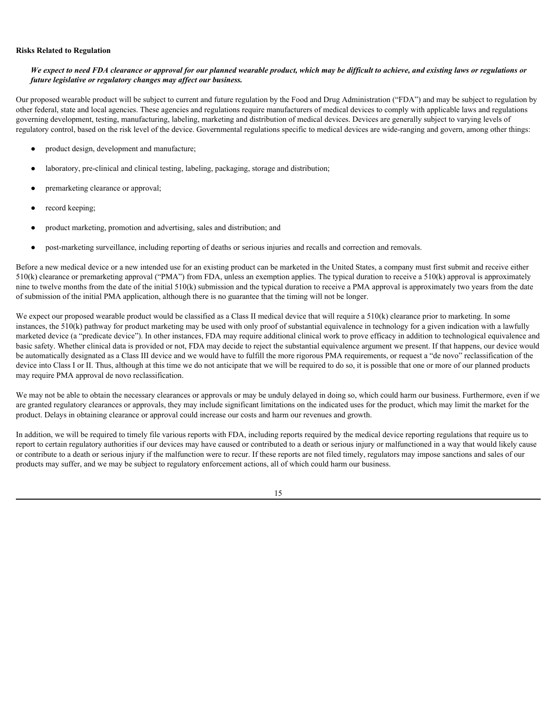#### **Risks Related to Regulation**

# *We expect to need FDA clearance or approval for our planned wearable product, which may be difficult to achieve, and existing laws or regulations or future legislative or regulatory changes may affect our business.*

Our proposed wearable product will be subject to current and future regulation by the Food and Drug Administration ("FDA") and may be subject to regulation by other federal, state and local agencies. These agencies and regulations require manufacturers of medical devices to comply with applicable laws and regulations governing development, testing, manufacturing, labeling, marketing and distribution of medical devices. Devices are generally subject to varying levels of regulatory control, based on the risk level of the device. Governmental regulations specific to medical devices are wide-ranging and govern, among other things:

- product design, development and manufacture;
- laboratory, pre-clinical and clinical testing, labeling, packaging, storage and distribution;
- premarketing clearance or approval;
- record keeping;
- product marketing, promotion and advertising, sales and distribution; and
- post-marketing surveillance, including reporting of deaths or serious injuries and recalls and correction and removals.

Before a new medical device or a new intended use for an existing product can be marketed in the United States, a company must first submit and receive either 510(k) clearance or premarketing approval ("PMA") from FDA, unless an exemption applies. The typical duration to receive a 510(k) approval is approximately nine to twelve months from the date of the initial 510(k) submission and the typical duration to receive a PMA approval is approximately two years from the date of submission of the initial PMA application, although there is no guarantee that the timing will not be longer.

We expect our proposed wearable product would be classified as a Class II medical device that will require a  $510(k)$  clearance prior to marketing. In some instances, the 510(k) pathway for product marketing may be used with only proof of substantial equivalence in technology for a given indication with a lawfully marketed device (a "predicate device"). In other instances, FDA may require additional clinical work to prove efficacy in addition to technological equivalence and basic safety. Whether clinical data is provided or not, FDA may decide to reject the substantial equivalence argument we present. If that happens, our device would be automatically designated as a Class III device and we would have to fulfill the more rigorous PMA requirements, or request a "de novo" reclassification of the device into Class I or II. Thus, although at this time we do not anticipate that we will be required to do so, it is possible that one or more of our planned products may require PMA approval de novo reclassification.

We may not be able to obtain the necessary clearances or approvals or may be unduly delayed in doing so, which could harm our business. Furthermore, even if we are granted regulatory clearances or approvals, they may include significant limitations on the indicated uses for the product, which may limit the market for the product. Delays in obtaining clearance or approval could increase our costs and harm our revenues and growth.

In addition, we will be required to timely file various reports with FDA, including reports required by the medical device reporting regulations that require us to report to certain regulatory authorities if our devices may have caused or contributed to a death or serious injury or malfunctioned in a way that would likely cause or contribute to a death or serious injury if the malfunction were to recur. If these reports are not filed timely, regulators may impose sanctions and sales of our products may suffer, and we may be subject to regulatory enforcement actions, all of which could harm our business.

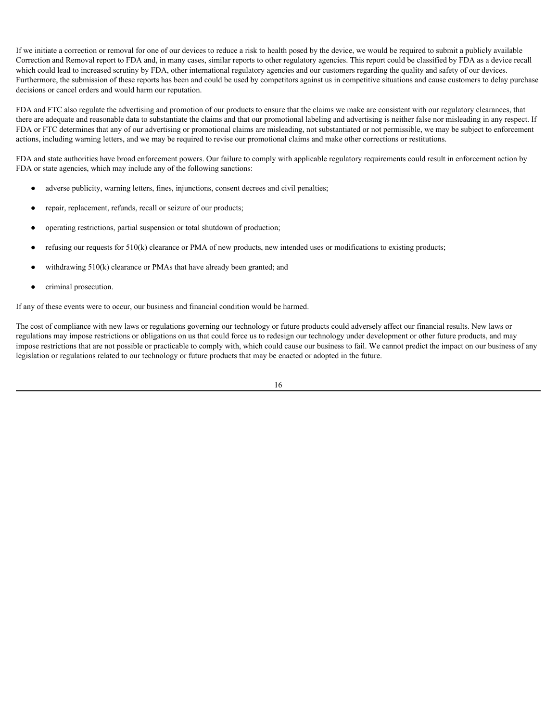If we initiate a correction or removal for one of our devices to reduce a risk to health posed by the device, we would be required to submit a publicly available Correction and Removal report to FDA and, in many cases, similar reports to other regulatory agencies. This report could be classified by FDA as a device recall which could lead to increased scrutiny by FDA, other international regulatory agencies and our customers regarding the quality and safety of our devices. Furthermore, the submission of these reports has been and could be used by competitors against us in competitive situations and cause customers to delay purchase decisions or cancel orders and would harm our reputation.

FDA and FTC also regulate the advertising and promotion of our products to ensure that the claims we make are consistent with our regulatory clearances, that there are adequate and reasonable data to substantiate the claims and that our promotional labeling and advertising is neither false nor misleading in any respect. If FDA or FTC determines that any of our advertising or promotional claims are misleading, not substantiated or not permissible, we may be subject to enforcement actions, including warning letters, and we may be required to revise our promotional claims and make other corrections or restitutions.

FDA and state authorities have broad enforcement powers. Our failure to comply with applicable regulatory requirements could result in enforcement action by FDA or state agencies, which may include any of the following sanctions:

- adverse publicity, warning letters, fines, injunctions, consent decrees and civil penalties;
- repair, replacement, refunds, recall or seizure of our products;
- operating restrictions, partial suspension or total shutdown of production;
- refusing our requests for  $510(k)$  clearance or PMA of new products, new intended uses or modifications to existing products;
- withdrawing  $510(k)$  clearance or PMAs that have already been granted; and
- criminal prosecution.

If any of these events were to occur, our business and financial condition would be harmed.

The cost of compliance with new laws or regulations governing our technology or future products could adversely affect our financial results. New laws or regulations may impose restrictions or obligations on us that could force us to redesign our technology under development or other future products, and may impose restrictions that are not possible or practicable to comply with, which could cause our business to fail. We cannot predict the impact on our business of any legislation or regulations related to our technology or future products that may be enacted or adopted in the future.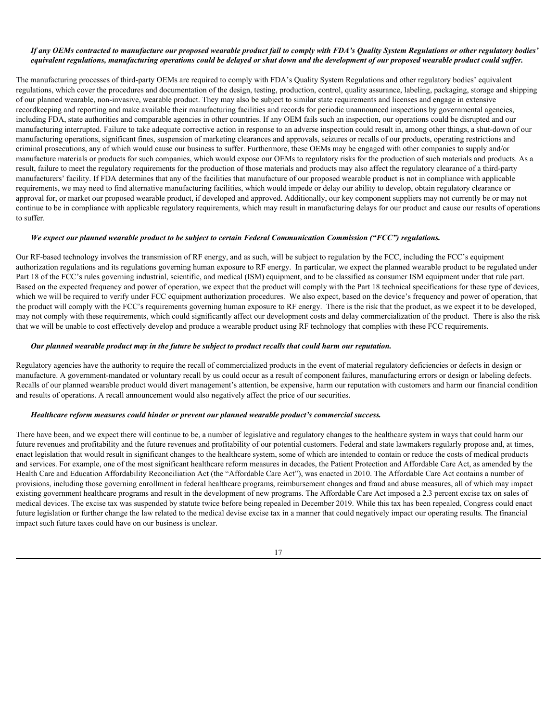### *If any OEMs contracted to manufacture our proposed wearable product fail to comply with FDA's Quality System Regulations or other regulatory bodies' equivalent regulations, manufacturing operations could be delayed or shut down and the development of our proposed wearable product could suffer.*

The manufacturing processes of third-party OEMs are required to comply with FDA's Quality System Regulations and other regulatory bodies' equivalent regulations, which cover the procedures and documentation of the design, testing, production, control, quality assurance, labeling, packaging, storage and shipping of our planned wearable, non-invasive, wearable product. They may also be subject to similar state requirements and licenses and engage in extensive recordkeeping and reporting and make available their manufacturing facilities and records for periodic unannounced inspections by governmental agencies, including FDA, state authorities and comparable agencies in other countries. If any OEM fails such an inspection, our operations could be disrupted and our manufacturing interrupted. Failure to take adequate corrective action in response to an adverse inspection could result in, among other things, a shut-down of our manufacturing operations, significant fines, suspension of marketing clearances and approvals, seizures or recalls of our products, operating restrictions and criminal prosecutions, any of which would cause our business to suffer. Furthermore, these OEMs may be engaged with other companies to supply and/or manufacture materials or products for such companies, which would expose our OEMs to regulatory risks for the production of such materials and products. As a result, failure to meet the regulatory requirements for the production of those materials and products may also affect the regulatory clearance of a third-party manufacturers' facility. If FDA determines that any of the facilities that manufacture of our proposed wearable product is not in compliance with applicable requirements, we may need to find alternative manufacturing facilities, which would impede or delay our ability to develop, obtain regulatory clearance or approval for, or market our proposed wearable product, if developed and approved. Additionally, our key component suppliers may not currently be or may not continue to be in compliance with applicable regulatory requirements, which may result in manufacturing delays for our product and cause our results of operations to suffer.

### *We expect our planned wearable product to be subject to certain Federal Communication Commission ("FCC") regulations.*

Our RF-based technology involves the transmission of RF energy, and as such, will be subject to regulation by the FCC, including the FCC's equipment authorization regulations and its regulations governing human exposure to RF energy. In particular, we expect the planned wearable product to be regulated under Part 18 of the FCC's rules governing industrial, scientific, and medical (ISM) equipment, and to be classified as consumer ISM equipment under that rule part. Based on the expected frequency and power of operation, we expect that the product will comply with the Part 18 technical specifications for these type of devices, which we will be required to verify under FCC equipment authorization procedures. We also expect, based on the device's frequency and power of operation, that the product will comply with the FCC's requirements governing human exposure to RF energy. There is the risk that the product, as we expect it to be developed, may not comply with these requirements, which could significantly affect our development costs and delay commercialization of the product. There is also the risk that we will be unable to cost effectively develop and produce a wearable product using RF technology that complies with these FCC requirements.

#### *Our planned wearable product may in the future be subject to product recalls that could harm our reputation.*

Regulatory agencies have the authority to require the recall of commercialized products in the event of material regulatory deficiencies or defects in design or manufacture. A government-mandated or voluntary recall by us could occur as a result of component failures, manufacturing errors or design or labeling defects. Recalls of our planned wearable product would divert management's attention, be expensive, harm our reputation with customers and harm our financial condition and results of operations. A recall announcement would also negatively affect the price of our securities.

#### *Healthcare reform measures could hinder or prevent our planned wearable product's commercial success.*

There have been, and we expect there will continue to be, a number of legislative and regulatory changes to the healthcare system in ways that could harm our future revenues and profitability and the future revenues and profitability of our potential customers. Federal and state lawmakers regularly propose and, at times, enact legislation that would result in significant changes to the healthcare system, some of which are intended to contain or reduce the costs of medical products and services. For example, one of the most significant healthcare reform measures in decades, the Patient Protection and Affordable Care Act, as amended by the Health Care and Education Affordability Reconciliation Act (the "Affordable Care Act"), was enacted in 2010. The Affordable Care Act contains a number of provisions, including those governing enrollment in federal healthcare programs, reimbursement changes and fraud and abuse measures, all of which may impact existing government healthcare programs and result in the development of new programs. The Affordable Care Act imposed a 2.3 percent excise tax on sales of medical devices. The excise tax was suspended by statute twice before being repealed in December 2019. While this tax has been repealed, Congress could enact future legislation or further change the law related to the medical devise excise tax in a manner that could negatively impact our operating results. The financial impact such future taxes could have on our business is unclear.

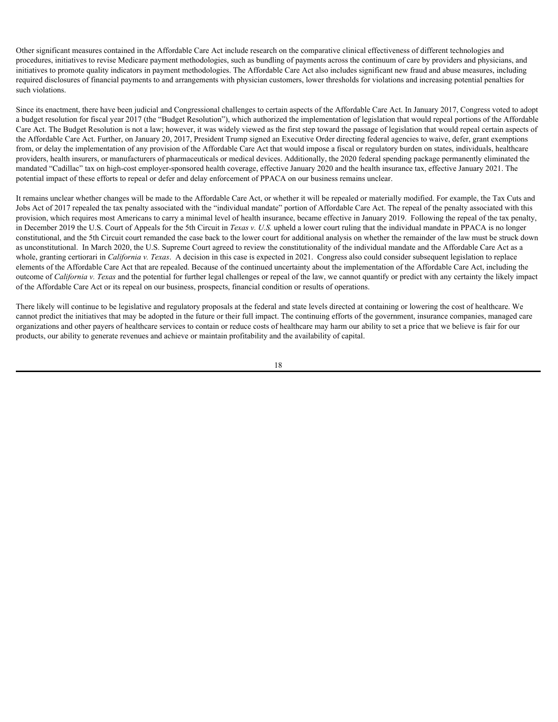Other significant measures contained in the Affordable Care Act include research on the comparative clinical effectiveness of different technologies and procedures, initiatives to revise Medicare payment methodologies, such as bundling of payments across the continuum of care by providers and physicians, and initiatives to promote quality indicators in payment methodologies. The Affordable Care Act also includes significant new fraud and abuse measures, including required disclosures of financial payments to and arrangements with physician customers, lower thresholds for violations and increasing potential penalties for such violations.

Since its enactment, there have been judicial and Congressional challenges to certain aspects of the Affordable Care Act. In January 2017, Congress voted to adopt a budget resolution for fiscal year 2017 (the "Budget Resolution"), which authorized the implementation of legislation that would repeal portions of the Affordable Care Act. The Budget Resolution is not a law; however, it was widely viewed as the first step toward the passage of legislation that would repeal certain aspects of the Affordable Care Act. Further, on January 20, 2017, President Trump signed an Executive Order directing federal agencies to waive, defer, grant exemptions from, or delay the implementation of any provision of the Affordable Care Act that would impose a fiscal or regulatory burden on states, individuals, healthcare providers, health insurers, or manufacturers of pharmaceuticals or medical devices. Additionally, the 2020 federal spending package permanently eliminated the mandated "Cadillac" tax on high-cost employer-sponsored health coverage, effective January 2020 and the health insurance tax, effective January 2021. The potential impact of these efforts to repeal or defer and delay enforcement of PPACA on our business remains unclear.

It remains unclear whether changes will be made to the Affordable Care Act, or whether it will be repealed or materially modified. For example, the Tax Cuts and Jobs Act of 2017 repealed the tax penalty associated with the "individual mandate" portion of Affordable Care Act. The repeal of the penalty associated with this provision, which requires most Americans to carry a minimal level of health insurance, became effective in January 2019. Following the repeal of the tax penalty, in December 2019 the U.S. Court of Appeals for the 5th Circuit in *Texas v. U.S.* upheld a lower court ruling that the individual mandate in PPACA is no longer constitutional, and the 5th Circuit court remanded the case back to the lower court for additional analysis on whether the remainder of the law must be struck down as unconstitutional. In March 2020, the U.S. Supreme Court agreed to review the constitutionality of the individual mandate and the Affordable Care Act as a whole, granting certiorari in *California v. Texas*. A decision in this case is expected in 2021. Congress also could consider subsequent legislation to replace elements of the Affordable Care Act that are repealed. Because of the continued uncertainty about the implementation of the Affordable Care Act, including the outcome of *California v. Texas* and the potential for further legal challenges or repeal of the law, we cannot quantify or predict with any certainty the likely impact of the Affordable Care Act or its repeal on our business, prospects, financial condition or results of operations.

There likely will continue to be legislative and regulatory proposals at the federal and state levels directed at containing or lowering the cost of healthcare. We cannot predict the initiatives that may be adopted in the future or their full impact. The continuing efforts of the government, insurance companies, managed care organizations and other payers of healthcare services to contain or reduce costs of healthcare may harm our ability to set a price that we believe is fair for our products, our ability to generate revenues and achieve or maintain profitability and the availability of capital.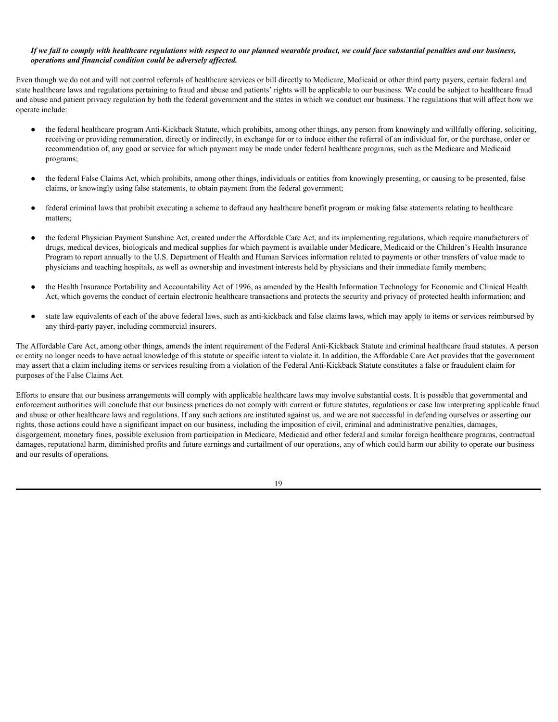### *If we fail to comply with healthcare regulations with respect to our planned wearable product, we could face substantial penalties and our business, operations and financial condition could be adversely affected.*

Even though we do not and will not control referrals of healthcare services or bill directly to Medicare, Medicaid or other third party payers, certain federal and state healthcare laws and regulations pertaining to fraud and abuse and patients' rights will be applicable to our business. We could be subject to healthcare fraud and abuse and patient privacy regulation by both the federal government and the states in which we conduct our business. The regulations that will affect how we operate include:

- the federal healthcare program Anti-Kickback Statute, which prohibits, among other things, any person from knowingly and willfully offering, soliciting, receiving or providing remuneration, directly or indirectly, in exchange for or to induce either the referral of an individual for, or the purchase, order or recommendation of, any good or service for which payment may be made under federal healthcare programs, such as the Medicare and Medicaid programs;
- the federal False Claims Act, which prohibits, among other things, individuals or entities from knowingly presenting, or causing to be presented, false claims, or knowingly using false statements, to obtain payment from the federal government;
- federal criminal laws that prohibit executing a scheme to defraud any healthcare benefit program or making false statements relating to healthcare matters;
- the federal Physician Payment Sunshine Act, created under the Affordable Care Act, and its implementing regulations, which require manufacturers of drugs, medical devices, biologicals and medical supplies for which payment is available under Medicare, Medicaid or the Children's Health Insurance Program to report annually to the U.S. Department of Health and Human Services information related to payments or other transfers of value made to physicians and teaching hospitals, as well as ownership and investment interests held by physicians and their immediate family members;
- the Health Insurance Portability and Accountability Act of 1996, as amended by the Health Information Technology for Economic and Clinical Health Act, which governs the conduct of certain electronic healthcare transactions and protects the security and privacy of protected health information; and
- state law equivalents of each of the above federal laws, such as anti-kickback and false claims laws, which may apply to items or services reimbursed by any third-party payer, including commercial insurers.

The Affordable Care Act, among other things, amends the intent requirement of the Federal Anti-Kickback Statute and criminal healthcare fraud statutes. A person or entity no longer needs to have actual knowledge of this statute or specific intent to violate it. In addition, the Affordable Care Act provides that the government may assert that a claim including items or services resulting from a violation of the Federal Anti-Kickback Statute constitutes a false or fraudulent claim for purposes of the False Claims Act.

Efforts to ensure that our business arrangements will comply with applicable healthcare laws may involve substantial costs. It is possible that governmental and enforcement authorities will conclude that our business practices do not comply with current or future statutes, regulations or case law interpreting applicable fraud and abuse or other healthcare laws and regulations. If any such actions are instituted against us, and we are not successful in defending ourselves or asserting our rights, those actions could have a significant impact on our business, including the imposition of civil, criminal and administrative penalties, damages, disgorgement, monetary fines, possible exclusion from participation in Medicare, Medicaid and other federal and similar foreign healthcare programs, contractual damages, reputational harm, diminished profits and future earnings and curtailment of our operations, any of which could harm our ability to operate our business and our results of operations.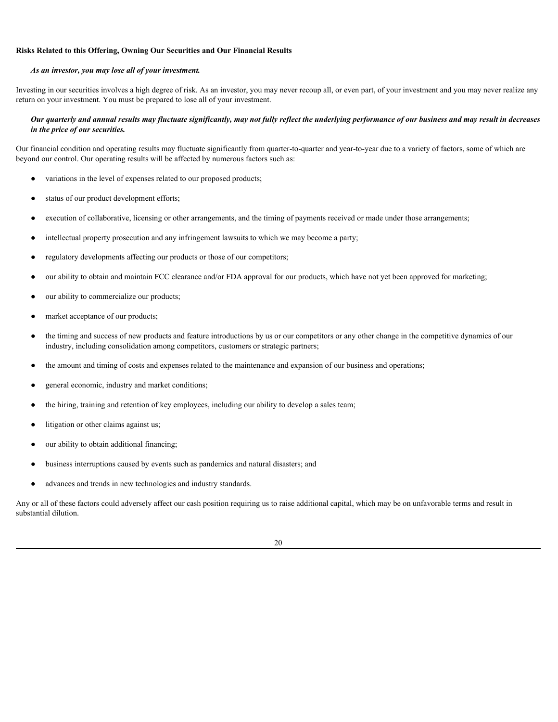### **Risks Related to this Offering, Owning Our Securities and Our Financial Results**

#### *As an investor, you may lose all of your investment.*

Investing in our securities involves a high degree of risk. As an investor, you may never recoup all, or even part, of your investment and you may never realize any return on your investment. You must be prepared to lose all of your investment.

### *Our quarterly and annual results may fluctuate significantly, may not fully reflect the underlying performance of our business and may result in decreases in the price of our securities.*

Our financial condition and operating results may fluctuate significantly from quarter-to-quarter and year-to-year due to a variety of factors, some of which are beyond our control. Our operating results will be affected by numerous factors such as:

- variations in the level of expenses related to our proposed products;
- status of our product development efforts;
- execution of collaborative, licensing or other arrangements, and the timing of payments received or made under those arrangements;
- intellectual property prosecution and any infringement lawsuits to which we may become a party;
- regulatory developments affecting our products or those of our competitors;
- our ability to obtain and maintain FCC clearance and/or FDA approval for our products, which have not yet been approved for marketing;
- our ability to commercialize our products;
- market acceptance of our products;
- the timing and success of new products and feature introductions by us or our competitors or any other change in the competitive dynamics of our industry, including consolidation among competitors, customers or strategic partners;
- the amount and timing of costs and expenses related to the maintenance and expansion of our business and operations;
- general economic, industry and market conditions;
- the hiring, training and retention of key employees, including our ability to develop a sales team;
- litigation or other claims against us;
- our ability to obtain additional financing;
- business interruptions caused by events such as pandemics and natural disasters; and
- advances and trends in new technologies and industry standards.

Any or all of these factors could adversely affect our cash position requiring us to raise additional capital, which may be on unfavorable terms and result in substantial dilution.

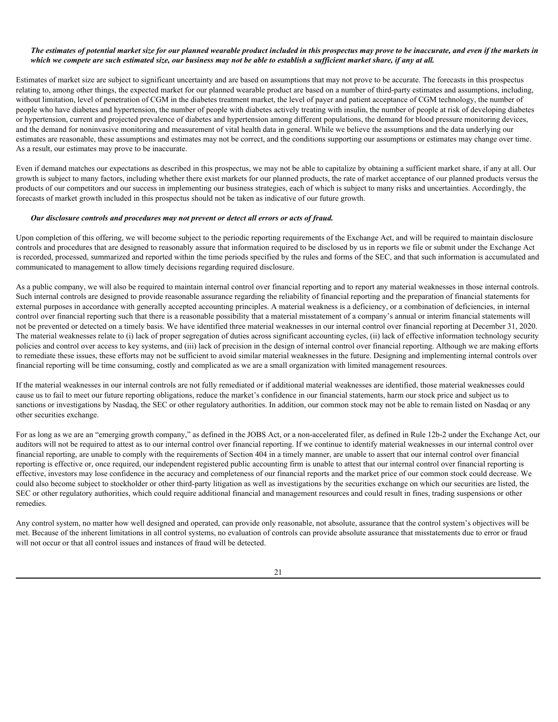### *The estimates of potential market size for our planned wearable product included in this prospectus may prove to be inaccurate, and even if the markets in which we compete are such estimated size, our business may not be able to establish a sufficient market share, if any at all.*

Estimates of market size are subject to significant uncertainty and are based on assumptions that may not prove to be accurate. The forecasts in this prospectus relating to, among other things, the expected market for our planned wearable product are based on a number of third-party estimates and assumptions, including, without limitation, level of penetration of CGM in the diabetes treatment market, the level of payer and patient acceptance of CGM technology, the number of people who have diabetes and hypertension, the number of people with diabetes actively treating with insulin, the number of people at risk of developing diabetes or hypertension, current and projected prevalence of diabetes and hypertension among different populations, the demand for blood pressure monitoring devices, and the demand for noninvasive monitoring and measurement of vital health data in general. While we believe the assumptions and the data underlying our estimates are reasonable, these assumptions and estimates may not be correct, and the conditions supporting our assumptions or estimates may change over time. As a result, our estimates may prove to be inaccurate.

Even if demand matches our expectations as described in this prospectus, we may not be able to capitalize by obtaining a sufficient market share, if any at all. Our growth is subject to many factors, including whether there exist markets for our planned products, the rate of market acceptance of our planned products versus the products of our competitors and our success in implementing our business strategies, each of which is subject to many risks and uncertainties. Accordingly, the forecasts of market growth included in this prospectus should not be taken as indicative of our future growth.

#### *Our disclosure controls and procedures may not prevent or detect all errors or acts of fraud.*

Upon completion of this offering, we will become subject to the periodic reporting requirements of the Exchange Act, and will be required to maintain disclosure controls and procedures that are designed to reasonably assure that information required to be disclosed by us in reports we file or submit under the Exchange Act is recorded, processed, summarized and reported within the time periods specified by the rules and forms of the SEC, and that such information is accumulated and communicated to management to allow timely decisions regarding required disclosure.

As a public company, we will also be required to maintain internal control over financial reporting and to report any material weaknesses in those internal controls. Such internal controls are designed to provide reasonable assurance regarding the reliability of financial reporting and the preparation of financial statements for external purposes in accordance with generally accepted accounting principles. A material weakness is a deficiency, or a combination of deficiencies, in internal control over financial reporting such that there is a reasonable possibility that a material misstatement of a company's annual or interim financial statements will not be prevented or detected on a timely basis. We have identified three material weaknesses in our internal control over financial reporting at December 31, 2020. The material weaknesses relate to (i) lack of proper segregation of duties across significant accounting cycles, (ii) lack of effective information technology security policies and control over access to key systems, and (iii) lack of precision in the design of internal control over financial reporting. Although we are making efforts to remediate these issues, these efforts may not be sufficient to avoid similar material weaknesses in the future. Designing and implementing internal controls over financial reporting will be time consuming, costly and complicated as we are a small organization with limited management resources.

If the material weaknesses in our internal controls are not fully remediated or if additional material weaknesses are identified, those material weaknesses could cause us to fail to meet our future reporting obligations, reduce the market's confidence in our financial statements, harm our stock price and subject us to sanctions or investigations by Nasdaq, the SEC or other regulatory authorities. In addition, our common stock may not be able to remain listed on Nasdaq or any other securities exchange.

For as long as we are an "emerging growth company," as defined in the JOBS Act, or a non-accelerated filer, as defined in Rule 12b-2 under the Exchange Act, our auditors will not be required to attest as to our internal control over financial reporting. If we continue to identify material weaknesses in our internal control over financial reporting, are unable to comply with the requirements of Section 404 in a timely manner, are unable to assert that our internal control over financial reporting is effective or, once required, our independent registered public accounting firm is unable to attest that our internal control over financial reporting is effective, investors may lose confidence in the accuracy and completeness of our financial reports and the market price of our common stock could decrease. We could also become subject to stockholder or other third-party litigation as well as investigations by the securities exchange on which our securities are listed, the SEC or other regulatory authorities, which could require additional financial and management resources and could result in fines, trading suspensions or other remedies.

Any control system, no matter how well designed and operated, can provide only reasonable, not absolute, assurance that the control system's objectives will be met. Because of the inherent limitations in all control systems, no evaluation of controls can provide absolute assurance that misstatements due to error or fraud will not occur or that all control issues and instances of fraud will be detected.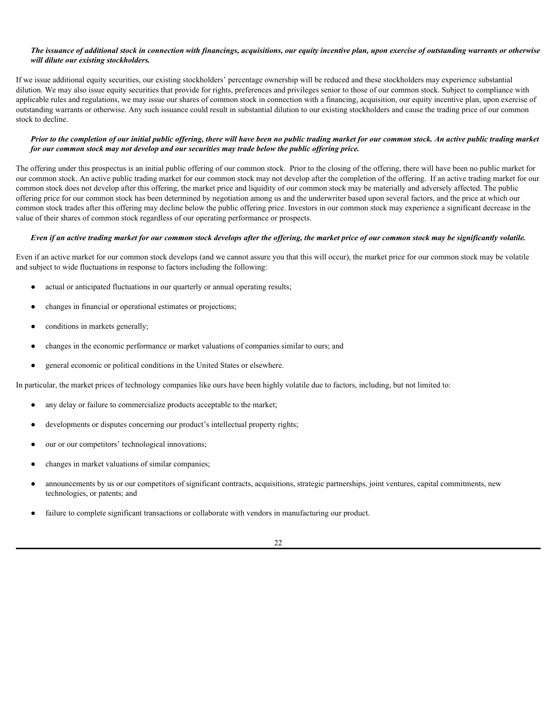### *The issuance of additional stock in connection with financings, acquisitions, our equity incentive plan, upon exercise of outstanding warrants or otherwise will dilute our existing stockholders.*

If we issue additional equity securities, our existing stockholders' percentage ownership will be reduced and these stockholders may experience substantial dilution. We may also issue equity securities that provide for rights, preferences and privileges senior to those of our common stock. Subject to compliance with applicable rules and regulations, we may issue our shares of common stock in connection with a financing, acquisition, our equity incentive plan, upon exercise of outstanding warrants or otherwise. Any such issuance could result in substantial dilution to our existing stockholders and cause the trading price of our common stock to decline.

### *Prior to the completion of our initial public offering, there will have been no public trading market for our common stock. An active public trading market for our common stock may not develop and our securities may trade below the public offering price.*

The offering under this prospectus is an initial public offering of our common stock. Prior to the closing of the offering, there will have been no public market for our common stock. An active public trading market for our common stock may not develop after the completion of the offering. If an active trading market for our common stock does not develop after this offering, the market price and liquidity of our common stock may be materially and adversely affected. The public offering price for our common stock has been determined by negotiation among us and the underwriter based upon several factors, and the price at which our common stock trades after this offering may decline below the public offering price. Investors in our common stock may experience a significant decrease in the value of their shares of common stock regardless of our operating performance or prospects.

#### *Even if an active trading market for our common stock develops after the offering, the market price of our common stock may be significantly volatile.*

Even if an active market for our common stock develops (and we cannot assure you that this will occur), the market price for our common stock may be volatile and subject to wide fluctuations in response to factors including the following:

- actual or anticipated fluctuations in our quarterly or annual operating results;
- changes in financial or operational estimates or projections;
- conditions in markets generally;
- changes in the economic performance or market valuations of companies similar to ours; and
- general economic or political conditions in the United States or elsewhere.

In particular, the market prices of technology companies like ours have been highly volatile due to factors, including, but not limited to:

- any delay or failure to commercialize products acceptable to the market;
- developments or disputes concerning our product's intellectual property rights;
- our or our competitors' technological innovations;
- changes in market valuations of similar companies;
- announcements by us or our competitors of significant contracts, acquisitions, strategic partnerships, joint ventures, capital commitments, new technologies, or patents; and
- failure to complete significant transactions or collaborate with vendors in manufacturing our product.

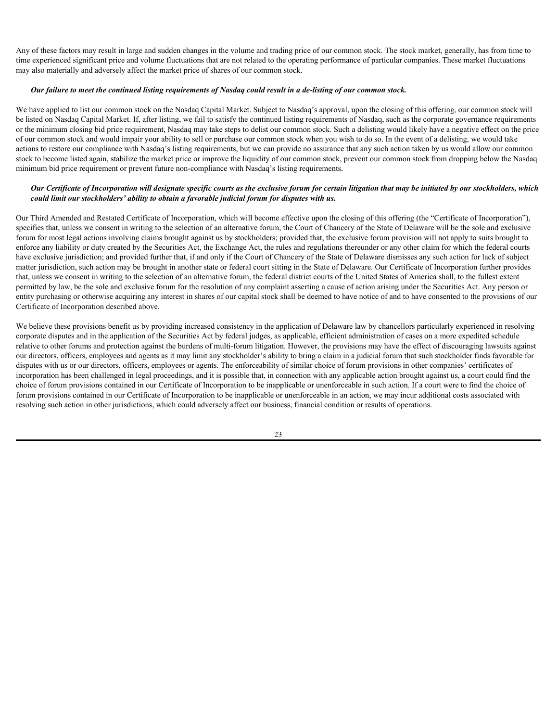Any of these factors may result in large and sudden changes in the volume and trading price of our common stock. The stock market, generally, has from time to time experienced significant price and volume fluctuations that are not related to the operating performance of particular companies. These market fluctuations may also materially and adversely affect the market price of shares of our common stock.

#### *Our failure to meet the continued listing requirements of Nasdaq could result in a de-listing of our common stock.*

We have applied to list our common stock on the Nasdaq Capital Market. Subject to Nasdaq's approval, upon the closing of this offering, our common stock will be listed on Nasdaq Capital Market. If, after listing, we fail to satisfy the continued listing requirements of Nasdaq, such as the corporate governance requirements or the minimum closing bid price requirement, Nasdaq may take steps to delist our common stock. Such a delisting would likely have a negative effect on the price of our common stock and would impair your ability to sell or purchase our common stock when you wish to do so. In the event of a delisting, we would take actions to restore our compliance with Nasdaq's listing requirements, but we can provide no assurance that any such action taken by us would allow our common stock to become listed again, stabilize the market price or improve the liquidity of our common stock, prevent our common stock from dropping below the Nasdaq minimum bid price requirement or prevent future non-compliance with Nasdaq's listing requirements.

### *Our Certificate of Incorporation will designate specific courts as the exclusive forum for certain litigation that may be initiated by our stockholders, which could limit our stockholders' ability to obtain a favorable judicial forum for disputes with us.*

Our Third Amended and Restated Certificate of Incorporation, which will become effective upon the closing of this offering (the "Certificate of Incorporation"), specifies that, unless we consent in writing to the selection of an alternative forum, the Court of Chancery of the State of Delaware will be the sole and exclusive forum for most legal actions involving claims brought against us by stockholders; provided that, the exclusive forum provision will not apply to suits brought to enforce any liability or duty created by the Securities Act, the Exchange Act, the rules and regulations thereunder or any other claim for which the federal courts have exclusive jurisdiction; and provided further that, if and only if the Court of Chancery of the State of Delaware dismisses any such action for lack of subject matter jurisdiction, such action may be brought in another state or federal court sitting in the State of Delaware. Our Certificate of Incorporation further provides that, unless we consent in writing to the selection of an alternative forum, the federal district courts of the United States of America shall, to the fullest extent permitted by law, be the sole and exclusive forum for the resolution of any complaint asserting a cause of action arising under the Securities Act. Any person or entity purchasing or otherwise acquiring any interest in shares of our capital stock shall be deemed to have notice of and to have consented to the provisions of our Certificate of Incorporation described above.

We believe these provisions benefit us by providing increased consistency in the application of Delaware law by chancellors particularly experienced in resolving corporate disputes and in the application of the Securities Act by federal judges, as applicable, efficient administration of cases on a more expedited schedule relative to other forums and protection against the burdens of multi-forum litigation. However, the provisions may have the effect of discouraging lawsuits against our directors, officers, employees and agents as it may limit any stockholder's ability to bring a claim in a judicial forum that such stockholder finds favorable for disputes with us or our directors, officers, employees or agents. The enforceability of similar choice of forum provisions in other companies' certificates of incorporation has been challenged in legal proceedings, and it is possible that, in connection with any applicable action brought against us, a court could find the choice of forum provisions contained in our Certificate of Incorporation to be inapplicable or unenforceable in such action. If a court were to find the choice of forum provisions contained in our Certificate of Incorporation to be inapplicable or unenforceable in an action, we may incur additional costs associated with resolving such action in other jurisdictions, which could adversely affect our business, financial condition or results of operations.

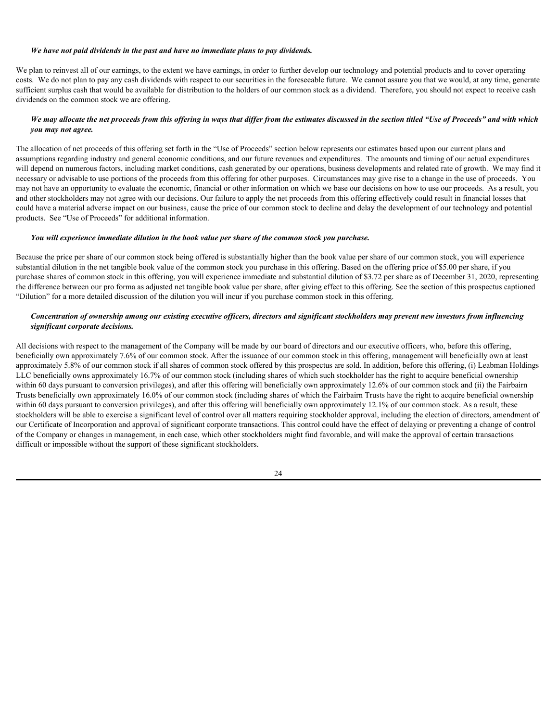#### *We have not paid dividends in the past and have no immediate plans to pay dividends.*

We plan to reinvest all of our earnings, to the extent we have earnings, in order to further develop our technology and potential products and to cover operating costs. We do not plan to pay any cash dividends with respect to our securities in the foreseeable future. We cannot assure you that we would, at any time, generate sufficient surplus cash that would be available for distribution to the holders of our common stock as a dividend. Therefore, you should not expect to receive cash dividends on the common stock we are offering.

# *We may allocate the net proceeds from this offering in ways that differ from the estimates discussed in the section titled "Use of Proceeds" and with which you may not agree.*

The allocation of net proceeds of this offering set forth in the "Use of Proceeds" section below represents our estimates based upon our current plans and assumptions regarding industry and general economic conditions, and our future revenues and expenditures. The amounts and timing of our actual expenditures will depend on numerous factors, including market conditions, cash generated by our operations, business developments and related rate of growth. We may find it necessary or advisable to use portions of the proceeds from this offering for other purposes. Circumstances may give rise to a change in the use of proceeds. You may not have an opportunity to evaluate the economic, financial or other information on which we base our decisions on how to use our proceeds. As a result, you and other stockholders may not agree with our decisions. Our failure to apply the net proceeds from this offering effectively could result in financial losses that could have a material adverse impact on our business, cause the price of our common stock to decline and delay the development of our technology and potential products. See "Use of Proceeds" for additional information.

### *You will experience immediate dilution in the book value per share of the common stock you purchase.*

Because the price per share of our common stock being offered is substantially higher than the book value per share of our common stock, you will experience substantial dilution in the net tangible book value of the common stock you purchase in this offering. Based on the offering price of \$5.00 per share, if you purchase shares of common stock in this offering, you will experience immediate and substantial dilution of \$3.72 per share as of December 31, 2020, representing the difference between our pro forma as adjusted net tangible book value per share, after giving effect to this offering. See the section of this prospectus captioned "Dilution" for a more detailed discussion of the dilution you will incur if you purchase common stock in this offering.

# *Concentration of ownership among our existing executive officers, directors and significant stockholders may prevent new investors from influencing significant corporate decisions.*

All decisions with respect to the management of the Company will be made by our board of directors and our executive officers, who, before this offering, beneficially own approximately 7.6% of our common stock. After the issuance of our common stock in this offering, management will beneficially own at least approximately 5.8% of our common stock if all shares of common stock offered by this prospectus are sold. In addition, before this offering, (i) Leabman Holdings LLC beneficially owns approximately 16.7% of our common stock (including shares of which such stockholder has the right to acquire beneficial ownership within 60 days pursuant to conversion privileges), and after this offering will beneficially own approximately 12.6% of our common stock and (ii) the Fairbairn Trusts beneficially own approximately 16.0% of our common stock (including shares of which the Fairbairn Trusts have the right to acquire beneficial ownership within 60 days pursuant to conversion privileges), and after this offering will beneficially own approximately 12.1% of our common stock. As a result, these stockholders will be able to exercise a significant level of control over all matters requiring stockholder approval, including the election of directors, amendment of our Certificate of Incorporation and approval of significant corporate transactions. This control could have the effect of delaying or preventing a change of control of the Company or changes in management, in each case, which other stockholders might find favorable, and will make the approval of certain transactions difficult or impossible without the support of these significant stockholders.

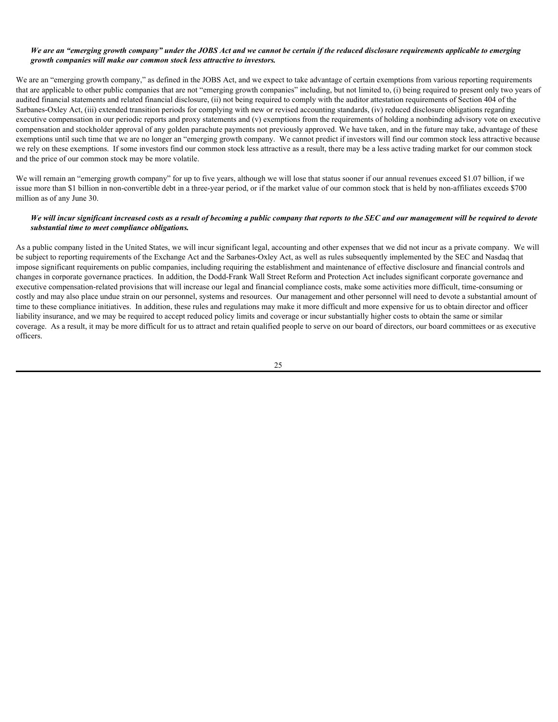### *We are an "emerging growth company" under the JOBS Act and we cannot be certain if the reduced disclosure requirements applicable to emerging growth companies will make our common stock less attractive to investors.*

We are an "emerging growth company," as defined in the JOBS Act, and we expect to take advantage of certain exemptions from various reporting requirements that are applicable to other public companies that are not "emerging growth companies" including, but not limited to, (i) being required to present only two years of audited financial statements and related financial disclosure, (ii) not being required to comply with the auditor attestation requirements of Section 404 of the Sarbanes-Oxley Act, (iii) extended transition periods for complying with new or revised accounting standards, (iv) reduced disclosure obligations regarding executive compensation in our periodic reports and proxy statements and (v) exemptions from the requirements of holding a nonbinding advisory vote on executive compensation and stockholder approval of any golden parachute payments not previously approved. We have taken, and in the future may take, advantage of these exemptions until such time that we are no longer an "emerging growth company. We cannot predict if investors will find our common stock less attractive because we rely on these exemptions. If some investors find our common stock less attractive as a result, there may be a less active trading market for our common stock and the price of our common stock may be more volatile.

We will remain an "emerging growth company" for up to five years, although we will lose that status sooner if our annual revenues exceed \$1.07 billion, if we issue more than \$1 billion in non-convertible debt in a three-year period, or if the market value of our common stock that is held by non-affiliates exceeds \$700 million as of any June 30.

### *We will incur significant increased costs as a result of becoming a public company that reports to the SEC and our management will be required to devote substantial time to meet compliance obligations.*

As a public company listed in the United States, we will incur significant legal, accounting and other expenses that we did not incur as a private company. We will be subject to reporting requirements of the Exchange Act and the Sarbanes-Oxley Act, as well as rules subsequently implemented by the SEC and Nasdaq that impose significant requirements on public companies, including requiring the establishment and maintenance of effective disclosure and financial controls and changes in corporate governance practices. In addition, the Dodd-Frank Wall Street Reform and Protection Act includes significant corporate governance and executive compensation-related provisions that will increase our legal and financial compliance costs, make some activities more difficult, time-consuming or costly and may also place undue strain on our personnel, systems and resources. Our management and other personnel will need to devote a substantial amount of time to these compliance initiatives. In addition, these rules and regulations may make it more difficult and more expensive for us to obtain director and officer liability insurance, and we may be required to accept reduced policy limits and coverage or incur substantially higher costs to obtain the same or similar coverage. As a result, it may be more difficult for us to attract and retain qualified people to serve on our board of directors, our board committees or as executive officers.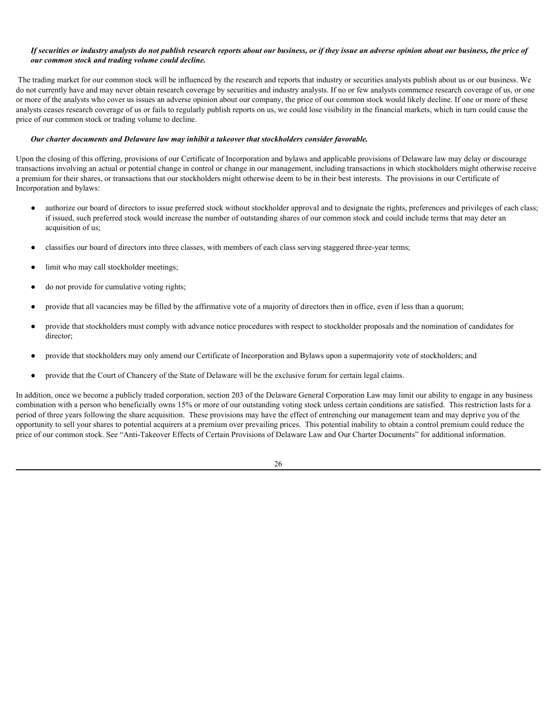### *If securities or industry analysts do not publish research reports about our business, or if they issue an adverse opinion about our business, the price of our common stock and trading volume could decline.*

 The trading market for our common stock will be influenced by the research and reports that industry or securities analysts publish about us or our business. We do not currently have and may never obtain research coverage by securities and industry analysts. If no or few analysts commence research coverage of us, or one or more of the analysts who cover us issues an adverse opinion about our company, the price of our common stock would likely decline. If one or more of these analysts ceases research coverage of us or fails to regularly publish reports on us, we could lose visibility in the financial markets, which in turn could cause the price of our common stock or trading volume to decline.

#### *Our charter documents and Delaware law may inhibit a takeover that stockholders consider favorable.*

Upon the closing of this offering, provisions of our Certificate of Incorporation and bylaws and applicable provisions of Delaware law may delay or discourage transactions involving an actual or potential change in control or change in our management, including transactions in which stockholders might otherwise receive a premium for their shares, or transactions that our stockholders might otherwise deem to be in their best interests. The provisions in our Certificate of Incorporation and bylaws:

- authorize our board of directors to issue preferred stock without stockholder approval and to designate the rights, preferences and privileges of each class; if issued, such preferred stock would increase the number of outstanding shares of our common stock and could include terms that may deter an acquisition of us;
- classifies our board of directors into three classes, with members of each class serving staggered three-year terms;
- limit who may call stockholder meetings;
- do not provide for cumulative voting rights;
- provide that all vacancies may be filled by the affirmative vote of a majority of directors then in office, even if less than a quorum;
- provide that stockholders must comply with advance notice procedures with respect to stockholder proposals and the nomination of candidates for director;
- provide that stockholders may only amend our Certificate of Incorporation and Bylaws upon a supermajority vote of stockholders; and
- provide that the Court of Chancery of the State of Delaware will be the exclusive forum for certain legal claims.

In addition, once we become a publicly traded corporation, section 203 of the Delaware General Corporation Law may limit our ability to engage in any business combination with a person who beneficially owns 15% or more of our outstanding voting stock unless certain conditions are satisfied. This restriction lasts for a period of three years following the share acquisition. These provisions may have the effect of entrenching our management team and may deprive you of the opportunity to sell your shares to potential acquirers at a premium over prevailing prices. This potential inability to obtain a control premium could reduce the price of our common stock. See "Anti-Takeover Effects of Certain Provisions of Delaware Law and Our Charter Documents" for additional information.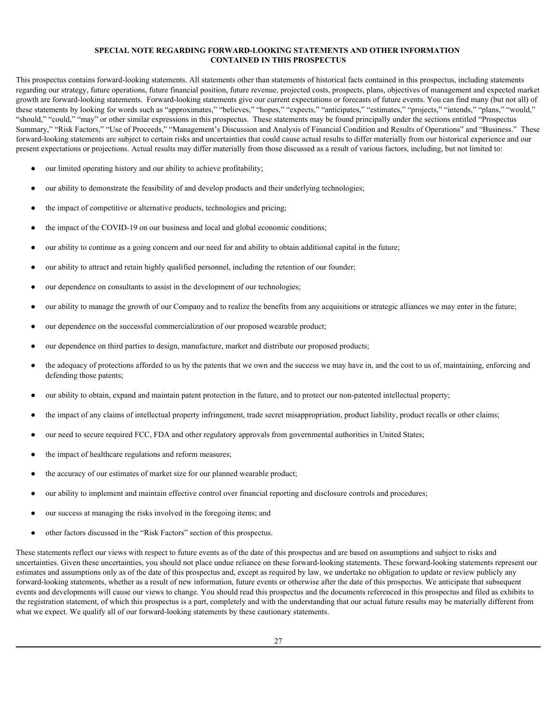#### <span id="page-30-0"></span>**SPECIAL NOTE REGARDING FORWARD-LOOKING STATEMENTS AND OTHER INFORMATION CONTAINED IN THIS PROSPECTUS**

This prospectus contains forward-looking statements. All statements other than statements of historical facts contained in this prospectus, including statements regarding our strategy, future operations, future financial position, future revenue, projected costs, prospects, plans, objectives of management and expected market growth are forward-looking statements. Forward-looking statements give our current expectations or forecasts of future events. You can find many (but not all) of these statements by looking for words such as "approximates," "believes," "hopes," "expects," "anticipates," "estimates," "projects," "intends," "plans," "would," "should," "could," "may" or other similar expressions in this prospectus. These statements may be found principally under the sections entitled "Prospectus Summary," "Risk Factors," "Use of Proceeds," "Management's Discussion and Analysis of Financial Condition and Results of Operations" and "Business." These forward-looking statements are subject to certain risks and uncertainties that could cause actual results to differ materially from our historical experience and our present expectations or projections. Actual results may differ materially from those discussed as a result of various factors, including, but not limited to:

- our limited operating history and our ability to achieve profitability;
- our ability to demonstrate the feasibility of and develop products and their underlying technologies;
- the impact of competitive or alternative products, technologies and pricing;
- the impact of the COVID-19 on our business and local and global economic conditions;
- our ability to continue as a going concern and our need for and ability to obtain additional capital in the future;
- our ability to attract and retain highly qualified personnel, including the retention of our founder;
- our dependence on consultants to assist in the development of our technologies;
- our ability to manage the growth of our Company and to realize the benefits from any acquisitions or strategic alliances we may enter in the future;
- our dependence on the successful commercialization of our proposed wearable product;
- our dependence on third parties to design, manufacture, market and distribute our proposed products;
- the adequacy of protections afforded to us by the patents that we own and the success we may have in, and the cost to us of, maintaining, enforcing and defending those patents;
- our ability to obtain, expand and maintain patent protection in the future, and to protect our non-patented intellectual property;
- the impact of any claims of intellectual property infringement, trade secret misappropriation, product liability, product recalls or other claims;
- our need to secure required FCC, FDA and other regulatory approvals from governmental authorities in United States;
- the impact of healthcare regulations and reform measures;
- the accuracy of our estimates of market size for our planned wearable product;
- our ability to implement and maintain effective control over financial reporting and disclosure controls and procedures;
- our success at managing the risks involved in the foregoing items; and
- other factors discussed in the "Risk Factors" section of this prospectus.

These statements reflect our views with respect to future events as of the date of this prospectus and are based on assumptions and subject to risks and uncertainties. Given these uncertainties, you should not place undue reliance on these forward-looking statements. These forward-looking statements represent our estimates and assumptions only as of the date of this prospectus and, except as required by law, we undertake no obligation to update or review publicly any forward-looking statements, whether as a result of new information, future events or otherwise after the date of this prospectus. We anticipate that subsequent events and developments will cause our views to change. You should read this prospectus and the documents referenced in this prospectus and filed as exhibits to the registration statement, of which this prospectus is a part, completely and with the understanding that our actual future results may be materially different from what we expect. We qualify all of our forward-looking statements by these cautionary statements.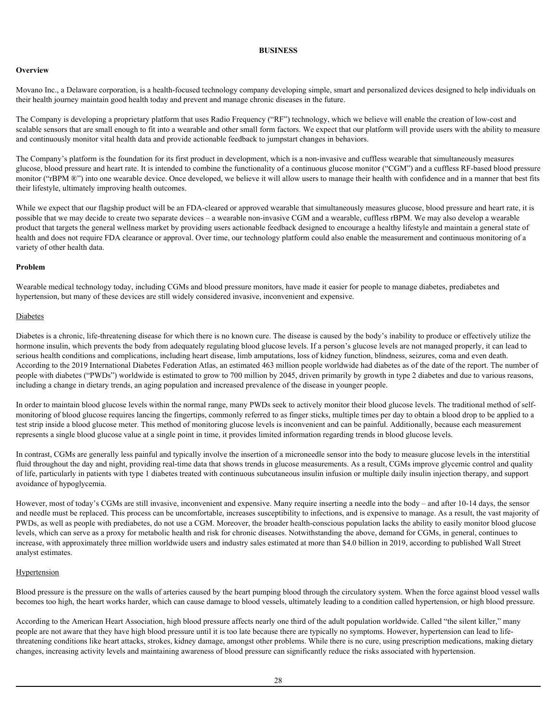#### <span id="page-31-0"></span>**BUSINESS**

### **Overview Overview** *Overview*

Movano Inc., a Delaware corporation, is a health-focused technology company developing simple, smart and personalized devices designed to help individuals on their health journey maintain good health today and prevent and manage chronic diseases in the future.

The Company is developing a proprietary platform that uses Radio Frequency ("RF") technology, which we believe will enable the creation of low-cost and scalable sensors that are small enough to fit into a wearable and other small form factors. We expect that our platform will provide users with the ability to measure and continuously monitor vital health data and provide actionable feedback to jumpstart changes in behaviors.

The Company's platform is the foundation for its first product in development, which is a non-invasive and cuffless wearable that simultaneously measures glucose, blood pressure and heart rate. It is intended to combine the functionality of a continuous glucose monitor ("CGM") and a cuffless RF-based blood pressure monitor ("rBPM ®") into one wearable device. Once developed, we believe it will allow users to manage their health with confidence and in a manner that best fits their lifestyle, ultimately improving health outcomes.

While we expect that our flagship product will be an FDA-cleared or approved wearable that simultaneously measures glucose, blood pressure and heart rate, it is possible that we may decide to create two separate devices – a wearable non-invasive CGM and a wearable, cuffless rBPM. We may also develop a wearable product that targets the general wellness market by providing users actionable feedback designed to encourage a healthy lifestyle and maintain a general state of health and does not require FDA clearance or approval. Over time, our technology platform could also enable the measurement and continuous monitoring of a variety of other health data.

### **Problem**

Wearable medical technology today, including CGMs and blood pressure monitors, have made it easier for people to manage diabetes, prediabetes and hypertension, but many of these devices are still widely considered invasive, inconvenient and expensive.

### Diabetes

Diabetes is a chronic, life-threatening disease for which there is no known cure. The disease is caused by the body's inability to produce or effectively utilize the hormone insulin, which prevents the body from adequately regulating blood glucose levels. If a person's glucose levels are not managed properly, it can lead to serious health conditions and complications, including heart disease, limb amputations, loss of kidney function, blindness, seizures, coma and even death. According to the 2019 International Diabetes Federation Atlas, an estimated 463 million people worldwide had diabetes as of the date of the report. The number of people with diabetes ("PWDs") worldwide is estimated to grow to 700 million by 2045, driven primarily by growth in type 2 diabetes and due to various reasons, including a change in dietary trends, an aging population and increased prevalence of the disease in younger people.

In order to maintain blood glucose levels within the normal range, many PWDs seek to actively monitor their blood glucose levels. The traditional method of selfmonitoring of blood glucose requires lancing the fingertips, commonly referred to as finger sticks, multiple times per day to obtain a blood drop to be applied to a test strip inside a blood glucose meter. This method of monitoring glucose levels is inconvenient and can be painful. Additionally, because each measurement represents a single blood glucose value at a single point in time, it provides limited information regarding trends in blood glucose levels.

In contrast, CGMs are generally less painful and typically involve the insertion of a microneedle sensor into the body to measure glucose levels in the interstitial fluid throughout the day and night, providing real-time data that shows trends in glucose measurements. As a result, CGMs improve glycemic control and quality of life, particularly in patients with type 1 diabetes treated with continuous subcutaneous insulin infusion or multiple daily insulin injection therapy, and support avoidance of hypoglycemia.

However, most of today's CGMs are still invasive, inconvenient and expensive. Many require inserting a needle into the body – and after 10-14 days, the sensor and needle must be replaced. This process can be uncomfortable, increases susceptibility to infections, and is expensive to manage. As a result, the vast majority of PWDs, as well as people with prediabetes, do not use a CGM. Moreover, the broader health-conscious population lacks the ability to easily monitor blood glucose levels, which can serve as a proxy for metabolic health and risk for chronic diseases. Notwithstanding the above, demand for CGMs, in general, continues to increase, with approximately three million worldwide users and industry sales estimated at more than \$4.0 billion in 2019, according to published Wall Street analyst estimates.

# **Hypertension**

Blood pressure is the pressure on the walls of arteries caused by the heart pumping blood through the circulatory system. When the force against blood vessel walls becomes too high, the heart works harder, which can cause damage to blood vessels, ultimately leading to a condition called hypertension, or high blood pressure.

According to the American Heart Association, high blood pressure affects nearly one third of the adult population worldwide. Called "the silent killer," many people are not aware that they have high blood pressure until it is too late because there are typically no symptoms. However, hypertension can lead to lifethreatening conditions like heart attacks, strokes, kidney damage, amongst other problems. While there is no cure, using prescription medications, making dietary changes, increasing activity levels and maintaining awareness of blood pressure can significantly reduce the risks associated with hypertension.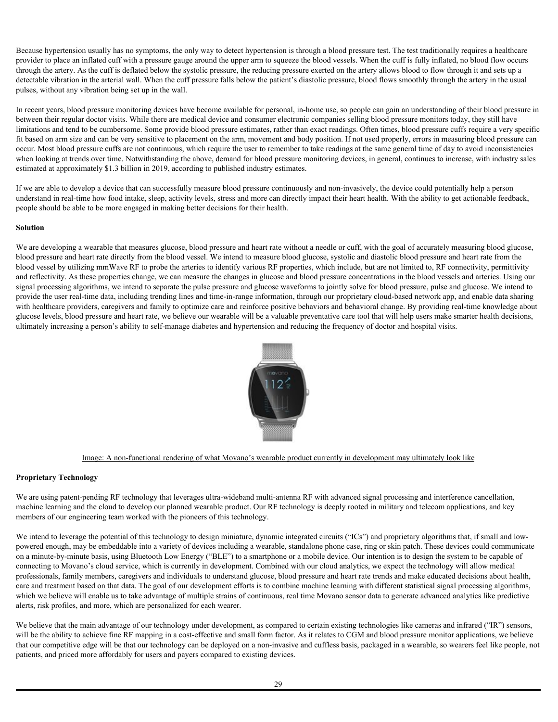Because hypertension usually has no symptoms, the only way to detect hypertension is through a blood pressure test. The test traditionally requires a healthcare provider to place an inflated cuff with a pressure gauge around the upper arm to squeeze the blood vessels. When the cuff is fully inflated, no blood flow occurs through the artery. As the cuff is deflated below the systolic pressure, the reducing pressure exerted on the artery allows blood to flow through it and sets up a detectable vibration in the arterial wall. When the cuff pressure falls below the patient's diastolic pressure, blood flows smoothly through the artery in the usual pulses, without any vibration being set up in the wall.

 In recent years, blood pressure monitoring devices have become available for personal, in-home use, so people can gain an understanding of their blood pressure in between their regular doctor visits. While there are medical device and consumer electronic companies selling blood pressure monitors today, they still have limitations and tend to be cumbersome. Some provide blood pressure estimates, rather than exact readings. Often times, blood pressure cuffs require a very specific fit based on arm size and can be very sensitive to placement on the arm, movement and body position. If not used properly, errors in measuring blood pressure can occur. Most blood pressure cuffs are not continuous, which require the user to remember to take readings at the same general time of day to avoid inconsistencies when looking at trends over time. Notwithstanding the above, demand for blood pressure monitoring devices, in general, continues to increase, with industry sales estimated at approximately \$1.3 billion in 2019, according to published industry estimates.

If we are able to develop a device that can successfully measure blood pressure continuously and non-invasively, the device could potentially help a person understand in real-time how food intake, sleep, activity levels, stress and more can directly impact their heart health. With the ability to get actionable feedback, people should be able to be more engaged in making better decisions for their health.

# **Solution**

We are developing a wearable that measures glucose, blood pressure and heart rate without a needle or cuff, with the goal of accurately measuring blood glucose, blood pressure and heart rate directly from the blood vessel. We intend to measure blood glucose, systolic and diastolic blood pressure and heart rate from the blood vessel by utilizing mmWave RF to probe the arteries to identify various RF properties, which include, but are not limited to, RF connectivity, permittivity and reflectivity. As these properties change, we can measure the changes in glucose and blood pressure concentrations in the blood vessels and arteries. Using our signal processing algorithms, we intend to separate the pulse pressure and glucose waveforms to jointly solve for blood pressure, pulse and glucose. We intend to provide the user real-time data, including trending lines and time-in-range information, through our proprietary cloud-based network app, and enable data sharing with healthcare providers, caregivers and family to optimize care and reinforce positive behaviors and behavioral change. By providing real-time knowledge about glucose levels, blood pressure and heart rate, we believe our wearable will be a valuable preventative care tool that will help users make smarter health decisions, ultimately increasing a person's ability to self-manage diabetes and hypertension and reducing the frequency of doctor and hospital visits.



# Image: A non-functional rendering of what Movano's wearable product currently in development may ultimately look like

# **Proprietary Technology**

We are using patent-pending RF technology that leverages ultra-wideband multi-antenna RF with advanced signal processing and interference cancellation, machine learning and the cloud to develop our planned wearable product. Our RF technology is deeply rooted in military and telecom applications, and key members of our engineering team worked with the pioneers of this technology.

We intend to leverage the potential of this technology to design miniature, dynamic integrated circuits ("ICs") and proprietary algorithms that, if small and lowpowered enough, may be embeddable into a variety of devices including a wearable, standalone phone case, ring or skin patch. These devices could communicate on a minute-by-minute basis, using Bluetooth Low Energy ("BLE") to a smartphone or a mobile device. Our intention is to design the system to be capable of connecting to Movano's cloud service, which is currently in development. Combined with our cloud analytics, we expect the technology will allow medical professionals, family members, caregivers and individuals to understand glucose, blood pressure and heart rate trends and make educated decisions about health, care and treatment based on that data. The goal of our development efforts is to combine machine learning with different statistical signal processing algorithms, which we believe will enable us to take advantage of multiple strains of continuous, real time Movano sensor data to generate advanced analytics like predictive alerts, risk profiles, and more, which are personalized for each wearer.

We believe that the main advantage of our technology under development, as compared to certain existing technologies like cameras and infrared ("IR") sensors, will be the ability to achieve fine RF mapping in a cost-effective and small form factor. As it relates to CGM and blood pressure monitor applications, we believe that our competitive edge will be that our technology can be deployed on a non-invasive and cuffless basis, packaged in a wearable, so wearers feel like people, not patients, and priced more affordably for users and payers compared to existing devices.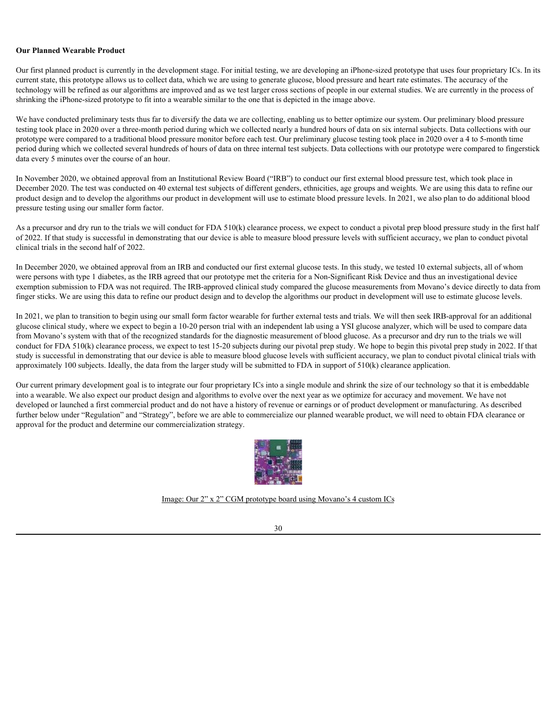#### **Our Planned Wearable Product**

Our first planned product is currently in the development stage. For initial testing, we are developing an iPhone-sized prototype that uses four proprietary ICs. In its current state, this prototype allows us to collect data, which we are using to generate glucose, blood pressure and heart rate estimates. The accuracy of the technology will be refined as our algorithms are improved and as we test larger cross sections of people in our external studies. We are currently in the process of shrinking the iPhone-sized prototype to fit into a wearable similar to the one that is depicted in the image above.

We have conducted preliminary tests thus far to diversify the data we are collecting, enabling us to better optimize our system. Our preliminary blood pressure testing took place in 2020 over a three-month period during which we collected nearly a hundred hours of data on six internal subjects. Data collections with our prototype were compared to a traditional blood pressure monitor before each test. Our preliminary glucose testing took place in 2020 over a 4 to 5-month time period during which we collected several hundreds of hours of data on three internal test subjects. Data collections with our prototype were compared to fingerstick data every 5 minutes over the course of an hour.

In November 2020, we obtained approval from an Institutional Review Board ("IRB") to conduct our first external blood pressure test, which took place in December 2020. The test was conducted on 40 external test subjects of different genders, ethnicities, age groups and weights. We are using this data to refine our product design and to develop the algorithms our product in development will use to estimate blood pressure levels. In 2021, we also plan to do additional blood pressure testing using our smaller form factor.

As a precursor and dry run to the trials we will conduct for FDA 510(k) clearance process, we expect to conduct a pivotal prep blood pressure study in the first half of 2022. If that study is successful in demonstrating that our device is able to measure blood pressure levels with sufficient accuracy, we plan to conduct pivotal clinical trials in the second half of 2022.

In December 2020, we obtained approval from an IRB and conducted our first external glucose tests. In this study, we tested 10 external subjects, all of whom were persons with type 1 diabetes, as the IRB agreed that our prototype met the criteria for a Non-Significant Risk Device and thus an investigational device exemption submission to FDA was not required. The IRB-approved clinical study compared the glucose measurements from Movano's device directly to data from finger sticks. We are using this data to refine our product design and to develop the algorithms our product in development will use to estimate glucose levels.

In 2021, we plan to transition to begin using our small form factor wearable for further external tests and trials. We will then seek IRB-approval for an additional glucose clinical study, where we expect to begin a 10-20 person trial with an independent lab using a YSI glucose analyzer, which will be used to compare data from Movano's system with that of the recognized standards for the diagnostic measurement of blood glucose. As a precursor and dry run to the trials we will conduct for FDA 510(k) clearance process, we expect to test 15-20 subjects during our pivotal prep study. We hope to begin this pivotal prep study in 2022. If that study is successful in demonstrating that our device is able to measure blood glucose levels with sufficient accuracy, we plan to conduct pivotal clinical trials with approximately 100 subjects. Ideally, the data from the larger study will be submitted to FDA in support of 510(k) clearance application.

 Our current primary development goal is to integrate our four proprietary ICs into a single module and shrink the size of our technology so that it is embeddable into a wearable. We also expect our product design and algorithms to evolve over the next year as we optimize for accuracy and movement. We have not developed or launched a first commercial product and do not have a history of revenue or earnings or of product development or manufacturing. As described further below under "Regulation" and "Strategy", before we are able to commercialize our planned wearable product, we will need to obtain FDA clearance or approval for the product and determine our commercialization strategy.



Image: Our 2" x 2" CGM prototype board using Movano's 4 custom ICs

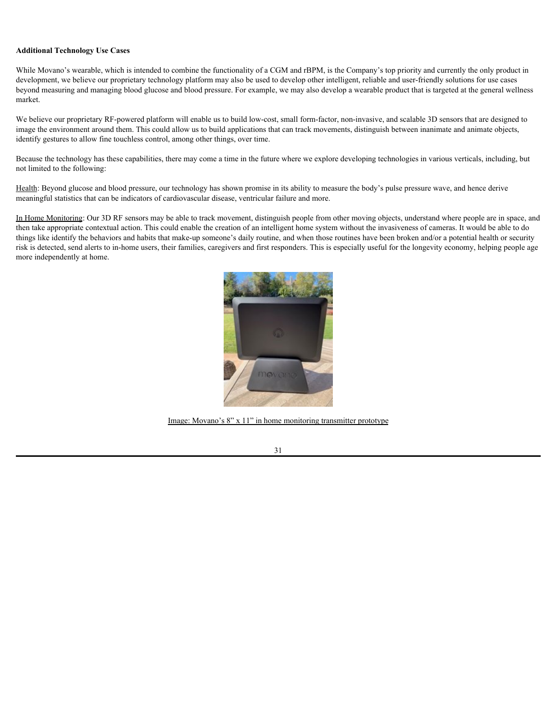### **Additional Technology Use Cases**

While Movano's wearable, which is intended to combine the functionality of a CGM and rBPM, is the Company's top priority and currently the only product in development, we believe our proprietary technology platform may also be used to develop other intelligent, reliable and user-friendly solutions for use cases beyond measuring and managing blood glucose and blood pressure. For example, we may also develop a wearable product that is targeted at the general wellness market.

We believe our proprietary RF-powered platform will enable us to build low-cost, small form-factor, non-invasive, and scalable 3D sensors that are designed to image the environment around them. This could allow us to build applications that can track movements, distinguish between inanimate and animate objects, identify gestures to allow fine touchless control, among other things, over time.

Because the technology has these capabilities, there may come a time in the future where we explore developing technologies in various verticals, including, but not limited to the following:

Health: Beyond glucose and blood pressure, our technology has shown promise in its ability to measure the body's pulse pressure wave, and hence derive meaningful statistics that can be indicators of cardiovascular disease, ventricular failure and more.

In Home Monitoring: Our 3D RF sensors may be able to track movement, distinguish people from other moving objects, understand where people are in space, and then take appropriate contextual action. This could enable the creation of an intelligent home system without the invasiveness of cameras. It would be able to do things like identify the behaviors and habits that make-up someone's daily routine, and when those routines have been broken and/or a potential health or security risk is detected, send alerts to in-home users, their families, caregivers and first responders. This is especially useful for the longevity economy, helping people age more independently at home.



Image: Movano's 8" x 11" in home monitoring transmitter prototype

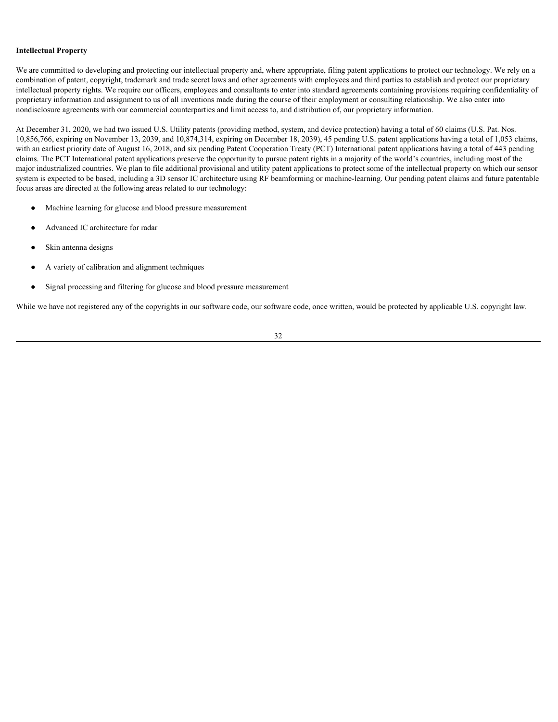### **Intellectual Property**

We are committed to developing and protecting our intellectual property and, where appropriate, filing patent applications to protect our technology. We rely on a combination of patent, copyright, trademark and trade secret laws and other agreements with employees and third parties to establish and protect our proprietary intellectual property rights. We require our officers, employees and consultants to enter into standard agreements containing provisions requiring confidentiality of proprietary information and assignment to us of all inventions made during the course of their employment or consulting relationship. We also enter into nondisclosure agreements with our commercial counterparties and limit access to, and distribution of, our proprietary information.

At December 31, 2020, we had two issued U.S. Utility patents (providing method, system, and device protection) having a total of 60 claims (U.S. Pat. Nos. 10,856,766, expiring on November 13, 2039, and 10,874,314, expiring on December 18, 2039), 45 pending U.S. patent applications having a total of 1,053 claims, with an earliest priority date of August 16, 2018, and six pending Patent Cooperation Treaty (PCT) International patent applications having a total of 443 pending claims. The PCT International patent applications preserve the opportunity to pursue patent rights in a majority of the world's countries, including most of the major industrialized countries. We plan to file additional provisional and utility patent applications to protect some of the intellectual property on which our sensor system is expected to be based, including a 3D sensor IC architecture using RF beamforming or machine-learning. Our pending patent claims and future patentable focus areas are directed at the following areas related to our technology:

- Machine learning for glucose and blood pressure measurement
- Advanced IC architecture for radar
- Skin antenna designs
- A variety of calibration and alignment techniques
- Signal processing and filtering for glucose and blood pressure measurement

While we have not registered any of the copyrights in our software code, our software code, once written, would be protected by applicable U.S. copyright law.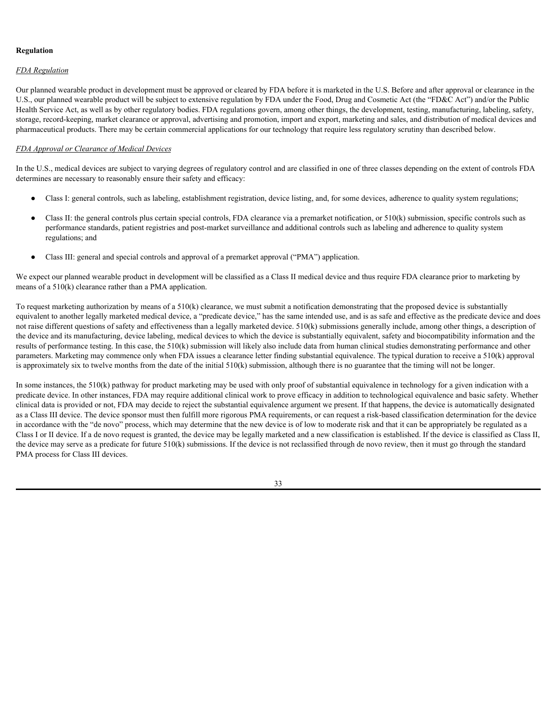## **Regulation**

# *FDA Regulation*

Our planned wearable product in development must be approved or cleared by FDA before it is marketed in the U.S. Before and after approval or clearance in the U.S., our planned wearable product will be subject to extensive regulation by FDA under the Food, Drug and Cosmetic Act (the "FD&C Act") and/or the Public Health Service Act, as well as by other regulatory bodies. FDA regulations govern, among other things, the development, testing, manufacturing, labeling, safety, storage, record-keeping, market clearance or approval, advertising and promotion, import and export, marketing and sales, and distribution of medical devices and pharmaceutical products. There may be certain commercial applications for our technology that require less regulatory scrutiny than described below.

# *FDA Approval or Clearance of Medical Devices*

In the U.S., medical devices are subject to varying degrees of regulatory control and are classified in one of three classes depending on the extent of controls FDA determines are necessary to reasonably ensure their safety and efficacy:

- Class I: general controls, such as labeling, establishment registration, device listing, and, for some devices, adherence to quality system regulations;
- Class II: the general controls plus certain special controls, FDA clearance via a premarket notification, or  $510(k)$  submission, specific controls such as performance standards, patient registries and post-market surveillance and additional controls such as labeling and adherence to quality system regulations; and
- Class III: general and special controls and approval of a premarket approval ("PMA") application.

We expect our planned wearable product in development will be classified as a Class II medical device and thus require FDA clearance prior to marketing by means of a 510(k) clearance rather than a PMA application.

To request marketing authorization by means of a 510(k) clearance, we must submit a notification demonstrating that the proposed device is substantially equivalent to another legally marketed medical device, a "predicate device," has the same intended use, and is as safe and effective as the predicate device and does not raise different questions of safety and effectiveness than a legally marketed device. 510(k) submissions generally include, among other things, a description of the device and its manufacturing, device labeling, medical devices to which the device is substantially equivalent, safety and biocompatibility information and the results of performance testing. In this case, the 510(k) submission will likely also include data from human clinical studies demonstrating performance and other parameters. Marketing may commence only when FDA issues a clearance letter finding substantial equivalence. The typical duration to receive a 510(k) approval is approximately six to twelve months from the date of the initial 510(k) submission, although there is no guarantee that the timing will not be longer.

In some instances, the 510(k) pathway for product marketing may be used with only proof of substantial equivalence in technology for a given indication with a predicate device. In other instances, FDA may require additional clinical work to prove efficacy in addition to technological equivalence and basic safety. Whether clinical data is provided or not, FDA may decide to reject the substantial equivalence argument we present. If that happens, the device is automatically designated as a Class III device. The device sponsor must then fulfill more rigorous PMA requirements, or can request a risk-based classification determination for the device in accordance with the "de novo" process, which may determine that the new device is of low to moderate risk and that it can be appropriately be regulated as a Class I or II device. If a de novo request is granted, the device may be legally marketed and a new classification is established. If the device is classified as Class II, the device may serve as a predicate for future  $510(k)$  submissions. If the device is not reclassified through de novo review, then it must go through the standard PMA process for Class III devices.

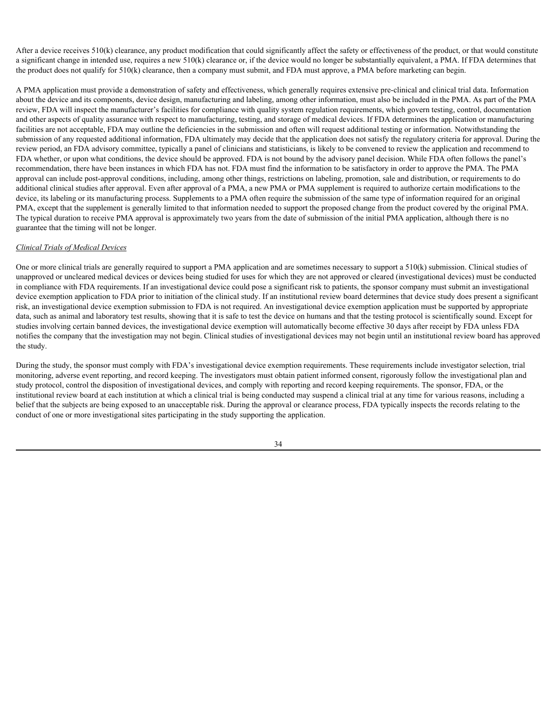After a device receives 510(k) clearance, any product modification that could significantly affect the safety or effectiveness of the product, or that would constitute a significant change in intended use, requires a new  $510(k)$  clearance or, if the device would no longer be substantially equivalent, a PMA. If FDA determines that the product does not qualify for 510(k) clearance, then a company must submit, and FDA must approve, a PMA before marketing can begin.

A PMA application must provide a demonstration of safety and effectiveness, which generally requires extensive pre-clinical and clinical trial data. Information about the device and its components, device design, manufacturing and labeling, among other information, must also be included in the PMA. As part of the PMA review, FDA will inspect the manufacturer's facilities for compliance with quality system regulation requirements, which govern testing, control, documentation and other aspects of quality assurance with respect to manufacturing, testing, and storage of medical devices. If FDA determines the application or manufacturing facilities are not acceptable, FDA may outline the deficiencies in the submission and often will request additional testing or information. Notwithstanding the submission of any requested additional information, FDA ultimately may decide that the application does not satisfy the regulatory criteria for approval. During the review period, an FDA advisory committee, typically a panel of clinicians and statisticians, is likely to be convened to review the application and recommend to FDA whether, or upon what conditions, the device should be approved. FDA is not bound by the advisory panel decision. While FDA often follows the panel's recommendation, there have been instances in which FDA has not. FDA must find the information to be satisfactory in order to approve the PMA. The PMA approval can include post-approval conditions, including, among other things, restrictions on labeling, promotion, sale and distribution, or requirements to do additional clinical studies after approval. Even after approval of a PMA, a new PMA or PMA supplement is required to authorize certain modifications to the device, its labeling or its manufacturing process. Supplements to a PMA often require the submission of the same type of information required for an original PMA, except that the supplement is generally limited to that information needed to support the proposed change from the product covered by the original PMA. The typical duration to receive PMA approval is approximately two years from the date of submission of the initial PMA application, although there is no guarantee that the timing will not be longer.

#### *Clinical Trials of Medical Devices*

One or more clinical trials are generally required to support a PMA application and are sometimes necessary to support a 510(k) submission. Clinical studies of unapproved or uncleared medical devices or devices being studied for uses for which they are not approved or cleared (investigational devices) must be conducted in compliance with FDA requirements. If an investigational device could pose a significant risk to patients, the sponsor company must submit an investigational device exemption application to FDA prior to initiation of the clinical study. If an institutional review board determines that device study does present a significant risk, an investigational device exemption submission to FDA is not required. An investigational device exemption application must be supported by appropriate data, such as animal and laboratory test results, showing that it is safe to test the device on humans and that the testing protocol is scientifically sound. Except for studies involving certain banned devices, the investigational device exemption will automatically become effective 30 days after receipt by FDA unless FDA notifies the company that the investigation may not begin. Clinical studies of investigational devices may not begin until an institutional review board has approved the study.

During the study, the sponsor must comply with FDA's investigational device exemption requirements. These requirements include investigator selection, trial monitoring, adverse event reporting, and record keeping. The investigators must obtain patient informed consent, rigorously follow the investigational plan and study protocol, control the disposition of investigational devices, and comply with reporting and record keeping requirements. The sponsor, FDA, or the institutional review board at each institution at which a clinical trial is being conducted may suspend a clinical trial at any time for various reasons, including a belief that the subjects are being exposed to an unacceptable risk. During the approval or clearance process, FDA typically inspects the records relating to the conduct of one or more investigational sites participating in the study supporting the application.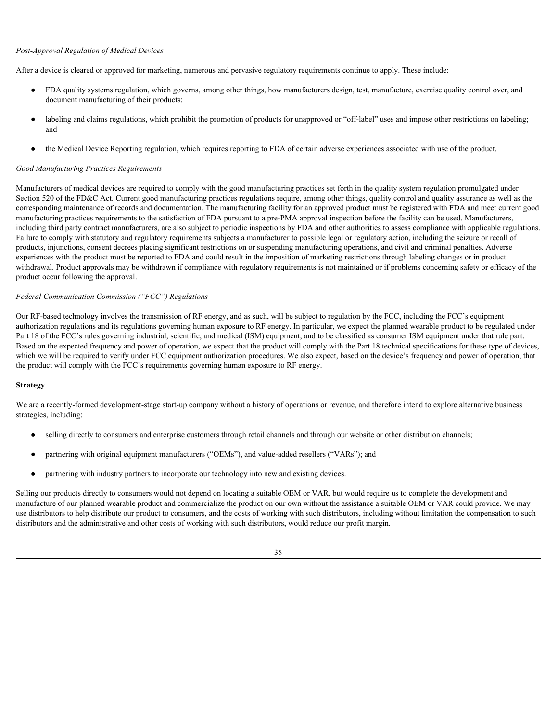# *Post-Approval Regulation of Medical Devices*

After a device is cleared or approved for marketing, numerous and pervasive regulatory requirements continue to apply. These include:

- FDA quality systems regulation, which governs, among other things, how manufacturers design, test, manufacture, exercise quality control over, and document manufacturing of their products;
- labeling and claims regulations, which prohibit the promotion of products for unapproved or "off-label" uses and impose other restrictions on labeling; and
- the Medical Device Reporting regulation, which requires reporting to FDA of certain adverse experiences associated with use of the product.

# *Good Manufacturing Practices Requirements*

Manufacturers of medical devices are required to comply with the good manufacturing practices set forth in the quality system regulation promulgated under Section 520 of the FD&C Act. Current good manufacturing practices regulations require, among other things, quality control and quality assurance as well as the corresponding maintenance of records and documentation. The manufacturing facility for an approved product must be registered with FDA and meet current good manufacturing practices requirements to the satisfaction of FDA pursuant to a pre-PMA approval inspection before the facility can be used. Manufacturers, including third party contract manufacturers, are also subject to periodic inspections by FDA and other authorities to assess compliance with applicable regulations. Failure to comply with statutory and regulatory requirements subjects a manufacturer to possible legal or regulatory action, including the seizure or recall of products, injunctions, consent decrees placing significant restrictions on or suspending manufacturing operations, and civil and criminal penalties. Adverse experiences with the product must be reported to FDA and could result in the imposition of marketing restrictions through labeling changes or in product withdrawal. Product approvals may be withdrawn if compliance with regulatory requirements is not maintained or if problems concerning safety or efficacy of the product occur following the approval.

## *Federal Communication Commission ("FCC") Regulations*

Our RF-based technology involves the transmission of RF energy, and as such, will be subject to regulation by the FCC, including the FCC's equipment authorization regulations and its regulations governing human exposure to RF energy. In particular, we expect the planned wearable product to be regulated under Part 18 of the FCC's rules governing industrial, scientific, and medical (ISM) equipment, and to be classified as consumer ISM equipment under that rule part. Based on the expected frequency and power of operation, we expect that the product will comply with the Part 18 technical specifications for these type of devices, which we will be required to verify under FCC equipment authorization procedures. We also expect, based on the device's frequency and power of operation, that the product will comply with the FCC's requirements governing human exposure to RF energy.

#### **Strategy**

We are a recently-formed development-stage start-up company without a history of operations or revenue, and therefore intend to explore alternative business strategies, including:

- selling directly to consumers and enterprise customers through retail channels and through our website or other distribution channels;
- partnering with original equipment manufacturers ("OEMs"), and value-added resellers ("VARs"); and
- partnering with industry partners to incorporate our technology into new and existing devices.

Selling our products directly to consumers would not depend on locating a suitable OEM or VAR, but would require us to complete the development and manufacture of our planned wearable product and commercialize the product on our own without the assistance a suitable OEM or VAR could provide. We may use distributors to help distribute our product to consumers, and the costs of working with such distributors, including without limitation the compensation to such distributors and the administrative and other costs of working with such distributors, would reduce our profit margin.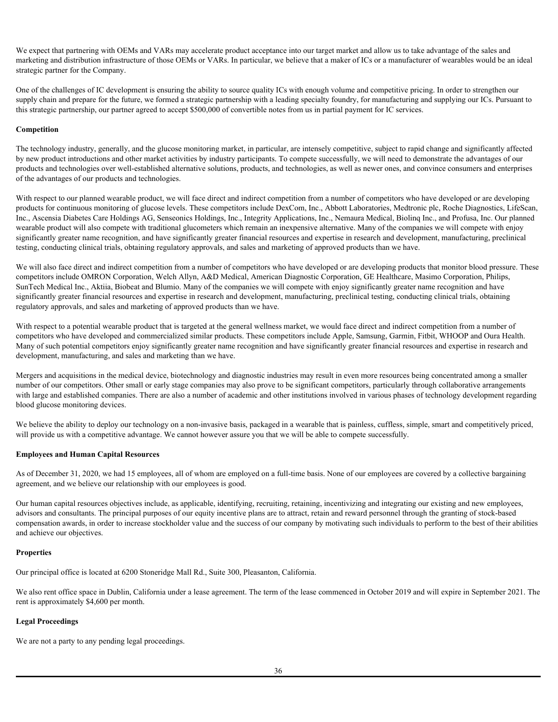We expect that partnering with OEMs and VARs may accelerate product acceptance into our target market and allow us to take advantage of the sales and marketing and distribution infrastructure of those OEMs or VARs. In particular, we believe that a maker of ICs or a manufacturer of wearables would be an ideal strategic partner for the Company.

One of the challenges of IC development is ensuring the ability to source quality ICs with enough volume and competitive pricing. In order to strengthen our supply chain and prepare for the future, we formed a strategic partnership with a leading specialty foundry, for manufacturing and supplying our ICs. Pursuant to this strategic partnership, our partner agreed to accept \$500,000 of convertible notes from us in partial payment for IC services.

# **Competition**

The technology industry, generally, and the glucose monitoring market, in particular, are intensely competitive, subject to rapid change and significantly affected by new product introductions and other market activities by industry participants. To compete successfully, we will need to demonstrate the advantages of our products and technologies over well-established alternative solutions, products, and technologies, as well as newer ones, and convince consumers and enterprises of the advantages of our products and technologies.

With respect to our planned wearable product, we will face direct and indirect competition from a number of competitors who have developed or are developing products for continuous monitoring of glucose levels. These competitors include DexCom, Inc., Abbott Laboratories, Medtronic plc, Roche Diagnostics, LifeScan, Inc., Ascensia Diabetes Care Holdings AG, Senseonics Holdings, Inc., Integrity Applications, Inc., Nemaura Medical, Biolinq Inc., and Profusa, Inc. Our planned wearable product will also compete with traditional glucometers which remain an inexpensive alternative. Many of the companies we will compete with enjoy significantly greater name recognition, and have significantly greater financial resources and expertise in research and development, manufacturing, preclinical testing, conducting clinical trials, obtaining regulatory approvals, and sales and marketing of approved products than we have.

We will also face direct and indirect competition from a number of competitors who have developed or are developing products that monitor blood pressure. These competitors include OMRON Corporation, Welch Allyn, A&D Medical, American Diagnostic Corporation, GE Healthcare, Masimo Corporation, Philips, SunTech Medical Inc., Aktiia, Biobeat and Blumio. Many of the companies we will compete with enjoy significantly greater name recognition and have significantly greater financial resources and expertise in research and development, manufacturing, preclinical testing, conducting clinical trials, obtaining regulatory approvals, and sales and marketing of approved products than we have.

With respect to a potential wearable product that is targeted at the general wellness market, we would face direct and indirect competition from a number of competitors who have developed and commercialized similar products. These competitors include Apple, Samsung, Garmin, Fitbit, WHOOP and Oura Health. Many of such potential competitors enjoy significantly greater name recognition and have significantly greater financial resources and expertise in research and development, manufacturing, and sales and marketing than we have.

Mergers and acquisitions in the medical device, biotechnology and diagnostic industries may result in even more resources being concentrated among a smaller number of our competitors. Other small or early stage companies may also prove to be significant competitors, particularly through collaborative arrangements with large and established companies. There are also a number of academic and other institutions involved in various phases of technology development regarding blood glucose monitoring devices.

We believe the ability to deploy our technology on a non-invasive basis, packaged in a wearable that is painless, cuffless, simple, smart and competitively priced, will provide us with a competitive advantage. We cannot however assure you that we will be able to compete successfully.

#### **Employees and Human Capital Resources**

As of December 31, 2020, we had 15 employees, all of whom are employed on a full-time basis. None of our employees are covered by a collective bargaining agreement, and we believe our relationship with our employees is good.

Our human capital resources objectives include, as applicable, identifying, recruiting, retaining, incentivizing and integrating our existing and new employees, advisors and consultants. The principal purposes of our equity incentive plans are to attract, retain and reward personnel through the granting of stock-based compensation awards, in order to increase stockholder value and the success of our company by motivating such individuals to perform to the best of their abilities and achieve our objectives.

#### **Properties**

Our principal office is located at 6200 Stoneridge Mall Rd., Suite 300, Pleasanton, California.

We also rent office space in Dublin, California under a lease agreement. The term of the lease commenced in October 2019 and will expire in September 2021. The rent is approximately \$4,600 per month.

# **Legal Proceedings**

We are not a party to any pending legal proceedings.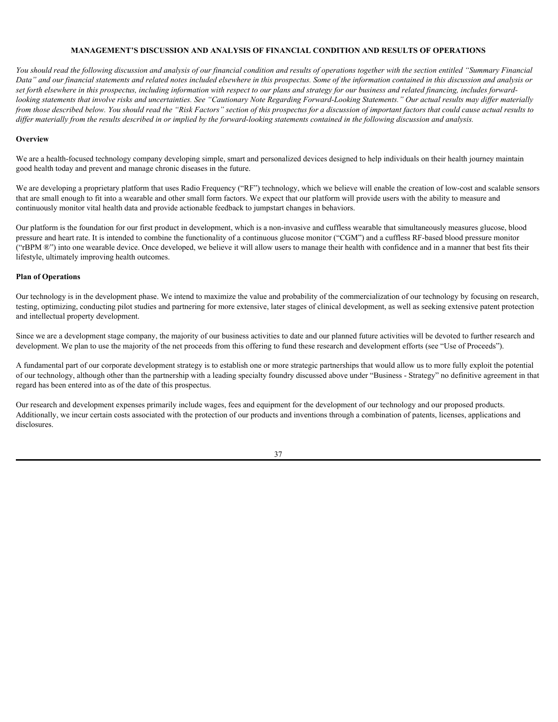# **MANAGEMENT'S DISCUSSION AND ANALYSIS OF FINANCIAL CONDITION AND RESULTS OF OPERATIONS**

*You should read the following discussion and analysis of our financial condition and results of operations together with the section entitled "Summary Financial Data" and our financial statements and related notes included elsewhere in this prospectus. Some of the information contained in this discussion and analysis or set forth elsewhere in this prospectus, including information with respect to our plans and strategy for our business and related financing, includes forwardlooking statements that involve risks and uncertainties. See "Cautionary Note Regarding Forward-Looking Statements." Our actual results may differ materially from those described below. You should read the "Risk Factors" section of this prospectus for a discussion of important factors that could cause actual results to differ materially from the results described in or implied by the forward-looking statements contained in the following discussion and analysis.*

## **Overview Overview**

We are a health-focused technology company developing simple, smart and personalized devices designed to help individuals on their health journey maintain good health today and prevent and manage chronic diseases in the future.

We are developing a proprietary platform that uses Radio Frequency ("RF") technology, which we believe will enable the creation of low-cost and scalable sensors that are small enough to fit into a wearable and other small form factors. We expect that our platform will provide users with the ability to measure and continuously monitor vital health data and provide actionable feedback to jumpstart changes in behaviors.

Our platform is the foundation for our first product in development, which is a non-invasive and cuffless wearable that simultaneously measures glucose, blood pressure and heart rate. It is intended to combine the functionality of a continuous glucose monitor ("CGM") and a cuffless RF-based blood pressure monitor ("rBPM ®") into one wearable device. Once developed, we believe it will allow users to manage their health with confidence and in a manner that best fits their lifestyle, ultimately improving health outcomes.

# **Plan of Operations**

Our technology is in the development phase. We intend to maximize the value and probability of the commercialization of our technology by focusing on research, testing, optimizing, conducting pilot studies and partnering for more extensive, later stages of clinical development, as well as seeking extensive patent protection and intellectual property development.

Since we are a development stage company, the majority of our business activities to date and our planned future activities will be devoted to further research and development. We plan to use the majority of the net proceeds from this offering to fund these research and development efforts (see "Use of Proceeds").

A fundamental part of our corporate development strategy is to establish one or more strategic partnerships that would allow us to more fully exploit the potential of our technology, although other than the partnership with a leading specialty foundry discussed above under "Business - Strategy" no definitive agreement in that regard has been entered into as of the date of this prospectus.

Our research and development expenses primarily include wages, fees and equipment for the development of our technology and our proposed products. Additionally, we incur certain costs associated with the protection of our products and inventions through a combination of patents, licenses, applications and disclosures.

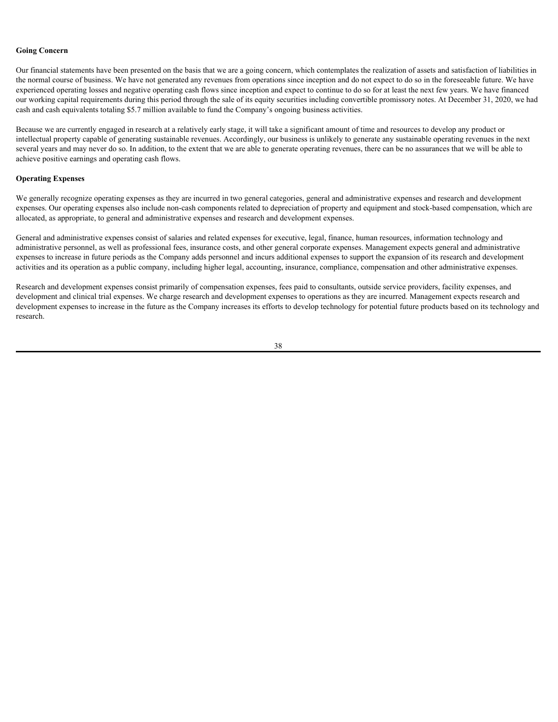# **Going Concern**

Our financial statements have been presented on the basis that we are a going concern, which contemplates the realization of assets and satisfaction of liabilities in the normal course of business. We have not generated any revenues from operations since inception and do not expect to do so in the foreseeable future. We have experienced operating losses and negative operating cash flows since inception and expect to continue to do so for at least the next few years. We have financed our working capital requirements during this period through the sale of its equity securities including convertible promissory notes. At December 31, 2020, we had cash and cash equivalents totaling \$5.7 million available to fund the Company's ongoing business activities.

Because we are currently engaged in research at a relatively early stage, it will take a significant amount of time and resources to develop any product or intellectual property capable of generating sustainable revenues. Accordingly, our business is unlikely to generate any sustainable operating revenues in the next several years and may never do so. In addition, to the extent that we are able to generate operating revenues, there can be no assurances that we will be able to achieve positive earnings and operating cash flows.

#### **Operating Expenses**

We generally recognize operating expenses as they are incurred in two general categories, general and administrative expenses and research and development expenses. Our operating expenses also include non-cash components related to depreciation of property and equipment and stock-based compensation, which are allocated, as appropriate, to general and administrative expenses and research and development expenses.

General and administrative expenses consist of salaries and related expenses for executive, legal, finance, human resources, information technology and administrative personnel, as well as professional fees, insurance costs, and other general corporate expenses. Management expects general and administrative expenses to increase in future periods as the Company adds personnel and incurs additional expenses to support the expansion of its research and development activities and its operation as a public company, including higher legal, accounting, insurance, compliance, compensation and other administrative expenses.

Research and development expenses consist primarily of compensation expenses, fees paid to consultants, outside service providers, facility expenses, and development and clinical trial expenses. We charge research and development expenses to operations as they are incurred. Management expects research and development expenses to increase in the future as the Company increases its efforts to develop technology for potential future products based on its technology and research.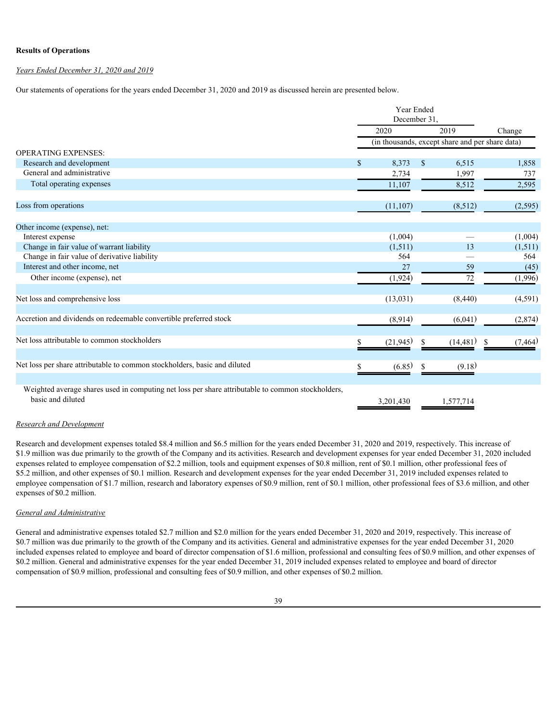# **Results of Operations**

# *Years Ended December 31, 2020 and 2019*

Our statements of operations for the years ended December 31, 2020 and 2019 as discussed herein are presented below.

|                                                                                                                        |                                                 | Year Ended<br>December 31, |    |                   |          |  |  |
|------------------------------------------------------------------------------------------------------------------------|-------------------------------------------------|----------------------------|----|-------------------|----------|--|--|
|                                                                                                                        |                                                 | 2020                       |    | 2019              | Change   |  |  |
|                                                                                                                        | (in thousands, except share and per share data) |                            |    |                   |          |  |  |
| <b>OPERATING EXPENSES:</b>                                                                                             |                                                 |                            |    |                   |          |  |  |
| Research and development                                                                                               | $\mathbb{S}$                                    | $8,373$ \$                 |    | 6,515             | 1,858    |  |  |
| General and administrative                                                                                             |                                                 | 2,734                      |    | 1,997             | 737      |  |  |
| Total operating expenses                                                                                               |                                                 | 11,107                     |    | 8,512             | 2,595    |  |  |
| Loss from operations                                                                                                   |                                                 | (11, 107)                  |    | (8,512)           | (2,595)  |  |  |
| Other income (expense), net:                                                                                           |                                                 |                            |    |                   |          |  |  |
| Interest expense                                                                                                       |                                                 | (1,004)                    |    | $\qquad \qquad$   | (1,004)  |  |  |
| Change in fair value of warrant liability                                                                              |                                                 | (1,511)                    |    | 13                | (1,511)  |  |  |
| Change in fair value of derivative liability                                                                           |                                                 | 564                        |    | $\hspace{0.05cm}$ | 564      |  |  |
| Interest and other income, net                                                                                         |                                                 | 27                         |    | 59                | (45)     |  |  |
| Other income (expense), net                                                                                            |                                                 | (1, 924)                   |    | 72                | (1,996)  |  |  |
| Net loss and comprehensive loss                                                                                        |                                                 | (13, 031)                  |    | (8,440)           | (4,591)  |  |  |
| Accretion and dividends on redeemable convertible preferred stock                                                      |                                                 | (8,914)                    |    | (6,041)           | (2,874)  |  |  |
| Net loss attributable to common stockholders                                                                           |                                                 | (21, 945)                  | -S | (14, 481)<br>-S   | (7, 464) |  |  |
| Net loss per share attributable to common stockholders, basic and diluted                                              |                                                 | (6.85)                     | -S | (9.18)            |          |  |  |
|                                                                                                                        |                                                 |                            |    |                   |          |  |  |
| Weighted average shares used in computing net loss per share attributable to common stockholders,<br>basic and diluted |                                                 | 3,201,430                  |    | 1,577,714         |          |  |  |

# *Research and Development*

Research and development expenses totaled \$8.4 million and \$6.5 million for the years ended December 31, 2020 and 2019, respectively. This increase of \$1.9 million was due primarily to the growth of the Company and its activities. Research and development expenses for year ended December 31, 2020 included expenses related to employee compensation of \$2.2 million, tools and equipment expenses of \$0.8 million, rent of \$0.1 million, other professional fees of  \$5.2 million, and other expenses of \$0.1 million. Research and development expenses for the year ended December 31, 2019 included expenses related to employee compensation of \$1.7 million, research and laboratory expenses of \$0.9 million, rent of \$0.1 million, other professional fees of \$3.6 million, and other expenses of \$0.2 million.

# *General and Administrative*

General and administrative expenses totaled \$2.7 million and \$2.0 million for the years ended December 31, 2020 and 2019, respectively. This increase of \$0.7 million was due primarily to the growth of the Company and its activities. General and administrative expenses for the year ended December 31, 2020 included expenses related to employee and board of director compensation of \$1.6 million, professional and consulting fees of \$0.9 million, and other expenses of  \$0.2 million. General and administrative expenses for the year ended December 31, 2019 included expenses related to employee and board of director compensation of \$0.9 million, professional and consulting fees of \$0.9 million, and other expenses of \$0.2 million.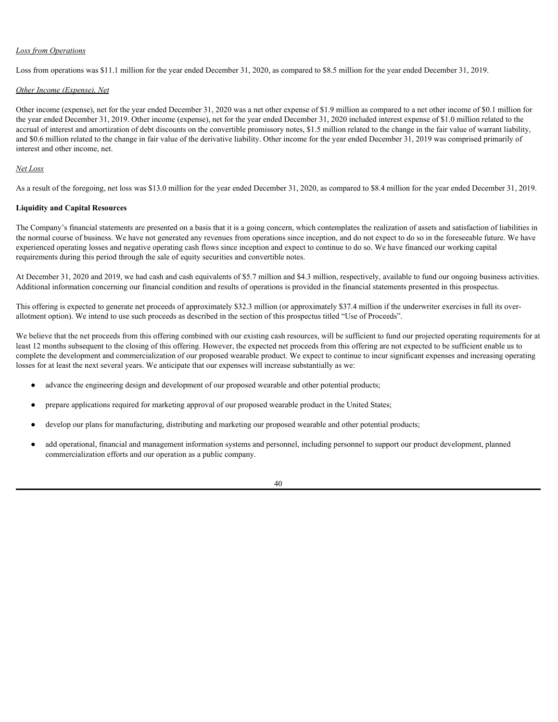# *Loss from Operations*

Loss from operations was \$11.1 million for the year ended December 31, 2020, as compared to \$8.5 million for the year ended December 31, 2019.

# *Other Income (Expense), Net*

Other income (expense), net for the year ended December 31, 2020 was a net other expense of \$1.9 million as compared to a net other income of \$0.1 million for the year ended December 31, 2019. Other income (expense), net for the year ended December 31, 2020 included interest expense of \$1.0 million related to the accrual of interest and amortization of debt discounts on the convertible promissory notes, \$1.5 million related to the change in the fair value of warrant liability, and \$0.6 million related to the change in fair value of the derivative liability. Other income for the year ended December 31, 2019 was comprised primarily of interest and other income, net.

# *Net Loss*

As a result of the foregoing, net loss was \$13.0 million for the year ended December 31, 2020, as compared to \$8.4 million for the year ended December 31, 2019.

# **Liquidity and Capital Resources**

The Company's financial statements are presented on a basis that it is a going concern, which contemplates the realization of assets and satisfaction of liabilities in the normal course of business. We have not generated any revenues from operations since inception, and do not expect to do so in the foreseeable future. We have experienced operating losses and negative operating cash flows since inception and expect to continue to do so. We have financed our working capital requirements during this period through the sale of equity securities and convertible notes.

At December 31, 2020 and 2019, we had cash and cash equivalents of \$5.7 million and \$4.3 million, respectively, available to fund our ongoing business activities. Additional information concerning our financial condition and results of operations is provided in the financial statements presented in this prospectus.

This offering is expected to generate net proceeds of approximately \$32.3 million (or approximately \$37.4 million if the underwriter exercises in full its overallotment option). We intend to use such proceeds as described in the section of this prospectus titled "Use of Proceeds".

We believe that the net proceeds from this offering combined with our existing cash resources, will be sufficient to fund our projected operating requirements for at least 12 months subsequent to the closing of this offering. However, the expected net proceeds from this offering are not expected to be sufficient enable us to complete the development and commercialization of our proposed wearable product. We expect to continue to incur significant expenses and increasing operating losses for at least the next several years. We anticipate that our expenses will increase substantially as we:

- advance the engineering design and development of our proposed wearable and other potential products;
- prepare applications required for marketing approval of our proposed wearable product in the United States;
- develop our plans for manufacturing, distributing and marketing our proposed wearable and other potential products;
- add operational, financial and management information systems and personnel, including personnel to support our product development, planned commercialization efforts and our operation as a public company.

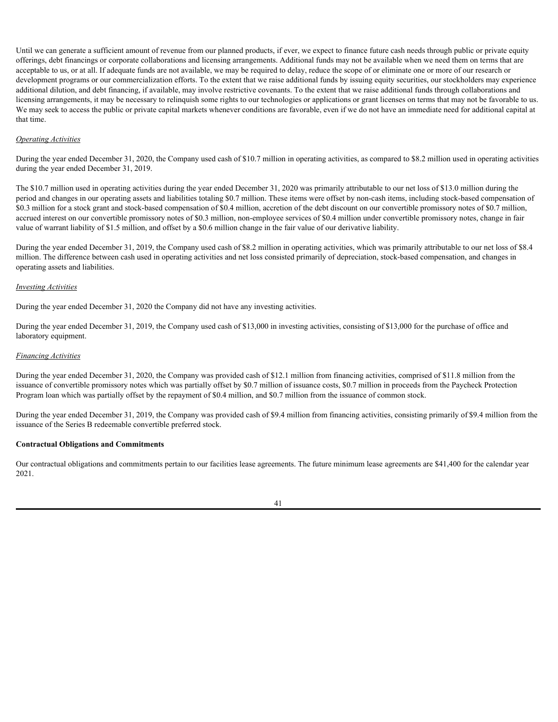Until we can generate a sufficient amount of revenue from our planned products, if ever, we expect to finance future cash needs through public or private equity offerings, debt financings or corporate collaborations and licensing arrangements. Additional funds may not be available when we need them on terms that are acceptable to us, or at all. If adequate funds are not available, we may be required to delay, reduce the scope of or eliminate one or more of our research or development programs or our commercialization efforts. To the extent that we raise additional funds by issuing equity securities, our stockholders may experience additional dilution, and debt financing, if available, may involve restrictive covenants. To the extent that we raise additional funds through collaborations and licensing arrangements, it may be necessary to relinquish some rights to our technologies or applications or grant licenses on terms that may not be favorable to us. We may seek to access the public or private capital markets whenever conditions are favorable, even if we do not have an immediate need for additional capital at that time.

## *Operating Activities*

During the year ended December 31, 2020, the Company used cash of \$10.7 million in operating activities, as compared to \$8.2 million used in operating activities during the year ended December 31, 2019.

The \$10.7 million used in operating activities during the year ended December 31, 2020 was primarily attributable to our net loss of \$13.0 million during the period and changes in our operating assets and liabilities totaling \$0.7 million. These items were offset by non-cash items, including stock-based compensation of \$0.3 million for a stock grant and stock-based compensation of \$0.4 million, accretion of the debt discount on our convertible promissory notes of \$0.7 million, accrued interest on our convertible promissory notes of \$0.3 million, non-employee services of \$0.4 million under convertible promissory notes, change in fair value of warrant liability of \$1.5 million, and offset by a \$0.6 million change in the fair value of our derivative liability.

During the year ended December 31, 2019, the Company used cash of \$8.2 million in operating activities, which was primarily attributable to our net loss of \$8.4 million. The difference between cash used in operating activities and net loss consisted primarily of depreciation, stock-based compensation, and changes in operating assets and liabilities.

#### *Investing Activities*

During the year ended December 31, 2020 the Company did not have any investing activities.

During the year ended December 31, 2019, the Company used cash of \$13,000 in investing activities, consisting of \$13,000 for the purchase of office and laboratory equipment.

#### *Financing Activities*

During the year ended December 31, 2020, the Company was provided cash of \$12.1 million from financing activities, comprised of \$11.8 million from the issuance of convertible promissory notes which was partially offset by \$0.7 million of issuance costs, \$0.7 million in proceeds from the Paycheck Protection Program loan which was partially offset by the repayment of \$0.4 million, and \$0.7 million from the issuance of common stock.

During the year ended December 31, 2019, the Company was provided cash of \$9.4 million from financing activities, consisting primarily of \$9.4 million from the issuance of the Series B redeemable convertible preferred stock.

#### **Contractual Obligations and Commitments**

Our contractual obligations and commitments pertain to our facilities lease agreements. The future minimum lease agreements are \$41,400 for the calendar year 2021.

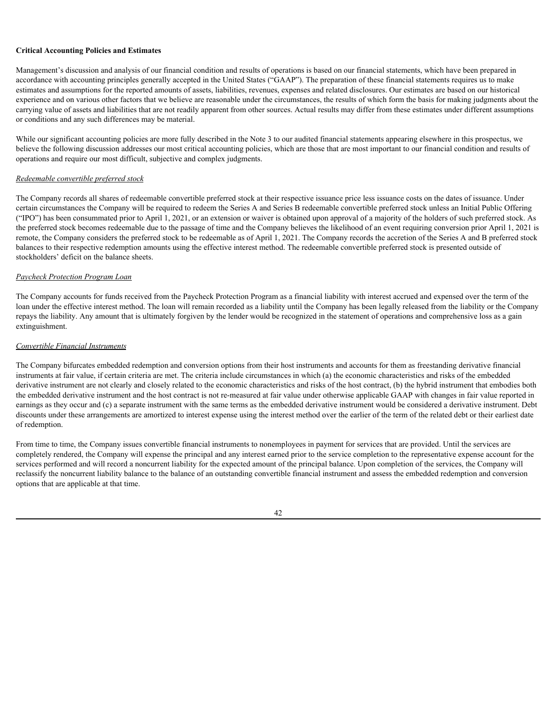# **Critical Accounting Policies and Estimates**

Management's discussion and analysis of our financial condition and results of operations is based on our financial statements, which have been prepared in accordance with accounting principles generally accepted in the United States ("GAAP"). The preparation of these financial statements requires us to make estimates and assumptions for the reported amounts of assets, liabilities, revenues, expenses and related disclosures. Our estimates are based on our historical experience and on various other factors that we believe are reasonable under the circumstances, the results of which form the basis for making judgments about the carrying value of assets and liabilities that are not readily apparent from other sources. Actual results may differ from these estimates under different assumptions or conditions and any such differences may be material.

While our significant accounting policies are more fully described in the Note 3 to our audited financial statements appearing elsewhere in this prospectus, we believe the following discussion addresses our most critical accounting policies, which are those that are most important to our financial condition and results of operations and require our most difficult, subjective and complex judgments.

# *Redeemable convertible preferred stock*

The Company records all shares of redeemable convertible preferred stock at their respective issuance price less issuance costs on the dates of issuance. Under certain circumstances the Company will be required to redeem the Series A and Series B redeemable convertible preferred stock unless an Initial Public Offering ("IPO") has been consummated prior to April 1, 2021, or an extension or waiver is obtained upon approval of a majority of the holders of such preferred stock. As the preferred stock becomes redeemable due to the passage of time and the Company believes the likelihood of an event requiring conversion prior April 1, 2021 is remote, the Company considers the preferred stock to be redeemable as of April 1, 2021. The Company records the accretion of the Series A and B preferred stock balances to their respective redemption amounts using the effective interest method. The redeemable convertible preferred stock is presented outside of stockholders' deficit on the balance sheets.

# *Paycheck Protection Program Loan*

The Company accounts for funds received from the Paycheck Protection Program as a financial liability with interest accrued and expensed over the term of the loan under the effective interest method. The loan will remain recorded as a liability until the Company has been legally released from the liability or the Company repays the liability. Any amount that is ultimately forgiven by the lender would be recognized in the statement of operations and comprehensive loss as a gain extinguishment.

# *Convertible Financial Instruments*

The Company bifurcates embedded redemption and conversion options from their host instruments and accounts for them as freestanding derivative financial instruments at fair value, if certain criteria are met. The criteria include circumstances in which (a) the economic characteristics and risks of the embedded derivative instrument are not clearly and closely related to the economic characteristics and risks of the host contract, (b) the hybrid instrument that embodies both the embedded derivative instrument and the host contract is not re-measured at fair value under otherwise applicable GAAP with changes in fair value reported in earnings as they occur and (c) a separate instrument with the same terms as the embedded derivative instrument would be considered a derivative instrument. Debt discounts under these arrangements are amortized to interest expense using the interest method over the earlier of the term of the related debt or their earliest date of redemption.

From time to time, the Company issues convertible financial instruments to nonemployees in payment for services that are provided. Until the services are completely rendered, the Company will expense the principal and any interest earned prior to the service completion to the representative expense account for the services performed and will record a noncurrent liability for the expected amount of the principal balance. Upon completion of the services, the Company will reclassify the noncurrent liability balance to the balance of an outstanding convertible financial instrument and assess the embedded redemption and conversion options that are applicable at that time.

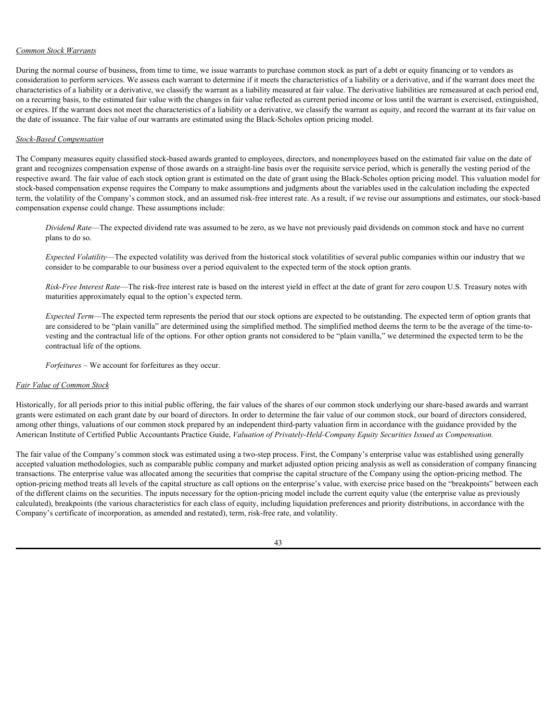# *Common Stock Warrants*

During the normal course of business, from time to time, we issue warrants to purchase common stock as part of a debt or equity financing or to vendors as consideration to perform services. We assess each warrant to determine if it meets the characteristics of a liability or a derivative, and if the warrant does meet the characteristics of a liability or a derivative, we classify the warrant as a liability measured at fair value. The derivative liabilities are remeasured at each period end, on a recurring basis, to the estimated fair value with the changes in fair value reflected as current period income or loss until the warrant is exercised, extinguished, or expires. If the warrant does not meet the characteristics of a liability or a derivative, we classify the warrant as equity, and record the warrant at its fair value on the date of issuance. The fair value of our warrants are estimated using the Black-Scholes option pricing model.

## *Stock-Based Compensation*

The Company measures equity classified stock-based awards granted to employees, directors, and nonemployees based on the estimated fair value on the date of grant and recognizes compensation expense of those awards on a straight-line basis over the requisite service period, which is generally the vesting period of the respective award. The fair value of each stock option grant is estimated on the date of grant using the Black-Scholes option pricing model. This valuation model for stock-based compensation expense requires the Company to make assumptions and judgments about the variables used in the calculation including the expected term, the volatility of the Company's common stock, and an assumed risk-free interest rate. As a result, if we revise our assumptions and estimates, our stock-based compensation expense could change. These assumptions include:

*Dividend Rate*—The expected dividend rate was assumed to be zero, as we have not previously paid dividends on common stock and have no current plans to do so.

*Expected Volatility*—The expected volatility was derived from the historical stock volatilities of several public companies within our industry that we consider to be comparable to our business over a period equivalent to the expected term of the stock option grants.

*Risk-Free Interest Rate*—The risk-free interest rate is based on the interest yield in effect at the date of grant for zero coupon U.S. Treasury notes with maturities approximately equal to the option's expected term.

*Expected Term*—The expected term represents the period that our stock options are expected to be outstanding. The expected term of option grants that are considered to be "plain vanilla" are determined using the simplified method. The simplified method deems the term to be the average of the time-tovesting and the contractual life of the options. For other option grants not considered to be "plain vanilla," we determined the expected term to be the contractual life of the options.

*Forfeitures* – We account for forfeitures as they occur.

#### *Fair Value of Common Stock*

Historically, for all periods prior to this initial public offering, the fair values of the shares of our common stock underlying our share-based awards and warrant grants were estimated on each grant date by our board of directors. In order to determine the fair value of our common stock, our board of directors considered, among other things, valuations of our common stock prepared by an independent third-party valuation firm in accordance with the guidance provided by the American Institute of Certified Public Accountants Practice Guide, *Valuation of Privately-Held-Company Equity Securities Issued as Compensation.* 

The fair value of the Company's common stock was estimated using a two-step process. First, the Company's enterprise value was established using generally accepted valuation methodologies, such as comparable public company and market adjusted option pricing analysis as well as consideration of company financing transactions. The enterprise value was allocated among the securities that comprise the capital structure of the Company using the option-pricing method. The option-pricing method treats all levels of the capital structure as call options on the enterprise's value, with exercise price based on the "breakpoints" between each of the different claims on the securities. The inputs necessary for the option-pricing model include the current equity value (the enterprise value as previously calculated), breakpoints (the various characteristics for each class of equity, including liquidation preferences and priority distributions, in accordance with the Company's certificate of incorporation, as amended and restated), term, risk-free rate, and volatility.

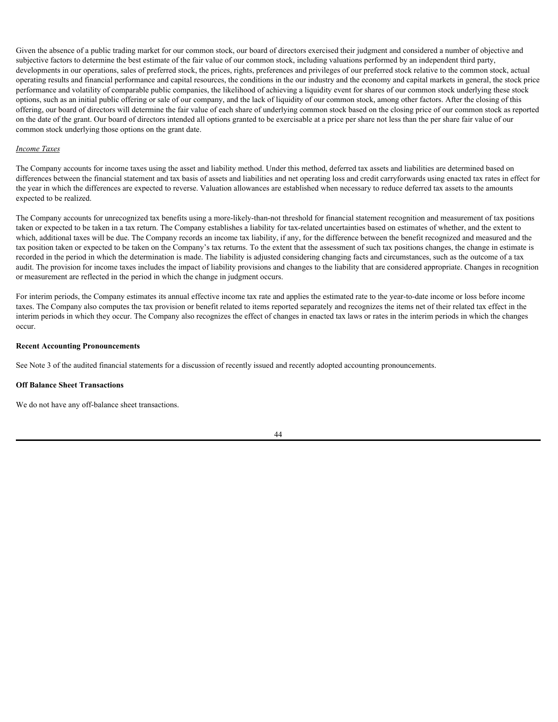Given the absence of a public trading market for our common stock, our board of directors exercised their judgment and considered a number of objective and subjective factors to determine the best estimate of the fair value of our common stock, including valuations performed by an independent third party, developments in our operations, sales of preferred stock, the prices, rights, preferences and privileges of our preferred stock relative to the common stock, actual operating results and financial performance and capital resources, the conditions in the our industry and the economy and capital markets in general, the stock price performance and volatility of comparable public companies, the likelihood of achieving a liquidity event for shares of our common stock underlying these stock options, such as an initial public offering or sale of our company, and the lack of liquidity of our common stock, among other factors. After the closing of this offering, our board of directors will determine the fair value of each share of underlying common stock based on the closing price of our common stock as reported on the date of the grant. Our board of directors intended all options granted to be exercisable at a price per share not less than the per share fair value of our common stock underlying those options on the grant date.

#### *Income Taxes*

The Company accounts for income taxes using the asset and liability method. Under this method, deferred tax assets and liabilities are determined based on differences between the financial statement and tax basis of assets and liabilities and net operating loss and credit carryforwards using enacted tax rates in effect for the year in which the differences are expected to reverse. Valuation allowances are established when necessary to reduce deferred tax assets to the amounts expected to be realized.

The Company accounts for unrecognized tax benefits using a more-likely-than-not threshold for financial statement recognition and measurement of tax positions taken or expected to be taken in a tax return. The Company establishes a liability for tax-related uncertainties based on estimates of whether, and the extent to which, additional taxes will be due. The Company records an income tax liability, if any, for the difference between the benefit recognized and measured and the tax position taken or expected to be taken on the Company's tax returns. To the extent that the assessment of such tax positions changes, the change in estimate is recorded in the period in which the determination is made. The liability is adjusted considering changing facts and circumstances, such as the outcome of a tax audit. The provision for income taxes includes the impact of liability provisions and changes to the liability that are considered appropriate. Changes in recognition or measurement are reflected in the period in which the change in judgment occurs.

For interim periods, the Company estimates its annual effective income tax rate and applies the estimated rate to the year-to-date income or loss before income taxes. The Company also computes the tax provision or benefit related to items reported separately and recognizes the items net of their related tax effect in the interim periods in which they occur. The Company also recognizes the effect of changes in enacted tax laws or rates in the interim periods in which the changes occur.

#### **Recent Accounting Pronouncements**

See Note 3 of the audited financial statements for a discussion of recently issued and recently adopted accounting pronouncements.

#### **Off Balance Sheet Transactions**

We do not have any off-balance sheet transactions.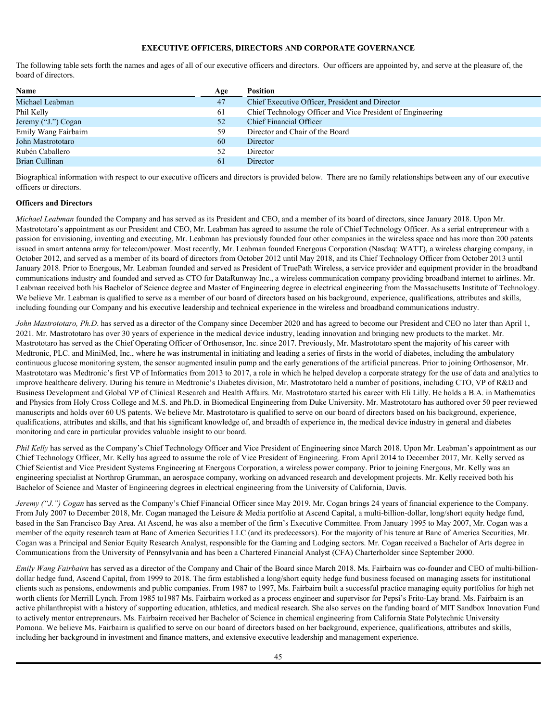# **EXECUTIVE OFFICERS, DIRECTORS AND CORPORATE GOVERNANCE**

The following table sets forth the names and ages of all of our executive officers and directors. Our officers are appointed by, and serve at the pleasure of, the board of directors.

| Name                 | Age          | Position                                                   |
|----------------------|--------------|------------------------------------------------------------|
| Michael Leabman      | 47           | Chief Executive Officer, President and Director            |
| Phil Kelly           | 61           | Chief Technology Officer and Vice President of Engineering |
| Jeremy ("J.") Cogan  | 52           | Chief Financial Officer                                    |
| Emily Wang Fairbairn | 59           | Director and Chair of the Board                            |
| John Mastrototaro    | 60           | Director                                                   |
| Rubén Caballero      |              | Director                                                   |
| Brian Cullinan       | <sub>0</sub> | Director                                                   |
|                      |              |                                                            |

Biographical information with respect to our executive officers and directors is provided below. There are no family relationships between any of our executive officers or directors.

#### **Officers and Directors**

*Michael Leabman* founded the Company and has served as its President and CEO, and a member of its board of directors, since January 2018. Upon Mr. Mastrototaro's appointment as our President and CEO, Mr. Leabman has agreed to assume the role of Chief Technology Officer. As a serial entrepreneur with a passion for envisioning, inventing and executing, Mr. Leabman has previously founded four other companies in the wireless space and has more than 200 patents issued in smart antenna array for telecom/power. Most recently, Mr. Leabman founded Energous Corporation (Nasdaq: WATT), a wireless charging company, in October 2012, and served as a member of its board of directors from October 2012 until May 2018, and its Chief Technology Officer from October 2013 until January 2018. Prior to Energous, Mr. Leabman founded and served as President of TruePath Wireless, a service provider and equipment provider in the broadband communications industry and founded and served as CTO for DataRunway Inc., a wireless communication company providing broadband internet to airlines. Mr. Leabman received both his Bachelor of Science degree and Master of Engineering degree in electrical engineering from the Massachusetts Institute of Technology. We believe Mr. Leabman is qualified to serve as a member of our board of directors based on his background, experience, qualifications, attributes and skills, including founding our Company and his executive leadership and technical experience in the wireless and broadband communications industry.

*John Mastrototaro, Ph.D.* has served as a director of the Company since December 2020 and has agreed to become our President and CEO no later than April 1, 2021. Mr. Mastrototaro has over 30 years of experience in the medical device industry, leading innovation and bringing new products to the market. Mr. Mastrototaro has served as the Chief Operating Officer of Orthosensor, Inc. since 2017. Previously, Mr. Mastrototaro spent the majority of his career with Medtronic, PLC. and MiniMed, Inc., where he was instrumental in initiating and leading a series of firsts in the world of diabetes, including the ambulatory continuous glucose monitoring system, the sensor augmented insulin pump and the early generations of the artificial pancreas. Prior to joining Orthosensor, Mr. Mastrototaro was Medtronic's first VP of Informatics from 2013 to 2017, a role in which he helped develop a corporate strategy for the use of data and analytics to improve healthcare delivery. During his tenure in Medtronic's Diabetes division, Mr. Mastrototaro held a number of positions, including CTO, VP of R&D and Business Development and Global VP of Clinical Research and Health Affairs. Mr. Mastrototaro started his career with Eli Lilly. He holds a B.A. in Mathematics and Physics from Holy Cross College and M.S. and Ph.D. in Biomedical Engineering from Duke University. Mr. Mastrototaro has authored over 50 peer reviewed manuscripts and holds over 60 US patents. We believe Mr. Mastrototaro is qualified to serve on our board of directors based on his background, experience, qualifications, attributes and skills, and that his significant knowledge of, and breadth of experience in, the medical device industry in general and diabetes monitoring and care in particular provides valuable insight to our board.

*Phil Kelly* has served as the Company's Chief Technology Officer and Vice President of Engineering since March 2018. Upon Mr. Leabman's appointment as our Chief Technology Officer, Mr. Kelly has agreed to assume the role of Vice President of Engineering. From April 2014 to December 2017, Mr. Kelly served as Chief Scientist and Vice President Systems Engineering at Energous Corporation, a wireless power company. Prior to joining Energous, Mr. Kelly was an engineering specialist at Northrop Grumman, an aerospace company, working on advanced research and development projects. Mr. Kelly received both his Bachelor of Science and Master of Engineering degrees in electrical engineering from the University of California, Davis.

*Jeremy ("J.") Cogan* has served as the Company's Chief Financial Officer since May 2019. Mr. Cogan brings 24 years of financial experience to the Company. From July 2007 to December 2018, Mr. Cogan managed the Leisure & Media portfolio at Ascend Capital, a multi-billion-dollar, long/short equity hedge fund, based in the San Francisco Bay Area. At Ascend, he was also a member of the firm's Executive Committee. From January 1995 to May 2007, Mr. Cogan was a member of the equity research team at Banc of America Securities LLC (and its predecessors). For the majority of his tenure at Banc of America Securities, Mr. Cogan was a Principal and Senior Equity Research Analyst, responsible for the Gaming and Lodging sectors. Mr. Cogan received a Bachelor of Arts degree in Communications from the University of Pennsylvania and has been a Chartered Financial Analyst (CFA) Charterholder since September 2000.

*Emily Wang Fairbairn* has served as a director of the Company and Chair of the Board since March 2018. Ms. Fairbairn was co-founder and CEO of multi-billiondollar hedge fund, Ascend Capital, from 1999 to 2018. The firm established a long/short equity hedge fund business focused on managing assets for institutional clients such as pensions, endowments and public companies. From 1987 to 1997, Ms. Fairbairn built a successful practice managing equity portfolios for high net worth clients for Merrill Lynch. From 1985 to1987 Ms. Fairbairn worked as a process engineer and supervisor for Pepsi's Frito-Lay brand. Ms. Fairbairn is an active philanthropist with a history of supporting education, athletics, and medical research. She also serves on the funding board of MIT Sandbox Innovation Fund to actively mentor entrepreneurs. Ms. Fairbairn received her Bachelor of Science in chemical engineering from California State Polytechnic University Pomona. We believe Ms. Fairbairn is qualified to serve on our board of directors based on her background, experience, qualifications, attributes and skills, including her background in investment and finance matters, and extensive executive leadership and management experience.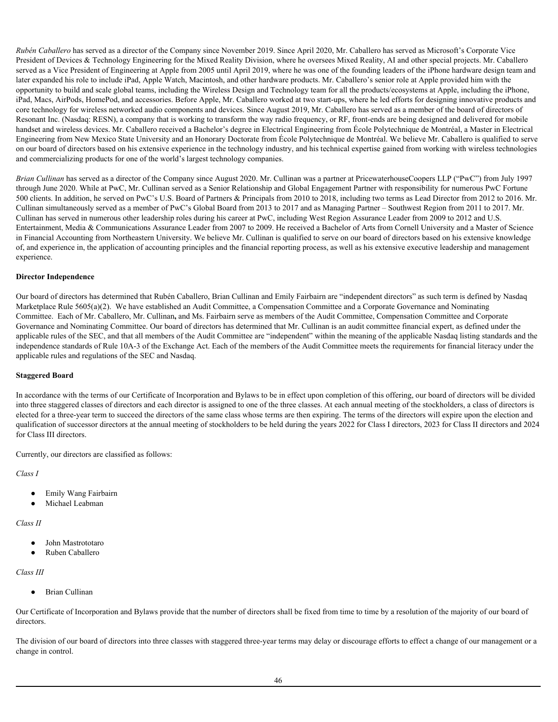*Rubén Caballero* has served as a director of the Company since November 2019. Since April 2020, Mr. Caballero has served as Microsoft's Corporate Vice President of Devices & Technology Engineering for the Mixed Reality Division, where he oversees Mixed Reality, AI and other special projects. Mr. Caballero served as a Vice President of Engineering at Apple from 2005 until April 2019, where he was one of the founding leaders of the iPhone hardware design team and later expanded his role to include iPad, Apple Watch, Macintosh, and other hardware products. Mr. Caballero's senior role at Apple provided him with the opportunity to build and scale global teams, including the Wireless Design and Technology team for all the products/ecosystems at Apple, including the iPhone, iPad, Macs, AirPods, HomePod, and accessories. Before Apple, Mr. Caballero worked at two start-ups, where he led efforts for designing innovative products and core technology for wireless networked audio components and devices. Since August 2019, Mr. Caballero has served as a member of the board of directors of Resonant Inc. (Nasdaq: RESN), a company that is working to transform the way radio frequency, or RF, front-ends are being designed and delivered for mobile handset and wireless devices. Mr. Caballero received a Bachelor's degree in Electrical Engineering from École Polytechnique de Montréal, a Master in Electrical Engineering from New Mexico State University and an Honorary Doctorate from École Polytechnique de Montréal. We believe Mr. Caballero is qualified to serve on our board of directors based on his extensive experience in the technology industry, and his technical expertise gained from working with wireless technologies and commercializing products for one of the world's largest technology companies.

*Brian Cullinan* has served as a director of the Company since August 2020. Mr. Cullinan was a partner at PricewaterhouseCoopers LLP ("PwC") from July 1997 through June 2020. While at PwC, Mr. Cullinan served as a Senior Relationship and Global Engagement Partner with responsibility for numerous PwC Fortune 500 clients. In addition, he served on PwC's U.S. Board of Partners & Principals from 2010 to 2018, including two terms as Lead Director from 2012 to 2016. Mr. Cullinan simultaneously served as a member of PwC's Global Board from 2013 to 2017 and as Managing Partner – Southwest Region from 2011 to 2017. Mr. Cullinan has served in numerous other leadership roles during his career at PwC, including West Region Assurance Leader from 2009 to 2012 and U.S. Entertainment, Media & Communications Assurance Leader from 2007 to 2009. He received a Bachelor of Arts from Cornell University and a Master of Science in Financial Accounting from Northeastern University. We believe Mr. Cullinan is qualified to serve on our board of directors based on his extensive knowledge of, and experience in, the application of accounting principles and the financial reporting process, as well as his extensive executive leadership and management experience.

# **Director Independence**

Our board of directors has determined that Rubén Caballero, Brian Cullinan and Emily Fairbairn are "independent directors" as such term is defined by Nasdaq Marketplace Rule 5605(a)(2). We have established an Audit Committee, a Compensation Committee and a Corporate Governance and Nominating Committee. Each of Mr. Caballero, Mr. Cullinan**,** and Ms. Fairbairn serve as members of the Audit Committee, Compensation Committee and Corporate Governance and Nominating Committee. Our board of directors has determined that Mr. Cullinan is an audit committee financial expert, as defined under the applicable rules of the SEC, and that all members of the Audit Committee are "independent" within the meaning of the applicable Nasdaq listing standards and the independence standards of Rule 10A-3 of the Exchange Act. Each of the members of the Audit Committee meets the requirements for financial literacy under the applicable rules and regulations of the SEC and Nasdaq.

#### **Staggered Board**

In accordance with the terms of our Certificate of Incorporation and Bylaws to be in effect upon completion of this offering, our board of directors will be divided into three staggered classes of directors and each director is assigned to one of the three classes. At each annual meeting of the stockholders, a class of directors is elected for a three-year term to succeed the directors of the same class whose terms are then expiring. The terms of the directors will expire upon the election and qualification of successor directors at the annual meeting of stockholders to be held during the years 2022 for Class I directors, 2023 for Class II directors and 2024 for Class III directors.

Currently, our directors are classified as follows:

*Class I*

- Emily Wang Fairbairn
- Michael Leabman

*Class II*

- John Mastrototaro
- Ruben Caballero

#### *Class III*

● Brian Cullinan

Our Certificate of Incorporation and Bylaws provide that the number of directors shall be fixed from time to time by a resolution of the majority of our board of directors.

The division of our board of directors into three classes with staggered three-year terms may delay or discourage efforts to effect a change of our management or a change in control.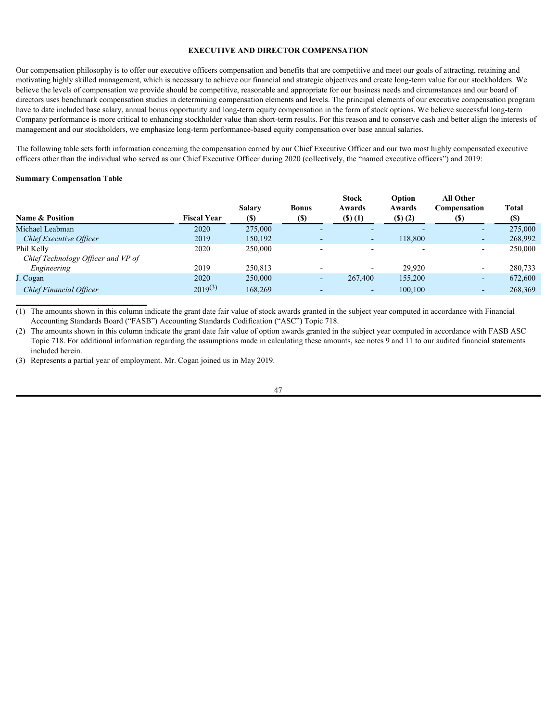#### **EXECUTIVE AND DIRECTOR COMPENSATION**

Our compensation philosophy is to offer our executive officers compensation and benefits that are competitive and meet our goals of attracting, retaining and motivating highly skilled management, which is necessary to achieve our financial and strategic objectives and create long-term value for our stockholders. We believe the levels of compensation we provide should be competitive, reasonable and appropriate for our business needs and circumstances and our board of directors uses benchmark compensation studies in determining compensation elements and levels. The principal elements of our executive compensation program have to date included base salary, annual bonus opportunity and long-term equity compensation in the form of stock options. We believe successful long-term Company performance is more critical to enhancing stockholder value than short-term results. For this reason and to conserve cash and better align the interests of management and our stockholders, we emphasize long-term performance-based equity compensation over base annual salaries.

The following table sets forth information concerning the compensation earned by our Chief Executive Officer and our two most highly compensated executive officers other than the individual who served as our Chief Executive Officer during 2020 (collectively, the "named executive officers") and 2019:

#### **Summary Compensation Table**

|                                                  |                    |                      |                          | Stock                      | Option                    | <b>All Other</b>         |              |
|--------------------------------------------------|--------------------|----------------------|--------------------------|----------------------------|---------------------------|--------------------------|--------------|
| <b>Name &amp; Position</b>                       | <b>Fiscal Year</b> | <b>Salary</b><br>(S) | <b>Bonus</b><br>(\$)     | Awards<br>$($ \$ $)$ $(1)$ | Awards<br>$($ s $)$ $(2)$ | Compensation<br>(S)      | Total<br>(S) |
| Michael Leabman                                  | 2020               | 275,000              |                          |                            |                           |                          | 275,000      |
| Chief Executive Officer                          | 2019               | 150,192              | $\overline{\phantom{0}}$ | $\sim$                     | 118,800                   | $\overline{\phantom{0}}$ | 268,992      |
| Phil Kelly<br>Chief Technology Officer and VP of | 2020               | 250,000              | $\overline{\phantom{0}}$ |                            |                           | $\overline{\phantom{0}}$ | 250,000      |
| Engineering                                      | 2019               | 250,813              | $\overline{\phantom{0}}$ |                            | 29,920                    | $\overline{\phantom{0}}$ | 280,733      |
| J. Cogan                                         | 2020               | 250,000              | $\overline{\phantom{a}}$ | 267,400                    | 155,200                   | $\overline{\phantom{0}}$ | 672,600      |
| <b>Chief Financial Officer</b>                   | $2019^{(3)}$       | 168,269              | $\overline{\phantom{a}}$ |                            | 100,100                   | $\overline{\phantom{0}}$ | 268,369      |

(1) The amounts shown in this column indicate the grant date fair value of stock awards granted in the subject year computed in accordance with Financial Accounting Standards Board ("FASB") Accounting Standards Codification ("ASC") Topic 718.

(2) The amounts shown in this column indicate the grant date fair value of option awards granted in the subject year computed in accordance with FASB ASC Topic 718. For additional information regarding the assumptions made in calculating these amounts, see notes 9 and 11 to our audited financial statements included herein.

(3) Represents a partial year of employment. Mr. Cogan joined us in May 2019.

# 47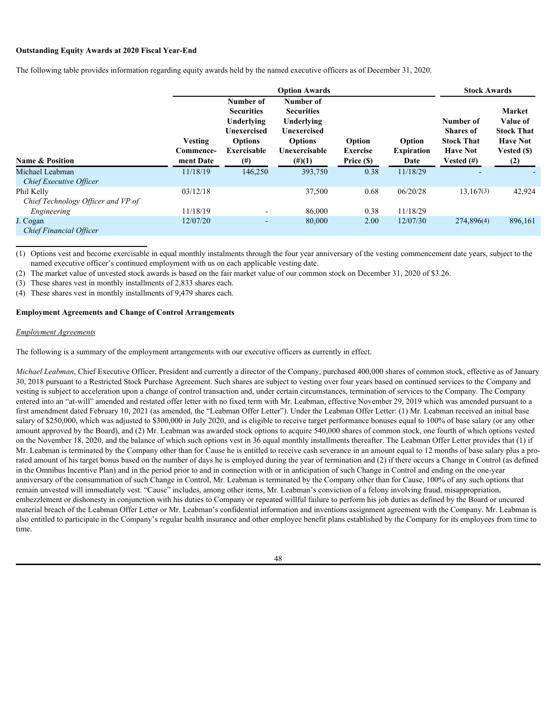### **Outstanding Equity Awards at 2020 Fiscal Year-End**

The following table provides information regarding equity awards held by the named executive officers as of December 31, 2020.

|                                                  |                                   |                                                                                                                 | <b>Stock Awards</b>                                                                                         |                                         |                                     |                                                                                     |                                                                                         |  |
|--------------------------------------------------|-----------------------------------|-----------------------------------------------------------------------------------------------------------------|-------------------------------------------------------------------------------------------------------------|-----------------------------------------|-------------------------------------|-------------------------------------------------------------------------------------|-----------------------------------------------------------------------------------------|--|
| <b>Name &amp; Position</b>                       | Vesting<br>Commence-<br>ment Date | Number of<br><b>Securities</b><br>Underlying<br><b>Unexercised</b><br><b>Options</b><br>Exercisable<br>$^{(#)}$ | Number of<br><b>Securities</b><br>Underlying<br>Unexercised<br><b>Options</b><br>Unexercisable<br>$(\#)(1)$ | Option<br><b>Exercise</b><br>Price (\$) | Option<br><b>Expiration</b><br>Date | Number of<br><b>Shares of</b><br><b>Stock That</b><br><b>Have Not</b><br>Vested (#) | <b>Market</b><br>Value of<br><b>Stock That</b><br><b>Have Not</b><br>Vested (\$)<br>(2) |  |
| Michael Leabman<br>Chief Executive Officer       | 11/18/19                          | 146,250                                                                                                         | 393,750                                                                                                     | 0.38                                    | 11/18/29                            |                                                                                     |                                                                                         |  |
| Phil Kelly<br>Chief Technology Officer and VP of | 03/12/18                          |                                                                                                                 | 37,500                                                                                                      | 0.68                                    | 06/20/28                            | 13,167(3)                                                                           | 42,924                                                                                  |  |
| Engineering                                      | 11/18/19                          | $\overline{\phantom{a}}$                                                                                        | 86,000                                                                                                      | 0.38                                    | 11/18/29                            |                                                                                     |                                                                                         |  |
| J. Cogan<br><b>Chief Financial Officer</b>       | 12/07/20                          | $\overline{\phantom{a}}$                                                                                        | 80,000                                                                                                      | 2.00                                    | 12/07/30                            | 274,896(4)                                                                          | 896,161                                                                                 |  |

(1) Options vest and become exercisable in equal monthly instalments through the four year anniversary of the vesting commencement date years, subject to the named executive officer's continued employment with us on each applicable vesting date.

(2) The market value of unvested stock awards is based on the fair market value of our common stock on December 31, 2020 of \$3.26.

(3) These shares vest in monthly installments of 2,833 shares each.

(4) These shares vest in monthly installments of 9,479 shares each.

#### **Employment Agreements and Change of Control Arrangements**

#### *Employment Agreements*

The following is a summary of the employment arrangements with our executive officers as currently in effect.

*Michael Leabman*, Chief Executive Officer, President and currently a director of the Company, purchased 400,000 shares of common stock, effective as of January 30, 2018 pursuant to a Restricted Stock Purchase Agreement. Such shares are subject to vesting over four years based on continued services to the Company and vesting is subject to acceleration upon a change of control transaction and, under certain circumstances, termination of services to the Company. The Company entered into an "at-will" amended and restated offer letter with no fixed term with Mr. Leabman, effective November 29, 2019 which was amended pursuant to a first amendment dated February 10, 2021 (as amended, the "Leabman Offer Letter"). Under the Leabman Offer Letter: (1) Mr. Leabman received an initial base salary of \$250,000, which was adjusted to \$300,000 in July 2020, and is eligible to receive target performance bonuses equal to 100% of base salary (or any other amount approved by the Board), and (2) Mr. Leabman was awarded stock options to acquire 540,000 shares of common stock, one fourth of which options vested on the November 18, 2020, and the balance of which such options vest in 36 equal monthly installments thereafter. The Leabman Offer Letter provides that (1) if Mr. Leabman is terminated by the Company other than for Cause he is entitled to receive cash severance in an amount equal to 12 months of base salary plus a prorated amount of his target bonus based on the number of days he is employed during the year of termination and (2) if there occurs a Change in Control (as defined in the Omnibus Incentive Plan) and in the period prior to and in connection with or in anticipation of such Change in Control and ending on the one-year anniversary of the consummation of such Change in Control, Mr. Leabman is terminated by the Company other than for Cause, 100% of any such options that remain unvested will immediately vest. "Cause" includes, among other items, Mr. Leabman's conviction of a felony involving fraud, misappropriation, embezzlement or dishonesty in conjunction with his duties to Company or repeated willful failure to perform his job duties as defined by the Board or uncured material breach of the Leabman Offer Letter or Mr. Leabman's confidential information and inventions assignment agreement with the Company. Mr. Leabman is also entitled to participate in the Company's regular health insurance and other employee benefit plans established by the Company for its employees from time to time.

48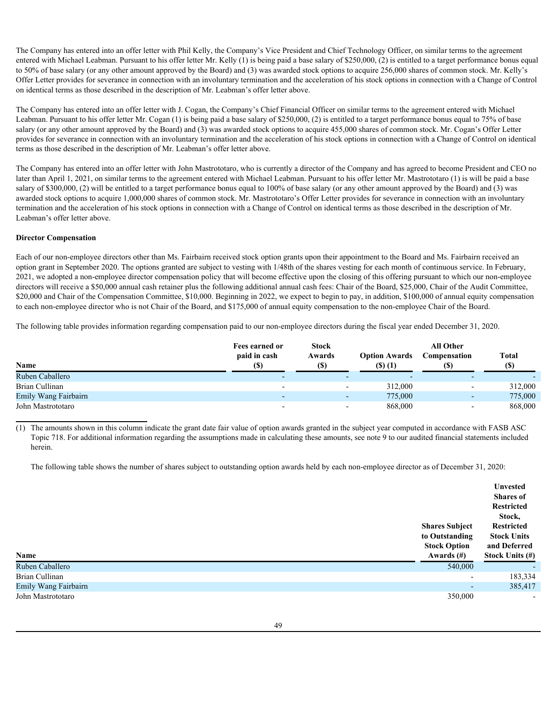The Company has entered into an offer letter with Phil Kelly, the Company's Vice President and Chief Technology Officer, on similar terms to the agreement entered with Michael Leabman. Pursuant to his offer letter Mr. Kelly (1) is being paid a base salary of \$250,000, (2) is entitled to a target performance bonus equal to 50% of base salary (or any other amount approved by the Board) and (3) was awarded stock options to acquire 256,000 shares of common stock. Mr. Kelly's Offer Letter provides for severance in connection with an involuntary termination and the acceleration of his stock options in connection with a Change of Control on identical terms as those described in the description of Mr. Leabman's offer letter above.

The Company has entered into an offer letter with J. Cogan, the Company's Chief Financial Officer on similar terms to the agreement entered with Michael Leabman. Pursuant to his offer letter Mr. Cogan (1) is being paid a base salary of \$250,000, (2) is entitled to a target performance bonus equal to 75% of base salary (or any other amount approved by the Board) and (3) was awarded stock options to acquire 455,000 shares of common stock. Mr. Cogan's Offer Letter provides for severance in connection with an involuntary termination and the acceleration of his stock options in connection with a Change of Control on identical terms as those described in the description of Mr. Leabman's offer letter above.

The Company has entered into an offer letter with John Mastrototaro, who is currently a director of the Company and has agreed to become President and CEO no later than April 1, 2021, on similar terms to the agreement entered with Michael Leabman. Pursuant to his offer letter Mr. Mastrototaro (1) is will be paid a base salary of \$300,000, (2) will be entitled to a target performance bonus equal to 100% of base salary (or any other amount approved by the Board) and (3) was awarded stock options to acquire 1,000,000 shares of common stock. Mr. Mastrototaro's Offer Letter provides for severance in connection with an involuntary termination and the acceleration of his stock options in connection with a Change of Control on identical terms as those described in the description of Mr. Leabman's offer letter above.

# **Director Compensation**

Each of our non-employee directors other than Ms. Fairbairn received stock option grants upon their appointment to the Board and Ms. Fairbairn received an option grant in September 2020. The options granted are subject to vesting with 1/48th of the shares vesting for each month of continuous service. In February, 2021, we adopted a non-employee director compensation policy that will become effective upon the closing of this offering pursuant to which our non-employee directors will receive a \$50,000 annual cash retainer plus the following additional annual cash fees: Chair of the Board, \$25,000, Chair of the Audit Committee, \$20,000 and Chair of the Compensation Committee, \$10,000. Beginning in 2022, we expect to begin to pay, in addition, \$100,000 of annual equity compensation to each non-employee director who is not Chair of the Board, and \$175,000 of annual equity compensation to the non-employee Chair of the Board.

The following table provides information regarding compensation paid to our non-employee directors during the fiscal year ended December 31, 2020.

|                      | Fees earned or | <b>Stock</b>             | <b>All Other</b>     |                          |                     |  |  |  |
|----------------------|----------------|--------------------------|----------------------|--------------------------|---------------------|--|--|--|
|                      | paid in cash   | Awards                   | <b>Option Awards</b> | Compensation             | <b>Total</b><br>(S) |  |  |  |
| Name                 | (S)            | (S)                      | $($ \$) $(1)$        |                          |                     |  |  |  |
| Ruben Caballero      |                |                          |                      |                          |                     |  |  |  |
| Brian Cullinan       |                | $\overline{\phantom{0}}$ | 312,000              | $\overline{\phantom{a}}$ | 312,000             |  |  |  |
| Emily Wang Fairbairn |                | . .                      | 775,000              | $\overline{\phantom{0}}$ | 775,000             |  |  |  |
| John Mastrototaro    |                |                          | 868,000              |                          | 868,000             |  |  |  |

(1) The amounts shown in this column indicate the grant date fair value of option awards granted in the subject year computed in accordance with FASB ASC Topic 718. For additional information regarding the assumptions made in calculating these amounts, see note 9 to our audited financial statements included herein.

The following table shows the number of shares subject to outstanding option awards held by each non-employee director as of December 31, 2020:

| Name                 | <b>Shares Subject</b><br>to Outstanding<br><b>Stock Option</b><br>Awards $(\#)$ | Unvested<br><b>Shares of</b><br>Restricted<br>Stock,<br>Restricted<br><b>Stock Units</b><br>and Deferred<br><b>Stock Units (#)</b> |
|----------------------|---------------------------------------------------------------------------------|------------------------------------------------------------------------------------------------------------------------------------|
| Ruben Caballero      | 540,000                                                                         | $\overline{\phantom{0}}$                                                                                                           |
| Brian Cullinan       | $\overline{\phantom{a}}$                                                        | 183,334                                                                                                                            |
| Emily Wang Fairbairn | $\overline{\phantom{a}}$                                                        | 385,417                                                                                                                            |
| John Mastrototaro    | 350,000                                                                         | $\overline{\phantom{0}}$                                                                                                           |
|                      |                                                                                 |                                                                                                                                    |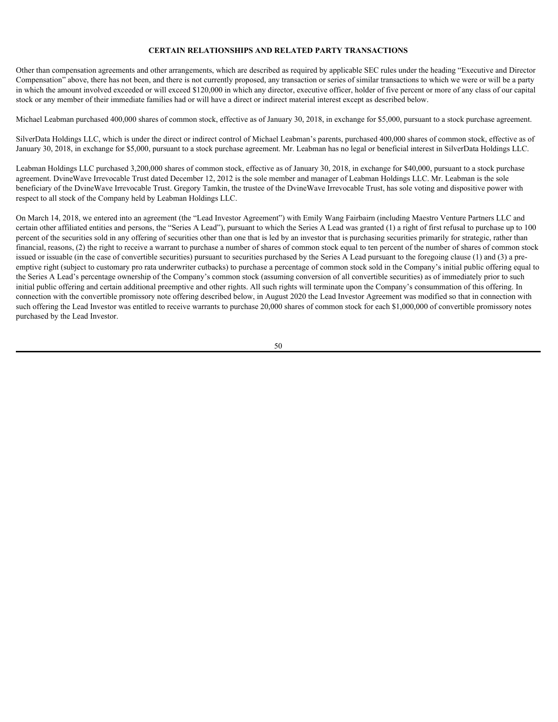## **CERTAIN RELATIONSHIPS AND RELATED PARTY TRANSACTIONS**

Other than compensation agreements and other arrangements, which are described as required by applicable SEC rules under the heading "Executive and Director Compensation" above, there has not been, and there is not currently proposed, any transaction or series of similar transactions to which we were or will be a party in which the amount involved exceeded or will exceed \$120,000 in which any director, executive officer, holder of five percent or more of any class of our capital stock or any member of their immediate families had or will have a direct or indirect material interest except as described below.

Michael Leabman purchased 400,000 shares of common stock, effective as of January 30, 2018, in exchange for \$5,000, pursuant to a stock purchase agreement.

SilverData Holdings LLC, which is under the direct or indirect control of Michael Leabman's parents, purchased 400,000 shares of common stock, effective as of January 30, 2018, in exchange for \$5,000, pursuant to a stock purchase agreement. Mr. Leabman has no legal or beneficial interest in SilverData Holdings LLC.

Leabman Holdings LLC purchased 3,200,000 shares of common stock, effective as of January 30, 2018, in exchange for \$40,000, pursuant to a stock purchase agreement. DvineWave Irrevocable Trust dated December 12, 2012 is the sole member and manager of Leabman Holdings LLC. Mr. Leabman is the sole beneficiary of the DvineWave Irrevocable Trust. Gregory Tamkin, the trustee of the DvineWave Irrevocable Trust, has sole voting and dispositive power with respect to all stock of the Company held by Leabman Holdings LLC.

On March 14, 2018, we entered into an agreement (the "Lead Investor Agreement") with Emily Wang Fairbairn (including Maestro Venture Partners LLC and certain other affiliated entities and persons, the "Series A Lead"), pursuant to which the Series A Lead was granted (1) a right of first refusal to purchase up to 100 percent of the securities sold in any offering of securities other than one that is led by an investor that is purchasing securities primarily for strategic, rather than financial, reasons, (2) the right to receive a warrant to purchase a number of shares of common stock equal to ten percent of the number of shares of common stock issued or issuable (in the case of convertible securities) pursuant to securities purchased by the Series A Lead pursuant to the foregoing clause (1) and (3) a preemptive right (subject to customary pro rata underwriter cutbacks) to purchase a percentage of common stock sold in the Company's initial public offering equal to the Series A Lead's percentage ownership of the Company's common stock (assuming conversion of all convertible securities) as of immediately prior to such initial public offering and certain additional preemptive and other rights. All such rights will terminate upon the Company's consummation of this offering. In connection with the convertible promissory note offering described below, in August 2020 the Lead Investor Agreement was modified so that in connection with such offering the Lead Investor was entitled to receive warrants to purchase 20,000 shares of common stock for each \$1,000,000 of convertible promissory notes purchased by the Lead Investor.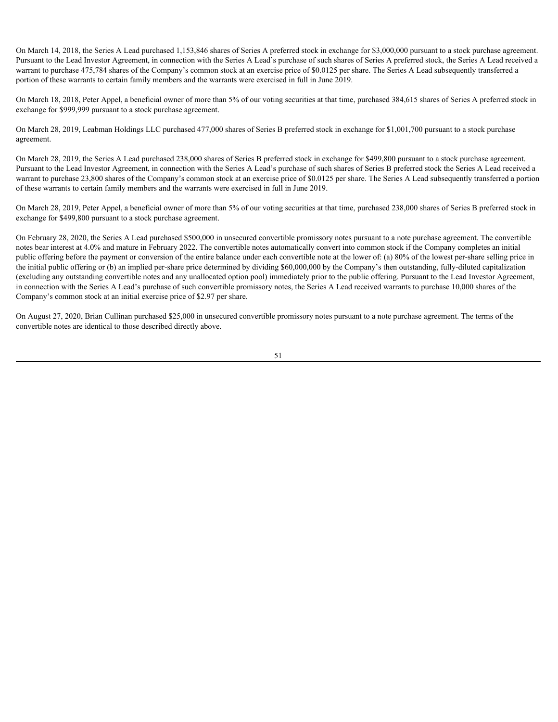On March 14, 2018, the Series A Lead purchased 1,153,846 shares of Series A preferred stock in exchange for \$3,000,000 pursuant to a stock purchase agreement. Pursuant to the Lead Investor Agreement, in connection with the Series A Lead's purchase of such shares of Series A preferred stock, the Series A Lead received a warrant to purchase 475,784 shares of the Company's common stock at an exercise price of \$0.0125 per share. The Series A Lead subsequently transferred a portion of these warrants to certain family members and the warrants were exercised in full in June 2019.

On March 18, 2018, Peter Appel, a beneficial owner of more than 5% of our voting securities at that time, purchased 384,615 shares of Series A preferred stock in exchange for \$999,999 pursuant to a stock purchase agreement.

On March 28, 2019, Leabman Holdings LLC purchased 477,000 shares of Series B preferred stock in exchange for \$1,001,700 pursuant to a stock purchase agreement.

On March 28, 2019, the Series A Lead purchased 238,000 shares of Series B preferred stock in exchange for \$499,800 pursuant to a stock purchase agreement. Pursuant to the Lead Investor Agreement, in connection with the Series A Lead's purchase of such shares of Series B preferred stock the Series A Lead received a warrant to purchase 23,800 shares of the Company's common stock at an exercise price of \$0.0125 per share. The Series A Lead subsequently transferred a portion of these warrants to certain family members and the warrants were exercised in full in June 2019.

On March 28, 2019, Peter Appel, a beneficial owner of more than 5% of our voting securities at that time, purchased 238,000 shares of Series B preferred stock in exchange for \$499,800 pursuant to a stock purchase agreement.

On February 28, 2020, the Series A Lead purchased \$500,000 in unsecured convertible promissory notes pursuant to a note purchase agreement. The convertible notes bear interest at 4.0% and mature in February 2022. The convertible notes automatically convert into common stock if the Company completes an initial public offering before the payment or conversion of the entire balance under each convertible note at the lower of: (a) 80% of the lowest per-share selling price in the initial public offering or (b) an implied per-share price determined by dividing \$60,000,000 by the Company's then outstanding, fully-diluted capitalization (excluding any outstanding convertible notes and any unallocated option pool) immediately prior to the public offering. Pursuant to the Lead Investor Agreement, in connection with the Series A Lead's purchase of such convertible promissory notes, the Series A Lead received warrants to purchase 10,000 shares of the Company's common stock at an initial exercise price of \$2.97 per share.

On August 27, 2020, Brian Cullinan purchased \$25,000 in unsecured convertible promissory notes pursuant to a note purchase agreement. The terms of the convertible notes are identical to those described directly above.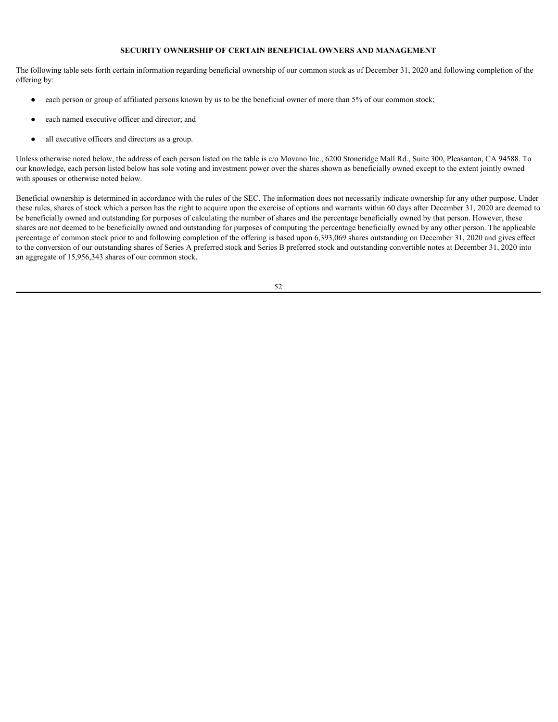# **SECURITY OWNERSHIP OF CERTAIN BENEFICIAL OWNERS AND MANAGEMENT**

The following table sets forth certain information regarding beneficial ownership of our common stock as of December 31, 2020 and following completion of the offering by:

- each person or group of affiliated persons known by us to be the beneficial owner of more than 5% of our common stock;
- each named executive officer and director; and
- all executive officers and directors as a group.

Unless otherwise noted below, the address of each person listed on the table is c/o Movano Inc., 6200 Stoneridge Mall Rd., Suite 300, Pleasanton, CA 94588. To our knowledge, each person listed below has sole voting and investment power over the shares shown as beneficially owned except to the extent jointly owned with spouses or otherwise noted below.

Beneficial ownership is determined in accordance with the rules of the SEC. The information does not necessarily indicate ownership for any other purpose. Under these rules, shares of stock which a person has the right to acquire upon the exercise of options and warrants within 60 days after December 31, 2020 are deemed to be beneficially owned and outstanding for purposes of calculating the number of shares and the percentage beneficially owned by that person. However, these shares are not deemed to be beneficially owned and outstanding for purposes of computing the percentage beneficially owned by any other person. The applicable percentage of common stock prior to and following completion of the offering is based upon 6,393,069 shares outstanding on December 31, 2020 and gives effect to the conversion of our outstanding shares of Series A preferred stock and Series B preferred stock and outstanding convertible notes at December 31, 2020 into an aggregate of 15,956,343 shares of our common stock.

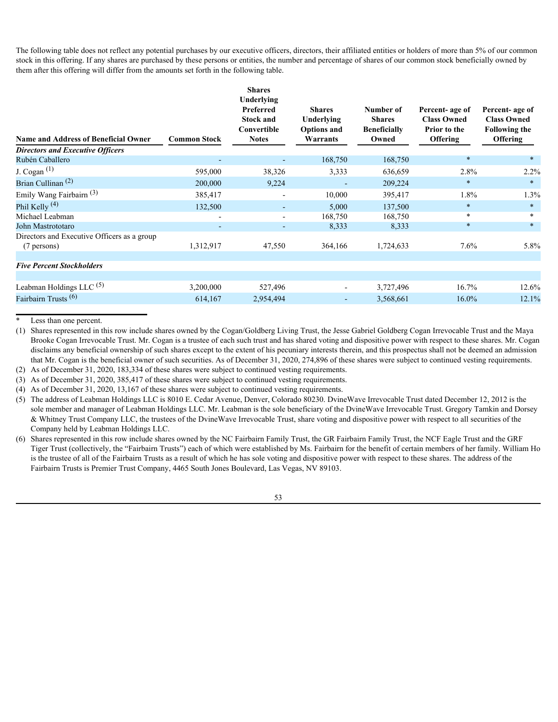The following table does not reflect any potential purchases by our executive officers, directors, their affiliated entities or holders of more than 5% of our common stock in this offering. If any shares are purchased by these persons or entities, the number and percentage of shares of our common stock beneficially owned by them after this offering will differ from the amounts set forth in the following table.

| <b>Shares</b><br><b>Underlying</b><br>Preferred<br><b>Stock and</b><br>Convertible<br><b>Name and Address of Beneficial Owner</b><br><b>Notes</b><br><b>Common Stock</b> | <b>Shares</b><br>Underlying<br><b>Options and</b><br>Warrants | Number of<br><b>Shares</b><br><b>Beneficially</b><br>Owned | Percent-age of<br><b>Class Owned</b><br>Prior to the<br><b>Offering</b> | Percent-age of<br><b>Class Owned</b><br><b>Following the</b><br>Offering |
|--------------------------------------------------------------------------------------------------------------------------------------------------------------------------|---------------------------------------------------------------|------------------------------------------------------------|-------------------------------------------------------------------------|--------------------------------------------------------------------------|
| <b>Directors and Executive Officers</b>                                                                                                                                  |                                                               |                                                            |                                                                         |                                                                          |
| Rubén Caballero<br>$\sim$                                                                                                                                                | 168,750                                                       | 168,750                                                    |                                                                         | $*$                                                                      |
| J. Cogan $(1)$<br>595,000<br>38,326                                                                                                                                      | 3,333                                                         | 636,659                                                    | 2.8%                                                                    | 2.2%                                                                     |
| Brian Cullinan <sup>(2)</sup><br>200,000<br>9,224                                                                                                                        | $\sim$                                                        | 209,224                                                    | $\ast$                                                                  | $\ast$                                                                   |
| Emily Wang Fairbairn <sup>(3)</sup><br>385,417<br>$\overline{\phantom{0}}$                                                                                               | 10,000                                                        | 395,417                                                    | 1.8%                                                                    | 1.3%                                                                     |
| Phil Kelly $(4)$<br>132,500<br>$\sim$                                                                                                                                    | 5,000                                                         | 137,500                                                    | $\ast$                                                                  | $\ast$                                                                   |
| Michael Leabman<br>$\sim$<br>$\overline{\phantom{0}}$                                                                                                                    | 168,750                                                       | 168,750                                                    | $\ast$                                                                  |                                                                          |
| John Mastrototaro<br>$\overline{\phantom{0}}$<br>$\sim$                                                                                                                  | 8,333                                                         | 8,333                                                      | *                                                                       | $\ast$                                                                   |
| Directors and Executive Officers as a group                                                                                                                              |                                                               |                                                            |                                                                         |                                                                          |
| 47,550<br>1,312,917<br>(7 persons)                                                                                                                                       | 364,166                                                       | 1,724,633                                                  | 7.6%                                                                    | 5.8%                                                                     |
|                                                                                                                                                                          |                                                               |                                                            |                                                                         |                                                                          |
| <b>Five Percent Stockholders</b>                                                                                                                                         |                                                               |                                                            |                                                                         |                                                                          |
|                                                                                                                                                                          |                                                               |                                                            |                                                                         |                                                                          |
| Leabman Holdings LLC $(5)$<br>3,200,000<br>527,496                                                                                                                       |                                                               | 3,727,496                                                  | 16.7%                                                                   | 12.6%                                                                    |
| Fairbairn Trusts <sup>(6)</sup><br>614,167<br>2,954,494                                                                                                                  | $\sim$                                                        | 3,568,661                                                  | 16.0%                                                                   | 12.1%                                                                    |

Less than one percent.

(1) Shares represented in this row include shares owned by the Cogan/Goldberg Living Trust, the Jesse Gabriel Goldberg Cogan Irrevocable Trust and the Maya Brooke Cogan Irrevocable Trust. Mr. Cogan is a trustee of each such trust and has shared voting and dispositive power with respect to these shares. Mr. Cogan disclaims any beneficial ownership of such shares except to the extent of his pecuniary interests therein, and this prospectus shall not be deemed an admission that Mr. Cogan is the beneficial owner of such securities. As of December 31, 2020, 274,896 of these shares were subject to continued vesting requirements.

(2) As of December 31, 2020, 183,334 of these shares were subject to continued vesting requirements.

(3) As of December 31, 2020, 385,417 of these shares were subject to continued vesting requirements.

(4) As of December 31, 2020, 13,167 of these shares were subject to continued vesting requirements.

(5) The address of Leabman Holdings LLC is 8010 E. Cedar Avenue, Denver, Colorado 80230. DvineWave Irrevocable Trust dated December 12, 2012 is the sole member and manager of Leabman Holdings LLC. Mr. Leabman is the sole beneficiary of the DvineWave Irrevocable Trust. Gregory Tamkin and Dorsey & Whitney Trust Company LLC, the trustees of the DvineWave Irrevocable Trust, share voting and dispositive power with respect to all securities of the Company held by Leabman Holdings LLC.

(6) Shares represented in this row include shares owned by the NC Fairbairn Family Trust, the GR Fairbairn Family Trust, the NCF Eagle Trust and the GRF Tiger Trust (collectively, the "Fairbairn Trusts") each of which were established by Ms. Fairbairn for the benefit of certain members of her family. William Ho is the trustee of all of the Fairbairn Trusts as a result of which he has sole voting and dispositive power with respect to these shares. The address of the Fairbairn Trusts is Premier Trust Company, 4465 South Jones Boulevard, Las Vegas, NV 89103.

53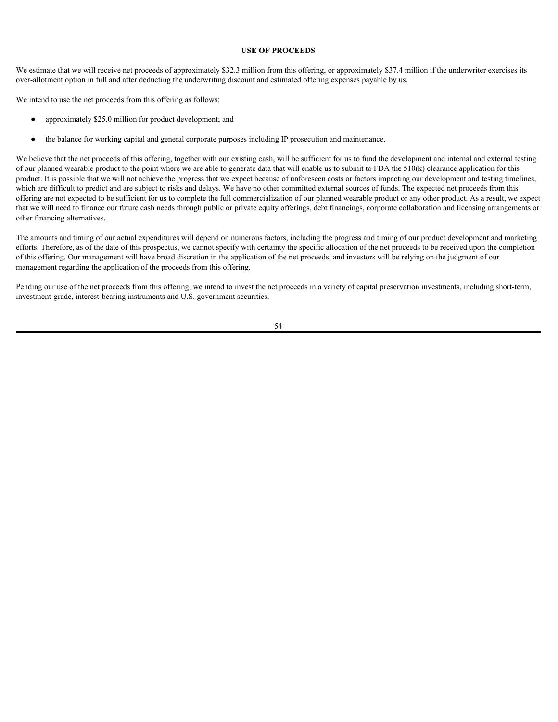# **USE OF PROCEEDS**

We estimate that we will receive net proceeds of approximately \$32.3 million from this offering, or approximately \$37.4 million if the underwriter exercises its over-allotment option in full and after deducting the underwriting discount and estimated offering expenses payable by us.

We intend to use the net proceeds from this offering as follows:

- approximately \$25.0 million for product development; and
- the balance for working capital and general corporate purposes including IP prosecution and maintenance.

We believe that the net proceeds of this offering, together with our existing cash, will be sufficient for us to fund the development and internal and external testing of our planned wearable product to the point where we are able to generate data that will enable us to submit to FDA the  $510(k)$  clearance application for this product. It is possible that we will not achieve the progress that we expect because of unforeseen costs or factors impacting our development and testing timelines, which are difficult to predict and are subject to risks and delays. We have no other committed external sources of funds. The expected net proceeds from this offering are not expected to be sufficient for us to complete the full commercialization of our planned wearable product or any other product. As a result, we expect that we will need to finance our future cash needs through public or private equity offerings, debt financings, corporate collaboration and licensing arrangements or other financing alternatives.

The amounts and timing of our actual expenditures will depend on numerous factors, including the progress and timing of our product development and marketing efforts. Therefore, as of the date of this prospectus, we cannot specify with certainty the specific allocation of the net proceeds to be received upon the completion of this offering. Our management will have broad discretion in the application of the net proceeds, and investors will be relying on the judgment of our management regarding the application of the proceeds from this offering.

Pending our use of the net proceeds from this offering, we intend to invest the net proceeds in a variety of capital preservation investments, including short-term, investment-grade, interest-bearing instruments and U.S. government securities.

54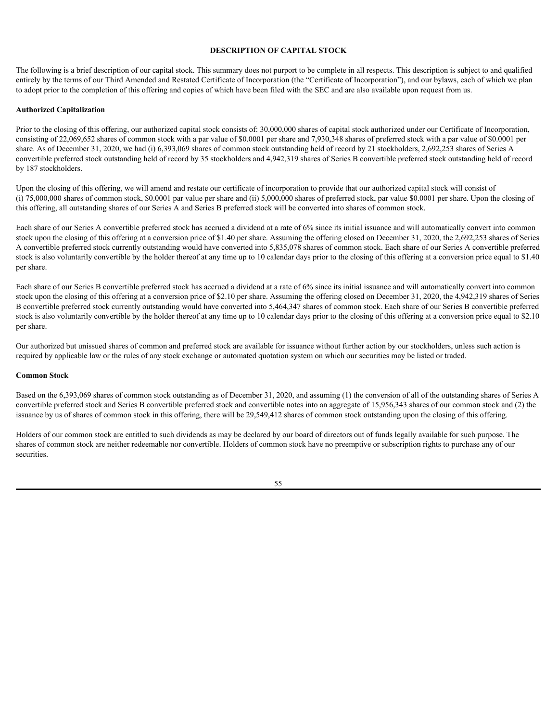### **DESCRIPTION OF CAPITAL STOCK**

The following is a brief description of our capital stock. This summary does not purport to be complete in all respects. This description is subject to and qualified entirely by the terms of our Third Amended and Restated Certificate of Incorporation (the "Certificate of Incorporation"), and our bylaws, each of which we plan to adopt prior to the completion of this offering and copies of which have been filed with the SEC and are also available upon request from us.

#### **Authorized Capitalization**

Prior to the closing of this offering, our authorized capital stock consists of: 30,000,000 shares of capital stock authorized under our Certificate of Incorporation, consisting of 22,069,652 shares of common stock with a par value of \$0.0001 per share and 7,930,348 shares of preferred stock with a par value of \$0.0001 per share. As of December 31, 2020, we had (i) 6,393,069 shares of common stock outstanding held of record by 21 stockholders, 2,692,253 shares of Series A convertible preferred stock outstanding held of record by 35 stockholders and 4,942,319 shares of Series B convertible preferred stock outstanding held of record by 187 stockholders.

Upon the closing of this offering, we will amend and restate our certificate of incorporation to provide that our authorized capital stock will consist of (i) 75,000,000 shares of common stock, \$0.0001 par value per share and (ii) 5,000,000 shares of preferred stock, par value \$0.0001 per share. Upon the closing of this offering, all outstanding shares of our Series A and Series B preferred stock will be converted into shares of common stock.

Each share of our Series A convertible preferred stock has accrued a dividend at a rate of 6% since its initial issuance and will automatically convert into common stock upon the closing of this offering at a conversion price of \$1.40 per share. Assuming the offering closed on December 31, 2020, the 2,692,253 shares of Series A convertible preferred stock currently outstanding would have converted into 5,835,078 shares of common stock. Each share of our Series A convertible preferred stock is also voluntarily convertible by the holder thereof at any time up to 10 calendar days prior to the closing of this offering at a conversion price equal to \$1.40 per share.

Each share of our Series B convertible preferred stock has accrued a dividend at a rate of 6% since its initial issuance and will automatically convert into common stock upon the closing of this offering at a conversion price of \$2.10 per share. Assuming the offering closed on December 31, 2020, the 4,942,319 shares of Series B convertible preferred stock currently outstanding would have converted into 5,464,347 shares of common stock. Each share of our Series B convertible preferred stock is also voluntarily convertible by the holder thereof at any time up to 10 calendar days prior to the closing of this offering at a conversion price equal to \$2.10 per share.

Our authorized but unissued shares of common and preferred stock are available for issuance without further action by our stockholders, unless such action is required by applicable law or the rules of any stock exchange or automated quotation system on which our securities may be listed or traded.

#### **Common Stock**

Based on the 6,393,069 shares of common stock outstanding as of December 31, 2020, and assuming (1) the conversion of all of the outstanding shares of Series A convertible preferred stock and Series B convertible preferred stock and convertible notes into an aggregate of 15,956,343 shares of our common stock and (2) the issuance by us of shares of common stock in this offering, there will be 29,549,412 shares of common stock outstanding upon the closing of this offering.

Holders of our common stock are entitled to such dividends as may be declared by our board of directors out of funds legally available for such purpose. The shares of common stock are neither redeemable nor convertible. Holders of common stock have no preemptive or subscription rights to purchase any of our securities.

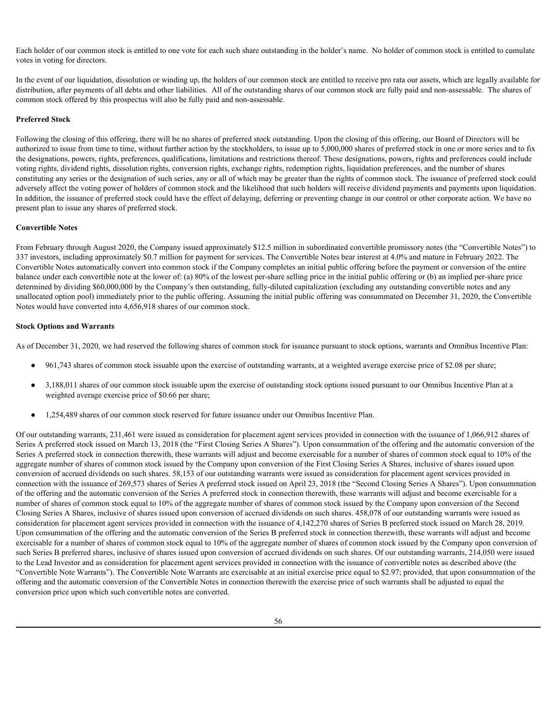Each holder of our common stock is entitled to one vote for each such share outstanding in the holder's name. No holder of common stock is entitled to cumulate votes in voting for directors.

In the event of our liquidation, dissolution or winding up, the holders of our common stock are entitled to receive pro rata our assets, which are legally available for distribution, after payments of all debts and other liabilities. All of the outstanding shares of our common stock are fully paid and non-assessable. The shares of common stock offered by this prospectus will also be fully paid and non-assessable.

# **Preferred Stock**

Following the closing of this offering, there will be no shares of preferred stock outstanding. Upon the closing of this offering, our Board of Directors will be authorized to issue from time to time, without further action by the stockholders, to issue up to 5,000,000 shares of preferred stock in one or more series and to fix the designations, powers, rights, preferences, qualifications, limitations and restrictions thereof. These designations, powers, rights and preferences could include voting rights, dividend rights, dissolution rights, conversion rights, exchange rights, redemption rights, liquidation preferences, and the number of shares constituting any series or the designation of such series, any or all of which may be greater than the rights of common stock. The issuance of preferred stock could adversely affect the voting power of holders of common stock and the likelihood that such holders will receive dividend payments and payments upon liquidation. In addition, the issuance of preferred stock could have the effect of delaying, deferring or preventing change in our control or other corporate action. We have no present plan to issue any shares of preferred stock.

#### **Convertible Notes**

From February through August 2020, the Company issued approximately \$12.5 million in subordinated convertible promissory notes (the "Convertible Notes") to 337 investors, including approximately \$0.7 million for payment for services. The Convertible Notes bear interest at 4.0% and mature in February 2022. The Convertible Notes automatically convert into common stock if the Company completes an initial public offering before the payment or conversion of the entire balance under each convertible note at the lower of: (a) 80% of the lowest per-share selling price in the initial public offering or (b) an implied per-share price determined by dividing \$60,000,000 by the Company's then outstanding, fully-diluted capitalization (excluding any outstanding convertible notes and any unallocated option pool) immediately prior to the public offering. Assuming the initial public offering was consummated on December 31, 2020, the Convertible Notes would have converted into 4,656,918 shares of our common stock.

# **Stock Options and Warrants**

As of December 31, 2020, we had reserved the following shares of common stock for issuance pursuant to stock options, warrants and Omnibus Incentive Plan:

- 961,743 shares of common stock issuable upon the exercise of outstanding warrants, at a weighted average exercise price of \$2.08 per share;
- 3,188,011 shares of our common stock issuable upon the exercise of outstanding stock options issued pursuant to our Omnibus Incentive Plan at a weighted average exercise price of \$0.66 per share;
- 1,254,489 shares of our common stock reserved for future issuance under our Omnibus Incentive Plan.

Of our outstanding warrants, 231,461 were issued as consideration for placement agent services provided in connection with the issuance of 1,066,912 shares of Series A preferred stock issued on March 13, 2018 (the "First Closing Series A Shares"). Upon consummation of the offering and the automatic conversion of the Series A preferred stock in connection therewith, these warrants will adjust and become exercisable for a number of shares of common stock equal to 10% of the aggregate number of shares of common stock issued by the Company upon conversion of the First Closing Series A Shares, inclusive of shares issued upon conversion of accrued dividends on such shares. 58,153 of our outstanding warrants were issued as consideration for placement agent services provided in connection with the issuance of 269,573 shares of Series A preferred stock issued on April 23, 2018 (the "Second Closing Series A Shares"). Upon consummation of the offering and the automatic conversion of the Series A preferred stock in connection therewith, these warrants will adjust and become exercisable for a number of shares of common stock equal to 10% of the aggregate number of shares of common stock issued by the Company upon conversion of the Second Closing Series A Shares, inclusive of shares issued upon conversion of accrued dividends on such shares. 458,078 of our outstanding warrants were issued as consideration for placement agent services provided in connection with the issuance of 4,142,270 shares of Series B preferred stock issued on March 28, 2019. Upon consummation of the offering and the automatic conversion of the Series B preferred stock in connection therewith, these warrants will adjust and become exercisable for a number of shares of common stock equal to 10% of the aggregate number of shares of common stock issued by the Company upon conversion of such Series B preferred shares, inclusive of shares issued upon conversion of accrued dividends on such shares. Of our outstanding warrants, 214,050 were issued to the Lead Investor and as consideration for placement agent services provided in connection with the issuance of convertible notes as described above (the "Convertible Note Warrants"). The Convertible Note Warrants are exercisable at an initial exercise price equal to \$2.97; provided, that upon consummation of the offering and the automatic conversion of the Convertible Notes in connection therewith the exercise price of such warrants shall be adjusted to equal the conversion price upon which such convertible notes are converted.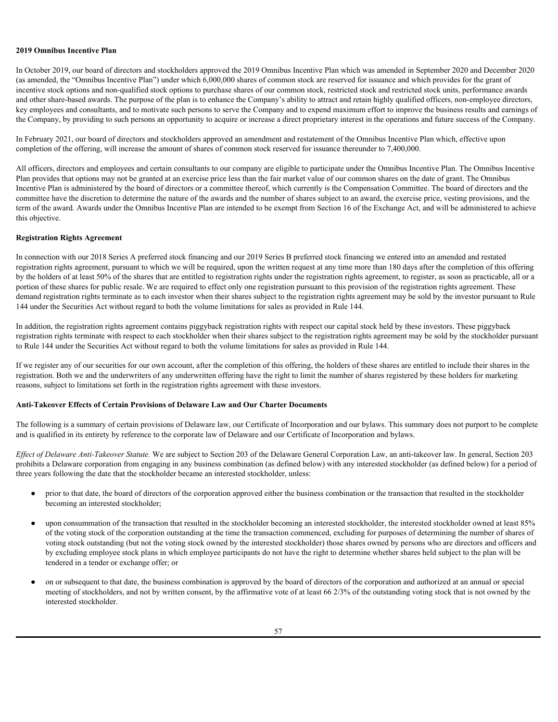### **2019 Omnibus Incentive Plan**

In October 2019, our board of directors and stockholders approved the 2019 Omnibus Incentive Plan which was amended in September 2020 and December 2020 (as amended, the "Omnibus Incentive Plan") under which 6,000,000 shares of common stock are reserved for issuance and which provides for the grant of incentive stock options and non-qualified stock options to purchase shares of our common stock, restricted stock and restricted stock units, performance awards and other share-based awards. The purpose of the plan is to enhance the Company's ability to attract and retain highly qualified officers, non-employee directors, key employees and consultants, and to motivate such persons to serve the Company and to expend maximum effort to improve the business results and earnings of the Company, by providing to such persons an opportunity to acquire or increase a direct proprietary interest in the operations and future success of the Company.

In February 2021, our board of directors and stockholders approved an amendment and restatement of the Omnibus Incentive Plan which, effective upon completion of the offering, will increase the amount of shares of common stock reserved for issuance thereunder to 7,400,000.

All officers, directors and employees and certain consultants to our company are eligible to participate under the Omnibus Incentive Plan. The Omnibus Incentive Plan provides that options may not be granted at an exercise price less than the fair market value of our common shares on the date of grant. The Omnibus Incentive Plan is administered by the board of directors or a committee thereof, which currently is the Compensation Committee. The board of directors and the committee have the discretion to determine the nature of the awards and the number of shares subject to an award, the exercise price, vesting provisions, and the term of the award. Awards under the Omnibus Incentive Plan are intended to be exempt from Section 16 of the Exchange Act, and will be administered to achieve this objective.

#### **Registration Rights Agreement**

In connection with our 2018 Series A preferred stock financing and our 2019 Series B preferred stock financing we entered into an amended and restated registration rights agreement, pursuant to which we will be required, upon the written request at any time more than 180 days after the completion of this offering by the holders of at least 50% of the shares that are entitled to registration rights under the registration rights agreement, to register, as soon as practicable, all or a portion of these shares for public resale. We are required to effect only one registration pursuant to this provision of the registration rights agreement. These demand registration rights terminate as to each investor when their shares subject to the registration rights agreement may be sold by the investor pursuant to Rule 144 under the Securities Act without regard to both the volume limitations for sales as provided in Rule 144.

In addition, the registration rights agreement contains piggyback registration rights with respect our capital stock held by these investors. These piggyback registration rights terminate with respect to each stockholder when their shares subject to the registration rights agreement may be sold by the stockholder pursuant to Rule 144 under the Securities Act without regard to both the volume limitations for sales as provided in Rule 144.

If we register any of our securities for our own account, after the completion of this offering, the holders of these shares are entitled to include their shares in the registration. Both we and the underwriters of any underwritten offering have the right to limit the number of shares registered by these holders for marketing reasons, subject to limitations set forth in the registration rights agreement with these investors.

## **Anti-Takeover Effects of Certain Provisions of Delaware Law and Our Charter Documents**

The following is a summary of certain provisions of Delaware law, our Certificate of Incorporation and our bylaws. This summary does not purport to be complete and is qualified in its entirety by reference to the corporate law of Delaware and our Certificate of Incorporation and bylaws.

*Effect of Delaware Anti-Takeover Statute.* We are subject to Section 203 of the Delaware General Corporation Law, an anti-takeover law. In general, Section 203 prohibits a Delaware corporation from engaging in any business combination (as defined below) with any interested stockholder (as defined below) for a period of three years following the date that the stockholder became an interested stockholder, unless:

- prior to that date, the board of directors of the corporation approved either the business combination or the transaction that resulted in the stockholder becoming an interested stockholder;
- upon consummation of the transaction that resulted in the stockholder becoming an interested stockholder, the interested stockholder owned at least 85% of the voting stock of the corporation outstanding at the time the transaction commenced, excluding for purposes of determining the number of shares of voting stock outstanding (but not the voting stock owned by the interested stockholder) those shares owned by persons who are directors and officers and by excluding employee stock plans in which employee participants do not have the right to determine whether shares held subject to the plan will be tendered in a tender or exchange offer; or
- on or subsequent to that date, the business combination is approved by the board of directors of the corporation and authorized at an annual or special meeting of stockholders, and not by written consent, by the affirmative vote of at least 66 2/3% of the outstanding voting stock that is not owned by the interested stockholder.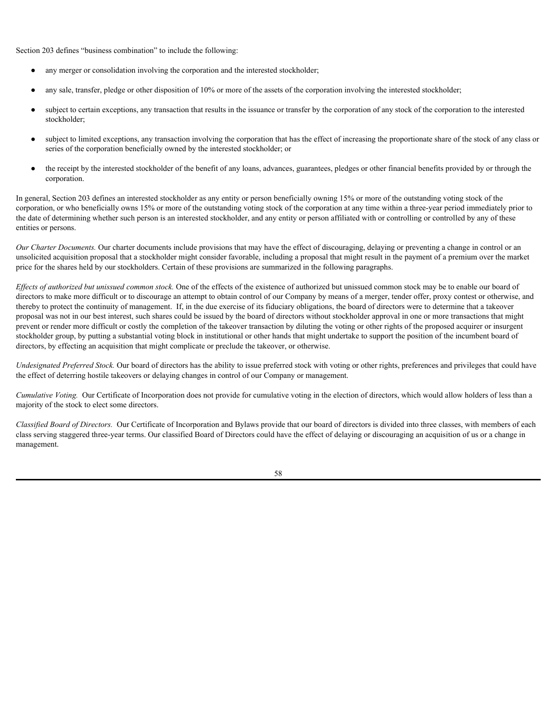Section 203 defines "business combination" to include the following:

- any merger or consolidation involving the corporation and the interested stockholder;
- any sale, transfer, pledge or other disposition of 10% or more of the assets of the corporation involving the interested stockholder;
- subject to certain exceptions, any transaction that results in the issuance or transfer by the corporation of any stock of the corporation to the interested stockholder;
- subject to limited exceptions, any transaction involving the corporation that has the effect of increasing the proportionate share of the stock of any class or series of the corporation beneficially owned by the interested stockholder; or
- the receipt by the interested stockholder of the benefit of any loans, advances, guarantees, pledges or other financial benefits provided by or through the corporation.

In general, Section 203 defines an interested stockholder as any entity or person beneficially owning 15% or more of the outstanding voting stock of the corporation, or who beneficially owns 15% or more of the outstanding voting stock of the corporation at any time within a three-year period immediately prior to the date of determining whether such person is an interested stockholder, and any entity or person affiliated with or controlling or controlled by any of these entities or persons.

*Our Charter Documents*. Our charter documents include provisions that may have the effect of discouraging, delaying or preventing a change in control or an unsolicited acquisition proposal that a stockholder might consider favorable, including a proposal that might result in the payment of a premium over the market price for the shares held by our stockholders. Certain of these provisions are summarized in the following paragraphs.

*Effects of authorized but unissued common stock.* One of the effects of the existence of authorized but unissued common stock may be to enable our board of directors to make more difficult or to discourage an attempt to obtain control of our Company by means of a merger, tender offer, proxy contest or otherwise, and thereby to protect the continuity of management. If, in the due exercise of its fiduciary obligations, the board of directors were to determine that a takeover proposal was not in our best interest, such shares could be issued by the board of directors without stockholder approval in one or more transactions that might prevent or render more difficult or costly the completion of the takeover transaction by diluting the voting or other rights of the proposed acquirer or insurgent stockholder group, by putting a substantial voting block in institutional or other hands that might undertake to support the position of the incumbent board of directors, by effecting an acquisition that might complicate or preclude the takeover, or otherwise.

*Undesignated Preferred Stock.* Our board of directors has the ability to issue preferred stock with voting or other rights, preferences and privileges that could have the effect of deterring hostile takeovers or delaying changes in control of our Company or management.

*Cumulative Voting.* Our Certificate of Incorporation does not provide for cumulative voting in the election of directors, which would allow holders of less than a majority of the stock to elect some directors.

*Classified Board of Directors.* Our Certificate of Incorporation and Bylaws provide that our board of directors is divided into three classes, with members of each class serving staggered three-year terms. Our classified Board of Directors could have the effect of delaying or discouraging an acquisition of us or a change in management.

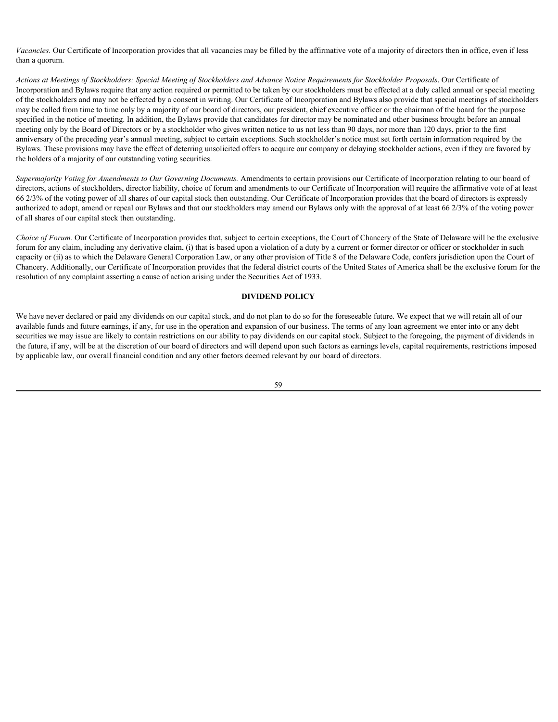*Vacancies.* Our Certificate of Incorporation provides that all vacancies may be filled by the affirmative vote of a majority of directors then in office, even if less than a quorum.

*Actions at Meetings of Stockholders; Special Meeting of Stockholders and Advance Notice Requirements for Stockholder Proposals*. Our Certificate of Incorporation and Bylaws require that any action required or permitted to be taken by our stockholders must be effected at a duly called annual or special meeting of the stockholders and may not be effected by a consent in writing. Our Certificate of Incorporation and Bylaws also provide that special meetings of stockholders may be called from time to time only by a majority of our board of directors, our president, chief executive officer or the chairman of the board for the purpose specified in the notice of meeting. In addition, the Bylaws provide that candidates for director may be nominated and other business brought before an annual meeting only by the Board of Directors or by a stockholder who gives written notice to us not less than 90 days, nor more than 120 days, prior to the first anniversary of the preceding year's annual meeting, subject to certain exceptions. Such stockholder's notice must set forth certain information required by the Bylaws. These provisions may have the effect of deterring unsolicited offers to acquire our company or delaying stockholder actions, even if they are favored by the holders of a majority of our outstanding voting securities.

*Supermajority Voting for Amendments to Our Governing Documents.* Amendments to certain provisions our Certificate of Incorporation relating to our board of directors, actions of stockholders, director liability, choice of forum and amendments to our Certificate of Incorporation will require the affirmative vote of at least 66 2/3% of the voting power of all shares of our capital stock then outstanding. Our Certificate of Incorporation provides that the board of directors is expressly authorized to adopt, amend or repeal our Bylaws and that our stockholders may amend our Bylaws only with the approval of at least 66 2/3% of the voting power of all shares of our capital stock then outstanding.

*Choice of Forum.* Our Certificate of Incorporation provides that, subject to certain exceptions, the Court of Chancery of the State of Delaware will be the exclusive forum for any claim, including any derivative claim, (i) that is based upon a violation of a duty by a current or former director or officer or stockholder in such capacity or (ii) as to which the Delaware General Corporation Law, or any other provision of Title 8 of the Delaware Code, confers jurisdiction upon the Court of Chancery. Additionally, our Certificate of Incorporation provides that the federal district courts of the United States of America shall be the exclusive forum for the resolution of any complaint asserting a cause of action arising under the Securities Act of 1933.

# **DIVIDEND POLICY**

We have never declared or paid any dividends on our capital stock, and do not plan to do so for the foreseeable future. We expect that we will retain all of our available funds and future earnings, if any, for use in the operation and expansion of our business. The terms of any loan agreement we enter into or any debt securities we may issue are likely to contain restrictions on our ability to pay dividends on our capital stock. Subject to the foregoing, the payment of dividends in the future, if any, will be at the discretion of our board of directors and will depend upon such factors as earnings levels, capital requirements, restrictions imposed by applicable law, our overall financial condition and any other factors deemed relevant by our board of directors.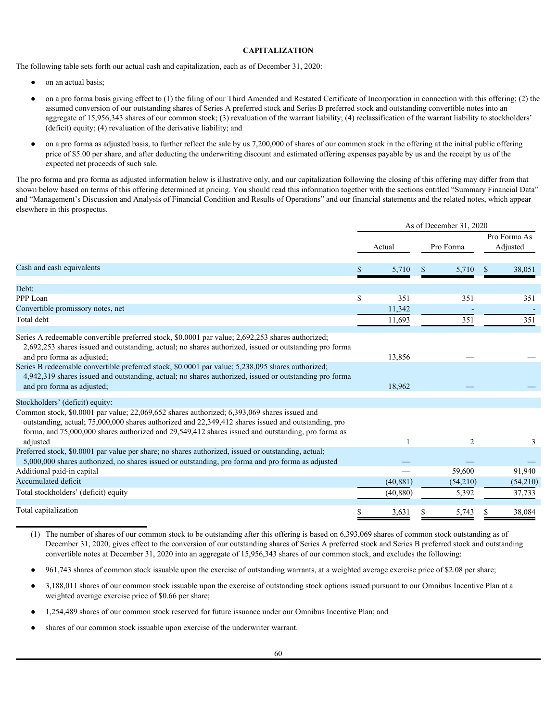# **CAPITALIZATION**

The following table sets forth our actual cash and capitalization, each as of December 31, 2020:

- on an actual basis:
- on a pro forma basis giving effect to  $(1)$  the filing of our Third Amended and Restated Certificate of Incorporation in connection with this offering;  $(2)$  the assumed conversion of our outstanding shares of Series A preferred stock and Series B preferred stock and outstanding convertible notes into an aggregate of 15,956,343 shares of our common stock; (3) revaluation of the warrant liability; (4) reclassification of the warrant liability to stockholders' (deficit) equity; (4) revaluation of the derivative liability; and
- on a pro forma as adjusted basis, to further reflect the sale by us 7,200,000 of shares of our common stock in the offering at the initial public offering price of \$5.00 per share, and after deducting the underwriting discount and estimated offering expenses payable by us and the receipt by us of the expected net proceeds of such sale.

The pro forma and pro forma as adjusted information below is illustrative only, and our capitalization following the closing of this offering may differ from that shown below based on terms of this offering determined at pricing. You should read this information together with the sections entitled "Summary Financial Data" and "Management's Discussion and Analysis of Financial Condition and Results of Operations" and our financial statements and the related notes, which appear elsewhere in this prospectus.

|                                                                                                                                                                                                                                                                                                                                                         |           | As of December 31, 2020 |                          |
|---------------------------------------------------------------------------------------------------------------------------------------------------------------------------------------------------------------------------------------------------------------------------------------------------------------------------------------------------------|-----------|-------------------------|--------------------------|
|                                                                                                                                                                                                                                                                                                                                                         | Actual    | Pro Forma               | Pro Forma As<br>Adjusted |
| Cash and cash equivalents                                                                                                                                                                                                                                                                                                                               | 5,710     | 5,710                   | 38,051                   |
| Debt:                                                                                                                                                                                                                                                                                                                                                   |           |                         |                          |
| PPP Loan                                                                                                                                                                                                                                                                                                                                                | 351       | 351                     | 351                      |
| Convertible promissory notes, net                                                                                                                                                                                                                                                                                                                       | 11,342    |                         |                          |
| Total debt                                                                                                                                                                                                                                                                                                                                              | 11,693    | 351                     | 351                      |
| Series A redeemable convertible preferred stock, \$0.0001 par value; 2,692,253 shares authorized;<br>2,692,253 shares issued and outstanding, actual; no shares authorized, issued or outstanding pro forma<br>and pro forma as adjusted;                                                                                                               | 13,856    |                         |                          |
| Series B redeemable convertible preferred stock, \$0.0001 par value; 5,238,095 shares authorized;<br>4,942,319 shares issued and outstanding, actual; no shares authorized, issued or outstanding pro forma<br>and pro forma as adjusted;                                                                                                               | 18,962    |                         |                          |
| Stockholders' (deficit) equity:<br>Common stock, \$0.0001 par value; 22,069,652 shares authorized; 6,393,069 shares issued and<br>outstanding, actual; 75,000,000 shares authorized and 22,349,412 shares issued and outstanding, pro<br>forma, and 75,000,000 shares authorized and 29,549,412 shares issued and outstanding, pro forma as<br>adjusted |           | $\overline{2}$          |                          |
| Preferred stock, \$0.0001 par value per share; no shares authorized, issued or outstanding, actual;<br>5,000,000 shares authorized, no shares issued or outstanding, pro forma and pro forma as adjusted                                                                                                                                                |           |                         |                          |
| Additional paid-in capital                                                                                                                                                                                                                                                                                                                              |           | 59,600                  | 91,940                   |
| Accumulated deficit                                                                                                                                                                                                                                                                                                                                     | (40, 881) | (54,210)                | (54,210)                 |
| Total stockholders' (deficit) equity                                                                                                                                                                                                                                                                                                                    | (40, 880) | 5,392                   | 37,733                   |
| Total capitalization                                                                                                                                                                                                                                                                                                                                    | 3,631     | 5,743                   | 38,084                   |

(1) The number of shares of our common stock to be outstanding after this offering is based on 6,393,069 shares of common stock outstanding as of December 31, 2020, gives effect to the conversion of our outstanding shares of Series A preferred stock and Series B preferred stock and outstanding convertible notes at December 31, 2020 into an aggregate of 15,956,343 shares of our common stock, and excludes the following:

● 961,743 shares of common stock issuable upon the exercise of outstanding warrants, at a weighted average exercise price of \$2.08 per share;

- 3,188,011 shares of our common stock issuable upon the exercise of outstanding stock options issued pursuant to our Omnibus Incentive Plan at a weighted average exercise price of \$0.66 per share;
- 1,254,489 shares of our common stock reserved for future issuance under our Omnibus Incentive Plan; and
- shares of our common stock issuable upon exercise of the underwriter warrant.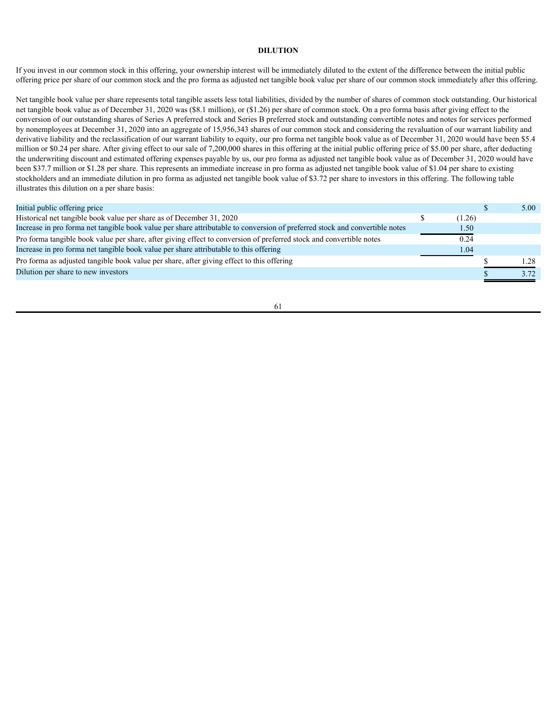# **DILUTION**

If you invest in our common stock in this offering, your ownership interest will be immediately diluted to the extent of the difference between the initial public offering price per share of our common stock and the pro forma as adjusted net tangible book value per share of our common stock immediately after this offering.

Net tangible book value per share represents total tangible assets less total liabilities, divided by the number of shares of common stock outstanding. Our historical net tangible book value as of December 31, 2020 was (\$8.1 million), or (\$1.26) per share of common stock. On a pro forma basis after giving effect to the conversion of our outstanding shares of Series A preferred stock and Series B preferred stock and outstanding convertible notes and notes for services performed by nonemployees at December 31, 2020 into an aggregate of 15,956,343 shares of our common stock and considering the revaluation of our warrant liability and derivative liability and the reclassification of our warrant liability to equity, our pro forma net tangible book value as of December 31, 2020 would have been \$5.4 million or \$0.24 per share. After giving effect to our sale of 7,200,000 shares in this offering at the initial public offering price of \$5.00 per share, after deducting the underwriting discount and estimated offering expenses payable by us, our pro forma as adjusted net tangible book value as of December 31, 2020 would have been \$37.7 million or \$1.28 per share. This represents an immediate increase in pro forma as adjusted net tangible book value of \$1.04 per share to existing stockholders and an immediate dilution in pro forma as adjusted net tangible book value of \$3.72 per share to investors in this offering. The following table illustrates this dilution on a per share basis:

| Initial public offering price                                                                                               |        | 5.00 |
|-----------------------------------------------------------------------------------------------------------------------------|--------|------|
| Historical net tangible book value per share as of December 31, 2020                                                        | (1.26) |      |
| Increase in pro forma net tangible book value per share attributable to conversion of preferred stock and convertible notes | 1.50   |      |
| Pro forma tangible book value per share, after giving effect to conversion of preferred stock and convertible notes         | 0.24   |      |
| Increase in pro forma net tangible book value per share attributable to this offering                                       | 1.04   |      |
| Pro forma as adjusted tangible book value per share, after giving effect to this offering                                   |        | 1.28 |
| Dilution per share to new investors                                                                                         |        | 3.72 |
|                                                                                                                             |        |      |

61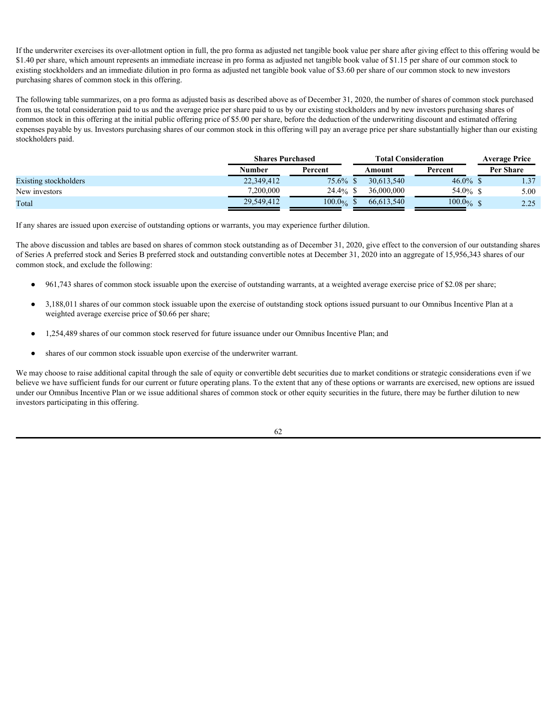If the underwriter exercises its over-allotment option in full, the pro forma as adjusted net tangible book value per share after giving effect to this offering would be \$1.40 per share, which amount represents an immediate increase in pro forma as adjusted net tangible book value of \$1.15 per share of our common stock to existing stockholders and an immediate dilution in pro forma as adjusted net tangible book value of \$3.60 per share of our common stock to new investors purchasing shares of common stock in this offering.

The following table summarizes, on a pro forma as adjusted basis as described above as of December 31, 2020, the number of shares of common stock purchased from us, the total consideration paid to us and the average price per share paid to us by our existing stockholders and by new investors purchasing shares of common stock in this offering at the initial public offering price of \$5.00 per share, before the deduction of the underwriting discount and estimated offering expenses payable by us. Investors purchasing shares of our common stock in this offering will pay an average price per share substantially higher than our existing stockholders paid.

|                       | <b>Shares Purchased</b> |          | <b>Total Consideration</b> | <b>Average Price</b> |                  |  |
|-----------------------|-------------------------|----------|----------------------------|----------------------|------------------|--|
|                       | Number                  | Percent  | Amount                     | Percent              | <b>Per Share</b> |  |
| Existing stockholders | 22,349,412              | $75.6\%$ | 30,613,540                 | 46.0% \$             | 1.37             |  |
| New investors         | 7,200,000               | 24.4%    | 36,000,000                 | 54.0% $\frac{6}{15}$ | 5.00             |  |
| Total                 | 29,549,412              | 100.0%   | 66,613,540                 | $100.0\%$            | 2.25             |  |

If any shares are issued upon exercise of outstanding options or warrants, you may experience further dilution.

The above discussion and tables are based on shares of common stock outstanding as of December 31, 2020, give effect to the conversion of our outstanding shares of Series A preferred stock and Series B preferred stock and outstanding convertible notes at December 31, 2020 into an aggregate of 15,956,343 shares of our common stock, and exclude the following:

- 961,743 shares of common stock issuable upon the exercise of outstanding warrants, at a weighted average exercise price of \$2.08 per share;
- 3,188,011 shares of our common stock issuable upon the exercise of outstanding stock options issued pursuant to our Omnibus Incentive Plan at a weighted average exercise price of \$0.66 per share;
- 1,254,489 shares of our common stock reserved for future issuance under our Omnibus Incentive Plan; and
- shares of our common stock issuable upon exercise of the underwriter warrant.

We may choose to raise additional capital through the sale of equity or convertible debt securities due to market conditions or strategic considerations even if we believe we have sufficient funds for our current or future operating plans. To the extent that any of these options or warrants are exercised, new options are issued under our Omnibus Incentive Plan or we issue additional shares of common stock or other equity securities in the future, there may be further dilution to new investors participating in this offering.

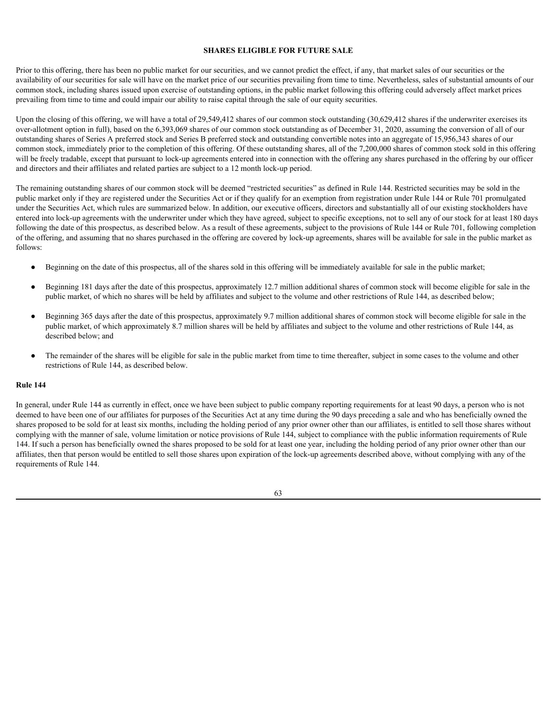#### **SHARES ELIGIBLE FOR FUTURE SALE**

Prior to this offering, there has been no public market for our securities, and we cannot predict the effect, if any, that market sales of our securities or the availability of our securities for sale will have on the market price of our securities prevailing from time to time. Nevertheless, sales of substantial amounts of our common stock, including shares issued upon exercise of outstanding options, in the public market following this offering could adversely affect market prices prevailing from time to time and could impair our ability to raise capital through the sale of our equity securities.

Upon the closing of this offering, we will have a total of 29,549,412 shares of our common stock outstanding (30,629,412 shares if the underwriter exercises its over-allotment option in full), based on the 6,393,069 shares of our common stock outstanding as of December 31, 2020, assuming the conversion of all of our outstanding shares of Series A preferred stock and Series B preferred stock and outstanding convertible notes into an aggregate of 15,956,343 shares of our common stock, immediately prior to the completion of this offering. Of these outstanding shares, all of the 7,200,000 shares of common stock sold in this offering will be freely tradable, except that pursuant to lock-up agreements entered into in connection with the offering any shares purchased in the offering by our officer and directors and their affiliates and related parties are subject to a 12 month lock-up period.

The remaining outstanding shares of our common stock will be deemed "restricted securities" as defined in Rule 144. Restricted securities may be sold in the public market only if they are registered under the Securities Act or if they qualify for an exemption from registration under Rule 144 or Rule 701 promulgated under the Securities Act, which rules are summarized below. In addition, our executive officers, directors and substantially all of our existing stockholders have entered into lock-up agreements with the underwriter under which they have agreed, subject to specific exceptions, not to sell any of our stock for at least 180 days following the date of this prospectus, as described below. As a result of these agreements, subject to the provisions of Rule 144 or Rule 701, following completion of the offering, and assuming that no shares purchased in the offering are covered by lock-up agreements, shares will be available for sale in the public market as follows:

- Beginning on the date of this prospectus, all of the shares sold in this offering will be immediately available for sale in the public market;
- Beginning 181 days after the date of this prospectus, approximately 12.7 million additional shares of common stock will become eligible for sale in the public market, of which no shares will be held by affiliates and subject to the volume and other restrictions of Rule 144, as described below;
- Beginning 365 days after the date of this prospectus, approximately 9.7 million additional shares of common stock will become eligible for sale in the public market, of which approximately 8.7 million shares will be held by affiliates and subject to the volume and other restrictions of Rule 144, as described below; and
- The remainder of the shares will be eligible for sale in the public market from time to time thereafter, subject in some cases to the volume and other restrictions of Rule 144, as described below.

# **Rule 144**

In general, under Rule 144 as currently in effect, once we have been subject to public company reporting requirements for at least 90 days, a person who is not deemed to have been one of our affiliates for purposes of the Securities Act at any time during the 90 days preceding a sale and who has beneficially owned the shares proposed to be sold for at least six months, including the holding period of any prior owner other than our affiliates, is entitled to sell those shares without complying with the manner of sale, volume limitation or notice provisions of Rule 144, subject to compliance with the public information requirements of Rule 144. If such a person has beneficially owned the shares proposed to be sold for at least one year, including the holding period of any prior owner other than our affiliates, then that person would be entitled to sell those shares upon expiration of the lock-up agreements described above, without complying with any of the requirements of Rule 144.

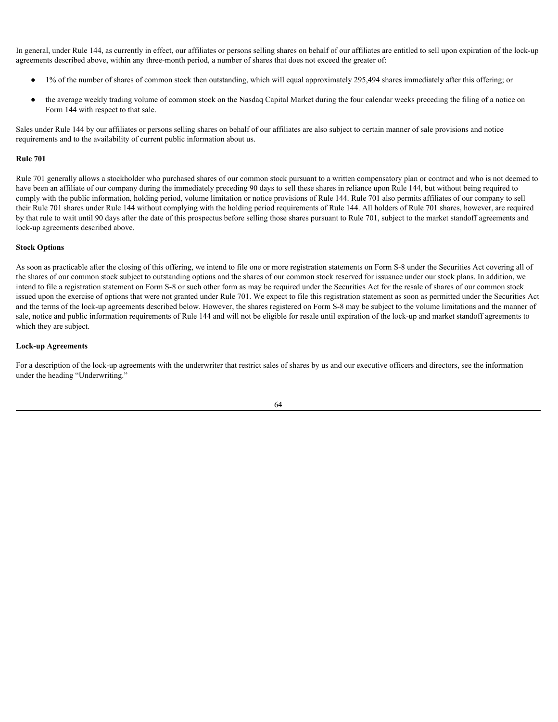In general, under Rule 144, as currently in effect, our affiliates or persons selling shares on behalf of our affiliates are entitled to sell upon expiration of the lock-up agreements described above, within any three-month period, a number of shares that does not exceed the greater of:

- 1% of the number of shares of common stock then outstanding, which will equal approximately 295,494 shares immediately after this offering; or
- the average weekly trading volume of common stock on the Nasdaq Capital Market during the four calendar weeks preceding the filing of a notice on Form 144 with respect to that sale.

Sales under Rule 144 by our affiliates or persons selling shares on behalf of our affiliates are also subject to certain manner of sale provisions and notice requirements and to the availability of current public information about us.

#### **Rule 701**

Rule 701 generally allows a stockholder who purchased shares of our common stock pursuant to a written compensatory plan or contract and who is not deemed to have been an affiliate of our company during the immediately preceding 90 days to sell these shares in reliance upon Rule 144, but without being required to comply with the public information, holding period, volume limitation or notice provisions of Rule 144. Rule 701 also permits affiliates of our company to sell their Rule 701 shares under Rule 144 without complying with the holding period requirements of Rule 144. All holders of Rule 701 shares, however, are required by that rule to wait until 90 days after the date of this prospectus before selling those shares pursuant to Rule 701, subject to the market standoff agreements and lock-up agreements described above.

#### **Stock Options**

As soon as practicable after the closing of this offering, we intend to file one or more registration statements on Form S-8 under the Securities Act covering all of the shares of our common stock subject to outstanding options and the shares of our common stock reserved for issuance under our stock plans. In addition, we intend to file a registration statement on Form S-8 or such other form as may be required under the Securities Act for the resale of shares of our common stock issued upon the exercise of options that were not granted under Rule 701. We expect to file this registration statement as soon as permitted under the Securities Act and the terms of the lock-up agreements described below. However, the shares registered on Form S-8 may be subject to the volume limitations and the manner of sale, notice and public information requirements of Rule 144 and will not be eligible for resale until expiration of the lock-up and market standoff agreements to which they are subject.

# **Lock-up Agreements**

For a description of the lock-up agreements with the underwriter that restrict sales of shares by us and our executive officers and directors, see the information under the heading "Underwriting."

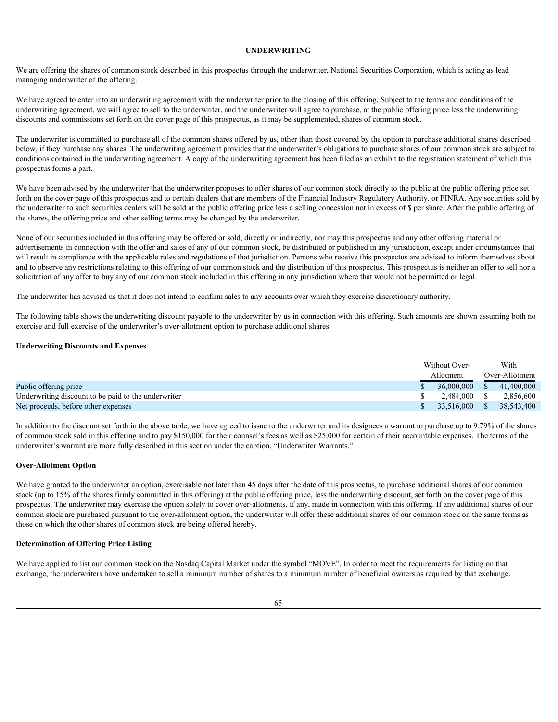## **UNDERWRITING**

We are offering the shares of common stock described in this prospectus through the underwriter, National Securities Corporation, which is acting as lead managing underwriter of the offering.

We have agreed to enter into an underwriting agreement with the underwriter prior to the closing of this offering. Subject to the terms and conditions of the underwriting agreement, we will agree to sell to the underwriter, and the underwriter will agree to purchase, at the public offering price less the underwriting discounts and commissions set forth on the cover page of this prospectus, as it may be supplemented, shares of common stock.

The underwriter is committed to purchase all of the common shares offered by us, other than those covered by the option to purchase additional shares described below, if they purchase any shares. The underwriting agreement provides that the underwriter's obligations to purchase shares of our common stock are subject to conditions contained in the underwriting agreement. A copy of the underwriting agreement has been filed as an exhibit to the registration statement of which this prospectus forms a part.

We have been advised by the underwriter that the underwriter proposes to offer shares of our common stock directly to the public at the public offering price set forth on the cover page of this prospectus and to certain dealers that are members of the Financial Industry Regulatory Authority, or FINRA. Any securities sold by the underwriter to such securities dealers will be sold at the public offering price less a selling concession not in excess of \$ per share. After the public offering of the shares, the offering price and other selling terms may be changed by the underwriter.

None of our securities included in this offering may be offered or sold, directly or indirectly, nor may this prospectus and any other offering material or advertisements in connection with the offer and sales of any of our common stock, be distributed or published in any jurisdiction, except under circumstances that will result in compliance with the applicable rules and regulations of that jurisdiction. Persons who receive this prospectus are advised to inform themselves about and to observe any restrictions relating to this offering of our common stock and the distribution of this prospectus. This prospectus is neither an offer to sell nor a solicitation of any offer to buy any of our common stock included in this offering in any jurisdiction where that would not be permitted or legal.

The underwriter has advised us that it does not intend to confirm sales to any accounts over which they exercise discretionary authority.

The following table shows the underwriting discount payable to the underwriter by us in connection with this offering. Such amounts are shown assuming both no exercise and full exercise of the underwriter's over-allotment option to purchase additional shares.

#### **Underwriting Discounts and Expenses**

|                                                     | Without Over- | With           |
|-----------------------------------------------------|---------------|----------------|
|                                                     | Allotment     | Over-Allotment |
| Public offering price                               | 36,000,000    | 41,400,000     |
| Underwriting discount to be paid to the underwriter | 2.484.000     | 2,856,600      |
| Net proceeds, before other expenses                 | 33,516,000    | 38,543,400     |

In addition to the discount set forth in the above table, we have agreed to issue to the underwriter and its designees a warrant to purchase up to 9.79% of the shares of common stock sold in this offering and to pay \$150,000 for their counsel's fees as well as \$25,000 for certain of their accountable expenses. The terms of the underwriter's warrant are more fully described in this section under the caption, "Underwriter Warrants."

# **Over-Allotment Option**

We have granted to the underwriter an option, exercisable not later than 45 days after the date of this prospectus, to purchase additional shares of our common stock (up to 15% of the shares firmly committed in this offering) at the public offering price, less the underwriting discount, set forth on the cover page of this prospectus. The underwriter may exercise the option solely to cover over-allotments, if any, made in connection with this offering. If any additional shares of our common stock are purchased pursuant to the over-allotment option, the underwriter will offer these additional shares of our common stock on the same terms as those on which the other shares of common stock are being offered hereby.

#### **Determination of Offering Price Listing**

We have applied to list our common stock on the Nasdaq Capital Market under the symbol "MOVE". In order to meet the requirements for listing on that exchange, the underwriters have undertaken to sell a minimum number of shares to a minimum number of beneficial owners as required by that exchange.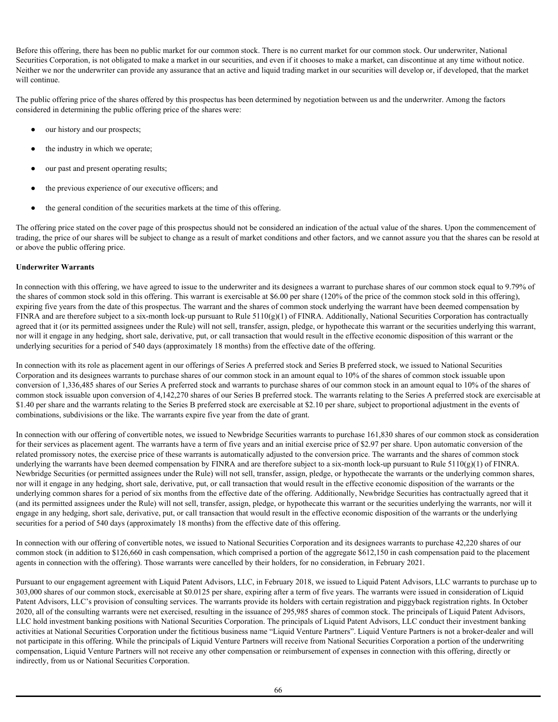Before this offering, there has been no public market for our common stock. There is no current market for our common stock. Our underwriter, National Securities Corporation, is not obligated to make a market in our securities, and even if it chooses to make a market, can discontinue at any time without notice. Neither we nor the underwriter can provide any assurance that an active and liquid trading market in our securities will develop or, if developed, that the market will continue.

The public offering price of the shares offered by this prospectus has been determined by negotiation between us and the underwriter. Among the factors considered in determining the public offering price of the shares were:

- our history and our prospects;
- the industry in which we operate;
- our past and present operating results;
- the previous experience of our executive officers; and
- the general condition of the securities markets at the time of this offering.

The offering price stated on the cover page of this prospectus should not be considered an indication of the actual value of the shares. Upon the commencement of trading, the price of our shares will be subject to change as a result of market conditions and other factors, and we cannot assure you that the shares can be resold at or above the public offering price.

# **Underwriter Warrants**

In connection with this offering, we have agreed to issue to the underwriter and its designees a warrant to purchase shares of our common stock equal to 9.79% of the shares of common stock sold in this offering. This warrant is exercisable at \$6.00 per share (120% of the price of the common stock sold in this offering), expiring five years from the date of this prospectus. The warrant and the shares of common stock underlying the warrant have been deemed compensation by FINRA and are therefore subject to a six-month lock-up pursuant to Rule  $5110(g)(1)$  of FINRA. Additionally, National Securities Corporation has contractually agreed that it (or its permitted assignees under the Rule) will not sell, transfer, assign, pledge, or hypothecate this warrant or the securities underlying this warrant, nor will it engage in any hedging, short sale, derivative, put, or call transaction that would result in the effective economic disposition of this warrant or the underlying securities for a period of 540 days (approximately 18 months) from the effective date of the offering.

In connection with its role as placement agent in our offerings of Series A preferred stock and Series B preferred stock, we issued to National Securities Corporation and its designees warrants to purchase shares of our common stock in an amount equal to 10% of the shares of common stock issuable upon conversion of 1,336,485 shares of our Series A preferred stock and warrants to purchase shares of our common stock in an amount equal to 10% of the shares of common stock issuable upon conversion of 4,142,270 shares of our Series B preferred stock. The warrants relating to the Series A preferred stock are exercisable at \$1.40 per share and the warrants relating to the Series B preferred stock are exercisable at \$2.10 per share, subject to proportional adjustment in the events of combinations, subdivisions or the like. The warrants expire five year from the date of grant.

In connection with our offering of convertible notes, we issued to Newbridge Securities warrants to purchase 161,830 shares of our common stock as consideration for their services as placement agent. The warrants have a term of five years and an initial exercise price of \$2.97 per share. Upon automatic conversion of the related promissory notes, the exercise price of these warrants is automatically adjusted to the conversion price. The warrants and the shares of common stock underlying the warrants have been deemed compensation by FINRA and are therefore subject to a six-month lock-up pursuant to Rule 5110(g)(1) of FINRA. Newbridge Securities (or permitted assignees under the Rule) will not sell, transfer, assign, pledge, or hypothecate the warrants or the underlying common shares, nor will it engage in any hedging, short sale, derivative, put, or call transaction that would result in the effective economic disposition of the warrants or the underlying common shares for a period of six months from the effective date of the offering. Additionally, Newbridge Securities has contractually agreed that it (and its permitted assignees under the Rule) will not sell, transfer, assign, pledge, or hypothecate this warrant or the securities underlying the warrants, nor will it engage in any hedging, short sale, derivative, put, or call transaction that would result in the effective economic disposition of the warrants or the underlying securities for a period of 540 days (approximately 18 months) from the effective date of this offering.

In connection with our offering of convertible notes, we issued to National Securities Corporation and its designees warrants to purchase 42,220 shares of our common stock (in addition to \$126,660 in cash compensation, which comprised a portion of the aggregate \$612,150 in cash compensation paid to the placement agents in connection with the offering). Those warrants were cancelled by their holders, for no consideration, in February 2021.

Pursuant to our engagement agreement with Liquid Patent Advisors, LLC, in February 2018, we issued to Liquid Patent Advisors, LLC warrants to purchase up to 303,000 shares of our common stock, exercisable at \$0.0125 per share, expiring after a term of five years. The warrants were issued in consideration of Liquid Patent Advisors, LLC's provision of consulting services. The warrants provide its holders with certain registration and piggyback registration rights. In October 2020, all of the consulting warrants were net exercised, resulting in the issuance of 295,985 shares of common stock. The principals of Liquid Patent Advisors, LLC hold investment banking positions with National Securities Corporation. The principals of Liquid Patent Advisors, LLC conduct their investment banking activities at National Securities Corporation under the fictitious business name "Liquid Venture Partners". Liquid Venture Partners is not a broker-dealer and will not participate in this offering. While the principals of Liquid Venture Partners will receive from National Securities Corporation a portion of the underwriting compensation, Liquid Venture Partners will not receive any other compensation or reimbursement of expenses in connection with this offering, directly or indirectly, from us or National Securities Corporation.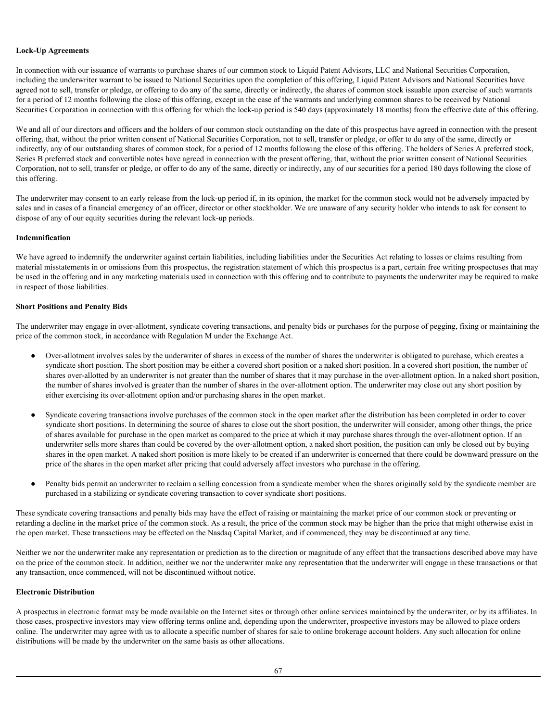### **Lock-Up Agreements**

In connection with our issuance of warrants to purchase shares of our common stock to Liquid Patent Advisors, LLC and National Securities Corporation, including the underwriter warrant to be issued to National Securities upon the completion of this offering, Liquid Patent Advisors and National Securities have agreed not to sell, transfer or pledge, or offering to do any of the same, directly or indirectly, the shares of common stock issuable upon exercise of such warrants for a period of 12 months following the close of this offering, except in the case of the warrants and underlying common shares to be received by National Securities Corporation in connection with this offering for which the lock-up period is 540 days (approximately 18 months) from the effective date of this offering.

We and all of our directors and officers and the holders of our common stock outstanding on the date of this prospectus have agreed in connection with the present offering, that, without the prior written consent of National Securities Corporation, not to sell, transfer or pledge, or offer to do any of the same, directly or indirectly, any of our outstanding shares of common stock, for a period of 12 months following the close of this offering. The holders of Series A preferred stock, Series B preferred stock and convertible notes have agreed in connection with the present offering, that, without the prior written consent of National Securities Corporation, not to sell, transfer or pledge, or offer to do any of the same, directly or indirectly, any of our securities for a period 180 days following the close of this offering.

The underwriter may consent to an early release from the lock-up period if, in its opinion, the market for the common stock would not be adversely impacted by sales and in cases of a financial emergency of an officer, director or other stockholder. We are unaware of any security holder who intends to ask for consent to dispose of any of our equity securities during the relevant lock-up periods.

# **Indemnification**

We have agreed to indemnify the underwriter against certain liabilities, including liabilities under the Securities Act relating to losses or claims resulting from material misstatements in or omissions from this prospectus, the registration statement of which this prospectus is a part, certain free writing prospectuses that may be used in the offering and in any marketing materials used in connection with this offering and to contribute to payments the underwriter may be required to make in respect of those liabilities.

# **Short Positions and Penalty Bids**

The underwriter may engage in over-allotment, syndicate covering transactions, and penalty bids or purchases for the purpose of pegging, fixing or maintaining the price of the common stock, in accordance with Regulation M under the Exchange Act.

- Over-allotment involves sales by the underwriter of shares in excess of the number of shares the underwriter is obligated to purchase, which creates a syndicate short position. The short position may be either a covered short position or a naked short position. In a covered short position, the number of shares over-allotted by an underwriter is not greater than the number of shares that it may purchase in the over-allotment option. In a naked short position, the number of shares involved is greater than the number of shares in the over-allotment option. The underwriter may close out any short position by either exercising its over-allotment option and/or purchasing shares in the open market.
- Syndicate covering transactions involve purchases of the common stock in the open market after the distribution has been completed in order to cover syndicate short positions. In determining the source of shares to close out the short position, the underwriter will consider, among other things, the price of shares available for purchase in the open market as compared to the price at which it may purchase shares through the over-allotment option. If an underwriter sells more shares than could be covered by the over-allotment option, a naked short position, the position can only be closed out by buying shares in the open market. A naked short position is more likely to be created if an underwriter is concerned that there could be downward pressure on the price of the shares in the open market after pricing that could adversely affect investors who purchase in the offering.
- Penalty bids permit an underwriter to reclaim a selling concession from a syndicate member when the shares originally sold by the syndicate member are purchased in a stabilizing or syndicate covering transaction to cover syndicate short positions.

These syndicate covering transactions and penalty bids may have the effect of raising or maintaining the market price of our common stock or preventing or retarding a decline in the market price of the common stock. As a result, the price of the common stock may be higher than the price that might otherwise exist in the open market. These transactions may be effected on the Nasdaq Capital Market, and if commenced, they may be discontinued at any time.

Neither we nor the underwriter make any representation or prediction as to the direction or magnitude of any effect that the transactions described above may have on the price of the common stock. In addition, neither we nor the underwriter make any representation that the underwriter will engage in these transactions or that any transaction, once commenced, will not be discontinued without notice.

# **Electronic Distribution**

A prospectus in electronic format may be made available on the Internet sites or through other online services maintained by the underwriter, or by its affiliates. In those cases, prospective investors may view offering terms online and, depending upon the underwriter, prospective investors may be allowed to place orders online. The underwriter may agree with us to allocate a specific number of shares for sale to online brokerage account holders. Any such allocation for online distributions will be made by the underwriter on the same basis as other allocations.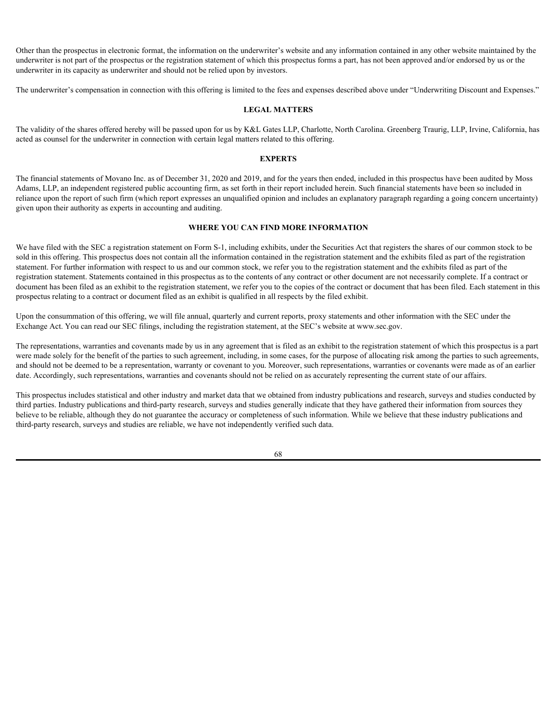Other than the prospectus in electronic format, the information on the underwriter's website and any information contained in any other website maintained by the underwriter is not part of the prospectus or the registration statement of which this prospectus forms a part, has not been approved and/or endorsed by us or the underwriter in its capacity as underwriter and should not be relied upon by investors.

The underwriter's compensation in connection with this offering is limited to the fees and expenses described above under "Underwriting Discount and Expenses."

#### **LEGAL MATTERS**

The validity of the shares offered hereby will be passed upon for us by K&L Gates LLP, Charlotte, North Carolina. Greenberg Traurig, LLP, Irvine, California, has acted as counsel for the underwriter in connection with certain legal matters related to this offering.

#### **EXPERTS**

The financial statements of Movano Inc. as of December 31, 2020 and 2019, and for the years then ended, included in this prospectus have been audited by Moss Adams, LLP, an independent registered public accounting firm, as set forth in their report included herein. Such financial statements have been so included in reliance upon the report of such firm (which report expresses an unqualified opinion and includes an explanatory paragraph regarding a going concern uncertainty) given upon their authority as experts in accounting and auditing.

### **WHERE YOU CAN FIND MORE INFORMATION**

We have filed with the SEC a registration statement on Form S-1, including exhibits, under the Securities Act that registers the shares of our common stock to be sold in this offering. This prospectus does not contain all the information contained in the registration statement and the exhibits filed as part of the registration statement. For further information with respect to us and our common stock, we refer you to the registration statement and the exhibits filed as part of the registration statement. Statements contained in this prospectus as to the contents of any contract or other document are not necessarily complete. If a contract or document has been filed as an exhibit to the registration statement, we refer you to the copies of the contract or document that has been filed. Each statement in this prospectus relating to a contract or document filed as an exhibit is qualified in all respects by the filed exhibit.

Upon the consummation of this offering, we will file annual, quarterly and current reports, proxy statements and other information with the SEC under the Exchange Act. You can read our SEC filings, including the registration statement, at the SEC's website at www.sec.gov.

The representations, warranties and covenants made by us in any agreement that is filed as an exhibit to the registration statement of which this prospectus is a part were made solely for the benefit of the parties to such agreement, including, in some cases, for the purpose of allocating risk among the parties to such agreements, and should not be deemed to be a representation, warranty or covenant to you. Moreover, such representations, warranties or covenants were made as of an earlier date. Accordingly, such representations, warranties and covenants should not be relied on as accurately representing the current state of our affairs.

This prospectus includes statistical and other industry and market data that we obtained from industry publications and research, surveys and studies conducted by third parties. Industry publications and third-party research, surveys and studies generally indicate that they have gathered their information from sources they believe to be reliable, although they do not guarantee the accuracy or completeness of such information. While we believe that these industry publications and third-party research, surveys and studies are reliable, we have not independently verified such data.

68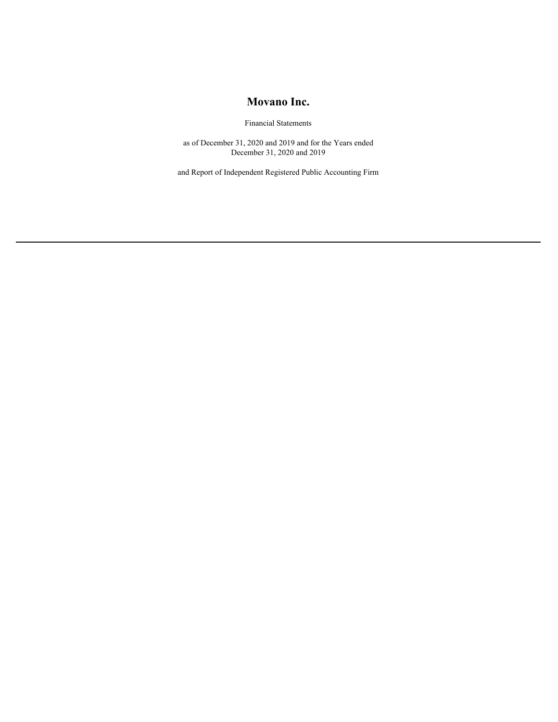# **Movano Inc.**

Financial Statements

as of December 31, 2020 and 2019 and for the Years ended December 31, 2020 and 2019

and Report of Independent Registered Public Accounting Firm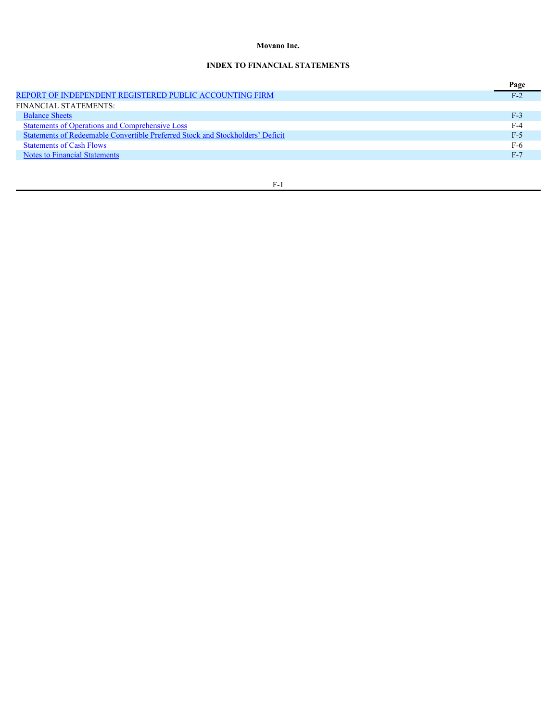# **Movano Inc.**

# **INDEX TO FINANCIAL STATEMENTS**

|                                                                                | Page  |
|--------------------------------------------------------------------------------|-------|
| REPORT OF INDEPENDENT REGISTERED PUBLIC ACCOUNTING FIRM                        | $F-2$ |
| FINANCIAL STATEMENTS:                                                          |       |
| <b>Balance Sheets</b>                                                          | $F-3$ |
| <b>Statements of Operations and Comprehensive Loss</b>                         | $F-4$ |
| Statements of Redeemable Convertible Preferred Stock and Stockholders' Deficit | $F-5$ |
| <b>Statements of Cash Flows</b>                                                | F-6   |
| Notes to Financial Statements                                                  | $F-7$ |
|                                                                                |       |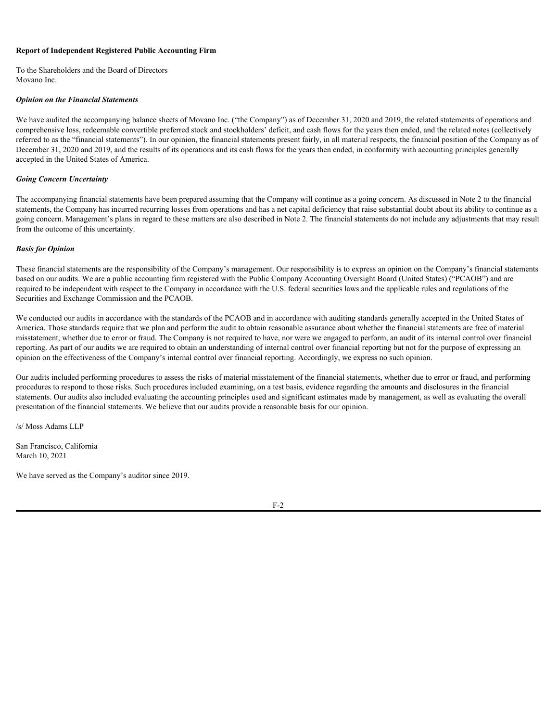### <span id="page-74-0"></span>**Report of Independent Registered Public Accounting Firm**

To the Shareholders and the Board of Directors Movano Inc.

#### *Opinion on the Financial Statements*

We have audited the accompanying balance sheets of Movano Inc. ("the Company") as of December 31, 2020 and 2019, the related statements of operations and comprehensive loss, redeemable convertible preferred stock and stockholders' deficit, and cash flows for the years then ended, and the related notes (collectively referred to as the "financial statements"). In our opinion, the financial statements present fairly, in all material respects, the financial position of the Company as of December 31, 2020 and 2019, and the results of its operations and its cash flows for the years then ended, in conformity with accounting principles generally accepted in the United States of America.

### *Going Concern Uncertainty*

The accompanying financial statements have been prepared assuming that the Company will continue as a going concern. As discussed in Note 2 to the financial statements, the Company has incurred recurring losses from operations and has a net capital deficiency that raise substantial doubt about its ability to continue as a going concern. Management's plans in regard to these matters are also described in Note 2. The financial statements do not include any adjustments that may result from the outcome of this uncertainty.

#### *Basis for Opinion*

These financial statements are the responsibility of the Company's management. Our responsibility is to express an opinion on the Company's financial statements based on our audits. We are a public accounting firm registered with the Public Company Accounting Oversight Board (United States) ("PCAOB") and are required to be independent with respect to the Company in accordance with the U.S. federal securities laws and the applicable rules and regulations of the Securities and Exchange Commission and the PCAOB.

We conducted our audits in accordance with the standards of the PCAOB and in accordance with auditing standards generally accepted in the United States of America. Those standards require that we plan and perform the audit to obtain reasonable assurance about whether the financial statements are free of material misstatement, whether due to error or fraud. The Company is not required to have, nor were we engaged to perform, an audit of its internal control over financial reporting. As part of our audits we are required to obtain an understanding of internal control over financial reporting but not for the purpose of expressing an opinion on the effectiveness of the Company's internal control over financial reporting. Accordingly, we express no such opinion.

Our audits included performing procedures to assess the risks of material misstatement of the financial statements, whether due to error or fraud, and performing procedures to respond to those risks. Such procedures included examining, on a test basis, evidence regarding the amounts and disclosures in the financial statements. Our audits also included evaluating the accounting principles used and significant estimates made by management, as well as evaluating the overall presentation of the financial statements. We believe that our audits provide a reasonable basis for our opinion.

/s/ Moss Adams LLP

San Francisco, California March 10, 2021

We have served as the Company's auditor since 2019.

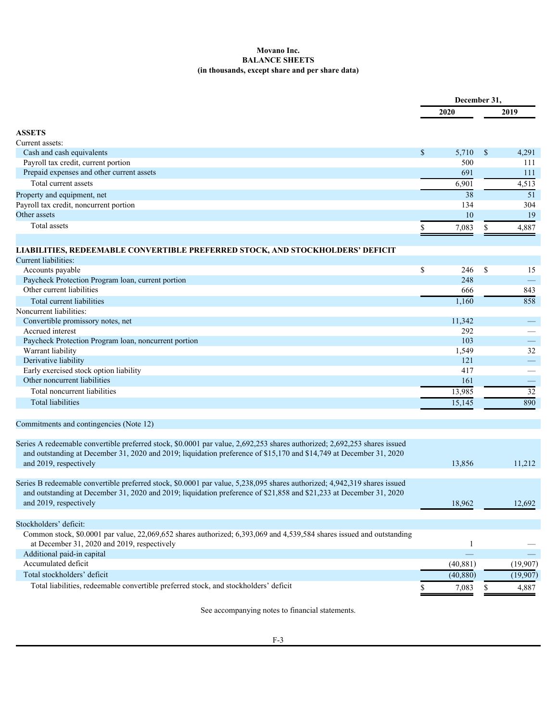### <span id="page-75-0"></span>**Movano Inc. BALANCE SHEETS (in thousands, except share and per share data)**

| 2019<br>2020<br><b>ASSETS</b><br>Cash and cash equivalents<br>$\mathbb{S}$<br>5,710 \$<br>500<br>111<br>Payroll tax credit, current portion<br>Prepaid expenses and other current assets<br>691<br>Total current assets<br>6,901<br>38<br>134<br>10<br>Total assets<br>7,083<br><sup>S</sup><br>$\mathbb{S}$<br>$246 - $$<br>Accounts payable<br>248<br>Paycheck Protection Program loan, current portion<br>Other current liabilities<br>666<br>1,160<br>Total current liabilities<br>Convertible promissory notes, net<br>11,342<br>292<br>Accrued interest<br>103<br>Paycheck Protection Program loan, noncurrent portion<br>1,549<br>Warrant liability<br>121<br>Derivative liability<br>Early exercised stock option liability<br>417<br>Other noncurrent liabilities<br>161<br>Total noncurrent liabilities<br>13,985<br><b>Total liabilities</b><br>15,145<br>and outstanding at December 31, 2020 and 2019; liquidation preference of \$15,170 and \$14,749 at December 31, 2020<br>13,856<br>and 2019, respectively<br>and outstanding at December 31, 2020 and 2019; liquidation preference of \$21,858 and \$21,233 at December 31, 2020<br>and 2019, respectively<br>18,962<br>Stockholders' deficit: |  | December 31, |  |  |  |
|-------------------------------------------------------------------------------------------------------------------------------------------------------------------------------------------------------------------------------------------------------------------------------------------------------------------------------------------------------------------------------------------------------------------------------------------------------------------------------------------------------------------------------------------------------------------------------------------------------------------------------------------------------------------------------------------------------------------------------------------------------------------------------------------------------------------------------------------------------------------------------------------------------------------------------------------------------------------------------------------------------------------------------------------------------------------------------------------------------------------------------------------------------------------------------------------------------------------|--|--------------|--|--|--|
| Current assets:<br>4,291<br>111<br>4,513<br>51<br>Property and equipment, net<br>304<br>Payroll tax credit, noncurrent portion<br>Other assets<br>19<br>4,887<br>LIABILITIES, REDEEMABLE CONVERTIBLE PREFERRED STOCK, AND STOCKHOLDERS' DEFICIT<br><b>Current liabilities:</b><br>15<br>$\overline{\phantom{m}}$<br>843<br>858<br>Noncurrent liabilities:<br>$\equiv$<br>$\overline{\phantom{a}}$<br>32<br>$\frac{1}{2}$<br>$\overline{\phantom{m}}$<br>32<br>890<br>Commitments and contingencies (Note 12)<br>Series A redeemable convertible preferred stock, \$0.0001 par value, 2,692,253 shares authorized; 2,692,253 shares issued<br>11,212<br>Series B redeemable convertible preferred stock, \$0.0001 par value, 5,238,095 shares authorized; 4,942,319 shares issued<br>12,692                                                                                                                                                                                                                                                                                                                                                                                                                        |  |              |  |  |  |
|                                                                                                                                                                                                                                                                                                                                                                                                                                                                                                                                                                                                                                                                                                                                                                                                                                                                                                                                                                                                                                                                                                                                                                                                                   |  |              |  |  |  |
|                                                                                                                                                                                                                                                                                                                                                                                                                                                                                                                                                                                                                                                                                                                                                                                                                                                                                                                                                                                                                                                                                                                                                                                                                   |  |              |  |  |  |
|                                                                                                                                                                                                                                                                                                                                                                                                                                                                                                                                                                                                                                                                                                                                                                                                                                                                                                                                                                                                                                                                                                                                                                                                                   |  |              |  |  |  |
|                                                                                                                                                                                                                                                                                                                                                                                                                                                                                                                                                                                                                                                                                                                                                                                                                                                                                                                                                                                                                                                                                                                                                                                                                   |  |              |  |  |  |
|                                                                                                                                                                                                                                                                                                                                                                                                                                                                                                                                                                                                                                                                                                                                                                                                                                                                                                                                                                                                                                                                                                                                                                                                                   |  |              |  |  |  |
|                                                                                                                                                                                                                                                                                                                                                                                                                                                                                                                                                                                                                                                                                                                                                                                                                                                                                                                                                                                                                                                                                                                                                                                                                   |  |              |  |  |  |
|                                                                                                                                                                                                                                                                                                                                                                                                                                                                                                                                                                                                                                                                                                                                                                                                                                                                                                                                                                                                                                                                                                                                                                                                                   |  |              |  |  |  |
|                                                                                                                                                                                                                                                                                                                                                                                                                                                                                                                                                                                                                                                                                                                                                                                                                                                                                                                                                                                                                                                                                                                                                                                                                   |  |              |  |  |  |
|                                                                                                                                                                                                                                                                                                                                                                                                                                                                                                                                                                                                                                                                                                                                                                                                                                                                                                                                                                                                                                                                                                                                                                                                                   |  |              |  |  |  |
|                                                                                                                                                                                                                                                                                                                                                                                                                                                                                                                                                                                                                                                                                                                                                                                                                                                                                                                                                                                                                                                                                                                                                                                                                   |  |              |  |  |  |
|                                                                                                                                                                                                                                                                                                                                                                                                                                                                                                                                                                                                                                                                                                                                                                                                                                                                                                                                                                                                                                                                                                                                                                                                                   |  |              |  |  |  |
|                                                                                                                                                                                                                                                                                                                                                                                                                                                                                                                                                                                                                                                                                                                                                                                                                                                                                                                                                                                                                                                                                                                                                                                                                   |  |              |  |  |  |
|                                                                                                                                                                                                                                                                                                                                                                                                                                                                                                                                                                                                                                                                                                                                                                                                                                                                                                                                                                                                                                                                                                                                                                                                                   |  |              |  |  |  |
|                                                                                                                                                                                                                                                                                                                                                                                                                                                                                                                                                                                                                                                                                                                                                                                                                                                                                                                                                                                                                                                                                                                                                                                                                   |  |              |  |  |  |
|                                                                                                                                                                                                                                                                                                                                                                                                                                                                                                                                                                                                                                                                                                                                                                                                                                                                                                                                                                                                                                                                                                                                                                                                                   |  |              |  |  |  |
|                                                                                                                                                                                                                                                                                                                                                                                                                                                                                                                                                                                                                                                                                                                                                                                                                                                                                                                                                                                                                                                                                                                                                                                                                   |  |              |  |  |  |
|                                                                                                                                                                                                                                                                                                                                                                                                                                                                                                                                                                                                                                                                                                                                                                                                                                                                                                                                                                                                                                                                                                                                                                                                                   |  |              |  |  |  |
|                                                                                                                                                                                                                                                                                                                                                                                                                                                                                                                                                                                                                                                                                                                                                                                                                                                                                                                                                                                                                                                                                                                                                                                                                   |  |              |  |  |  |
|                                                                                                                                                                                                                                                                                                                                                                                                                                                                                                                                                                                                                                                                                                                                                                                                                                                                                                                                                                                                                                                                                                                                                                                                                   |  |              |  |  |  |
|                                                                                                                                                                                                                                                                                                                                                                                                                                                                                                                                                                                                                                                                                                                                                                                                                                                                                                                                                                                                                                                                                                                                                                                                                   |  |              |  |  |  |
|                                                                                                                                                                                                                                                                                                                                                                                                                                                                                                                                                                                                                                                                                                                                                                                                                                                                                                                                                                                                                                                                                                                                                                                                                   |  |              |  |  |  |
|                                                                                                                                                                                                                                                                                                                                                                                                                                                                                                                                                                                                                                                                                                                                                                                                                                                                                                                                                                                                                                                                                                                                                                                                                   |  |              |  |  |  |
|                                                                                                                                                                                                                                                                                                                                                                                                                                                                                                                                                                                                                                                                                                                                                                                                                                                                                                                                                                                                                                                                                                                                                                                                                   |  |              |  |  |  |
|                                                                                                                                                                                                                                                                                                                                                                                                                                                                                                                                                                                                                                                                                                                                                                                                                                                                                                                                                                                                                                                                                                                                                                                                                   |  |              |  |  |  |
|                                                                                                                                                                                                                                                                                                                                                                                                                                                                                                                                                                                                                                                                                                                                                                                                                                                                                                                                                                                                                                                                                                                                                                                                                   |  |              |  |  |  |
|                                                                                                                                                                                                                                                                                                                                                                                                                                                                                                                                                                                                                                                                                                                                                                                                                                                                                                                                                                                                                                                                                                                                                                                                                   |  |              |  |  |  |
|                                                                                                                                                                                                                                                                                                                                                                                                                                                                                                                                                                                                                                                                                                                                                                                                                                                                                                                                                                                                                                                                                                                                                                                                                   |  |              |  |  |  |
|                                                                                                                                                                                                                                                                                                                                                                                                                                                                                                                                                                                                                                                                                                                                                                                                                                                                                                                                                                                                                                                                                                                                                                                                                   |  |              |  |  |  |
|                                                                                                                                                                                                                                                                                                                                                                                                                                                                                                                                                                                                                                                                                                                                                                                                                                                                                                                                                                                                                                                                                                                                                                                                                   |  |              |  |  |  |
|                                                                                                                                                                                                                                                                                                                                                                                                                                                                                                                                                                                                                                                                                                                                                                                                                                                                                                                                                                                                                                                                                                                                                                                                                   |  |              |  |  |  |
|                                                                                                                                                                                                                                                                                                                                                                                                                                                                                                                                                                                                                                                                                                                                                                                                                                                                                                                                                                                                                                                                                                                                                                                                                   |  |              |  |  |  |
|                                                                                                                                                                                                                                                                                                                                                                                                                                                                                                                                                                                                                                                                                                                                                                                                                                                                                                                                                                                                                                                                                                                                                                                                                   |  |              |  |  |  |
|                                                                                                                                                                                                                                                                                                                                                                                                                                                                                                                                                                                                                                                                                                                                                                                                                                                                                                                                                                                                                                                                                                                                                                                                                   |  |              |  |  |  |
|                                                                                                                                                                                                                                                                                                                                                                                                                                                                                                                                                                                                                                                                                                                                                                                                                                                                                                                                                                                                                                                                                                                                                                                                                   |  |              |  |  |  |
|                                                                                                                                                                                                                                                                                                                                                                                                                                                                                                                                                                                                                                                                                                                                                                                                                                                                                                                                                                                                                                                                                                                                                                                                                   |  |              |  |  |  |
|                                                                                                                                                                                                                                                                                                                                                                                                                                                                                                                                                                                                                                                                                                                                                                                                                                                                                                                                                                                                                                                                                                                                                                                                                   |  |              |  |  |  |
|                                                                                                                                                                                                                                                                                                                                                                                                                                                                                                                                                                                                                                                                                                                                                                                                                                                                                                                                                                                                                                                                                                                                                                                                                   |  |              |  |  |  |
|                                                                                                                                                                                                                                                                                                                                                                                                                                                                                                                                                                                                                                                                                                                                                                                                                                                                                                                                                                                                                                                                                                                                                                                                                   |  |              |  |  |  |
|                                                                                                                                                                                                                                                                                                                                                                                                                                                                                                                                                                                                                                                                                                                                                                                                                                                                                                                                                                                                                                                                                                                                                                                                                   |  |              |  |  |  |
|                                                                                                                                                                                                                                                                                                                                                                                                                                                                                                                                                                                                                                                                                                                                                                                                                                                                                                                                                                                                                                                                                                                                                                                                                   |  |              |  |  |  |
|                                                                                                                                                                                                                                                                                                                                                                                                                                                                                                                                                                                                                                                                                                                                                                                                                                                                                                                                                                                                                                                                                                                                                                                                                   |  |              |  |  |  |
|                                                                                                                                                                                                                                                                                                                                                                                                                                                                                                                                                                                                                                                                                                                                                                                                                                                                                                                                                                                                                                                                                                                                                                                                                   |  |              |  |  |  |
| Common stock, \$0.0001 par value, 22,069,652 shares authorized; 6,393,069 and 4,539,584 shares issued and outstanding<br>at Daaambar 21, 2020 and 2010, requestively                                                                                                                                                                                                                                                                                                                                                                                                                                                                                                                                                                                                                                                                                                                                                                                                                                                                                                                                                                                                                                              |  |              |  |  |  |

| at December 31, 2020 and 2019, respectively                                          |           | $\overbrace{\hspace{25mm}}^{}$ |
|--------------------------------------------------------------------------------------|-----------|--------------------------------|
| Additional paid-in capital                                                           |           |                                |
| Accumulated deficit                                                                  | 40,881    | (19,907)                       |
| Total stockholders' deficit                                                          | (40, 880) | (19, 907)                      |
| Total liabilities, redeemable convertible preferred stock, and stockholders' deficit | 7.083     | 4,88                           |

See accompanying notes to financial statements.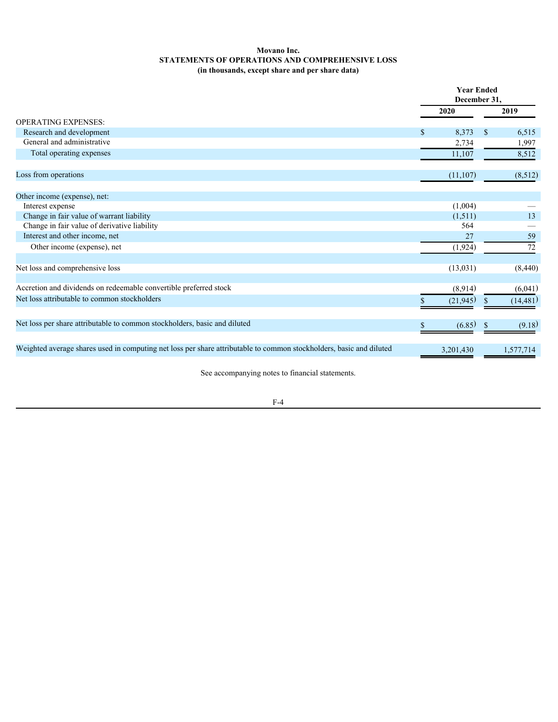### <span id="page-76-0"></span>**Movano Inc. STATEMENTS OF OPERATIONS AND COMPREHENSIVE LOSS (in thousands, except share and per share data)**

|                                                                                                                     | <b>Year Ended</b><br>December 31, |            |           |  |  |
|---------------------------------------------------------------------------------------------------------------------|-----------------------------------|------------|-----------|--|--|
|                                                                                                                     | 2020                              |            | 2019      |  |  |
| <b>OPERATING EXPENSES:</b>                                                                                          |                                   |            |           |  |  |
| Research and development                                                                                            | 8,373                             | $^{\circ}$ | 6,515     |  |  |
| General and administrative                                                                                          | 2,734                             |            | 1,997     |  |  |
| Total operating expenses                                                                                            | 11,107                            |            | 8,512     |  |  |
| Loss from operations                                                                                                | (11, 107)                         |            | (8,512)   |  |  |
| Other income (expense), net:                                                                                        |                                   |            |           |  |  |
| Interest expense                                                                                                    | (1,004)                           |            |           |  |  |
| Change in fair value of warrant liability                                                                           | (1,511)                           |            | 13        |  |  |
| Change in fair value of derivative liability                                                                        | 564                               |            |           |  |  |
| Interest and other income, net                                                                                      | 27                                |            | 59        |  |  |
| Other income (expense), net                                                                                         | (1, 924)                          |            | 72        |  |  |
|                                                                                                                     |                                   |            |           |  |  |
| Net loss and comprehensive loss                                                                                     | (13, 031)                         |            | (8,440)   |  |  |
| Accretion and dividends on redeemable convertible preferred stock                                                   | (8,914)                           |            | (6,041)   |  |  |
| Net loss attributable to common stockholders                                                                        | (21, 945)                         |            | (14, 481) |  |  |
| Net loss per share attributable to common stockholders, basic and diluted                                           | (6.85)                            | - S        | (9.18)    |  |  |
|                                                                                                                     |                                   |            |           |  |  |
| Weighted average shares used in computing net loss per share attributable to common stockholders, basic and diluted | 3,201,430                         |            | 1,577,714 |  |  |
|                                                                                                                     |                                   |            |           |  |  |

See accompanying notes to financial statements.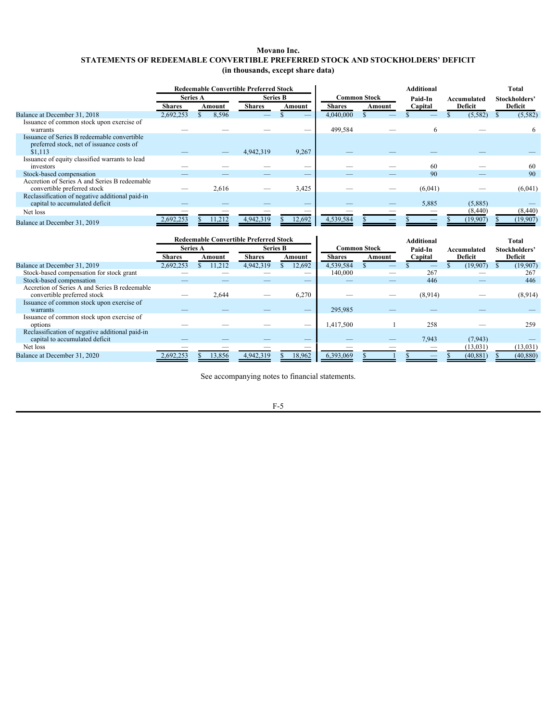### <span id="page-77-0"></span>**Movano Inc. STATEMENTS OF REDEEMABLE CONVERTIBLE PREFERRED STOCK AND STOCKHOLDERS' DEFICIT (in thousands, except share data)**

|                                                 |                 |        | <b>Redeemable Convertible Preferred Stock</b> |                          |               |                     | <b>Additional</b> | Total       |                               |  |  |  |
|-------------------------------------------------|-----------------|--------|-----------------------------------------------|--------------------------|---------------|---------------------|-------------------|-------------|-------------------------------|--|--|--|
|                                                 | <b>Series A</b> |        | <b>Series B</b>                               |                          |               | <b>Common Stock</b> | Paid-In           | Accumulated | Stockholders'                 |  |  |  |
|                                                 | <b>Shares</b>   | Amount | <b>Shares</b>                                 | Amount                   | <b>Shares</b> | Amount              | Capital           | Deficit     | Deficit                       |  |  |  |
| Balance at December 31, 2018                    | 2,692,253       | 8,596  |                                               |                          | 4,040,000     |                     |                   | (5,582)     | (5,582)                       |  |  |  |
| Issuance of common stock upon exercise of       |                 |        |                                               |                          |               |                     |                   |             |                               |  |  |  |
| warrants                                        |                 |        |                                               |                          | 499,584       |                     |                   |             |                               |  |  |  |
| Issuance of Series B redeemable convertible     |                 |        |                                               |                          |               |                     |                   |             |                               |  |  |  |
| preferred stock, net of issuance costs of       |                 |        |                                               |                          |               |                     |                   |             |                               |  |  |  |
| \$1,113                                         |                 |        | 4,942,319                                     | 9,267                    |               |                     |                   |             |                               |  |  |  |
| Issuance of equity classified warrants to lead  |                 |        |                                               |                          |               |                     |                   |             |                               |  |  |  |
| investors                                       |                 |        |                                               | $\overline{\phantom{a}}$ |               |                     | 60                |             | 60                            |  |  |  |
| Stock-based compensation                        |                 |        |                                               |                          | _             | _                   | 90                |             | 90                            |  |  |  |
| Accretion of Series A and Series B redeemable   |                 |        |                                               |                          |               |                     |                   |             |                               |  |  |  |
| convertible preferred stock                     |                 | 2,616  | $\overbrace{\phantom{12333}}$                 | 3,425                    |               |                     | (6,041)           |             | (6,041)                       |  |  |  |
| Reclassification of negative additional paid-in |                 |        |                                               |                          |               |                     |                   |             |                               |  |  |  |
| capital to accumulated deficit                  |                 |        |                                               |                          |               |                     | 5,885             | (5,885)     | $\overbrace{\phantom{aaaaa}}$ |  |  |  |
| Net loss                                        |                 |        | $\overbrace{\hspace{25mm}}^{}$                | $\overline{\phantom{a}}$ |               |                     |                   | (8,440)     | (8,440)                       |  |  |  |
| Balance at December 31, 2019                    | 2.692.253       | 11.212 | 4,942,319                                     | 12,692                   | 4,539,584     |                     |                   | (19,907)    | (19, 907)                     |  |  |  |

|                                                 |                          | <b>Redeemable Convertible Preferred Stock</b> |                          |                          |                     |        | <b>Total</b> |             |               |  |  |
|-------------------------------------------------|--------------------------|-----------------------------------------------|--------------------------|--------------------------|---------------------|--------|--------------|-------------|---------------|--|--|
|                                                 | <b>Series A</b>          |                                               | <b>Series B</b>          |                          | <b>Common Stock</b> |        | Paid-In      | Accumulated | Stockholders' |  |  |
|                                                 | <b>Shares</b>            | Amount                                        | <b>Shares</b>            | Amount                   | <b>Shares</b>       | Amount | Capital      | Deficit     | Deficit       |  |  |
| Balance at December 31, 2019                    | 2,692,253                | 11,212                                        | 4,942,319                | 12,692                   | 4,539,584           |        |              | (19,907)    | (19,907)      |  |  |
| Stock-based compensation for stock grant        |                          |                                               |                          |                          | 140,000             |        | 267          |             | 267           |  |  |
| Stock-based compensation                        |                          |                                               |                          | __                       |                     |        | 446          |             | 446           |  |  |
| Accretion of Series A and Series B redeemable   |                          |                                               |                          |                          |                     |        |              |             |               |  |  |
| convertible preferred stock                     | $\overline{\phantom{a}}$ | 2,644                                         | $\overline{\phantom{a}}$ | 6,270                    | __                  |        | (8,914)      |             | (8,914)       |  |  |
| Issuance of common stock upon exercise of       |                          |                                               |                          |                          |                     |        |              |             |               |  |  |
| warrants                                        |                          |                                               |                          |                          | 295,985             |        |              |             |               |  |  |
| Issuance of common stock upon exercise of       |                          |                                               |                          |                          |                     |        |              |             |               |  |  |
| options                                         |                          |                                               |                          |                          | 1,417,500           |        | 258          |             | 259           |  |  |
| Reclassification of negative additional paid-in |                          |                                               |                          |                          |                     |        |              |             |               |  |  |
| capital to accumulated deficit                  |                          |                                               |                          |                          |                     |        | 7.943        | (7, 943)    |               |  |  |
| Net loss                                        |                          |                                               |                          | $\overline{\phantom{a}}$ |                     |        |              | (13, 031)   | (13, 031)     |  |  |
| Balance at December 31, 2020                    | 2,692,253                | 13,856                                        | 4,942,319                | 18,962                   | 6,393,069           |        |              | (40, 881)   | (40, 880)     |  |  |

See accompanying notes to financial statements.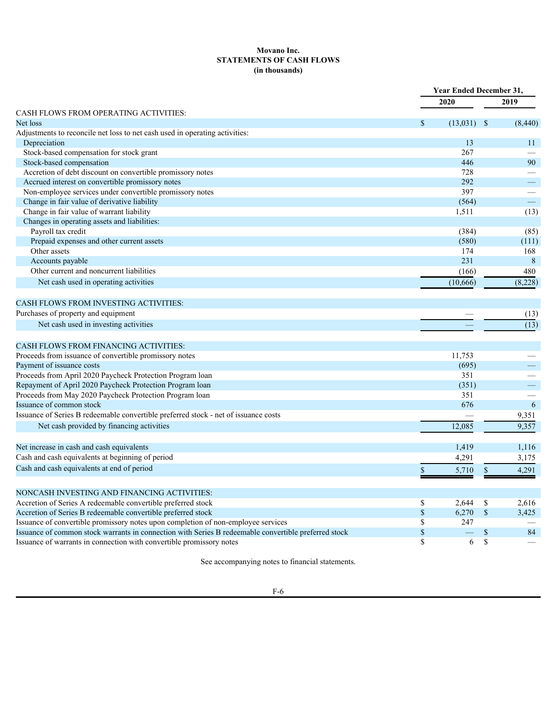### <span id="page-78-0"></span>**Movano Inc. STATEMENTS OF CASH FLOWS (in thousands)**

|                                                                                                      |                    | <b>Year Ended December 31,</b>   |                          |  |  |  |  |
|------------------------------------------------------------------------------------------------------|--------------------|----------------------------------|--------------------------|--|--|--|--|
|                                                                                                      |                    | 2020                             | 2019                     |  |  |  |  |
| CASH FLOWS FROM OPERATING ACTIVITIES:                                                                |                    |                                  |                          |  |  |  |  |
| Net loss                                                                                             |                    | $(13,031)$ \$                    | (8,440)                  |  |  |  |  |
| Adjustments to reconcile net loss to net cash used in operating activities:                          |                    |                                  |                          |  |  |  |  |
| Depreciation                                                                                         |                    | 13                               | 11                       |  |  |  |  |
| Stock-based compensation for stock grant                                                             |                    | 267                              |                          |  |  |  |  |
| Stock-based compensation                                                                             |                    | 446                              | 90                       |  |  |  |  |
| Accretion of debt discount on convertible promissory notes                                           |                    | 728                              |                          |  |  |  |  |
| Accrued interest on convertible promissory notes                                                     |                    | 292                              | $\overline{\phantom{m}}$ |  |  |  |  |
| Non-employee services under convertible promissory notes                                             |                    | 397                              |                          |  |  |  |  |
| Change in fair value of derivative liability                                                         |                    | (564)                            | $\equiv$                 |  |  |  |  |
| Change in fair value of warrant liability                                                            |                    | 1,511                            | (13)                     |  |  |  |  |
| Changes in operating assets and liabilities:                                                         |                    |                                  |                          |  |  |  |  |
| Payroll tax credit                                                                                   |                    | (384)                            | (85)                     |  |  |  |  |
| Prepaid expenses and other current assets                                                            |                    | (580)                            | (111)                    |  |  |  |  |
| Other assets                                                                                         |                    | 174                              | 168                      |  |  |  |  |
| Accounts payable                                                                                     |                    | 231                              | $\, 8$                   |  |  |  |  |
| Other current and noncurrent liabilities                                                             |                    | (166)                            | 480                      |  |  |  |  |
| Net cash used in operating activities                                                                |                    | (10, 666)                        | (8,228)                  |  |  |  |  |
|                                                                                                      |                    |                                  |                          |  |  |  |  |
| CASH FLOWS FROM INVESTING ACTIVITIES:                                                                |                    |                                  |                          |  |  |  |  |
| Purchases of property and equipment                                                                  |                    |                                  |                          |  |  |  |  |
|                                                                                                      |                    |                                  | (13)                     |  |  |  |  |
| Net cash used in investing activities                                                                |                    |                                  | $\overline{(13)}$        |  |  |  |  |
|                                                                                                      |                    |                                  |                          |  |  |  |  |
| <b>CASH FLOWS FROM FINANCING ACTIVITIES:</b>                                                         |                    |                                  |                          |  |  |  |  |
| Proceeds from issuance of convertible promissory notes                                               |                    | 11,753                           |                          |  |  |  |  |
| Payment of issuance costs                                                                            |                    | (695)                            |                          |  |  |  |  |
| Proceeds from April 2020 Paycheck Protection Program loan                                            |                    | 351                              | $\overline{\phantom{m}}$ |  |  |  |  |
| Repayment of April 2020 Paycheck Protection Program loan                                             |                    | (351)                            |                          |  |  |  |  |
| Proceeds from May 2020 Paycheck Protection Program loan                                              |                    | 351                              |                          |  |  |  |  |
| Issuance of common stock                                                                             |                    | 676                              | $6\overline{6}$          |  |  |  |  |
| Issuance of Series B redeemable convertible preferred stock - net of issuance costs                  |                    |                                  | 9,351                    |  |  |  |  |
| Net cash provided by financing activities                                                            |                    | 12,085                           | 9,357                    |  |  |  |  |
|                                                                                                      |                    |                                  |                          |  |  |  |  |
| Net increase in cash and cash equivalents                                                            |                    | 1,419                            | 1,116                    |  |  |  |  |
| Cash and cash equivalents at beginning of period                                                     |                    | 4,291                            | 3,175                    |  |  |  |  |
| Cash and cash equivalents at end of period                                                           |                    |                                  |                          |  |  |  |  |
|                                                                                                      |                    | 5,710<br>$\mathbb{S}$            | 4,291                    |  |  |  |  |
|                                                                                                      |                    |                                  |                          |  |  |  |  |
| NONCASH INVESTING AND FINANCING ACTIVITIES:                                                          |                    |                                  |                          |  |  |  |  |
| Accretion of Series A redeemable convertible preferred stock                                         | $\mathbb{S}$       | 2.644<br>- \$                    | 2,616                    |  |  |  |  |
| Accretion of Series B redeemable convertible preferred stock                                         | $\mathbf{\hat{s}}$ | $6,270$ \$                       | 3,425                    |  |  |  |  |
| Issuance of convertible promissory notes upon completion of non-employee services                    | $\mathbb{S}$       | 247                              |                          |  |  |  |  |
| Issuance of common stock warrants in connection with Series B redeemable convertible preferred stock | $\mathcal{S}$      | $\overline{\phantom{0}}$<br>- \$ | 84                       |  |  |  |  |
| Issuance of warrants in connection with convertible promissory notes                                 | $\mathcal{S}$      | 6 \$                             |                          |  |  |  |  |
|                                                                                                      |                    |                                  |                          |  |  |  |  |

See accompanying notes to financial statements.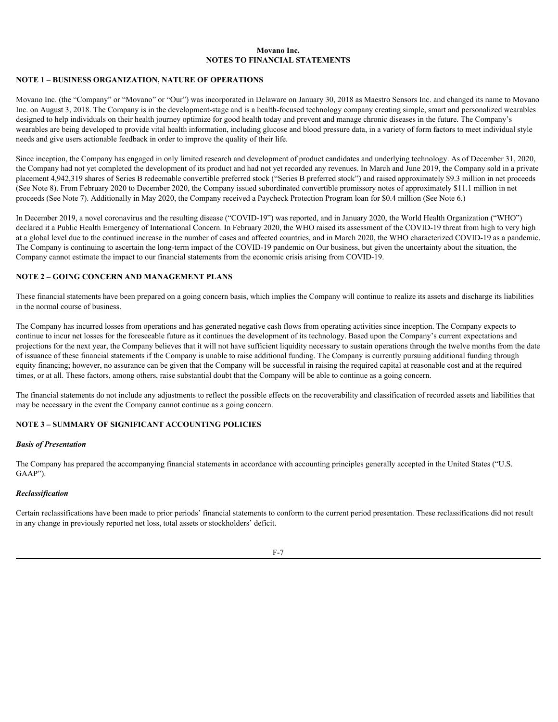#### <span id="page-79-0"></span>**NOTE 1 – BUSINESS ORGANIZATION, NATURE OF OPERATIONS**

Movano Inc. (the "Company" or "Movano" or "Our") was incorporated in Delaware on January 30, 2018 as Maestro Sensors Inc. and changed its name to Movano Inc. on August 3, 2018. The Company is in the development-stage and is a health-focused technology company creating simple, smart and personalized wearables designed to help individuals on their health journey optimize for good health today and prevent and manage chronic diseases in the future. The Company's wearables are being developed to provide vital health information, including glucose and blood pressure data, in a variety of form factors to meet individual style needs and give users actionable feedback in order to improve the quality of their life.

Since inception, the Company has engaged in only limited research and development of product candidates and underlying technology. As of December 31, 2020, the Company had not yet completed the development of its product and had not yet recorded any revenues. In March and June 2019, the Company sold in a private placement 4,942,319 shares of Series B redeemable convertible preferred stock ("Series B preferred stock") and raised approximately \$9.3 million in net proceeds (See Note 8). From February 2020 to December 2020, the Company issued subordinated convertible promissory notes of approximately \$11.1 million in net proceeds (See Note 7). Additionally in May 2020, the Company received a Paycheck Protection Program loan for \$0.4 million (See Note 6.)

In December 2019, a novel coronavirus and the resulting disease ("COVID-19") was reported, and in January 2020, the World Health Organization ("WHO") declared it a Public Health Emergency of International Concern. In February 2020, the WHO raised its assessment of the COVID-19 threat from high to very high at a global level due to the continued increase in the number of cases and affected countries, and in March 2020, the WHO characterized COVID-19 as a pandemic. The Company is continuing to ascertain the long-term impact of the COVID-19 pandemic on Our business, but given the uncertainty about the situation, the Company cannot estimate the impact to our financial statements from the economic crisis arising from COVID-19.

#### **NOTE 2 – GOING CONCERN AND MANAGEMENT PLANS**

These financial statements have been prepared on a going concern basis, which implies the Company will continue to realize its assets and discharge its liabilities in the normal course of business.

The Company has incurred losses from operations and has generated negative cash flows from operating activities since inception. The Company expects to continue to incur net losses for the foreseeable future as it continues the development of its technology. Based upon the Company's current expectations and projections for the next year, the Company believes that it will not have sufficient liquidity necessary to sustain operations through the twelve months from the date of issuance of these financial statements if the Company is unable to raise additional funding. The Company is currently pursuing additional funding through equity financing; however, no assurance can be given that the Company will be successful in raising the required capital at reasonable cost and at the required times, or at all. These factors, among others, raise substantial doubt that the Company will be able to continue as a going concern.

The financial statements do not include any adjustments to reflect the possible effects on the recoverability and classification of recorded assets and liabilities that may be necessary in the event the Company cannot continue as a going concern.

### **NOTE 3 – SUMMARY OF SIGNIFICANT ACCOUNTING POLICIES**

#### *Basis of Presentation*

The Company has prepared the accompanying financial statements in accordance with accounting principles generally accepted in the United States ("U.S. GAAP").

#### *Reclassification*

Certain reclassifications have been made to prior periods' financial statements to conform to the current period presentation. These reclassifications did not result in any change in previously reported net loss, total assets or stockholders' deficit.

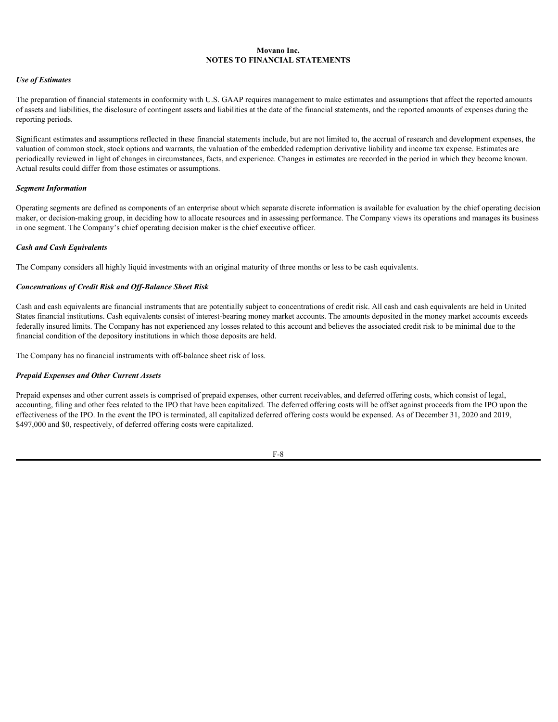### *Use of Estimates*

The preparation of financial statements in conformity with U.S. GAAP requires management to make estimates and assumptions that affect the reported amounts of assets and liabilities, the disclosure of contingent assets and liabilities at the date of the financial statements, and the reported amounts of expenses during the reporting periods.

Significant estimates and assumptions reflected in these financial statements include, but are not limited to, the accrual of research and development expenses, the valuation of common stock, stock options and warrants, the valuation of the embedded redemption derivative liability and income tax expense. Estimates are periodically reviewed in light of changes in circumstances, facts, and experience. Changes in estimates are recorded in the period in which they become known. Actual results could differ from those estimates or assumptions.

#### *Segment Information*

Operating segments are defined as components of an enterprise about which separate discrete information is available for evaluation by the chief operating decision maker, or decision-making group, in deciding how to allocate resources and in assessing performance. The Company views its operations and manages its business in one segment. The Company's chief operating decision maker is the chief executive officer.

#### *Cash and Cash Equivalents*

The Company considers all highly liquid investments with an original maturity of three months or less to be cash equivalents.

### *Concentrations of Credit Risk and Off-Balance Sheet Risk*

Cash and cash equivalents are financial instruments that are potentially subject to concentrations of credit risk. All cash and cash equivalents are held in United States financial institutions. Cash equivalents consist of interest-bearing money market accounts. The amounts deposited in the money market accounts exceeds federally insured limits. The Company has not experienced any losses related to this account and believes the associated credit risk to be minimal due to the financial condition of the depository institutions in which those deposits are held.

The Company has no financial instruments with off-balance sheet risk of loss.

### *Prepaid Expenses and Other Current Assets*

Prepaid expenses and other current assets is comprised of prepaid expenses, other current receivables, and deferred offering costs, which consist of legal, accounting, filing and other fees related to the IPO that have been capitalized. The deferred offering costs will be offset against proceeds from the IPO upon the effectiveness of the IPO. In the event the IPO is terminated, all capitalized deferred offering costs would be expensed. As of December 31, 2020 and 2019, \$497,000 and \$0, respectively, of deferred offering costs were capitalized.

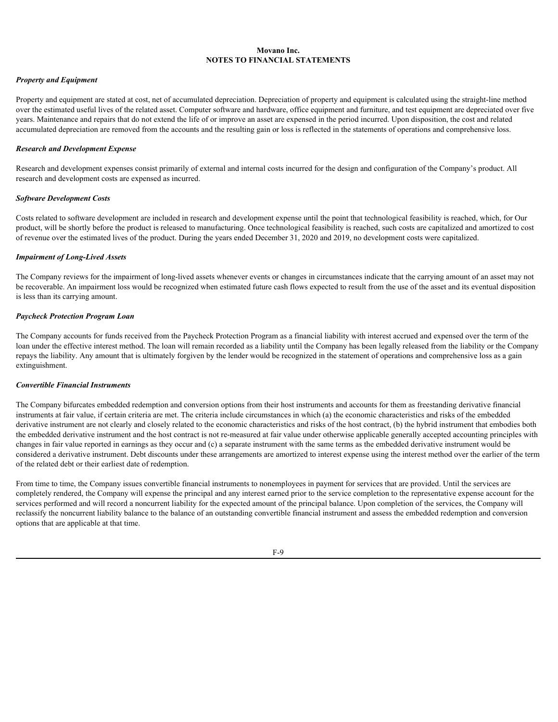#### *Property and Equipment*

Property and equipment are stated at cost, net of accumulated depreciation. Depreciation of property and equipment is calculated using the straight-line method over the estimated useful lives of the related asset. Computer software and hardware, office equipment and furniture, and test equipment are depreciated over five years. Maintenance and repairs that do not extend the life of or improve an asset are expensed in the period incurred. Upon disposition, the cost and related accumulated depreciation are removed from the accounts and the resulting gain or loss is reflected in the statements of operations and comprehensive loss.

#### *Research and Development Expense*

Research and development expenses consist primarily of external and internal costs incurred for the design and configuration of the Company's product. All research and development costs are expensed as incurred.

#### *Software Development Costs*

Costs related to software development are included in research and development expense until the point that technological feasibility is reached, which, for Our product, will be shortly before the product is released to manufacturing. Once technological feasibility is reached, such costs are capitalized and amortized to cost of revenue over the estimated lives of the product. During the years ended December 31, 2020 and 2019, no development costs were capitalized.

#### *Impairment of Long-Lived Assets*

The Company reviews for the impairment of long-lived assets whenever events or changes in circumstances indicate that the carrying amount of an asset may not be recoverable. An impairment loss would be recognized when estimated future cash flows expected to result from the use of the asset and its eventual disposition is less than its carrying amount.

#### *Paycheck Protection Program Loan*

The Company accounts for funds received from the Paycheck Protection Program as a financial liability with interest accrued and expensed over the term of the loan under the effective interest method. The loan will remain recorded as a liability until the Company has been legally released from the liability or the Company repays the liability. Any amount that is ultimately forgiven by the lender would be recognized in the statement of operations and comprehensive loss as a gain extinguishment.

#### *Convertible Financial Instruments*

The Company bifurcates embedded redemption and conversion options from their host instruments and accounts for them as freestanding derivative financial instruments at fair value, if certain criteria are met. The criteria include circumstances in which (a) the economic characteristics and risks of the embedded derivative instrument are not clearly and closely related to the economic characteristics and risks of the host contract, (b) the hybrid instrument that embodies both the embedded derivative instrument and the host contract is not re-measured at fair value under otherwise applicable generally accepted accounting principles with changes in fair value reported in earnings as they occur and (c) a separate instrument with the same terms as the embedded derivative instrument would be considered a derivative instrument. Debt discounts under these arrangements are amortized to interest expense using the interest method over the earlier of the term of the related debt or their earliest date of redemption.

From time to time, the Company issues convertible financial instruments to nonemployees in payment for services that are provided. Until the services are completely rendered, the Company will expense the principal and any interest earned prior to the service completion to the representative expense account for the services performed and will record a noncurrent liability for the expected amount of the principal balance. Upon completion of the services, the Company will reclassify the noncurrent liability balance to the balance of an outstanding convertible financial instrument and assess the embedded redemption and conversion options that are applicable at that time.

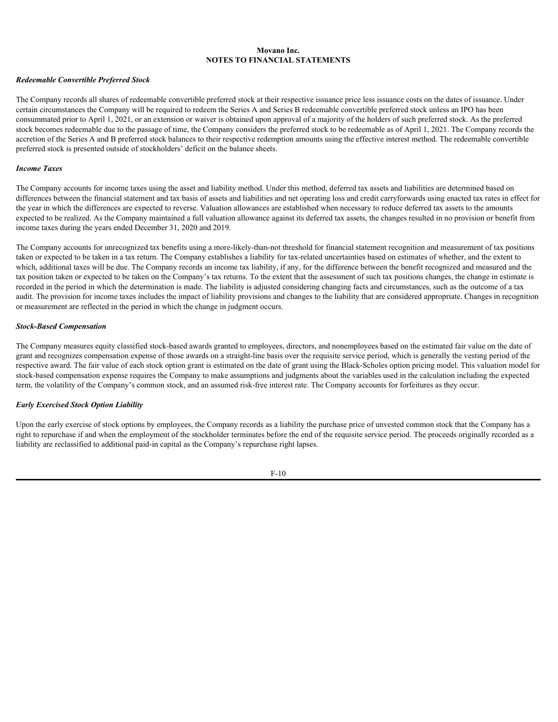#### *Redeemable Convertible Preferred Stock*

The Company records all shares of redeemable convertible preferred stock at their respective issuance price less issuance costs on the dates of issuance. Under certain circumstances the Company will be required to redeem the Series A and Series B redeemable convertible preferred stock unless an IPO has been consummated prior to April 1, 2021, or an extension or waiver is obtained upon approval of a majority of the holders of such preferred stock. As the preferred stock becomes redeemable due to the passage of time, the Company considers the preferred stock to be redeemable as of April 1, 2021. The Company records the accretion of the Series A and B preferred stock balances to their respective redemption amounts using the effective interest method. The redeemable convertible preferred stock is presented outside of stockholders' deficit on the balance sheets.

#### *Income Taxes*

The Company accounts for income taxes using the asset and liability method. Under this method, deferred tax assets and liabilities are determined based on differences between the financial statement and tax basis of assets and liabilities and net operating loss and credit carryforwards using enacted tax rates in effect for the year in which the differences are expected to reverse. Valuation allowances are established when necessary to reduce deferred tax assets to the amounts expected to be realized. As the Company maintained a full valuation allowance against its deferred tax assets, the changes resulted in no provision or benefit from income taxes during the years ended December 31, 2020 and 2019.

The Company accounts for unrecognized tax benefits using a more-likely-than-not threshold for financial statement recognition and measurement of tax positions taken or expected to be taken in a tax return. The Company establishes a liability for tax-related uncertainties based on estimates of whether, and the extent to which, additional taxes will be due. The Company records an income tax liability, if any, for the difference between the benefit recognized and measured and the tax position taken or expected to be taken on the Company's tax returns. To the extent that the assessment of such tax positions changes, the change in estimate is recorded in the period in which the determination is made. The liability is adjusted considering changing facts and circumstances, such as the outcome of a tax audit. The provision for income taxes includes the impact of liability provisions and changes to the liability that are considered appropriate. Changes in recognition or measurement are reflected in the period in which the change in judgment occurs.

#### *Stock-Based Compensation*

The Company measures equity classified stock-based awards granted to employees, directors, and nonemployees based on the estimated fair value on the date of grant and recognizes compensation expense of those awards on a straight-line basis over the requisite service period, which is generally the vesting period of the respective award. The fair value of each stock option grant is estimated on the date of grant using the Black-Scholes option pricing model. This valuation model for stock-based compensation expense requires the Company to make assumptions and judgments about the variables used in the calculation including the expected term, the volatility of the Company's common stock, and an assumed risk-free interest rate. The Company accounts for forfeitures as they occur.

### *Early Exercised Stock Option Liability*

Upon the early exercise of stock options by employees, the Company records as a liability the purchase price of unvested common stock that the Company has a right to repurchase if and when the employment of the stockholder terminates before the end of the requisite service period. The proceeds originally recorded as a liability are reclassified to additional paid-in capital as the Company's repurchase right lapses.

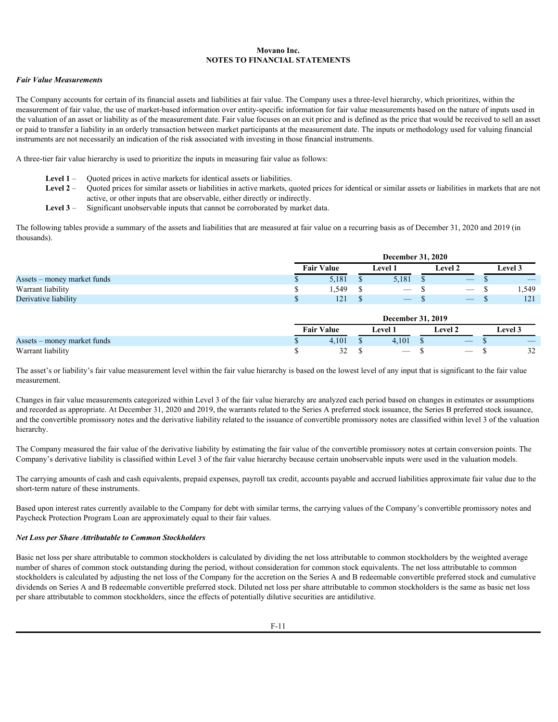#### *Fair Value Measurements*

The Company accounts for certain of its financial assets and liabilities at fair value. The Company uses a three-level hierarchy, which prioritizes, within the measurement of fair value, the use of market-based information over entity-specific information for fair value measurements based on the nature of inputs used in the valuation of an asset or liability as of the measurement date. Fair value focuses on an exit price and is defined as the price that would be received to sell an asset or paid to transfer a liability in an orderly transaction between market participants at the measurement date. The inputs or methodology used for valuing financial instruments are not necessarily an indication of the risk associated with investing in those financial instruments.

A three-tier fair value hierarchy is used to prioritize the inputs in measuring fair value as follows:

- Level 1 Ouoted prices in active markets for identical assets or liabilities.
- **Level 2**  Quoted prices for similar assets or liabilities in active markets, quoted prices for identical or similar assets or liabilities in markets that are not active, or other inputs that are observable, either directly or indirectly.
- **Level 3**  Significant unobservable inputs that cannot be corroborated by market data.

The following tables provide a summary of the assets and liabilities that are measured at fair value on a recurring basis as of December 31, 2020 and 2019 (in thousands).

|                             |                   | <b>December 31, 2020</b> |  |                          |  |                                               |  |                |  |  |  |
|-----------------------------|-------------------|--------------------------|--|--------------------------|--|-----------------------------------------------|--|----------------|--|--|--|
|                             | <b>Fair Value</b> |                          |  | Level                    |  | Level 2                                       |  | <b>Level</b> 3 |  |  |  |
| Assets - money market funds |                   | 5,181                    |  | 5,181                    |  |                                               |  |                |  |  |  |
| Warrant liability           |                   | 1,549                    |  |                          |  | $\overline{\phantom{m}}$                      |  | 1,549          |  |  |  |
| Derivative liability        |                   | 121                      |  | $\overline{\phantom{a}}$ |  | $\overline{\phantom{a}}$<br><b>CONTRACTOR</b> |  | 121            |  |  |  |

|                             |                   | <b>December 31, 2019</b> |       |                                 |                |                                 |                          |    |  |  |  |
|-----------------------------|-------------------|--------------------------|-------|---------------------------------|----------------|---------------------------------|--------------------------|----|--|--|--|
|                             | <b>Fair Value</b> |                          | Level |                                 | <b>Level 2</b> |                                 | $\sim$ $\sim$<br>Level 3 |    |  |  |  |
| Assets – money market funds |                   | 4,101                    |       | 1,101                           |                | $\overline{\phantom{a}}$        |                          |    |  |  |  |
| Warrant liability           |                   | $\sim$<br>--             |       | $\hspace{0.1mm}-\hspace{0.1mm}$ |                | $\hspace{0.1mm}-\hspace{0.1mm}$ |                          | -- |  |  |  |

The asset's or liability's fair value measurement level within the fair value hierarchy is based on the lowest level of any input that is significant to the fair value measurement.

Changes in fair value measurements categorized within Level 3 of the fair value hierarchy are analyzed each period based on changes in estimates or assumptions and recorded as appropriate. At December 31, 2020 and 2019, the warrants related to the Series A preferred stock issuance, the Series B preferred stock issuance, and the convertible promissory notes and the derivative liability related to the issuance of convertible promissory notes are classified within level 3 of the valuation hierarchy.

The Company measured the fair value of the derivative liability by estimating the fair value of the convertible promissory notes at certain conversion points. The Company's derivative liability is classified within Level 3 of the fair value hierarchy because certain unobservable inputs were used in the valuation models.

The carrying amounts of cash and cash equivalents, prepaid expenses, payroll tax credit, accounts payable and accrued liabilities approximate fair value due to the short-term nature of these instruments.

Based upon interest rates currently available to the Company for debt with similar terms, the carrying values of the Company's convertible promissory notes and Paycheck Protection Program Loan are approximately equal to their fair values.

#### *Net Loss per Share Attributable to Common Stockholders*

Basic net loss per share attributable to common stockholders is calculated by dividing the net loss attributable to common stockholders by the weighted average number of shares of common stock outstanding during the period, without consideration for common stock equivalents. The net loss attributable to common stockholders is calculated by adjusting the net loss of the Company for the accretion on the Series A and B redeemable convertible preferred stock and cumulative dividends on Series A and B redeemable convertible preferred stock. Diluted net loss per share attributable to common stockholders is the same as basic net loss per share attributable to common stockholders, since the effects of potentially dilutive securities are antidilutive.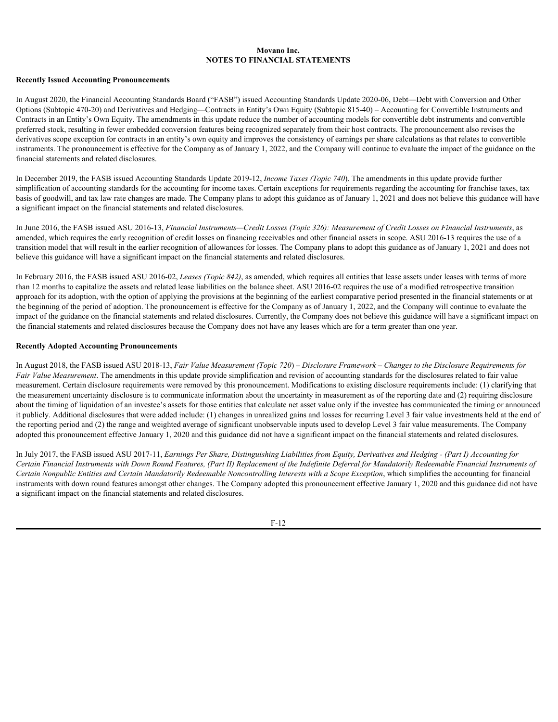#### **Recently Issued Accounting Pronouncements**

In August 2020, the Financial Accounting Standards Board ("FASB") issued Accounting Standards Update 2020-06, Debt—Debt with Conversion and Other Options (Subtopic 470-20) and Derivatives and Hedging—Contracts in Entity's Own Equity (Subtopic 815-40) – Accounting for Convertible Instruments and Contracts in an Entity's Own Equity. The amendments in this update reduce the number of accounting models for convertible debt instruments and convertible preferred stock, resulting in fewer embedded conversion features being recognized separately from their host contracts. The pronouncement also revises the derivatives scope exception for contracts in an entity's own equity and improves the consistency of earnings per share calculations as that relates to convertible instruments. The pronouncement is effective for the Company as of January 1, 2022, and the Company will continue to evaluate the impact of the guidance on the financial statements and related disclosures.

In December 2019, the FASB issued Accounting Standards Update 2019-12, *Income Taxes (Topic 740*). The amendments in this update provide further simplification of accounting standards for the accounting for income taxes. Certain exceptions for requirements regarding the accounting for franchise taxes, tax basis of goodwill, and tax law rate changes are made. The Company plans to adopt this guidance as of January 1, 2021 and does not believe this guidance will have a significant impact on the financial statements and related disclosures.

In June 2016, the FASB issued ASU 2016-13, *Financial Instruments—Credit Losses (Topic 326): Measurement of Credit Losses on Financial Instruments*, as amended, which requires the early recognition of credit losses on financing receivables and other financial assets in scope. ASU 2016-13 requires the use of a transition model that will result in the earlier recognition of allowances for losses. The Company plans to adopt this guidance as of January 1, 2021 and does not believe this guidance will have a significant impact on the financial statements and related disclosures.

In February 2016, the FASB issued ASU 2016-02, *Leases (Topic 842)*, as amended, which requires all entities that lease assets under leases with terms of more than 12 months to capitalize the assets and related lease liabilities on the balance sheet. ASU 2016-02 requires the use of a modified retrospective transition approach for its adoption, with the option of applying the provisions at the beginning of the earliest comparative period presented in the financial statements or at the beginning of the period of adoption. The pronouncement is effective for the Company as of January 1, 2022, and the Company will continue to evaluate the impact of the guidance on the financial statements and related disclosures. Currently, the Company does not believe this guidance will have a significant impact on the financial statements and related disclosures because the Company does not have any leases which are for a term greater than one year.

#### **Recently Adopted Accounting Pronouncements**

In August 2018, the FASB issued ASU 2018-13, *Fair Value Measurement (Topic 720*) *– Disclosure Framework – Changes to the Disclosure Requirements for Fair Value Measurement*. The amendments in this update provide simplification and revision of accounting standards for the disclosures related to fair value measurement. Certain disclosure requirements were removed by this pronouncement. Modifications to existing disclosure requirements include: (1) clarifying that the measurement uncertainty disclosure is to communicate information about the uncertainty in measurement as of the reporting date and (2) requiring disclosure about the timing of liquidation of an investee's assets for those entities that calculate net asset value only if the investee has communicated the timing or announced it publicly. Additional disclosures that were added include: (1) changes in unrealized gains and losses for recurring Level 3 fair value investments held at the end of the reporting period and (2) the range and weighted average of significant unobservable inputs used to develop Level 3 fair value measurements. The Company adopted this pronouncement effective January 1, 2020 and this guidance did not have a significant impact on the financial statements and related disclosures.

In July 2017, the FASB issued ASU 2017-11, *Earnings Per Share, Distinguishing Liabilities from Equity, Derivatives and Hedging - (Part I) Accounting for Certain Financial Instruments with Down Round Features, (Part II) Replacement of the Indefinite Deferral for Mandatorily Redeemable Financial Instruments of* Certain Nonpublic Entities and Certain Mandatorily Redeemable Noncontrolling Interests with a Scope Exception, which simplifies the accounting for financial instruments with down round features amongst other changes. The Company adopted this pronouncement effective January 1, 2020 and this guidance did not have a significant impact on the financial statements and related disclosures.

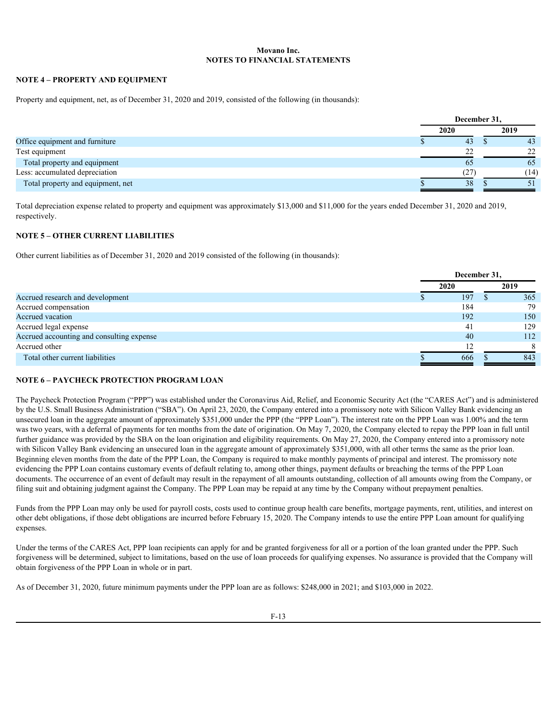### **NOTE 4 – PROPERTY AND EQUIPMENT**

Property and equipment, net, as of December 31, 2020 and 2019, consisted of the following (in thousands):

|                                   | December 31, |  |      |  |  |
|-----------------------------------|--------------|--|------|--|--|
|                                   | 2020         |  | 2019 |  |  |
| Office equipment and furniture    | 43           |  | 43   |  |  |
| Test equipment                    | 22           |  |      |  |  |
| Total property and equipment      | 65           |  | 65   |  |  |
| Less: accumulated depreciation    | (27)         |  | (14) |  |  |
| Total property and equipment, net | 38           |  |      |  |  |
|                                   |              |  |      |  |  |

Total depreciation expense related to property and equipment was approximately \$13,000 and \$11,000 for the years ended December 31, 2020 and 2019, respectively.

# **NOTE 5 – OTHER CURRENT LIABILITIES**

Other current liabilities as of December 31, 2020 and 2019 consisted of the following (in thousands):

|                                           | December 31, |      |      |  |
|-------------------------------------------|--------------|------|------|--|
|                                           |              | 2020 | 2019 |  |
| Accrued research and development          |              | 197  | 365  |  |
| Accrued compensation                      |              | 184  | 79   |  |
| Accrued vacation                          |              | 192  | 150  |  |
| Accrued legal expense                     |              | 41   | 129  |  |
| Accrued accounting and consulting expense |              | 40   | 112  |  |
| Accrued other                             |              | 12   |      |  |
| Total other current liabilities           |              | 666  | 843  |  |

### **NOTE 6 – PAYCHECK PROTECTION PROGRAM LOAN**

The Paycheck Protection Program ("PPP") was established under the Coronavirus Aid, Relief, and Economic Security Act (the "CARES Act") and is administered by the U.S. Small Business Administration ("SBA"). On April 23, 2020, the Company entered into a promissory note with Silicon Valley Bank evidencing an unsecured loan in the aggregate amount of approximately \$351,000 under the PPP (the "PPP Loan"). The interest rate on the PPP Loan was 1.00% and the term was two years, with a deferral of payments for ten months from the date of origination. On May 7, 2020, the Company elected to repay the PPP loan in full until further guidance was provided by the SBA on the loan origination and eligibility requirements. On May 27, 2020, the Company entered into a promissory note with Silicon Valley Bank evidencing an unsecured loan in the aggregate amount of approximately \$351,000, with all other terms the same as the prior loan. Beginning eleven months from the date of the PPP Loan, the Company is required to make monthly payments of principal and interest. The promissory note evidencing the PPP Loan contains customary events of default relating to, among other things, payment defaults or breaching the terms of the PPP Loan documents. The occurrence of an event of default may result in the repayment of all amounts outstanding, collection of all amounts owing from the Company, or filing suit and obtaining judgment against the Company. The PPP Loan may be repaid at any time by the Company without prepayment penalties.

Funds from the PPP Loan may only be used for payroll costs, costs used to continue group health care benefits, mortgage payments, rent, utilities, and interest on other debt obligations, if those debt obligations are incurred before February 15, 2020. The Company intends to use the entire PPP Loan amount for qualifying expenses.

Under the terms of the CARES Act, PPP loan recipients can apply for and be granted forgiveness for all or a portion of the loan granted under the PPP. Such forgiveness will be determined, subject to limitations, based on the use of loan proceeds for qualifying expenses. No assurance is provided that the Company will obtain forgiveness of the PPP Loan in whole or in part.

As of December 31, 2020, future minimum payments under the PPP loan are as follows: \$248,000 in 2021; and \$103,000 in 2022.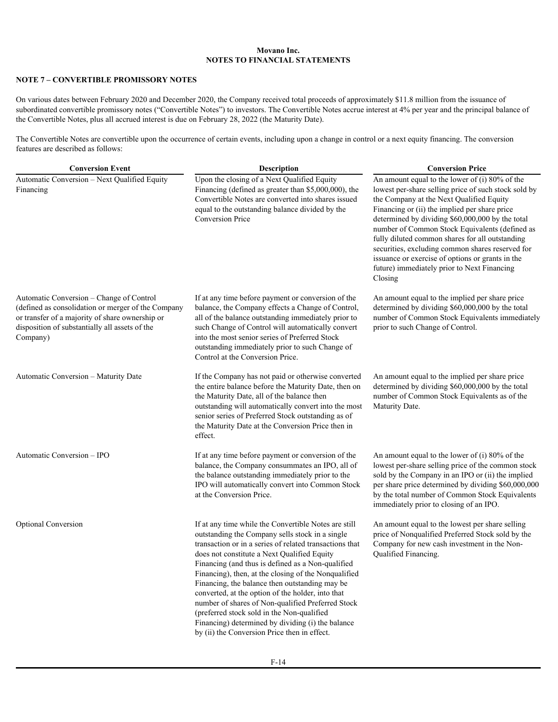### **NOTE 7 – CONVERTIBLE PROMISSORY NOTES**

On various dates between February 2020 and December 2020, the Company received total proceeds of approximately \$11.8 million from the issuance of subordinated convertible promissory notes ("Convertible Notes") to investors. The Convertible Notes accrue interest at 4% per year and the principal balance of the Convertible Notes, plus all accrued interest is due on February 28, 2022 (the Maturity Date).

The Convertible Notes are convertible upon the occurrence of certain events, including upon a change in control or a next equity financing. The conversion features are described as follows:

| <b>Conversion Event</b>                                                                                                                                                                                         | <b>Description</b>                                                                                                                                                                                                                                                                                                                                                                                                                                                                                                                                                                                                                            | <b>Conversion Price</b>                                                                                                                                                                                                                                                                                                                                                                                                                                                                                                          |  |  |  |  |  |
|-----------------------------------------------------------------------------------------------------------------------------------------------------------------------------------------------------------------|-----------------------------------------------------------------------------------------------------------------------------------------------------------------------------------------------------------------------------------------------------------------------------------------------------------------------------------------------------------------------------------------------------------------------------------------------------------------------------------------------------------------------------------------------------------------------------------------------------------------------------------------------|----------------------------------------------------------------------------------------------------------------------------------------------------------------------------------------------------------------------------------------------------------------------------------------------------------------------------------------------------------------------------------------------------------------------------------------------------------------------------------------------------------------------------------|--|--|--|--|--|
| Automatic Conversion - Next Qualified Equity<br>Financing                                                                                                                                                       | Upon the closing of a Next Qualified Equity<br>Financing (defined as greater than \$5,000,000), the<br>Convertible Notes are converted into shares issued<br>equal to the outstanding balance divided by the<br><b>Conversion Price</b>                                                                                                                                                                                                                                                                                                                                                                                                       | An amount equal to the lower of $(i)$ 80% of the<br>lowest per-share selling price of such stock sold by<br>the Company at the Next Qualified Equity<br>Financing or (ii) the implied per share price<br>determined by dividing \$60,000,000 by the total<br>number of Common Stock Equivalents (defined as<br>fully diluted common shares for all outstanding<br>securities, excluding common shares reserved for<br>issuance or exercise of options or grants in the<br>future) immediately prior to Next Financing<br>Closing |  |  |  |  |  |
| Automatic Conversion - Change of Control<br>(defined as consolidation or merger of the Company<br>or transfer of a majority of share ownership or<br>disposition of substantially all assets of the<br>Company) | If at any time before payment or conversion of the<br>balance, the Company effects a Change of Control,<br>all of the balance outstanding immediately prior to<br>such Change of Control will automatically convert<br>into the most senior series of Preferred Stock<br>outstanding immediately prior to such Change of<br>Control at the Conversion Price.                                                                                                                                                                                                                                                                                  | An amount equal to the implied per share price<br>determined by dividing \$60,000,000 by the total<br>number of Common Stock Equivalents immediately<br>prior to such Change of Control.                                                                                                                                                                                                                                                                                                                                         |  |  |  |  |  |
| Automatic Conversion - Maturity Date                                                                                                                                                                            | If the Company has not paid or otherwise converted<br>the entire balance before the Maturity Date, then on<br>the Maturity Date, all of the balance then<br>outstanding will automatically convert into the most<br>senior series of Preferred Stock outstanding as of<br>the Maturity Date at the Conversion Price then in<br>effect.                                                                                                                                                                                                                                                                                                        | An amount equal to the implied per share price<br>determined by dividing \$60,000,000 by the total<br>number of Common Stock Equivalents as of the<br>Maturity Date.                                                                                                                                                                                                                                                                                                                                                             |  |  |  |  |  |
| Automatic Conversion - IPO                                                                                                                                                                                      | If at any time before payment or conversion of the<br>balance, the Company consummates an IPO, all of<br>the balance outstanding immediately prior to the<br>IPO will automatically convert into Common Stock<br>at the Conversion Price.                                                                                                                                                                                                                                                                                                                                                                                                     | An amount equal to the lower of (i) 80% of the<br>lowest per-share selling price of the common stock<br>sold by the Company in an IPO or (ii) the implied<br>per share price determined by dividing \$60,000,000<br>by the total number of Common Stock Equivalents<br>immediately prior to closing of an IPO.                                                                                                                                                                                                                   |  |  |  |  |  |
| <b>Optional Conversion</b>                                                                                                                                                                                      | If at any time while the Convertible Notes are still<br>outstanding the Company sells stock in a single<br>transaction or in a series of related transactions that<br>does not constitute a Next Qualified Equity<br>Financing (and thus is defined as a Non-qualified<br>Financing), then, at the closing of the Nonqualified<br>Financing, the balance then outstanding may be<br>converted, at the option of the holder, into that<br>number of shares of Non-qualified Preferred Stock<br>(preferred stock sold in the Non-qualified<br>Financing) determined by dividing (i) the balance<br>by (ii) the Conversion Price then in effect. | An amount equal to the lowest per share selling<br>price of Nonqualified Preferred Stock sold by the<br>Company for new cash investment in the Non-<br>Qualified Financing.                                                                                                                                                                                                                                                                                                                                                      |  |  |  |  |  |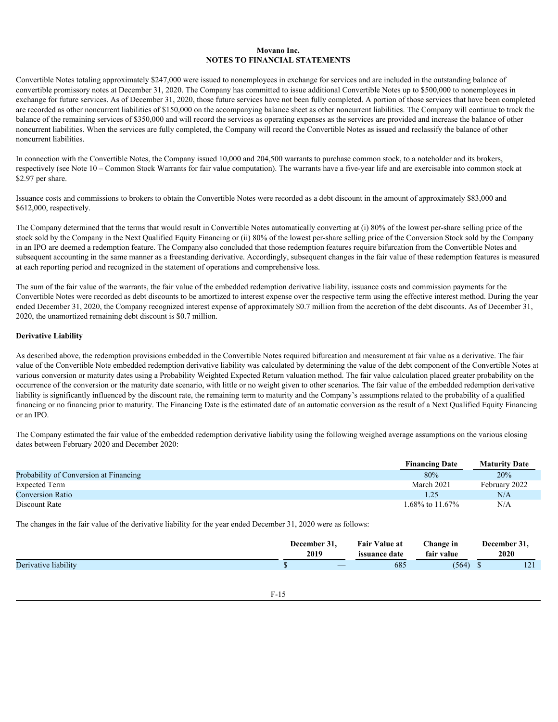Convertible Notes totaling approximately \$247,000 were issued to nonemployees in exchange for services and are included in the outstanding balance of convertible promissory notes at December 31, 2020. The Company has committed to issue additional Convertible Notes up to \$500,000 to nonemployees in exchange for future services. As of December 31, 2020, those future services have not been fully completed. A portion of those services that have been completed are recorded as other noncurrent liabilities of \$150,000 on the accompanying balance sheet as other noncurrent liabilities. The Company will continue to track the balance of the remaining services of \$350,000 and will record the services as operating expenses as the services are provided and increase the balance of other noncurrent liabilities. When the services are fully completed, the Company will record the Convertible Notes as issued and reclassify the balance of other noncurrent liabilities.

In connection with the Convertible Notes, the Company issued 10,000 and 204,500 warrants to purchase common stock, to a noteholder and its brokers, respectively (see Note 10 – Common Stock Warrants for fair value computation). The warrants have a five-year life and are exercisable into common stock at \$2.97 per share.

Issuance costs and commissions to brokers to obtain the Convertible Notes were recorded as a debt discount in the amount of approximately \$83,000 and \$612,000, respectively.

The Company determined that the terms that would result in Convertible Notes automatically converting at (i) 80% of the lowest per-share selling price of the stock sold by the Company in the Next Qualified Equity Financing or (ii) 80% of the lowest per-share selling price of the Conversion Stock sold by the Company in an IPO are deemed a redemption feature. The Company also concluded that those redemption features require bifurcation from the Convertible Notes and subsequent accounting in the same manner as a freestanding derivative. Accordingly, subsequent changes in the fair value of these redemption features is measured at each reporting period and recognized in the statement of operations and comprehensive loss.

The sum of the fair value of the warrants, the fair value of the embedded redemption derivative liability, issuance costs and commission payments for the Convertible Notes were recorded as debt discounts to be amortized to interest expense over the respective term using the effective interest method. During the year ended December 31, 2020, the Company recognized interest expense of approximately \$0.7 million from the accretion of the debt discounts. As of December 31, 2020, the unamortized remaining debt discount is \$0.7 million.

### **Derivative Liability**

As described above, the redemption provisions embedded in the Convertible Notes required bifurcation and measurement at fair value as a derivative. The fair value of the Convertible Note embedded redemption derivative liability was calculated by determining the value of the debt component of the Convertible Notes at various conversion or maturity dates using a Probability Weighted Expected Return valuation method. The fair value calculation placed greater probability on the occurrence of the conversion or the maturity date scenario, with little or no weight given to other scenarios. The fair value of the embedded redemption derivative liability is significantly influenced by the discount rate, the remaining term to maturity and the Company's assumptions related to the probability of a qualified financing or no financing prior to maturity. The Financing Date is the estimated date of an automatic conversion as the result of a Next Qualified Equity Financing or an IPO.

The Company estimated the fair value of the embedded redemption derivative liability using the following weighed average assumptions on the various closing dates between February 2020 and December 2020:

| <b>Financing Date</b> | <b>Maturity Date</b> |
|-----------------------|----------------------|
| 80%                   | 20%                  |
| March 2021            | February 2022        |
| 1.25                  | N/A                  |
| 1.68% to 11.67%       | N/A                  |
|                       |                      |

The changes in the fair value of the derivative liability for the year ended December 31, 2020 were as follows:

|                      | --<br>December<br>. اذ<br>2019 | .<br>Value at<br>Fan<br><i>issuance date</i> | ~-<br>hange in<br>$\overline{\phantom{a}}$<br>fair value | December 31.<br>2020 |  |
|----------------------|--------------------------------|----------------------------------------------|----------------------------------------------------------|----------------------|--|
| Derivative liability | $\overbrace{\hspace{15em}}$    | 685                                          | (564)                                                    | $1 \cap 1$<br>1/2    |  |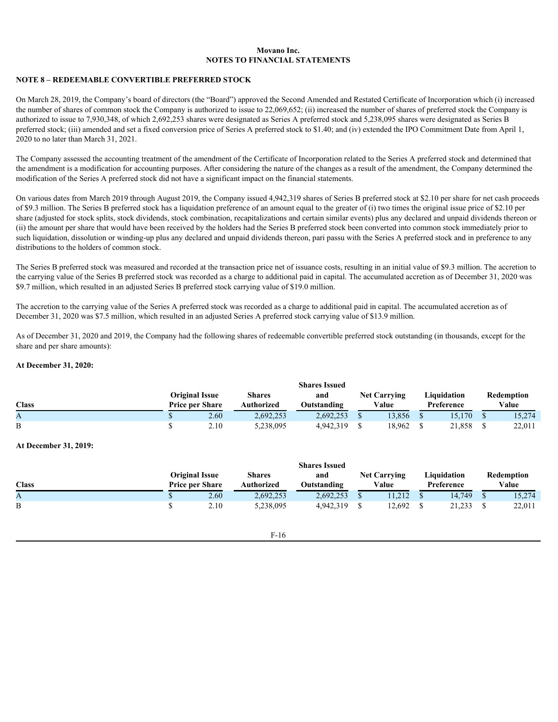### **NOTE 8 – REDEEMABLE CONVERTIBLE PREFERRED STOCK**

On March 28, 2019, the Company's board of directors (the "Board") approved the Second Amended and Restated Certificate of Incorporation which (i) increased the number of shares of common stock the Company is authorized to issue to 22,069,652; (ii) increased the number of shares of preferred stock the Company is authorized to issue to 7,930,348, of which 2,692,253 shares were designated as Series A preferred stock and 5,238,095 shares were designated as Series B preferred stock; (iii) amended and set a fixed conversion price of Series A preferred stock to \$1.40; and (iv) extended the IPO Commitment Date from April 1, 2020 to no later than March 31, 2021.

The Company assessed the accounting treatment of the amendment of the Certificate of Incorporation related to the Series A preferred stock and determined that the amendment is a modification for accounting purposes. After considering the nature of the changes as a result of the amendment, the Company determined the modification of the Series A preferred stock did not have a significant impact on the financial statements.

On various dates from March 2019 through August 2019, the Company issued 4,942,319 shares of Series B preferred stock at \$2.10 per share for net cash proceeds of \$9.3 million. The Series B preferred stock has a liquidation preference of an amount equal to the greater of (i) two times the original issue price of \$2.10 per share (adjusted for stock splits, stock dividends, stock combination, recapitalizations and certain similar events) plus any declared and unpaid dividends thereon or (ii) the amount per share that would have been received by the holders had the Series B preferred stock been converted into common stock immediately prior to such liquidation, dissolution or winding-up plus any declared and unpaid dividends thereon, pari passu with the Series A preferred stock and in preference to any distributions to the holders of common stock.

The Series B preferred stock was measured and recorded at the transaction price net of issuance costs, resulting in an initial value of \$9.3 million. The accretion to the carrying value of the Series B preferred stock was recorded as a charge to additional paid in capital. The accumulated accretion as of December 31, 2020 was \$9.7 million, which resulted in an adjusted Series B preferred stock carrying value of \$19.0 million.

The accretion to the carrying value of the Series A preferred stock was recorded as a charge to additional paid in capital. The accumulated accretion as of December 31, 2020 was \$7.5 million, which resulted in an adjusted Series A preferred stock carrying value of \$13.9 million.

As of December 31, 2020 and 2019, the Company had the following shares of redeemable convertible preferred stock outstanding (in thousands, except for the share and per share amounts):

#### **At December 31, 2020:**

|              |                        |      |               | <b>Shares Issued</b> |                     |  |             |  |            |  |
|--------------|------------------------|------|---------------|----------------------|---------------------|--|-------------|--|------------|--|
|              | <b>Original Issue</b>  |      | <b>Shares</b> | and                  | <b>Net Carrying</b> |  | Liquidation |  | Redemption |  |
| <b>Class</b> | <b>Price per Share</b> |      | Authorized    | Outstanding          | Value               |  | Preference  |  | Value      |  |
|              |                        | 2.60 | 2,692,253     | 2,692,253            | 3,856               |  | 15,170      |  | 15,274     |  |
| B            |                        | 2.10 | 5,238,095     | 4,942,319            | 18,962              |  | 21,858      |  | 22,011     |  |

#### **At December 31, 2019:**

|              | <b>Shares Issued</b>                            |      |                   |             |  |                              |  |                           |  |                     |  |  |
|--------------|-------------------------------------------------|------|-------------------|-------------|--|------------------------------|--|---------------------------|--|---------------------|--|--|
|              | <b>Original Issue</b><br><b>Price per Share</b> |      | <b>Shares</b>     | and         |  | <b>Net Carrying</b><br>Value |  | Liquidation<br>Preference |  | Redemption<br>Value |  |  |
| <b>Class</b> |                                                 |      | <b>Authorized</b> | Outstanding |  |                              |  |                           |  |                     |  |  |
| A            |                                                 | 2.60 | 2,692,253         | 2,692,253   |  | 1,212                        |  | 14.749                    |  | 15,274              |  |  |
|              |                                                 | 2.10 | 5,238,095         | 4,942,319   |  | 12,692                       |  | 21,233                    |  | 22,011              |  |  |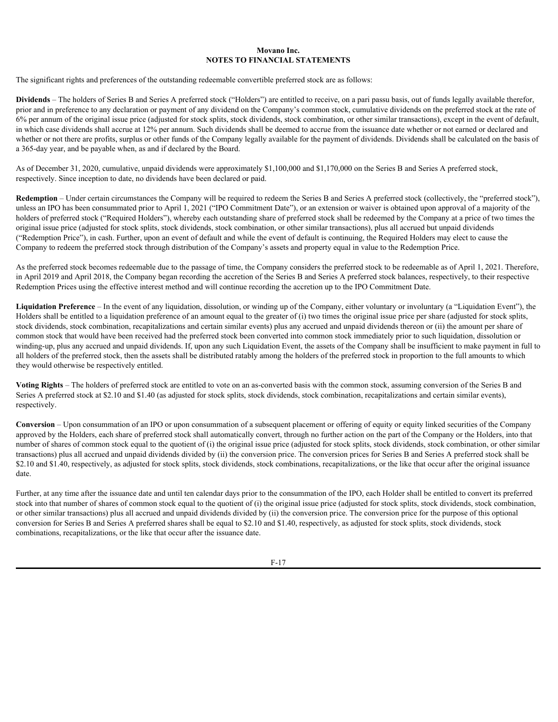The significant rights and preferences of the outstanding redeemable convertible preferred stock are as follows:

**Dividends** – The holders of Series B and Series A preferred stock ("Holders") are entitled to receive, on a pari passu basis, out of funds legally available therefor, prior and in preference to any declaration or payment of any dividend on the Company's common stock, cumulative dividends on the preferred stock at the rate of 6% per annum of the original issue price (adjusted for stock splits, stock dividends, stock combination, or other similar transactions), except in the event of default, in which case dividends shall accrue at 12% per annum. Such dividends shall be deemed to accrue from the issuance date whether or not earned or declared and whether or not there are profits, surplus or other funds of the Company legally available for the payment of dividends. Dividends shall be calculated on the basis of a 365-day year, and be payable when, as and if declared by the Board.

As of December 31, 2020, cumulative, unpaid dividends were approximately \$1,100,000 and \$1,170,000 on the Series B and Series A preferred stock, respectively. Since inception to date, no dividends have been declared or paid.

**Redemption** – Under certain circumstances the Company will be required to redeem the Series B and Series A preferred stock (collectively, the "preferred stock"), unless an IPO has been consummated prior to April 1, 2021 ("IPO Commitment Date"), or an extension or waiver is obtained upon approval of a majority of the holders of preferred stock ("Required Holders"), whereby each outstanding share of preferred stock shall be redeemed by the Company at a price of two times the original issue price (adjusted for stock splits, stock dividends, stock combination, or other similar transactions), plus all accrued but unpaid dividends ("Redemption Price"), in cash. Further, upon an event of default and while the event of default is continuing, the Required Holders may elect to cause the Company to redeem the preferred stock through distribution of the Company's assets and property equal in value to the Redemption Price.

As the preferred stock becomes redeemable due to the passage of time, the Company considers the preferred stock to be redeemable as of April 1, 2021. Therefore, in April 2019 and April 2018, the Company began recording the accretion of the Series B and Series A preferred stock balances, respectively, to their respective Redemption Prices using the effective interest method and will continue recording the accretion up to the IPO Commitment Date.

**Liquidation Preference** – In the event of any liquidation, dissolution, or winding up of the Company, either voluntary or involuntary (a "Liquidation Event"), the Holders shall be entitled to a liquidation preference of an amount equal to the greater of (i) two times the original issue price per share (adjusted for stock splits, stock dividends, stock combination, recapitalizations and certain similar events) plus any accrued and unpaid dividends thereon or (ii) the amount per share of common stock that would have been received had the preferred stock been converted into common stock immediately prior to such liquidation, dissolution or winding-up, plus any accrued and unpaid dividends. If, upon any such Liquidation Event, the assets of the Company shall be insufficient to make payment in full to all holders of the preferred stock, then the assets shall be distributed ratably among the holders of the preferred stock in proportion to the full amounts to which they would otherwise be respectively entitled.

**Voting Rights** – The holders of preferred stock are entitled to vote on an as-converted basis with the common stock, assuming conversion of the Series B and Series A preferred stock at \$2.10 and \$1.40 (as adjusted for stock splits, stock dividends, stock combination, recapitalizations and certain similar events), respectively.

**Conversion** – Upon consummation of an IPO or upon consummation of a subsequent placement or offering of equity or equity linked securities of the Company approved by the Holders, each share of preferred stock shall automatically convert, through no further action on the part of the Company or the Holders, into that number of shares of common stock equal to the quotient of (i) the original issue price (adjusted for stock splits, stock dividends, stock combination, or other similar transactions) plus all accrued and unpaid dividends divided by (ii) the conversion price. The conversion prices for Series B and Series A preferred stock shall be \$2.10 and \$1.40, respectively, as adjusted for stock splits, stock dividends, stock combinations, recapitalizations, or the like that occur after the original issuance date.

Further, at any time after the issuance date and until ten calendar days prior to the consummation of the IPO, each Holder shall be entitled to convert its preferred stock into that number of shares of common stock equal to the quotient of (i) the original issue price (adjusted for stock splits, stock dividends, stock combination, or other similar transactions) plus all accrued and unpaid dividends divided by (ii) the conversion price. The conversion price for the purpose of this optional conversion for Series B and Series A preferred shares shall be equal to \$2.10 and \$1.40, respectively, as adjusted for stock splits, stock dividends, stock combinations, recapitalizations, or the like that occur after the issuance date.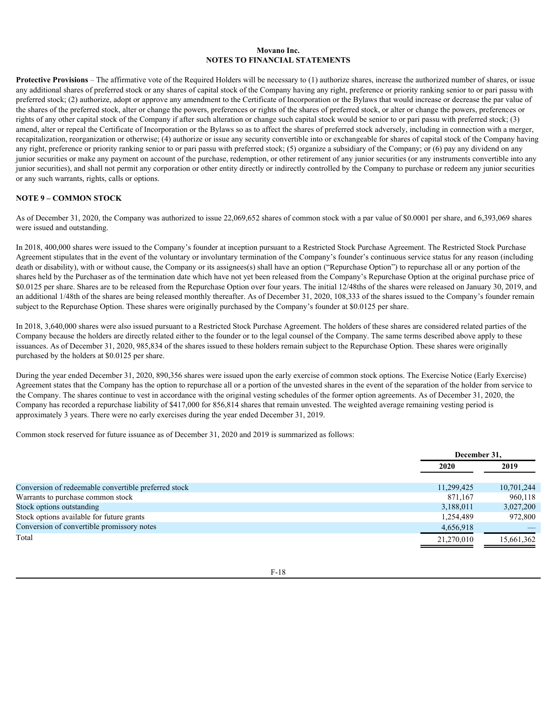**Protective Provisions** – The affirmative vote of the Required Holders will be necessary to (1) authorize shares, increase the authorized number of shares, or issue any additional shares of preferred stock or any shares of capital stock of the Company having any right, preference or priority ranking senior to or pari passu with preferred stock; (2) authorize, adopt or approve any amendment to the Certificate of Incorporation or the Bylaws that would increase or decrease the par value of the shares of the preferred stock, alter or change the powers, preferences or rights of the shares of preferred stock, or alter or change the powers, preferences or rights of any other capital stock of the Company if after such alteration or change such capital stock would be senior to or pari passu with preferred stock; (3) amend, alter or repeal the Certificate of Incorporation or the Bylaws so as to affect the shares of preferred stock adversely, including in connection with a merger, recapitalization, reorganization or otherwise; (4) authorize or issue any security convertible into or exchangeable for shares of capital stock of the Company having any right, preference or priority ranking senior to or pari passu with preferred stock; (5) organize a subsidiary of the Company; or (6) pay any dividend on any junior securities or make any payment on account of the purchase, redemption, or other retirement of any junior securities (or any instruments convertible into any junior securities), and shall not permit any corporation or other entity directly or indirectly controlled by the Company to purchase or redeem any junior securities or any such warrants, rights, calls or options.

### **NOTE 9 – COMMON STOCK**

As of December 31, 2020, the Company was authorized to issue 22,069,652 shares of common stock with a par value of \$0.0001 per share, and 6,393,069 shares were issued and outstanding.

In 2018, 400,000 shares were issued to the Company's founder at inception pursuant to a Restricted Stock Purchase Agreement. The Restricted Stock Purchase Agreement stipulates that in the event of the voluntary or involuntary termination of the Company's founder's continuous service status for any reason (including death or disability), with or without cause, the Company or its assignees(s) shall have an option ("Repurchase Option") to repurchase all or any portion of the shares held by the Purchaser as of the termination date which have not yet been released from the Company's Repurchase Option at the original purchase price of \$0.0125 per share. Shares are to be released from the Repurchase Option over four years. The initial 12/48ths of the shares were released on January 30, 2019, and an additional 1/48th of the shares are being released monthly thereafter. As of December 31, 2020, 108,333 of the shares issued to the Company's founder remain subject to the Repurchase Option. These shares were originally purchased by the Company's founder at \$0.0125 per share.

In 2018, 3,640,000 shares were also issued pursuant to a Restricted Stock Purchase Agreement. The holders of these shares are considered related parties of the Company because the holders are directly related either to the founder or to the legal counsel of the Company. The same terms described above apply to these issuances. As of December 31, 2020, 985,834 of the shares issued to these holders remain subject to the Repurchase Option. These shares were originally purchased by the holders at \$0.0125 per share.

During the year ended December 31, 2020, 890,356 shares were issued upon the early exercise of common stock options. The Exercise Notice (Early Exercise) Agreement states that the Company has the option to repurchase all or a portion of the unvested shares in the event of the separation of the holder from service to the Company. The shares continue to vest in accordance with the original vesting schedules of the former option agreements. As of December 31, 2020, the Company has recorded a repurchase liability of \$417,000 for 856,814 shares that remain unvested. The weighted average remaining vesting period is approximately 3 years. There were no early exercises during the year ended December 31, 2019.

Common stock reserved for future issuance as of December 31, 2020 and 2019 is summarized as follows:

|                                                      | December 31, |            |  |
|------------------------------------------------------|--------------|------------|--|
|                                                      | 2020         | 2019       |  |
| Conversion of redeemable convertible preferred stock | 11,299,425   | 10,701,244 |  |
| Warrants to purchase common stock                    | 871,167      | 960,118    |  |
| Stock options outstanding                            | 3,188,011    | 3,027,200  |  |
| Stock options available for future grants            | 1,254,489    | 972,800    |  |
| Conversion of convertible promissory notes           | 4,656,918    |            |  |
| Total                                                | 21,270,010   | 15,661,362 |  |
|                                                      |              |            |  |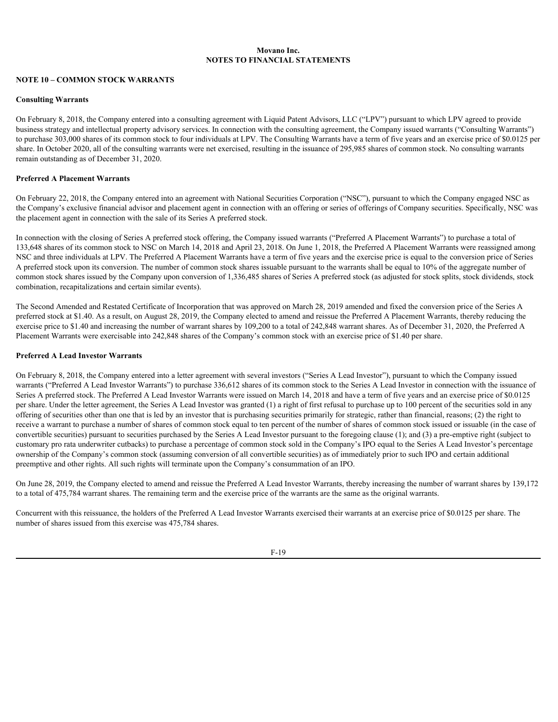### **NOTE 10 – COMMON STOCK WARRANTS**

#### **Consulting Warrants**

On February 8, 2018, the Company entered into a consulting agreement with Liquid Patent Advisors, LLC ("LPV") pursuant to which LPV agreed to provide business strategy and intellectual property advisory services. In connection with the consulting agreement, the Company issued warrants ("Consulting Warrants") to purchase 303,000 shares of its common stock to four individuals at LPV. The Consulting Warrants have a term of five years and an exercise price of \$0.0125 per share. In October 2020, all of the consulting warrants were net exercised, resulting in the issuance of 295,985 shares of common stock. No consulting warrants remain outstanding as of December 31, 2020.

### **Preferred A Placement Warrants**

On February 22, 2018, the Company entered into an agreement with National Securities Corporation ("NSC"), pursuant to which the Company engaged NSC as the Company's exclusive financial advisor and placement agent in connection with an offering or series of offerings of Company securities. Specifically, NSC was the placement agent in connection with the sale of its Series A preferred stock.

In connection with the closing of Series A preferred stock offering, the Company issued warrants ("Preferred A Placement Warrants") to purchase a total of 133,648 shares of its common stock to NSC on March 14, 2018 and April 23, 2018. On June 1, 2018, the Preferred A Placement Warrants were reassigned among NSC and three individuals at LPV. The Preferred A Placement Warrants have a term of five years and the exercise price is equal to the conversion price of Series A preferred stock upon its conversion. The number of common stock shares issuable pursuant to the warrants shall be equal to 10% of the aggregate number of common stock shares issued by the Company upon conversion of 1,336,485 shares of Series A preferred stock (as adjusted for stock splits, stock dividends, stock combination, recapitalizations and certain similar events).

The Second Amended and Restated Certificate of Incorporation that was approved on March 28, 2019 amended and fixed the conversion price of the Series A preferred stock at \$1.40. As a result, on August 28, 2019, the Company elected to amend and reissue the Preferred A Placement Warrants, thereby reducing the exercise price to \$1.40 and increasing the number of warrant shares by 109,200 to a total of 242,848 warrant shares. As of December 31, 2020, the Preferred A Placement Warrants were exercisable into 242,848 shares of the Company's common stock with an exercise price of \$1.40 per share.

#### **Preferred A Lead Investor Warrants**

On February 8, 2018, the Company entered into a letter agreement with several investors ("Series A Lead Investor"), pursuant to which the Company issued warrants ("Preferred A Lead Investor Warrants") to purchase 336,612 shares of its common stock to the Series A Lead Investor in connection with the issuance of Series A preferred stock. The Preferred A Lead Investor Warrants were issued on March 14, 2018 and have a term of five years and an exercise price of \$0.0125 per share. Under the letter agreement, the Series A Lead Investor was granted (1) a right of first refusal to purchase up to 100 percent of the securities sold in any offering of securities other than one that is led by an investor that is purchasing securities primarily for strategic, rather than financial, reasons; (2) the right to receive a warrant to purchase a number of shares of common stock equal to ten percent of the number of shares of common stock issued or issuable (in the case of convertible securities) pursuant to securities purchased by the Series A Lead Investor pursuant to the foregoing clause (1); and (3) a pre-emptive right (subject to customary pro rata underwriter cutbacks) to purchase a percentage of common stock sold in the Company's IPO equal to the Series A Lead Investor's percentage ownership of the Company's common stock (assuming conversion of all convertible securities) as of immediately prior to such IPO and certain additional preemptive and other rights. All such rights will terminate upon the Company's consummation of an IPO.

On June 28, 2019, the Company elected to amend and reissue the Preferred A Lead Investor Warrants, thereby increasing the number of warrant shares by 139,172 to a total of 475,784 warrant shares. The remaining term and the exercise price of the warrants are the same as the original warrants.

Concurrent with this reissuance, the holders of the Preferred A Lead Investor Warrants exercised their warrants at an exercise price of \$0.0125 per share. The number of shares issued from this exercise was 475,784 shares.

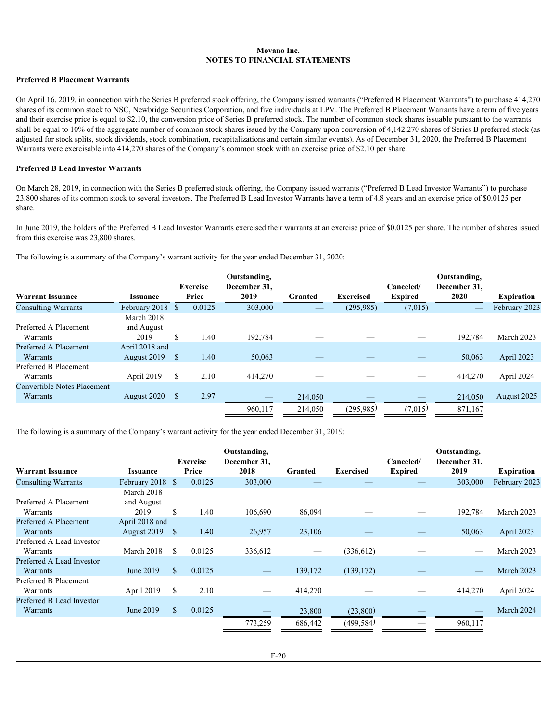### **Preferred B Placement Warrants**

On April 16, 2019, in connection with the Series B preferred stock offering, the Company issued warrants ("Preferred B Placement Warrants") to purchase 414,270 shares of its common stock to NSC, Newbridge Securities Corporation, and five individuals at LPV. The Preferred B Placement Warrants have a term of five years and their exercise price is equal to \$2.10, the conversion price of Series B preferred stock. The number of common stock shares issuable pursuant to the warrants shall be equal to 10% of the aggregate number of common stock shares issued by the Company upon conversion of 4,142,270 shares of Series B preferred stock (as adjusted for stock splits, stock dividends, stock combination, recapitalizations and certain similar events). As of December 31, 2020, the Preferred B Placement Warrants were exercisable into 414,270 shares of the Company's common stock with an exercise price of \$2.10 per share.

#### **Preferred B Lead Investor Warrants**

On March 28, 2019, in connection with the Series B preferred stock offering, the Company issued warrants ("Preferred B Lead Investor Warrants") to purchase 23,800 shares of its common stock to several investors. The Preferred B Lead Investor Warrants have a term of 4.8 years and an exercise price of \$0.0125 per share.

In June 2019, the holders of the Preferred B Lead Investor Warrants exercised their warrants at an exercise price of \$0.0125 per share. The number of shares issued from this exercise was 23,800 shares.

The following is a summary of the Company's warrant activity for the year ended December 31, 2020:

|                                    |                        |                 | Outstanding, |         |                  |                 | Outstanding, |                   |
|------------------------------------|------------------------|-----------------|--------------|---------|------------------|-----------------|--------------|-------------------|
|                                    |                        | <b>Exercise</b> | December 31, |         |                  | Canceled/       | December 31, |                   |
| <b>Warrant Issuance</b>            | <i><b>Issuance</b></i> | Price           | 2019         | Granted | <b>Exercised</b> | <b>Expired</b>  | 2020         | <b>Expiration</b> |
| <b>Consulting Warrants</b>         | February 2018 \$       | 0.0125          | 303,000      |         | (295, 985)       | (7,015)         |              | February 2023     |
|                                    | March 2018             |                 |              |         |                  |                 |              |                   |
| Preferred A Placement              | and August             |                 |              |         |                  |                 |              |                   |
| Warrants                           | 2019                   | 1.40            | 192,784      |         |                  | $\qquad \qquad$ | 192,784      | March 2023        |
| Preferred A Placement              | April 2018 and         |                 |              |         |                  |                 |              |                   |
| Warrants                           | August 2019 \$         | 1.40            | 50,063       | __      | –                |                 | 50,063       | April 2023        |
| Preferred B Placement              |                        |                 |              |         |                  |                 |              |                   |
| Warrants                           | April 2019             | 2.10            | 414,270      |         |                  |                 | 414,270      | April 2024        |
| <b>Convertible Notes Placement</b> |                        |                 |              |         |                  |                 |              |                   |
| Warrants                           | August 2020 \$         | 2.97            |              | 214,050 |                  |                 | 214,050      | August 2025       |
|                                    |                        |                 | 960,117      | 214,050 | (295,985)        | (7,015)         | 871,167      |                   |
|                                    |                        |                 |              |         |                  |                 |              |                   |

The following is a summary of the Company's warrant activity for the year ended December 31, 2019:

|                            |                        | <b>Exercise</b> | Outstanding,<br>December 31, |                                 |                                 | Canceled/                      | Outstanding,<br>December 31, |                   |
|----------------------------|------------------------|-----------------|------------------------------|---------------------------------|---------------------------------|--------------------------------|------------------------------|-------------------|
| <b>Warrant Issuance</b>    | <i><b>Issuance</b></i> | Price           | 2018                         | Granted                         | Exercised                       | <b>Expired</b>                 | 2019                         | <b>Expiration</b> |
| <b>Consulting Warrants</b> | February 2018          | 0.0125          | 303,000                      |                                 |                                 |                                | 303,000                      | February 2023     |
|                            | March 2018             |                 |                              |                                 |                                 |                                |                              |                   |
| Preferred A Placement      | and August             |                 |                              |                                 |                                 |                                |                              |                   |
| Warrants                   | 2019                   | 1.40            | 106,690                      | 86,094                          |                                 |                                | 192,784                      | March 2023        |
| Preferred A Placement      | April 2018 and         |                 |                              |                                 |                                 |                                |                              |                   |
| Warrants                   | August 2019            | 1.40            | 26,957                       | 23,106                          | $\hspace{0.1mm}-\hspace{0.1mm}$ | $\qquad \qquad \longleftarrow$ | 50,063                       | April 2023        |
| Preferred A Lead Investor  |                        |                 |                              |                                 |                                 |                                |                              |                   |
| Warrants                   | March 2018             | 0.0125          | 336,612                      | $\hspace{0.1mm}-\hspace{0.1mm}$ | (336, 612)                      |                                | $\overline{\phantom{0}}$     | March 2023        |
| Preferred A Lead Investor  |                        |                 |                              |                                 |                                 |                                |                              |                   |
| Warrants                   | June 2019              | 0.0125          | $\overline{\phantom{a}}$     | 139,172                         | (139, 172)                      | $\qquad \qquad \longleftarrow$ | $\hspace{0.05cm}$            | March 2023        |
| Preferred B Placement      |                        |                 |                              |                                 |                                 |                                |                              |                   |
| Warrants                   | April 2019             | 2.10            |                              | 414,270                         |                                 |                                | 414,270                      | April 2024        |
| Preferred B Lead Investor  |                        |                 |                              |                                 |                                 |                                |                              |                   |
| Warrants                   | June 2019              | 0.0125          |                              | 23,800                          | (23,800)                        | $-$                            | $\hspace{0.05cm}$            | March 2024        |
|                            |                        |                 | 773,259                      | 686,442                         | (499, 584)                      |                                | 960,117                      |                   |
|                            |                        |                 |                              |                                 |                                 |                                |                              |                   |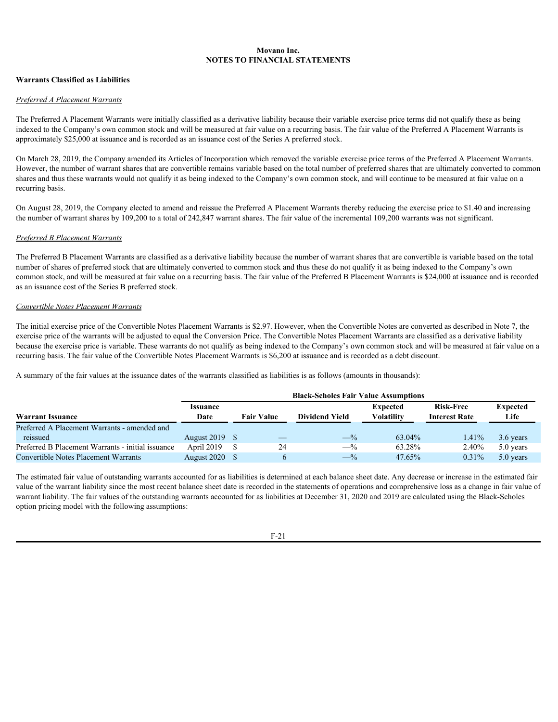### **Warrants Classified as Liabilities**

#### *Preferred A Placement Warrants*

The Preferred A Placement Warrants were initially classified as a derivative liability because their variable exercise price terms did not qualify these as being indexed to the Company's own common stock and will be measured at fair value on a recurring basis. The fair value of the Preferred A Placement Warrants is approximately \$25,000 at issuance and is recorded as an issuance cost of the Series A preferred stock.

On March 28, 2019, the Company amended its Articles of Incorporation which removed the variable exercise price terms of the Preferred A Placement Warrants. However, the number of warrant shares that are convertible remains variable based on the total number of preferred shares that are ultimately converted to common shares and thus these warrants would not qualify it as being indexed to the Company's own common stock, and will continue to be measured at fair value on a recurring basis.

On August 28, 2019, the Company elected to amend and reissue the Preferred A Placement Warrants thereby reducing the exercise price to \$1.40 and increasing the number of warrant shares by 109,200 to a total of 242,847 warrant shares. The fair value of the incremental 109,200 warrants was not significant.

#### *Preferred B Placement Warrants*

The Preferred B Placement Warrants are classified as a derivative liability because the number of warrant shares that are convertible is variable based on the total number of shares of preferred stock that are ultimately converted to common stock and thus these do not qualify it as being indexed to the Company's own common stock, and will be measured at fair value on a recurring basis. The fair value of the Preferred B Placement Warrants is \$24,000 at issuance and is recorded as an issuance cost of the Series B preferred stock.

### *Convertible Notes Placement Warrants*

The initial exercise price of the Convertible Notes Placement Warrants is \$2.97. However, when the Convertible Notes are converted as described in Note 7, the exercise price of the warrants will be adjusted to equal the Conversion Price. The Convertible Notes Placement Warrants are classified as a derivative liability because the exercise price is variable. These warrants do not qualify as being indexed to the Company's own common stock and will be measured at fair value on a recurring basis. The fair value of the Convertible Notes Placement Warrants is \$6,200 at issuance and is recorded as a debt discount.

A summary of the fair values at the issuance dates of the warrants classified as liabilities is as follows (amounts in thousands):

|                                                   | <b>Black-Scholes Fair Value Assumptions</b> |  |                       |            |                      |           |  |  |  |  |  |  |
|---------------------------------------------------|---------------------------------------------|--|-----------------------|------------|----------------------|-----------|--|--|--|--|--|--|
|                                                   | <i><u><b>Issuance</b></u></i>               |  |                       | Expected   | <b>Risk-Free</b>     | Expected  |  |  |  |  |  |  |
| <b>Warrant Issuance</b>                           | <b>Fair Value</b><br>Date                   |  | <b>Dividend Yield</b> | Volatilitv | <b>Interest Rate</b> | Life      |  |  |  |  |  |  |
| Preferred A Placement Warrants - amended and      |                                             |  |                       |            |                      |           |  |  |  |  |  |  |
| reissued                                          | August 2019 \$                              |  | $-$ %                 | 63.04%     | 1.41%                | 3.6 years |  |  |  |  |  |  |
| Preferred B Placement Warrants - initial issuance | April 2019                                  |  | $-$ %                 | 63.28%     | 2.40%                | 5.0 years |  |  |  |  |  |  |
| <b>Convertible Notes Placement Warrants</b>       | August 2020 \$                              |  | $-$ %                 | 47.65%     | 0.31%                | 5.0 years |  |  |  |  |  |  |

The estimated fair value of outstanding warrants accounted for as liabilities is determined at each balance sheet date. Any decrease or increase in the estimated fair value of the warrant liability since the most recent balance sheet date is recorded in the statements of operations and comprehensive loss as a change in fair value of warrant liability. The fair values of the outstanding warrants accounted for as liabilities at December 31, 2020 and 2019 are calculated using the Black-Scholes option pricing model with the following assumptions: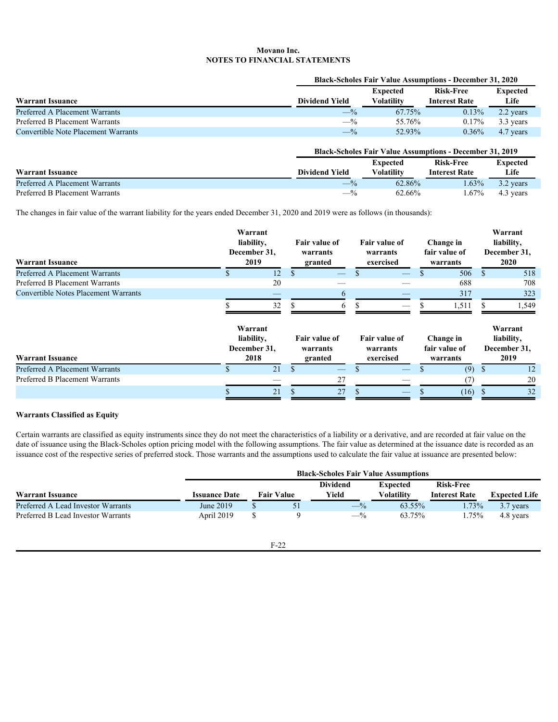|                                            |                       | <b>Black-Scholes Fair Value Assumptions - December 31, 2020</b> |                      |           |  |  |  |  |  |
|--------------------------------------------|-----------------------|-----------------------------------------------------------------|----------------------|-----------|--|--|--|--|--|
|                                            |                       | <b>Expected</b>                                                 | <b>Risk-Free</b>     | Expected  |  |  |  |  |  |
| <b>Warrant Issuance</b>                    | <b>Dividend Yield</b> | Volatilitv                                                      | <b>Interest Rate</b> | Life      |  |  |  |  |  |
| Preferred A Placement Warrants             | $-\frac{9}{2}$        | 67.75%                                                          | 0.13%                | 2.2 years |  |  |  |  |  |
| Preferred B Placement Warrants             | $-$ %                 | 55.76%                                                          | $0.17\%$             | 3.3 years |  |  |  |  |  |
| <b>Convertible Note Placement Warrants</b> | $-y_0$                | 52.93%                                                          | $0.36\%$             | 4.7 years |  |  |  |  |  |

### **Black-Scholes Fair Value Assumptions - December 31, 2019**

|                                |                       | Expected          | <b>Risk-Free</b>     | <b>Expected</b> |
|--------------------------------|-----------------------|-------------------|----------------------|-----------------|
| <b>Warrant Issuance</b>        | <b>Dividend Yield</b> | <b>Volatility</b> | <b>Interest Rate</b> | Life            |
| Preferred A Placement Warrants | — 1                   | 62.86%            | 1.63%                | 3.2 years       |
| Preferred B Placement Warrants |                       | 62.66%            | 67%                  | 4.3 years       |

The changes in fair value of the warrant liability for the years ended December 31, 2020 and 2019 were as follows (in thousands):

| <b>Warrant Issuance</b>                     | Warrant<br>liability,<br>December 31,<br>2019 | Fair value of<br>warrants<br>granted |                           | Fair value of<br>warrants<br>exercised |                           | Change in<br>fair value of<br>warrants |          | Warrant<br>liability,<br>December 31,<br>2020 |      |                                                |
|---------------------------------------------|-----------------------------------------------|--------------------------------------|---------------------------|----------------------------------------|---------------------------|----------------------------------------|----------|-----------------------------------------------|------|------------------------------------------------|
| Preferred A Placement Warrants              |                                               | 12                                   |                           |                                        |                           |                                        |          | 506                                           |      | 518                                            |
| Preferred B Placement Warrants              |                                               | 20                                   |                           |                                        |                           |                                        |          | 688                                           |      | 708                                            |
| <b>Convertible Notes Placement Warrants</b> |                                               |                                      |                           | $\mathfrak b$                          |                           |                                        |          | 317                                           |      | 323                                            |
|                                             | Warrant<br>liability,<br>December 31,         | 32                                   | Fair value of<br>warrants |                                        | Fair value of<br>warrants |                                        |          | .51<br><b>Change in</b><br>fair value of      |      | 1,549<br>Warrant<br>liability,<br>December 31, |
| <b>Warrant Issuance</b>                     |                                               | 2018                                 | granted                   |                                        | exercised                 |                                        | warrants |                                               | 2019 |                                                |
|                                             |                                               |                                      |                           |                                        |                           |                                        |          |                                               |      |                                                |
| Preferred A Placement Warrants              |                                               | 21                                   |                           |                                        |                           |                                        |          | $(9)$ \$                                      |      | 12                                             |
| Preferred B Placement Warrants              |                                               |                                      |                           | 27                                     |                           |                                        |          | (7)                                           |      | 20                                             |

### **Warrants Classified as Equity**

Certain warrants are classified as equity instruments since they do not meet the characteristics of a liability or a derivative, and are recorded at fair value on the date of issuance using the Black-Scholes option pricing model with the following assumptions. The fair value as determined at the issuance date is recorded as an issuance cost of the respective series of preferred stock. Those warrants and the assumptions used to calculate the fair value at issuance are presented below:

|                                    |                      | <b>Black-Scholes Fair Value Assumptions</b> |                   |                  |                   |                      |                      |  |  |  |  |
|------------------------------------|----------------------|---------------------------------------------|-------------------|------------------|-------------------|----------------------|----------------------|--|--|--|--|
|                                    |                      |                                             |                   | <b>Dividend</b>  | <b>Expected</b>   | <b>Risk-Free</b>     |                      |  |  |  |  |
| <b>Warrant Issuance</b>            | <b>Issuance Date</b> |                                             | <b>Fair Value</b> | Yield            | <b>Volatility</b> | <b>Interest Rate</b> | <b>Expected Life</b> |  |  |  |  |
| Preferred A Lead Investor Warrants | June 2019            |                                             |                   | $\rightarrow$ 70 | 63.55%            | .73%                 | 3.7 years            |  |  |  |  |
| Preferred B Lead Investor Warrants | April 2019           |                                             |                   | $-\gamma_0$      | 63.75%            | .75%                 | 4.8 years            |  |  |  |  |
|                                    |                      |                                             |                   |                  |                   |                      |                      |  |  |  |  |

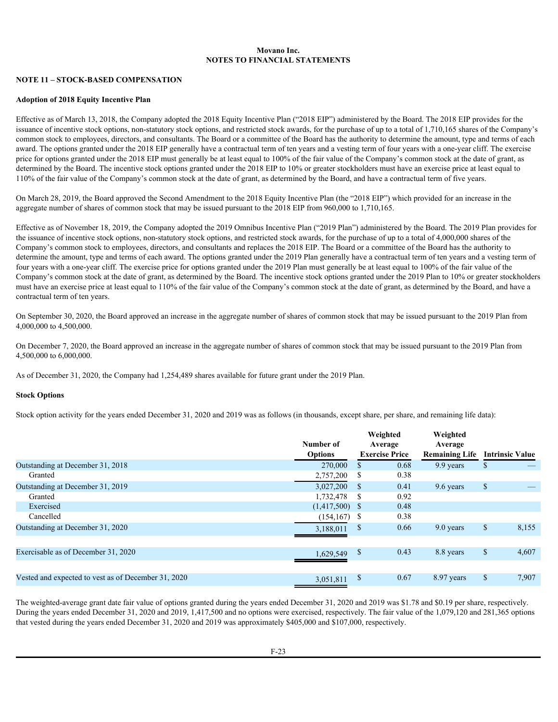### **NOTE 11 – STOCK-BASED COMPENSATION**

#### **Adoption of 2018 Equity Incentive Plan**

Effective as of March 13, 2018, the Company adopted the 2018 Equity Incentive Plan ("2018 EIP") administered by the Board. The 2018 EIP provides for the issuance of incentive stock options, non-statutory stock options, and restricted stock awards, for the purchase of up to a total of 1,710,165 shares of the Company's common stock to employees, directors, and consultants. The Board or a committee of the Board has the authority to determine the amount, type and terms of each award. The options granted under the 2018 EIP generally have a contractual term of ten years and a vesting term of four years with a one-year cliff. The exercise price for options granted under the 2018 EIP must generally be at least equal to 100% of the fair value of the Company's common stock at the date of grant, as determined by the Board. The incentive stock options granted under the 2018 EIP to 10% or greater stockholders must have an exercise price at least equal to 110% of the fair value of the Company's common stock at the date of grant, as determined by the Board, and have a contractual term of five years.

On March 28, 2019, the Board approved the Second Amendment to the 2018 Equity Incentive Plan (the "2018 EIP") which provided for an increase in the aggregate number of shares of common stock that may be issued pursuant to the 2018 EIP from 960,000 to 1,710,165.

Effective as of November 18, 2019, the Company adopted the 2019 Omnibus Incentive Plan ("2019 Plan") administered by the Board. The 2019 Plan provides for the issuance of incentive stock options, non-statutory stock options, and restricted stock awards, for the purchase of up to a total of 4,000,000 shares of the Company's common stock to employees, directors, and consultants and replaces the 2018 EIP. The Board or a committee of the Board has the authority to determine the amount, type and terms of each award. The options granted under the 2019 Plan generally have a contractual term of ten years and a vesting term of four years with a one-year cliff. The exercise price for options granted under the 2019 Plan must generally be at least equal to 100% of the fair value of the Company's common stock at the date of grant, as determined by the Board. The incentive stock options granted under the 2019 Plan to 10% or greater stockholders must have an exercise price at least equal to 110% of the fair value of the Company's common stock at the date of grant, as determined by the Board, and have a contractual term of ten years.

On September 30, 2020, the Board approved an increase in the aggregate number of shares of common stock that may be issued pursuant to the 2019 Plan from 4,000,000 to 4,500,000.

On December 7, 2020, the Board approved an increase in the aggregate number of shares of common stock that may be issued pursuant to the 2019 Plan from 4,500,000 to 6,000,000.

As of December 31, 2020, the Company had 1,254,489 shares available for future grant under the 2019 Plan.

#### **Stock Options**

Stock option activity for the years ended December 31, 2020 and 2019 was as follows (in thousands, except share, per share, and remaining life data):

|                                                     | Number of        | Weighted<br>Average   | Weighted<br>Average            |                          |
|-----------------------------------------------------|------------------|-----------------------|--------------------------------|--------------------------|
|                                                     | Options          | <b>Exercise Price</b> | Remaining Life Intrinsic Value |                          |
| Outstanding at December 31, 2018                    | 270,000          | 0.68                  | 9.9 years                      |                          |
| Granted                                             | 2,757,200 \$     | 0.38                  |                                |                          |
| Outstanding at December 31, 2019                    | $3,027,200$ \$   | 0.41                  | 9.6 years                      | $\overline{\phantom{m}}$ |
| Granted                                             | 1,732,478 \$     | 0.92                  |                                |                          |
| Exercised                                           | $(1,417,500)$ \$ | 0.48                  |                                |                          |
| Cancelled                                           | $(154, 167)$ \$  | 0.38                  |                                |                          |
| Outstanding at December 31, 2020                    | 3,188,011        | 0.66                  | 9.0 years                      | 8,155                    |
| Exercisable as of December 31, 2020                 | 1,629,549        | 0.43                  | 8.8 years                      | 4,607                    |
| Vested and expected to vest as of December 31, 2020 | 3,051,811        | 0.67                  | 8.97 years                     | 7,907                    |
|                                                     |                  |                       |                                |                          |

The weighted-average grant date fair value of options granted during the years ended December 31, 2020 and 2019 was \$1.78 and \$0.19 per share, respectively. During the years ended December 31, 2020 and 2019, 1,417,500 and no options were exercised, respectively. The fair value of the 1,079,120 and 281,365 options that vested during the years ended December 31, 2020 and 2019 was approximately \$405,000 and \$107,000, respectively.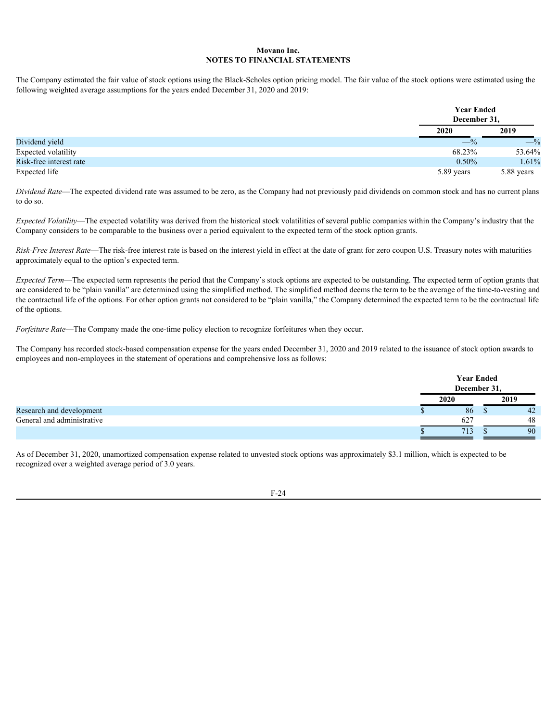The Company estimated the fair value of stock options using the Black-Scholes option pricing model. The fair value of the stock options were estimated using the following weighted average assumptions for the years ended December 31, 2020 and 2019:

|                         |            | <b>Year Ended</b><br>December 31, |  |
|-------------------------|------------|-----------------------------------|--|
|                         | 2020       | 2019                              |  |
| Dividend yield          | $-$ %      | $-$ %                             |  |
| Expected volatility     | 68.23%     | 53.64%                            |  |
| Risk-free interest rate | $0.50\%$   | 1.61%                             |  |
| Expected life           | 5.89 years | 5.88 years                        |  |

*Dividend Rate*—The expected dividend rate was assumed to be zero, as the Company had not previously paid dividends on common stock and has no current plans to do so.

*Expected Volatility*—The expected volatility was derived from the historical stock volatilities of several public companies within the Company's industry that the Company considers to be comparable to the business over a period equivalent to the expected term of the stock option grants.

*Risk-Free Interest Rate*—The risk-free interest rate is based on the interest yield in effect at the date of grant for zero coupon U.S. Treasury notes with maturities approximately equal to the option's expected term.

*Expected Term*—The expected term represents the period that the Company's stock options are expected to be outstanding. The expected term of option grants that are considered to be "plain vanilla" are determined using the simplified method. The simplified method deems the term to be the average of the time-to-vesting and the contractual life of the options. For other option grants not considered to be "plain vanilla," the Company determined the expected term to be the contractual life of the options.

*Forfeiture Rate*—The Company made the one-time policy election to recognize forfeitures when they occur.

The Company has recorded stock-based compensation expense for the years ended December 31, 2020 and 2019 related to the issuance of stock option awards to employees and non-employees in the statement of operations and comprehensive loss as follows:

| <b>Year Ended</b><br>December 31,       |
|-----------------------------------------|
| 2019<br>2020                            |
| Research and development<br>86<br>42    |
| General and administrative<br>627<br>48 |
| 713<br>90                               |

 As of December 31, 2020, unamortized compensation expense related to unvested stock options was approximately \$3.1 million, which is expected to be recognized over a weighted average period of 3.0 years.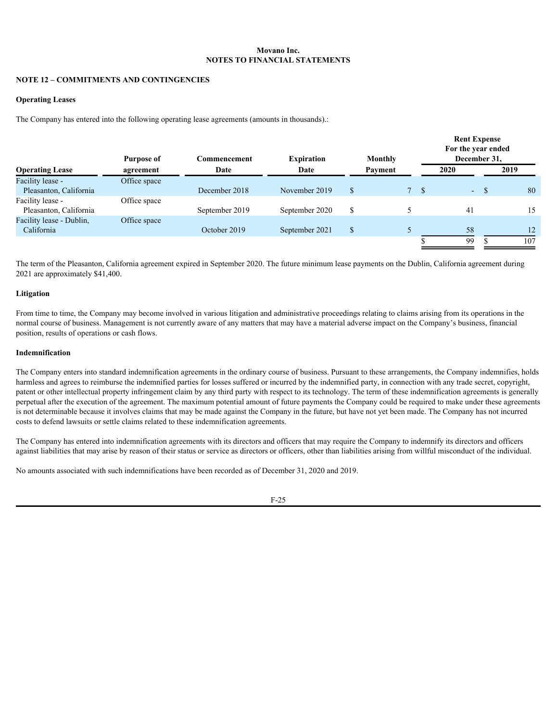### **NOTE 12 – COMMITMENTS AND CONTINGENCIES**

#### **Operating Leases**

The Company has entered into the following operating lease agreements (amounts in thousands).:

|                          | <b>Purpose of</b> | Commencement   | <b>Expiration</b> | Monthly |                | <b>Rent Expense</b><br>For the year ended<br>December 31. |              |
|--------------------------|-------------------|----------------|-------------------|---------|----------------|-----------------------------------------------------------|--------------|
| <b>Operating Lease</b>   | agreement         | Date           | Date              | Payment |                | 2020                                                      | 2019         |
| Facility lease -         | Office space      |                |                   |         |                |                                                           |              |
| Pleasanton, California   |                   | December 2018  | November 2019     |         | 7 <sub>5</sub> | $\sim$ 100 $\mu$                                          | 80           |
| Facility lease -         | Office space      |                |                   |         |                |                                                           |              |
| Pleasanton, California   |                   | September 2019 | September 2020    |         |                | 41                                                        | 15           |
| Facility lease - Dublin, | Office space      |                |                   |         |                |                                                           |              |
| California               |                   | October 2019   | September 2021    |         |                | 58                                                        | $12^{\circ}$ |
|                          |                   |                |                   |         |                | 99                                                        | 107          |

 The term of the Pleasanton, California agreement expired in September 2020. The future minimum lease payments on the Dublin, California agreement during 2021 are approximately \$41,400.

#### **Litigation**

From time to time, the Company may become involved in various litigation and administrative proceedings relating to claims arising from its operations in the normal course of business. Management is not currently aware of any matters that may have a material adverse impact on the Company's business, financial position, results of operations or cash flows.

#### **Indemnification**

The Company enters into standard indemnification agreements in the ordinary course of business. Pursuant to these arrangements, the Company indemnifies, holds harmless and agrees to reimburse the indemnified parties for losses suffered or incurred by the indemnified party, in connection with any trade secret, copyright, patent or other intellectual property infringement claim by any third party with respect to its technology. The term of these indemnification agreements is generally perpetual after the execution of the agreement. The maximum potential amount of future payments the Company could be required to make under these agreements is not determinable because it involves claims that may be made against the Company in the future, but have not yet been made. The Company has not incurred costs to defend lawsuits or settle claims related to these indemnification agreements.

The Company has entered into indemnification agreements with its directors and officers that may require the Company to indemnify its directors and officers against liabilities that may arise by reason of their status or service as directors or officers, other than liabilities arising from willful misconduct of the individual.

No amounts associated with such indemnifications have been recorded as of December 31, 2020 and 2019.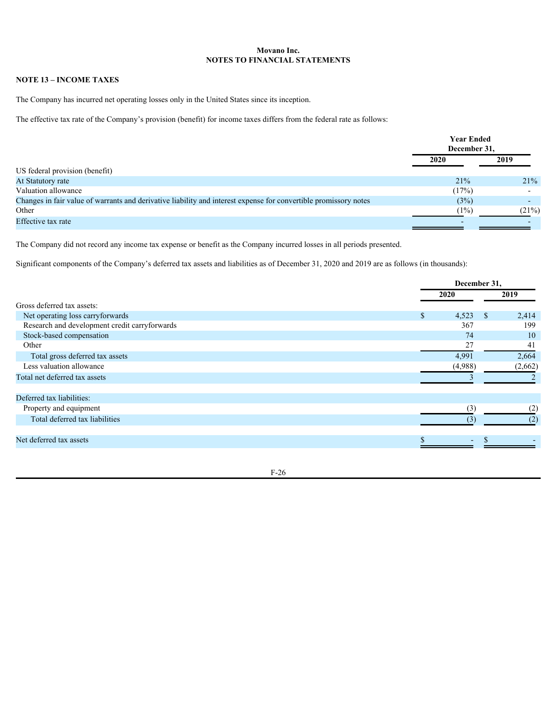### **NOTE 13 – INCOME TAXES**

The Company has incurred net operating losses only in the United States since its inception.

The effective tax rate of the Company's provision (benefit) for income taxes differs from the federal rate as follows:

|                                                                                                                  | <b>Year Ended</b><br>December 31, |        |
|------------------------------------------------------------------------------------------------------------------|-----------------------------------|--------|
|                                                                                                                  | 2020                              | 2019   |
| US federal provision (benefit)                                                                                   |                                   |        |
| At Statutory rate                                                                                                | 21%                               | 21%    |
| Valuation allowance                                                                                              | (17%)                             |        |
| Changes in fair value of warrants and derivative liability and interest expense for convertible promissory notes | (3%)                              | $\sim$ |
| Other                                                                                                            | (1%)                              | (21%)  |
| Effective tax rate                                                                                               |                                   |        |

The Company did not record any income tax expense or benefit as the Company incurred losses in all periods presented.

Significant components of the Company's deferred tax assets and liabilities as of December 31, 2020 and 2019 are as follows (in thousands):

|                                               |         | December 31, |         |  |
|-----------------------------------------------|---------|--------------|---------|--|
|                                               | 2020    |              | 2019    |  |
| Gross deferred tax assets:                    |         |              |         |  |
| Net operating loss carryforwards              | .n      | $4,523$ \$   | 2,414   |  |
| Research and development credit carryforwards |         | 367          | 199     |  |
| Stock-based compensation                      |         | 74           | 10      |  |
| Other                                         |         | 27           | 41      |  |
| Total gross deferred tax assets               | 4,991   |              | 2,664   |  |
| Less valuation allowance                      | (4,988) |              | (2,662) |  |
| Total net deferred tax assets                 |         |              |         |  |
| Deferred tax liabilities:                     |         |              |         |  |
| Property and equipment                        |         | (3)          |         |  |
| Total deferred tax liabilities                |         | (3)          |         |  |
| Net deferred tax assets                       |         |              |         |  |
|                                               |         |              |         |  |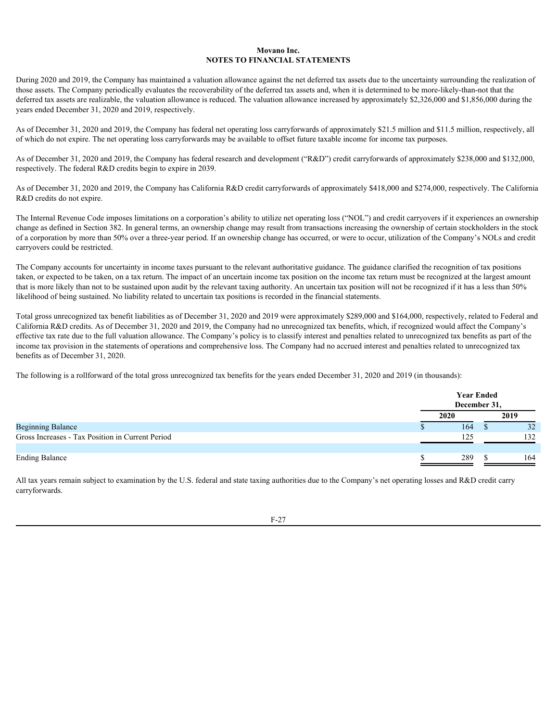During 2020 and 2019, the Company has maintained a valuation allowance against the net deferred tax assets due to the uncertainty surrounding the realization of those assets. The Company periodically evaluates the recoverability of the deferred tax assets and, when it is determined to be more-likely-than-not that the deferred tax assets are realizable, the valuation allowance is reduced. The valuation allowance increased by approximately \$2,326,000 and \$1,856,000 during the years ended December 31, 2020 and 2019, respectively.

As of December 31, 2020 and 2019, the Company has federal net operating loss carryforwards of approximately \$21.5 million and \$11.5 million, respectively, all of which do not expire. The net operating loss carryforwards may be available to offset future taxable income for income tax purposes.

As of December 31, 2020 and 2019, the Company has federal research and development ("R&D") credit carryforwards of approximately \$238,000 and \$132,000, respectively. The federal R&D credits begin to expire in 2039.

As of December 31, 2020 and 2019, the Company has California R&D credit carryforwards of approximately \$418,000 and \$274,000, respectively. The California R&D credits do not expire.

The Internal Revenue Code imposes limitations on a corporation's ability to utilize net operating loss ("NOL") and credit carryovers if it experiences an ownership change as defined in Section 382. In general terms, an ownership change may result from transactions increasing the ownership of certain stockholders in the stock of a corporation by more than 50% over a three-year period. If an ownership change has occurred, or were to occur, utilization of the Company's NOLs and credit carryovers could be restricted.

The Company accounts for uncertainty in income taxes pursuant to the relevant authoritative guidance. The guidance clarified the recognition of tax positions taken, or expected to be taken, on a tax return. The impact of an uncertain income tax position on the income tax return must be recognized at the largest amount that is more likely than not to be sustained upon audit by the relevant taxing authority. An uncertain tax position will not be recognized if it has a less than 50% likelihood of being sustained. No liability related to uncertain tax positions is recorded in the financial statements.

Total gross unrecognized tax benefit liabilities as of December 31, 2020 and 2019 were approximately \$289,000 and \$164,000, respectively, related to Federal and California R&D credits. As of December 31, 2020 and 2019, the Company had no unrecognized tax benefits, which, if recognized would affect the Company's effective tax rate due to the full valuation allowance. The Company's policy is to classify interest and penalties related to unrecognized tax benefits as part of the income tax provision in the statements of operations and comprehensive loss. The Company had no accrued interest and penalties related to unrecognized tax benefits as of December 31, 2020.

The following is a rollforward of the total gross unrecognized tax benefits for the years ended December 31, 2020 and 2019 (in thousands):

|                                                  | <b>Year Ended</b><br>December 31, |  |      |
|--------------------------------------------------|-----------------------------------|--|------|
|                                                  | 2020                              |  | 2019 |
| <b>Beginning Balance</b>                         | 164                               |  | 52   |
| Gross Increases - Tax Position in Current Period | 125                               |  | 132  |
| <b>Ending Balance</b>                            | 289                               |  | 164  |

All tax years remain subject to examination by the U.S. federal and state taxing authorities due to the Company's net operating losses and  $R&D$  credit carry carryforwards.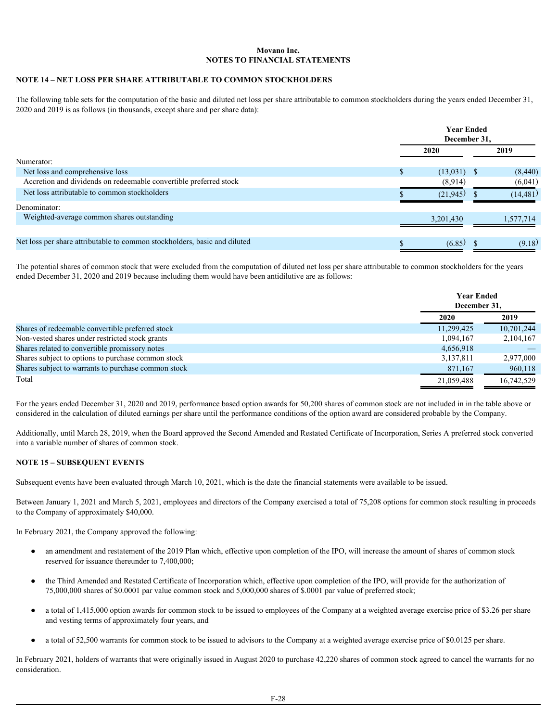### **NOTE 14 – NET LOSS PER SHARE ATTRIBUTABLE TO COMMON STOCKHOLDERS**

The following table sets for the computation of the basic and diluted net loss per share attributable to common stockholders during the years ended December 31, 2020 and 2019 is as follows (in thousands, except share and per share data):

|                                                                           | <b>Year Ended</b><br>December 31, |               |  |           |  |  |
|---------------------------------------------------------------------------|-----------------------------------|---------------|--|-----------|--|--|
|                                                                           |                                   | <b>2020</b>   |  | 2019      |  |  |
| Numerator:                                                                |                                   |               |  |           |  |  |
| Net loss and comprehensive loss                                           |                                   | $(13,031)$ \$ |  | (8,440)   |  |  |
| Accretion and dividends on redeemable convertible preferred stock         |                                   | (8,914)       |  | (6,041)   |  |  |
| Net loss attributable to common stockholders                              |                                   | (21,945)      |  | (14, 481) |  |  |
| Denominator:                                                              |                                   |               |  |           |  |  |
| Weighted-average common shares outstanding                                |                                   | 3,201,430     |  | 1,577,714 |  |  |
|                                                                           |                                   |               |  |           |  |  |
| Net loss per share attributable to common stockholders, basic and diluted |                                   | (6.85)        |  | (9.18)    |  |  |

 The potential shares of common stock that were excluded from the computation of diluted net loss per share attributable to common stockholders for the years ended December 31, 2020 and 2019 because including them would have been antidilutive are as follows:

|                                                     |            | <b>Year Ended</b><br>December 31, |  |
|-----------------------------------------------------|------------|-----------------------------------|--|
|                                                     | 2020       | 2019                              |  |
| Shares of redeemable convertible preferred stock    | 11,299,425 | 10,701,244                        |  |
| Non-vested shares under restricted stock grants     | 1,094,167  | 2,104,167                         |  |
| Shares related to convertible promissory notes      | 4,656,918  | $\overline{\phantom{a}}$          |  |
| Shares subject to options to purchase common stock  | 3,137,811  | 2,977,000                         |  |
| Shares subject to warrants to purchase common stock | 871,167    | 960,118                           |  |
| Total                                               | 21,059,488 | 16,742,529                        |  |
|                                                     |            |                                   |  |

 For the years ended December 31, 2020 and 2019, performance based option awards for 50,200 shares of common stock are not included in in the table above or considered in the calculation of diluted earnings per share until the performance conditions of the option award are considered probable by the Company.

Additionally, until March 28, 2019, when the Board approved the Second Amended and Restated Certificate of Incorporation, Series A preferred stock converted into a variable number of shares of common stock.

### **NOTE 15 – SUBSEQUENT EVENTS**

Subsequent events have been evaluated through March 10, 2021, which is the date the financial statements were available to be issued.

Between January 1, 2021 and March 5, 2021, employees and directors of the Company exercised a total of 75,208 options for common stock resulting in proceeds to the Company of approximately \$40,000.

In February 2021, the Company approved the following:

- an amendment and restatement of the 2019 Plan which, effective upon completion of the IPO, will increase the amount of shares of common stock reserved for issuance thereunder to 7,400,000;
- the Third Amended and Restated Certificate of Incorporation which, effective upon completion of the IPO, will provide for the authorization of 75,000,000 shares of \$0.0001 par value common stock and 5,000,000 shares of \$.0001 par value of preferred stock;
- a total of 1,415,000 option awards for common stock to be issued to employees of the Company at a weighted average exercise price of \$3.26 per share and vesting terms of approximately four years, and
- a total of 52,500 warrants for common stock to be issued to advisors to the Company at a weighted average exercise price of \$0.0125 per share.

In February 2021, holders of warrants that were originally issued in August 2020 to purchase 42,220 shares of common stock agreed to cancel the warrants for no consideration.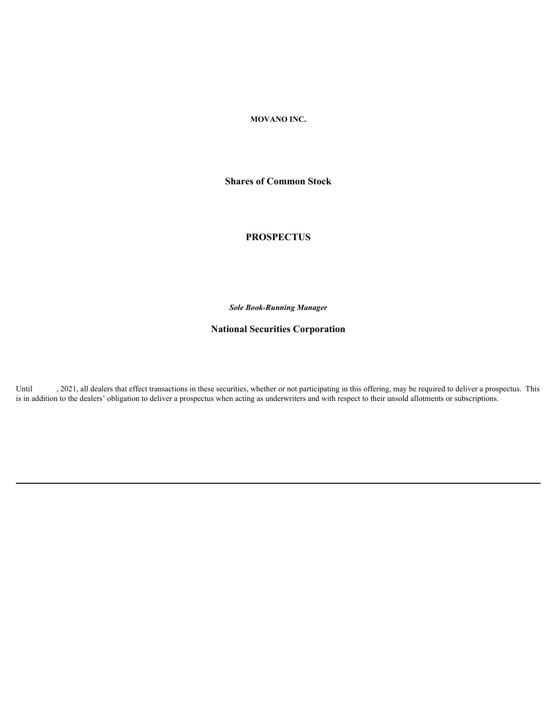### **MOVANO INC.**

**Shares of Common Stock**

# **PROSPECTUS**

*Sole Book-Running Manager*

# **National Securities Corporation**

Until , 2021, all dealers that effect transactions in these securities, whether or not participating in this offering, may be required to deliver a prospectus. This is in addition to the dealers' obligation to deliver a prospectus when acting as underwriters and with respect to their unsold allotments or subscriptions.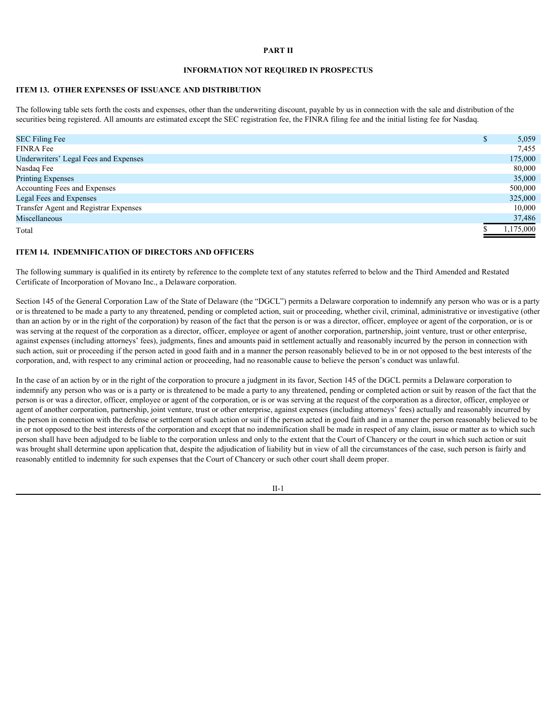#### **PART II**

### **INFORMATION NOT REQUIRED IN PROSPECTUS**

### **ITEM 13. OTHER EXPENSES OF ISSUANCE AND DISTRIBUTION**

The following table sets forth the costs and expenses, other than the underwriting discount, payable by us in connection with the sale and distribution of the securities being registered. All amounts are estimated except the SEC registration fee, the FINRA filing fee and the initial listing fee for Nasdaq.

| <b>SEC Filing Fee</b>                 | 5,059     |
|---------------------------------------|-----------|
| <b>FINRA Fee</b>                      | 7,455     |
| Underwriters' Legal Fees and Expenses | 175,000   |
| Nasdaq Fee                            | 80,000    |
| <b>Printing Expenses</b>              | 35,000    |
| Accounting Fees and Expenses          | 500,000   |
| Legal Fees and Expenses               | 325,000   |
| Transfer Agent and Registrar Expenses | 10,000    |
| Miscellaneous                         | 37,486    |
| Total                                 | 1,175,000 |
|                                       |           |

#### **ITEM 14. INDEMNIFICATION OF DIRECTORS AND OFFICERS**

The following summary is qualified in its entirety by reference to the complete text of any statutes referred to below and the Third Amended and Restated Certificate of Incorporation of Movano Inc., a Delaware corporation.

Section 145 of the General Corporation Law of the State of Delaware (the "DGCL") permits a Delaware corporation to indemnify any person who was or is a party or is threatened to be made a party to any threatened, pending or completed action, suit or proceeding, whether civil, criminal, administrative or investigative (other than an action by or in the right of the corporation) by reason of the fact that the person is or was a director, officer, employee or agent of the corporation, or is or was serving at the request of the corporation as a director, officer, employee or agent of another corporation, partnership, joint venture, trust or other enterprise, against expenses (including attorneys' fees), judgments, fines and amounts paid in settlement actually and reasonably incurred by the person in connection with such action, suit or proceeding if the person acted in good faith and in a manner the person reasonably believed to be in or not opposed to the best interests of the corporation, and, with respect to any criminal action or proceeding, had no reasonable cause to believe the person's conduct was unlawful.

In the case of an action by or in the right of the corporation to procure a judgment in its favor, Section 145 of the DGCL permits a Delaware corporation to indemnify any person who was or is a party or is threatened to be made a party to any threatened, pending or completed action or suit by reason of the fact that the person is or was a director, officer, employee or agent of the corporation, or is or was serving at the request of the corporation as a director, officer, employee or agent of another corporation, partnership, joint venture, trust or other enterprise, against expenses (including attorneys' fees) actually and reasonably incurred by the person in connection with the defense or settlement of such action or suit if the person acted in good faith and in a manner the person reasonably believed to be in or not opposed to the best interests of the corporation and except that no indemnification shall be made in respect of any claim, issue or matter as to which such person shall have been adjudged to be liable to the corporation unless and only to the extent that the Court of Chancery or the court in which such action or suit was brought shall determine upon application that, despite the adjudication of liability but in view of all the circumstances of the case, such person is fairly and reasonably entitled to indemnity for such expenses that the Court of Chancery or such other court shall deem proper.

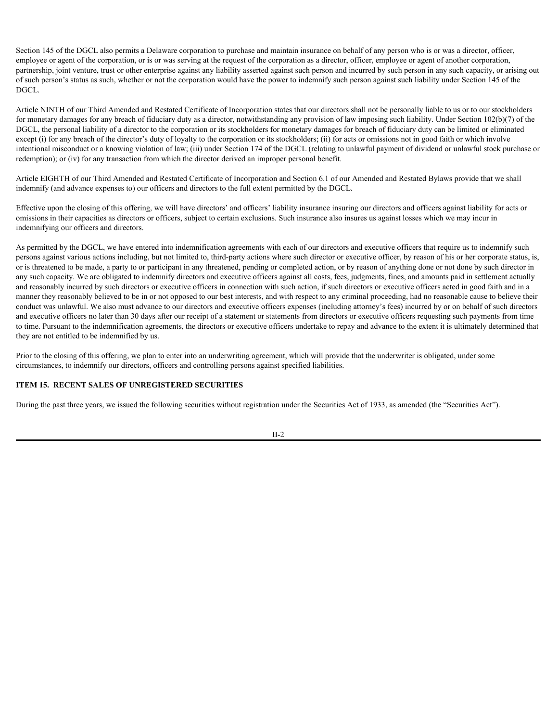Section 145 of the DGCL also permits a Delaware corporation to purchase and maintain insurance on behalf of any person who is or was a director, officer, employee or agent of the corporation, or is or was serving at the request of the corporation as a director, officer, employee or agent of another corporation, partnership, joint venture, trust or other enterprise against any liability asserted against such person and incurred by such person in any such capacity, or arising out of such person's status as such, whether or not the corporation would have the power to indemnify such person against such liability under Section 145 of the DGCL.

Article NINTH of our Third Amended and Restated Certificate of Incorporation states that our directors shall not be personally liable to us or to our stockholders for monetary damages for any breach of fiduciary duty as a director, notwithstanding any provision of law imposing such liability. Under Section 102(b)(7) of the DGCL, the personal liability of a director to the corporation or its stockholders for monetary damages for breach of fiduciary duty can be limited or eliminated except (i) for any breach of the director's duty of loyalty to the corporation or its stockholders; (ii) for acts or omissions not in good faith or which involve intentional misconduct or a knowing violation of law; (iii) under Section 174 of the DGCL (relating to unlawful payment of dividend or unlawful stock purchase or redemption); or (iv) for any transaction from which the director derived an improper personal benefit.

Article EIGHTH of our Third Amended and Restated Certificate of Incorporation and Section 6.1 of our Amended and Restated Bylaws provide that we shall indemnify (and advance expenses to) our officers and directors to the full extent permitted by the DGCL.

Effective upon the closing of this offering, we will have directors' and officers' liability insurance insuring our directors and officers against liability for acts or omissions in their capacities as directors or officers, subject to certain exclusions. Such insurance also insures us against losses which we may incur in indemnifying our officers and directors.

As permitted by the DGCL, we have entered into indemnification agreements with each of our directors and executive officers that require us to indemnify such persons against various actions including, but not limited to, third-party actions where such director or executive officer, by reason of his or her corporate status, is, or is threatened to be made, a party to or participant in any threatened, pending or completed action, or by reason of anything done or not done by such director in any such capacity. We are obligated to indemnify directors and executive officers against all costs, fees, judgments, fines, and amounts paid in settlement actually and reasonably incurred by such directors or executive officers in connection with such action, if such directors or executive officers acted in good faith and in a manner they reasonably believed to be in or not opposed to our best interests, and with respect to any criminal proceeding, had no reasonable cause to believe their conduct was unlawful. We also must advance to our directors and executive officers expenses (including attorney's fees) incurred by or on behalf of such directors and executive officers no later than 30 days after our receipt of a statement or statements from directors or executive officers requesting such payments from time to time. Pursuant to the indemnification agreements, the directors or executive officers undertake to repay and advance to the extent it is ultimately determined that they are not entitled to be indemnified by us.

Prior to the closing of this offering, we plan to enter into an underwriting agreement, which will provide that the underwriter is obligated, under some circumstances, to indemnify our directors, officers and controlling persons against specified liabilities.

#### **ITEM 15. RECENT SALES OF UNREGISTERED SECURITIES**

During the past three years, we issued the following securities without registration under the Securities Act of 1933, as amended (the "Securities Act").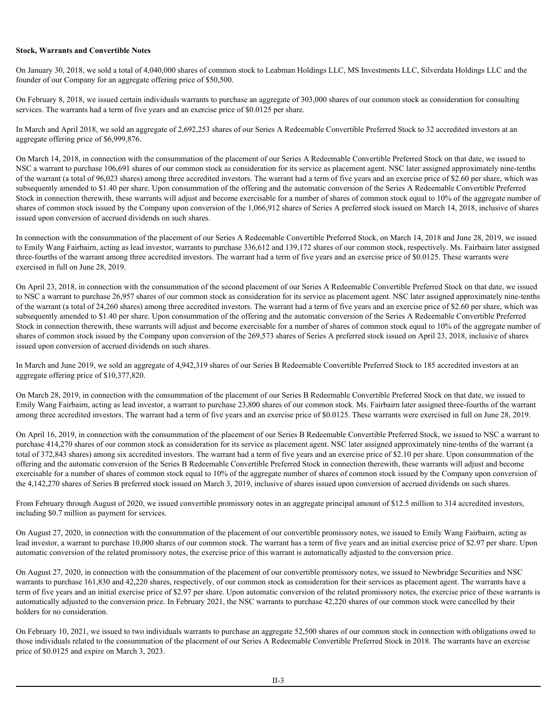#### **Stock, Warrants and Convertible Notes**

On January 30, 2018, we sold a total of 4,040,000 shares of common stock to Leabman Holdings LLC, MS Investments LLC, Silverdata Holdings LLC and the founder of our Company for an aggregate offering price of \$50,500.

On February 8, 2018, we issued certain individuals warrants to purchase an aggregate of 303,000 shares of our common stock as consideration for consulting services. The warrants had a term of five years and an exercise price of \$0.0125 per share.

In March and April 2018, we sold an aggregate of 2,692,253 shares of our Series A Redeemable Convertible Preferred Stock to 32 accredited investors at an aggregate offering price of \$6,999,876.

On March 14, 2018, in connection with the consummation of the placement of our Series A Redeemable Convertible Preferred Stock on that date, we issued to NSC a warrant to purchase 106,691 shares of our common stock as consideration for its service as placement agent. NSC later assigned approximately nine-tenths of the warrant (a total of 96,023 shares) among three accredited investors. The warrant had a term of five years and an exercise price of \$2.60 per share, which was subsequently amended to \$1.40 per share. Upon consummation of the offering and the automatic conversion of the Series A Redeemable Convertible Preferred Stock in connection therewith, these warrants will adjust and become exercisable for a number of shares of common stock equal to 10% of the aggregate number of shares of common stock issued by the Company upon conversion of the 1,066,912 shares of Series A preferred stock issued on March 14, 2018, inclusive of shares issued upon conversion of accrued dividends on such shares.

In connection with the consummation of the placement of our Series A Redeemable Convertible Preferred Stock, on March 14, 2018 and June 28, 2019, we issued to Emily Wang Fairbairn, acting as lead investor, warrants to purchase 336,612 and 139,172 shares of our common stock, respectively. Ms. Fairbairn later assigned three-fourths of the warrant among three accredited investors. The warrant had a term of five years and an exercise price of \$0.0125. These warrants were exercised in full on June 28, 2019.

On April 23, 2018, in connection with the consummation of the second placement of our Series A Redeemable Convertible Preferred Stock on that date, we issued to NSC a warrant to purchase 26,957 shares of our common stock as consideration for its service as placement agent. NSC later assigned approximately nine-tenths of the warrant (a total of 24,260 shares) among three accredited investors. The warrant had a term of five years and an exercise price of \$2.60 per share, which was subsequently amended to \$1.40 per share. Upon consummation of the offering and the automatic conversion of the Series A Redeemable Convertible Preferred Stock in connection therewith, these warrants will adjust and become exercisable for a number of shares of common stock equal to 10% of the aggregate number of shares of common stock issued by the Company upon conversion of the 269,573 shares of Series A preferred stock issued on April 23, 2018, inclusive of shares issued upon conversion of accrued dividends on such shares.

In March and June 2019, we sold an aggregate of 4,942,319 shares of our Series B Redeemable Convertible Preferred Stock to 185 accredited investors at an aggregate offering price of \$10,377,820.

On March 28, 2019, in connection with the consummation of the placement of our Series B Redeemable Convertible Preferred Stock on that date, we issued to Emily Wang Fairbairn, acting as lead investor, a warrant to purchase 23,800 shares of our common stock. Ms. Fairbairn later assigned three-fourths of the warrant among three accredited investors. The warrant had a term of five years and an exercise price of \$0.0125. These warrants were exercised in full on June 28, 2019.

On April 16, 2019, in connection with the consummation of the placement of our Series B Redeemable Convertible Preferred Stock, we issued to NSC a warrant to purchase 414,270 shares of our common stock as consideration for its service as placement agent. NSC later assigned approximately nine-tenths of the warrant (a total of 372,843 shares) among six accredited investors. The warrant had a term of five years and an exercise price of \$2.10 per share. Upon consummation of the offering and the automatic conversion of the Series B Redeemable Convertible Preferred Stock in connection therewith, these warrants will adjust and become exercisable for a number of shares of common stock equal to 10% of the aggregate number of shares of common stock issued by the Company upon conversion of the 4,142,270 shares of Series B preferred stock issued on March 3, 2019, inclusive of shares issued upon conversion of accrued dividends on such shares.

From February through August of 2020, we issued convertible promissory notes in an aggregate principal amount of \$12.5 million to 314 accredited investors, including \$0.7 million as payment for services.

On August 27, 2020, in connection with the consummation of the placement of our convertible promissory notes, we issued to Emily Wang Fairbairn, acting as lead investor, a warrant to purchase 10,000 shares of our common stock. The warrant has a term of five years and an initial exercise price of \$2.97 per share. Upon automatic conversion of the related promissory notes, the exercise price of this warrant is automatically adjusted to the conversion price.

On August 27, 2020, in connection with the consummation of the placement of our convertible promissory notes, we issued to Newbridge Securities and NSC warrants to purchase 161,830 and 42,220 shares, respectively, of our common stock as consideration for their services as placement agent. The warrants have a term of five years and an initial exercise price of \$2.97 per share. Upon automatic conversion of the related promissory notes, the exercise price of these warrants is automatically adjusted to the conversion price. In February 2021, the NSC warrants to purchase 42,220 shares of our common stock were cancelled by their holders for no consideration.

On February 10, 2021, we issued to two individuals warrants to purchase an aggregate 52,500 shares of our common stock in connection with obligations owed to those individuals related to the consummation of the placement of our Series A Redeemable Convertible Preferred Stock in 2018. The warrants have an exercise price of \$0.0125 and expire on March 3, 2023.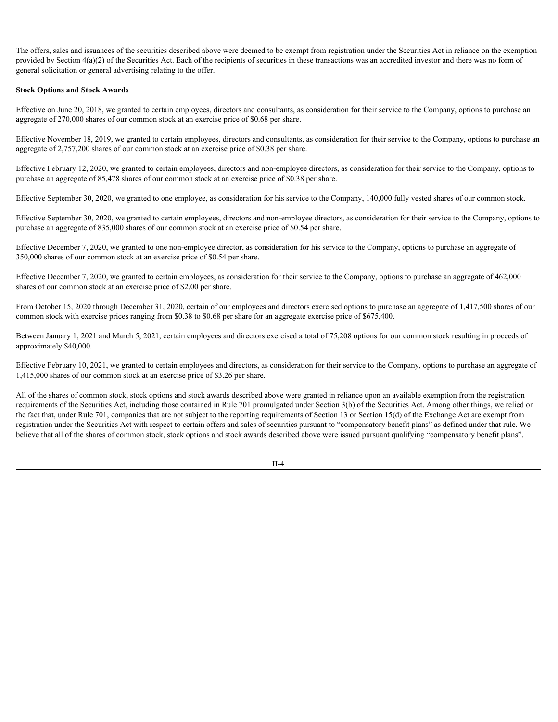The offers, sales and issuances of the securities described above were deemed to be exempt from registration under the Securities Act in reliance on the exemption provided by Section 4(a)(2) of the Securities Act. Each of the recipients of securities in these transactions was an accredited investor and there was no form of general solicitation or general advertising relating to the offer.

#### **Stock Options and Stock Awards**

Effective on June 20, 2018, we granted to certain employees, directors and consultants, as consideration for their service to the Company, options to purchase an aggregate of 270,000 shares of our common stock at an exercise price of \$0.68 per share.

Effective November 18, 2019, we granted to certain employees, directors and consultants, as consideration for their service to the Company, options to purchase an aggregate of 2,757,200 shares of our common stock at an exercise price of \$0.38 per share.

Effective February 12, 2020, we granted to certain employees, directors and non-employee directors, as consideration for their service to the Company, options to purchase an aggregate of 85,478 shares of our common stock at an exercise price of \$0.38 per share.

Effective September 30, 2020, we granted to one employee, as consideration for his service to the Company, 140,000 fully vested shares of our common stock.

Effective September 30, 2020, we granted to certain employees, directors and non-employee directors, as consideration for their service to the Company, options to purchase an aggregate of 835,000 shares of our common stock at an exercise price of \$0.54 per share.

Effective December 7, 2020, we granted to one non-employee director, as consideration for his service to the Company, options to purchase an aggregate of 350,000 shares of our common stock at an exercise price of \$0.54 per share.

Effective December 7, 2020, we granted to certain employees, as consideration for their service to the Company, options to purchase an aggregate of 462,000 shares of our common stock at an exercise price of \$2.00 per share.

From October 15, 2020 through December 31, 2020, certain of our employees and directors exercised options to purchase an aggregate of 1,417,500 shares of our common stock with exercise prices ranging from \$0.38 to \$0.68 per share for an aggregate exercise price of \$675,400.

Between January 1, 2021 and March 5, 2021, certain employees and directors exercised a total of 75,208 options for our common stock resulting in proceeds of approximately \$40,000.

Effective February 10, 2021, we granted to certain employees and directors, as consideration for their service to the Company, options to purchase an aggregate of 1,415,000 shares of our common stock at an exercise price of \$3.26 per share.

All of the shares of common stock, stock options and stock awards described above were granted in reliance upon an available exemption from the registration requirements of the Securities Act, including those contained in Rule 701 promulgated under Section 3(b) of the Securities Act. Among other things, we relied on the fact that, under Rule 701, companies that are not subject to the reporting requirements of Section 13 or Section 15(d) of the Exchange Act are exempt from registration under the Securities Act with respect to certain offers and sales of securities pursuant to "compensatory benefit plans" as defined under that rule. We believe that all of the shares of common stock, stock options and stock awards described above were issued pursuant qualifying "compensatory benefit plans".

II-4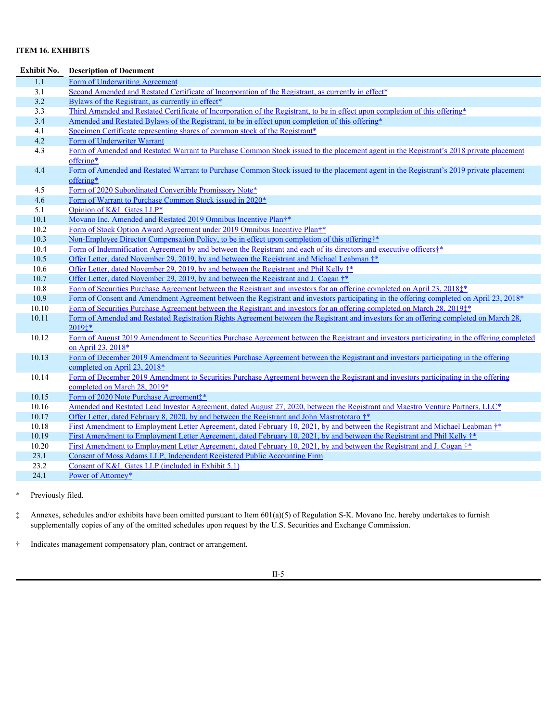# **ITEM 16. EXHIBITS**

| <b>Exhibit No.</b> | <b>Description of Document</b>                                                                                                                                      |  |
|--------------------|---------------------------------------------------------------------------------------------------------------------------------------------------------------------|--|
| $\overline{1.1}$   | Form of Underwriting Agreement                                                                                                                                      |  |
| 3.1                | Second Amended and Restated Certificate of Incorporation of the Registrant, as currently in effect*                                                                 |  |
| 3.2                | Bylaws of the Registrant, as currently in effect*                                                                                                                   |  |
| 3.3                | Third Amended and Restated Certificate of Incorporation of the Registrant, to be in effect upon completion of this offering*                                        |  |
| 3.4                | Amended and Restated Bylaws of the Registrant, to be in effect upon completion of this offering*                                                                    |  |
| 4.1                | Specimen Certificate representing shares of common stock of the Registrant*                                                                                         |  |
| 4.2                | Form of Underwriter Warrant                                                                                                                                         |  |
| 4.3                | Form of Amended and Restated Warrant to Purchase Common Stock issued to the placement agent in the Registrant's 2018 private placement                              |  |
|                    | offering*                                                                                                                                                           |  |
| 4.4                | Form of Amended and Restated Warrant to Purchase Common Stock issued to the placement agent in the Registrant's 2019 private placement                              |  |
|                    | offering*                                                                                                                                                           |  |
| 4.5                | Form of 2020 Subordinated Convertible Promissory Note*                                                                                                              |  |
| 4.6                | Form of Warrant to Purchase Common Stock issued in 2020*                                                                                                            |  |
| 5.1                | Opinion of K&L Gates LLP*                                                                                                                                           |  |
| 10.1               | Movano Inc. Amended and Restated 2019 Omnibus Incentive Plan†*                                                                                                      |  |
| 10.2               | Form of Stock Option Award Agreement under 2019 Omnibus Incentive Plant*                                                                                            |  |
| 10.3               | Non-Employee Director Compensation Policy, to be in effect upon completion of this offering <sup>†</sup> *                                                          |  |
| 10.4               | Form of Indemnification Agreement by and between the Registrant and each of its directors and executive officers <sup>†*</sup>                                      |  |
| 10.5               | Offer Letter, dated November 29, 2019, by and between the Registrant and Michael Leabman †*                                                                         |  |
| 10.6               | Offer Letter, dated November 29, 2019, by and between the Registrant and Phil Kelly $\dot{\tau}^*$                                                                  |  |
| 10.7               | Offer Letter, dated November 29, 2019, by and between the Registrant and J. Cogan †*                                                                                |  |
| 10.8               | Form of Securities Purchase Agreement between the Registrant and investors for an offering completed on April 23, 2018 <sup>†*</sup>                                |  |
| 10.9               | Form of Consent and Amendment Agreement between the Registrant and investors participating in the offering completed on April 23, 2018 <sup>*</sup>                 |  |
| 10.10              | Form of Securities Purchase Agreement between the Registrant and investors for an offering completed on March 28, 2019 <sup>*</sup>                                 |  |
| 10.11              | Form of Amended and Restated Registration Rights Agreement between the Registrant and investors for an offering completed on March 28,<br>2019 $\ddagger$ *         |  |
| 10.12              | Form of August 2019 Amendment to Securities Purchase Agreement between the Registrant and investors participating in the offering completed                         |  |
|                    | on April 23, 2018*                                                                                                                                                  |  |
| 10.13              | Form of December 2019 Amendment to Securities Purchase Agreement between the Registrant and investors participating in the offering<br>completed on April 23, 2018* |  |
| 10.14              | Form of December 2019 Amendment to Securities Purchase Agreement between the Registrant and investors participating in the offering                                 |  |
|                    | completed on March 28, 2019*                                                                                                                                        |  |
| 10.15              | Form of 2020 Note Purchase Agreement <sup>**</sup>                                                                                                                  |  |
| 10.16              | Amended and Restated Lead Investor Agreement, dated August 27, 2020, between the Registrant and Maestro Venture Partners, LLC*                                      |  |
| 10.17              | Offer Letter, dated February 8, 2020, by and between the Registrant and John Mastrototaro †*                                                                        |  |
| 10.18              | First Amendment to Employment Letter Agreement, dated February 10, 2021, by and between the Registrant and Michael Leabman †*                                       |  |
| 10.19              | First Amendment to Employment Letter Agreement, dated February 10, 2021, by and between the Registrant and Phil Kelly <sup>†*</sup>                                 |  |
| 10.20              | First Amendment to Employment Letter Agreement, dated February 10, 2021, by and between the Registrant and J. Cogan $\dot{\uparrow}^*$                              |  |
| 23.1               | Consent of Moss Adams LLP, Independent Registered Public Accounting Firm                                                                                            |  |
| 23.2               | Consent of K&L Gates LLP (included in Exhibit 5.1)                                                                                                                  |  |
| 24.1               | Power of Attorney*                                                                                                                                                  |  |
|                    |                                                                                                                                                                     |  |

\* Previously filed.

‡ Annexes, schedules and/or exhibits have been omitted pursuant to Item 601(a)(5) of Regulation S-K. Movano Inc. hereby undertakes to furnish supplementally copies of any of the omitted schedules upon request by the U.S. Securities and Exchange Commission.

† Indicates management compensatory plan, contract or arrangement.

II-5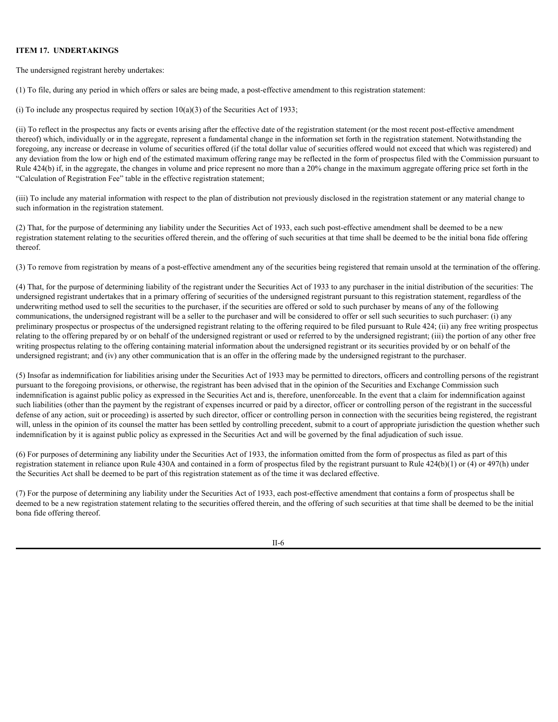#### **ITEM 17. UNDERTAKINGS**

The undersigned registrant hereby undertakes:

(1) To file, during any period in which offers or sales are being made, a post-effective amendment to this registration statement:

(i) To include any prospectus required by section  $10(a)(3)$  of the Securities Act of 1933;

(ii) To reflect in the prospectus any facts or events arising after the effective date of the registration statement (or the most recent post-effective amendment thereof) which, individually or in the aggregate, represent a fundamental change in the information set forth in the registration statement. Notwithstanding the foregoing, any increase or decrease in volume of securities offered (if the total dollar value of securities offered would not exceed that which was registered) and any deviation from the low or high end of the estimated maximum offering range may be reflected in the form of prospectus filed with the Commission pursuant to Rule 424(b) if, in the aggregate, the changes in volume and price represent no more than a 20% change in the maximum aggregate offering price set forth in the "Calculation of Registration Fee" table in the effective registration statement;

(iii) To include any material information with respect to the plan of distribution not previously disclosed in the registration statement or any material change to such information in the registration statement.

(2) That, for the purpose of determining any liability under the Securities Act of 1933, each such post-effective amendment shall be deemed to be a new registration statement relating to the securities offered therein, and the offering of such securities at that time shall be deemed to be the initial bona fide offering thereof.

(3) To remove from registration by means of a post-effective amendment any of the securities being registered that remain unsold at the termination of the offering.

(4) That, for the purpose of determining liability of the registrant under the Securities Act of 1933 to any purchaser in the initial distribution of the securities: The undersigned registrant undertakes that in a primary offering of securities of the undersigned registrant pursuant to this registration statement, regardless of the underwriting method used to sell the securities to the purchaser, if the securities are offered or sold to such purchaser by means of any of the following communications, the undersigned registrant will be a seller to the purchaser and will be considered to offer or sell such securities to such purchaser: (i) any preliminary prospectus or prospectus of the undersigned registrant relating to the offering required to be filed pursuant to Rule 424; (ii) any free writing prospectus relating to the offering prepared by or on behalf of the undersigned registrant or used or referred to by the undersigned registrant; (iii) the portion of any other free writing prospectus relating to the offering containing material information about the undersigned registrant or its securities provided by or on behalf of the undersigned registrant; and (iv) any other communication that is an offer in the offering made by the undersigned registrant to the purchaser.

(5) Insofar as indemnification for liabilities arising under the Securities Act of 1933 may be permitted to directors, officers and controlling persons of the registrant pursuant to the foregoing provisions, or otherwise, the registrant has been advised that in the opinion of the Securities and Exchange Commission such indemnification is against public policy as expressed in the Securities Act and is, therefore, unenforceable. In the event that a claim for indemnification against such liabilities (other than the payment by the registrant of expenses incurred or paid by a director, officer or controlling person of the registrant in the successful defense of any action, suit or proceeding) is asserted by such director, officer or controlling person in connection with the securities being registered, the registrant will, unless in the opinion of its counsel the matter has been settled by controlling precedent, submit to a court of appropriate jurisdiction the question whether such indemnification by it is against public policy as expressed in the Securities Act and will be governed by the final adjudication of such issue.

(6) For purposes of determining any liability under the Securities Act of 1933, the information omitted from the form of prospectus as filed as part of this registration statement in reliance upon Rule 430A and contained in a form of prospectus filed by the registrant pursuant to Rule 424(b)(1) or (4) or 497(h) under the Securities Act shall be deemed to be part of this registration statement as of the time it was declared effective.

(7) For the purpose of determining any liability under the Securities Act of 1933, each post-effective amendment that contains a form of prospectus shall be deemed to be a new registration statement relating to the securities offered therein, and the offering of such securities at that time shall be deemed to be the initial bona fide offering thereof.

II-6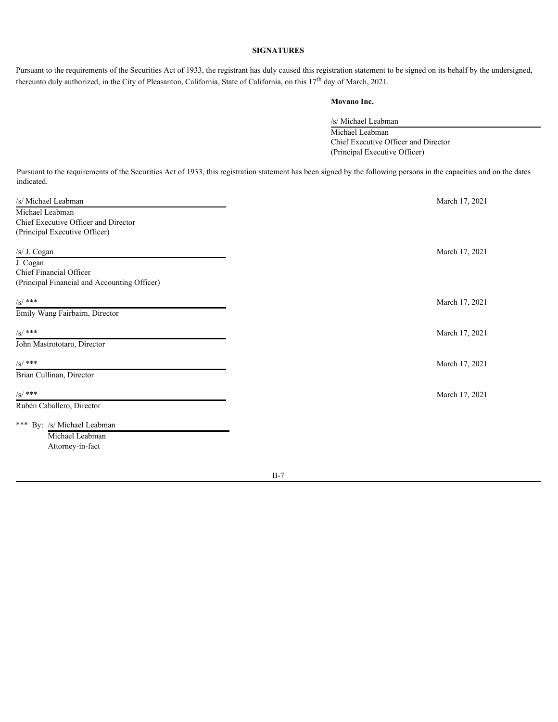# **SIGNATURES**

Pursuant to the requirements of the Securities Act of 1933, the registrant has duly caused this registration statement to be signed on its behalf by the undersigned, thereunto duly authorized, in the City of Pleasanton, California, State of California, on this 17<sup>th</sup> day of March, 2021.

# **Movano Inc.**

/s/ Michael Leabman Michael Leabman Chief Executive Officer and Director (Principal Executive Officer)

Pursuant to the requirements of the Securities Act of 1933, this registration statement has been signed by the following persons in the capacities and on the dates indicated.

| /s/ Michael Leabman                          | March 17, 2021 |
|----------------------------------------------|----------------|
| Michael Leabman                              |                |
| Chief Executive Officer and Director         |                |
| (Principal Executive Officer)                |                |
|                                              |                |
| /s/ J. Cogan                                 | March 17, 2021 |
| J. Cogan                                     |                |
| Chief Financial Officer                      |                |
| (Principal Financial and Accounting Officer) |                |
| $/S/$ ***                                    | March 17, 2021 |
| Emily Wang Fairbairn, Director               |                |
| $/S/$ ***                                    | March 17, 2021 |
| John Mastrototaro, Director                  |                |
| $/S/$ ***                                    | March 17, 2021 |
|                                              |                |
| Brian Cullinan, Director                     |                |
| $/S/$ ***                                    | March 17, 2021 |
| Rubén Caballero, Director                    |                |
| *** By: /s/ Michael Leabman                  |                |
| Michael Leabman                              |                |
| Attorney-in-fact                             |                |
|                                              |                |
|                                              |                |

II-7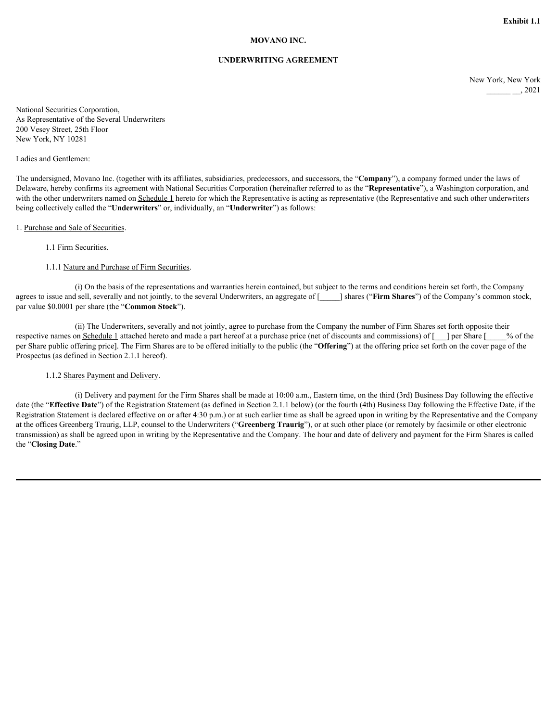## **MOVANO INC.**

## **UNDERWRITING AGREEMENT**

New York, New York  $\frac{1}{2}$  2021

National Securities Corporation, As Representative of the Several Underwriters 200 Vesey Street, 25th Floor New York, NY 10281

#### Ladies and Gentlemen:

The undersigned, Movano Inc. (together with its affiliates, subsidiaries, predecessors, and successors, the "**Company**"), a company formed under the laws of Delaware, hereby confirms its agreement with National Securities Corporation (hereinafter referred to as the "**Representative**"), a Washington corporation, and with the other underwriters named on Schedule 1 hereto for which the Representative is acting as representative (the Representative and such other underwriters being collectively called the "**Underwriters**" or, individually, an "**Underwriter**") as follows:

#### 1. Purchase and Sale of Securities.

### 1.1 Firm Securities.

### 1.1.1 Nature and Purchase of Firm Securities.

(i) On the basis of the representations and warranties herein contained, but subject to the terms and conditions herein set forth, the Company agrees to issue and sell, severally and not jointly, to the several Underwriters, an aggregate of [\_\_\_\_\_] shares ("**Firm Shares**") of the Company's common stock, par value \$0.0001 per share (the "**Common Stock**").

(ii) The Underwriters, severally and not jointly, agree to purchase from the Company the number of Firm Shares set forth opposite their respective names on Schedule 1 attached hereto and made a part hereof at a purchase price (net of discounts and commissions) of  $\lceil \quad \rceil$  per Share  $\lceil \quad \rceil$  % of the per Share public offering price]. The Firm Shares are to be offered initially to the public (the "**Offering**") at the offering price set forth on the cover page of the Prospectus (as defined in Section 2.1.1 hereof).

## 1.1.2 Shares Payment and Delivery.

(i) Delivery and payment for the Firm Shares shall be made at 10:00 a.m., Eastern time, on the third (3rd) Business Day following the effective date (the "**Effective Date**") of the Registration Statement (as defined in Section 2.1.1 below) (or the fourth (4th) Business Day following the Effective Date, if the Registration Statement is declared effective on or after 4:30 p.m.) or at such earlier time as shall be agreed upon in writing by the Representative and the Company at the offices Greenberg Traurig, LLP, counsel to the Underwriters ("**Greenberg Traurig**"), or at such other place (or remotely by facsimile or other electronic transmission) as shall be agreed upon in writing by the Representative and the Company. The hour and date of delivery and payment for the Firm Shares is called the "**Closing Date**."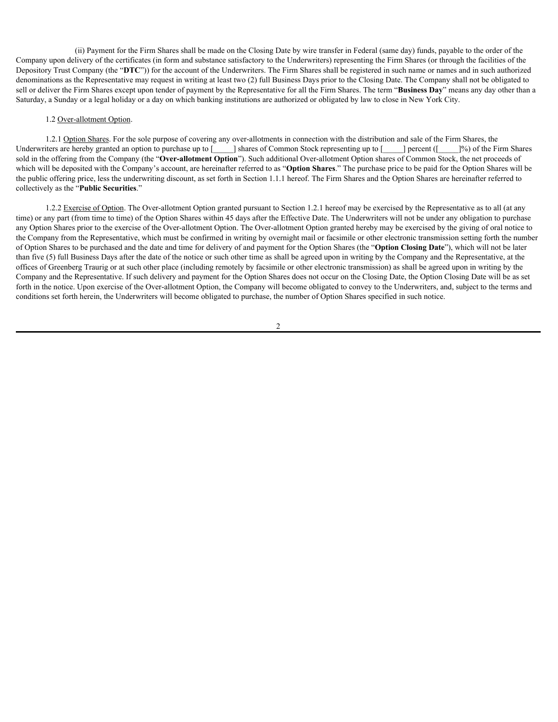(ii) Payment for the Firm Shares shall be made on the Closing Date by wire transfer in Federal (same day) funds, payable to the order of the Company upon delivery of the certificates (in form and substance satisfactory to the Underwriters) representing the Firm Shares (or through the facilities of the Depository Trust Company (the "**DTC**")) for the account of the Underwriters. The Firm Shares shall be registered in such name or names and in such authorized denominations as the Representative may request in writing at least two (2) full Business Days prior to the Closing Date. The Company shall not be obligated to sell or deliver the Firm Shares except upon tender of payment by the Representative for all the Firm Shares. The term "**Business Day**" means any day other than a Saturday, a Sunday or a legal holiday or a day on which banking institutions are authorized or obligated by law to close in New York City.

### 1.2 Over-allotment Option.

1.2.1 Option Shares. For the sole purpose of covering any over-allotments in connection with the distribution and sale of the Firm Shares, the Underwriters are hereby granted an option to purchase up to [\_\_\_\_\_] shares of Common Stock representing up to [\_\_\_\_\_] percent ([\_\_\_\_\_]%) of the Firm Shares sold in the offering from the Company (the "**Over-allotment Option**"). Such additional Over-allotment Option shares of Common Stock, the net proceeds of which will be deposited with the Company's account, are hereinafter referred to as "**Option Shares**." The purchase price to be paid for the Option Shares will be the public offering price, less the underwriting discount, as set forth in Section 1.1.1 hereof. The Firm Shares and the Option Shares are hereinafter referred to collectively as the "**Public Securities**."

1.2.2 Exercise of Option. The Over-allotment Option granted pursuant to Section 1.2.1 hereof may be exercised by the Representative as to all (at any time) or any part (from time to time) of the Option Shares within 45 days after the Effective Date. The Underwriters will not be under any obligation to purchase any Option Shares prior to the exercise of the Over-allotment Option. The Over-allotment Option granted hereby may be exercised by the giving of oral notice to the Company from the Representative, which must be confirmed in writing by overnight mail or facsimile or other electronic transmission setting forth the number of Option Shares to be purchased and the date and time for delivery of and payment for the Option Shares (the "**Option Closing Date**"), which will not be later than five (5) full Business Days after the date of the notice or such other time as shall be agreed upon in writing by the Company and the Representative, at the offices of Greenberg Traurig or at such other place (including remotely by facsimile or other electronic transmission) as shall be agreed upon in writing by the Company and the Representative. If such delivery and payment for the Option Shares does not occur on the Closing Date, the Option Closing Date will be as set forth in the notice. Upon exercise of the Over-allotment Option, the Company will become obligated to convey to the Underwriters, and, subject to the terms and conditions set forth herein, the Underwriters will become obligated to purchase, the number of Option Shares specified in such notice.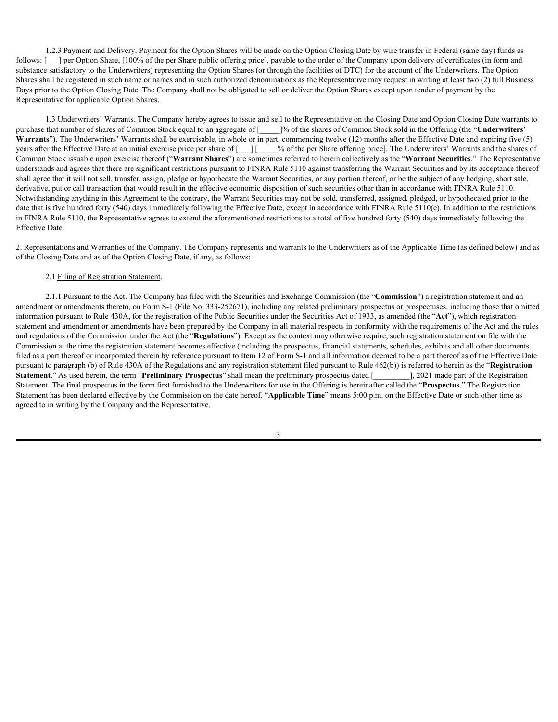1.2.3 Payment and Delivery. Payment for the Option Shares will be made on the Option Closing Date by wire transfer in Federal (same day) funds as follows: [ ] per Option Share, [100% of the per Share public offering price], payable to the order of the Company upon delivery of certificates (in form and substance satisfactory to the Underwriters) representing the Option Shares (or through the facilities of DTC) for the account of the Underwriters. The Option Shares shall be registered in such name or names and in such authorized denominations as the Representative may request in writing at least two (2) full Business Days prior to the Option Closing Date. The Company shall not be obligated to sell or deliver the Option Shares except upon tender of payment by the Representative for applicable Option Shares.

1.3 Underwriters' Warrants. The Company hereby agrees to issue and sell to the Representative on the Closing Date and Option Closing Date warrants to purchase that number of shares of Common Stock equal to an aggregate of [\_\_\_\_\_]% of the shares of Common Stock sold in the Offering (the "**Underwriters' Warrants**"). The Underwriters' Warrants shall be exercisable, in whole or in part, commencing twelve (12) months after the Effective Date and expiring five (5) years after the Effective Date at an initial exercise price per share of [\_\_\_] [\_\_\_\_% of the per Share offering price]. The Underwriters' Warrants and the shares of Common Stock issuable upon exercise thereof ("**Warrant Shares**") are sometimes referred to herein collectively as the "**Warrant Securities**." The Representative understands and agrees that there are significant restrictions pursuant to FINRA Rule 5110 against transferring the Warrant Securities and by its acceptance thereof shall agree that it will not sell, transfer, assign, pledge or hypothecate the Warrant Securities, or any portion thereof, or be the subject of any hedging, short sale, derivative, put or call transaction that would result in the effective economic disposition of such securities other than in accordance with FINRA Rule 5110. Notwithstanding anything in this Agreement to the contrary, the Warrant Securities may not be sold, transferred, assigned, pledged, or hypothecated prior to the date that is five hundred forty (540) days immediately following the Effective Date, except in accordance with FINRA Rule 5110(e). In addition to the restrictions in FINRA Rule 5110, the Representative agrees to extend the aforementioned restrictions to a total of five hundred forty (540) days immediately following the Effective Date.

2. Representations and Warranties of the Company. The Company represents and warrants to the Underwriters as of the Applicable Time (as defined below) and as of the Closing Date and as of the Option Closing Date, if any, as follows:

# 2.1 Filing of Registration Statement.

2.1.1 Pursuant to the Act. The Company has filed with the Securities and Exchange Commission (the "**Commission**") a registration statement and an amendment or amendments thereto, on Form S-1 (File No. 333-252671), including any related preliminary prospectus or prospectuses, including those that omitted information pursuant to Rule 430A, for the registration of the Public Securities under the Securities Act of 1933, as amended (the "**Act**"), which registration statement and amendment or amendments have been prepared by the Company in all material respects in conformity with the requirements of the Act and the rules and regulations of the Commission under the Act (the "**Regulations**"). Except as the context may otherwise require, such registration statement on file with the Commission at the time the registration statement becomes effective (including the prospectus, financial statements, schedules, exhibits and all other documents filed as a part thereof or incorporated therein by reference pursuant to Item 12 of Form S-1 and all information deemed to be a part thereof as of the Effective Date pursuant to paragraph (b) of Rule 430A of the Regulations and any registration statement filed pursuant to Rule 462(b)) is referred to herein as the "**Registration Statement**." As used herein, the term "**Preliminary Prospectus**" shall mean the preliminary prospectus dated [\_\_\_\_\_\_\_\_\_], 2021 made part of the Registration Statement. The final prospectus in the form first furnished to the Underwriters for use in the Offering is hereinafter called the "**Prospectus**." The Registration Statement has been declared effective by the Commission on the date hereof. "**Applicable Time**" means 5:00 p.m. on the Effective Date or such other time as agreed to in writing by the Company and the Representative.

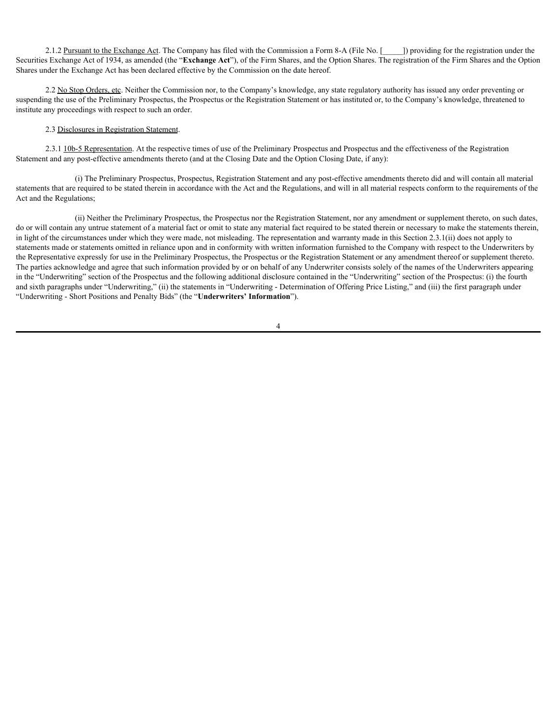2.1.2 Pursuant to the Exchange Act. The Company has filed with the Commission a Form 8-A (File No. [134]) providing for the registration under the Securities Exchange Act of 1934, as amended (the "**Exchange Act**"), of the Firm Shares, and the Option Shares. The registration of the Firm Shares and the Option Shares under the Exchange Act has been declared effective by the Commission on the date hereof.

2.2 No Stop Orders, etc. Neither the Commission nor, to the Company's knowledge, any state regulatory authority has issued any order preventing or suspending the use of the Preliminary Prospectus, the Prospectus or the Registration Statement or has instituted or, to the Company's knowledge, threatened to institute any proceedings with respect to such an order.

## 2.3 Disclosures in Registration Statement.

2.3.1 10b-5 Representation. At the respective times of use of the Preliminary Prospectus and Prospectus and the effectiveness of the Registration Statement and any post-effective amendments thereto (and at the Closing Date and the Option Closing Date, if any):

(i) The Preliminary Prospectus, Prospectus, Registration Statement and any post-effective amendments thereto did and will contain all material statements that are required to be stated therein in accordance with the Act and the Regulations, and will in all material respects conform to the requirements of the Act and the Regulations;

(ii) Neither the Preliminary Prospectus, the Prospectus nor the Registration Statement, nor any amendment or supplement thereto, on such dates, do or will contain any untrue statement of a material fact or omit to state any material fact required to be stated therein or necessary to make the statements therein, in light of the circumstances under which they were made, not misleading. The representation and warranty made in this Section 2.3.1(ii) does not apply to statements made or statements omitted in reliance upon and in conformity with written information furnished to the Company with respect to the Underwriters by the Representative expressly for use in the Preliminary Prospectus, the Prospectus or the Registration Statement or any amendment thereof or supplement thereto. The parties acknowledge and agree that such information provided by or on behalf of any Underwriter consists solely of the names of the Underwriters appearing in the "Underwriting" section of the Prospectus and the following additional disclosure contained in the "Underwriting" section of the Prospectus: (i) the fourth and sixth paragraphs under "Underwriting," (ii) the statements in "Underwriting - Determination of Offering Price Listing," and (iii) the first paragraph under "Underwriting - Short Positions and Penalty Bids" (the "**Underwriters' Information**").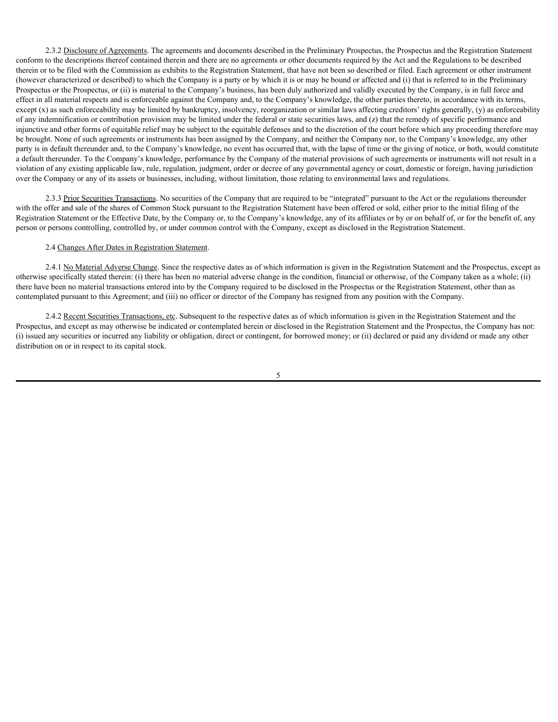2.3.2 Disclosure of Agreements. The agreements and documents described in the Preliminary Prospectus, the Prospectus and the Registration Statement conform to the descriptions thereof contained therein and there are no agreements or other documents required by the Act and the Regulations to be described therein or to be filed with the Commission as exhibits to the Registration Statement, that have not been so described or filed. Each agreement or other instrument (however characterized or described) to which the Company is a party or by which it is or may be bound or affected and (i) that is referred to in the Preliminary Prospectus or the Prospectus, or (ii) is material to the Company's business, has been duly authorized and validly executed by the Company, is in full force and effect in all material respects and is enforceable against the Company and, to the Company's knowledge, the other parties thereto, in accordance with its terms, except (x) as such enforceability may be limited by bankruptcy, insolvency, reorganization or similar laws affecting creditors' rights generally, (y) as enforceability of any indemnification or contribution provision may be limited under the federal or state securities laws, and (z) that the remedy of specific performance and injunctive and other forms of equitable relief may be subject to the equitable defenses and to the discretion of the court before which any proceeding therefore may be brought. None of such agreements or instruments has been assigned by the Company, and neither the Company nor, to the Company's knowledge, any other party is in default thereunder and, to the Company's knowledge, no event has occurred that, with the lapse of time or the giving of notice, or both, would constitute a default thereunder. To the Company's knowledge, performance by the Company of the material provisions of such agreements or instruments will not result in a violation of any existing applicable law, rule, regulation, judgment, order or decree of any governmental agency or court, domestic or foreign, having jurisdiction over the Company or any of its assets or businesses, including, without limitation, those relating to environmental laws and regulations.

2.3.3 Prior Securities Transactions. No securities of the Company that are required to be "integrated" pursuant to the Act or the regulations thereunder with the offer and sale of the shares of Common Stock pursuant to the Registration Statement have been offered or sold, either prior to the initial filing of the Registration Statement or the Effective Date, by the Company or, to the Company's knowledge, any of its affiliates or by or on behalf of, or for the benefit of, any person or persons controlling, controlled by, or under common control with the Company, except as disclosed in the Registration Statement.

## 2.4 Changes After Dates in Registration Statement.

2.4.1 No Material Adverse Change. Since the respective dates as of which information is given in the Registration Statement and the Prospectus, except as otherwise specifically stated therein: (i) there has been no material adverse change in the condition, financial or otherwise, of the Company taken as a whole; (ii) there have been no material transactions entered into by the Company required to be disclosed in the Prospectus or the Registration Statement, other than as contemplated pursuant to this Agreement; and (iii) no officer or director of the Company has resigned from any position with the Company.

2.4.2 Recent Securities Transactions, etc. Subsequent to the respective dates as of which information is given in the Registration Statement and the Prospectus, and except as may otherwise be indicated or contemplated herein or disclosed in the Registration Statement and the Prospectus, the Company has not: (i) issued any securities or incurred any liability or obligation, direct or contingent, for borrowed money; or (ii) declared or paid any dividend or made any other distribution on or in respect to its capital stock.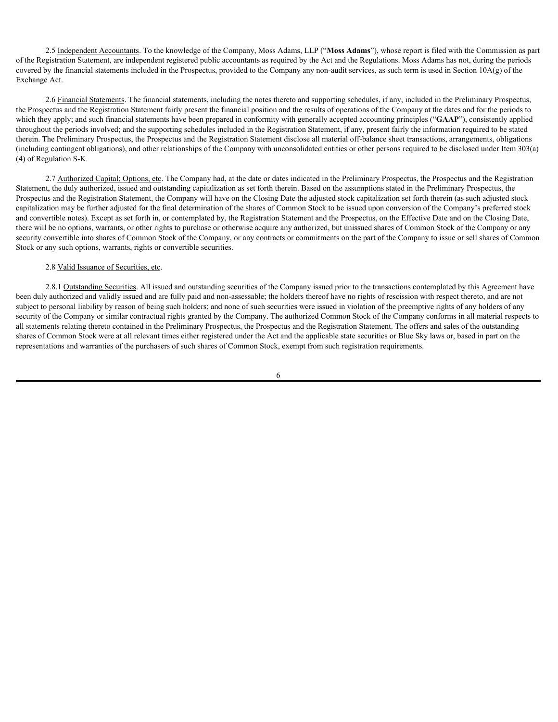2.5 Independent Accountants. To the knowledge of the Company, Moss Adams, LLP ("**Moss Adams**"), whose report is filed with the Commission as part of the Registration Statement, are independent registered public accountants as required by the Act and the Regulations. Moss Adams has not, during the periods covered by the financial statements included in the Prospectus, provided to the Company any non-audit services, as such term is used in Section 10A(g) of the Exchange Act.

2.6 Financial Statements. The financial statements, including the notes thereto and supporting schedules, if any, included in the Preliminary Prospectus, the Prospectus and the Registration Statement fairly present the financial position and the results of operations of the Company at the dates and for the periods to which they apply; and such financial statements have been prepared in conformity with generally accepted accounting principles ("GAAP"), consistently applied throughout the periods involved; and the supporting schedules included in the Registration Statement, if any, present fairly the information required to be stated therein. The Preliminary Prospectus, the Prospectus and the Registration Statement disclose all material off-balance sheet transactions, arrangements, obligations (including contingent obligations), and other relationships of the Company with unconsolidated entities or other persons required to be disclosed under Item 303(a) (4) of Regulation S-K.

2.7 Authorized Capital; Options, etc. The Company had, at the date or dates indicated in the Preliminary Prospectus, the Prospectus and the Registration Statement, the duly authorized, issued and outstanding capitalization as set forth therein. Based on the assumptions stated in the Preliminary Prospectus, the Prospectus and the Registration Statement, the Company will have on the Closing Date the adjusted stock capitalization set forth therein (as such adjusted stock capitalization may be further adjusted for the final determination of the shares of Common Stock to be issued upon conversion of the Company's preferred stock and convertible notes). Except as set forth in, or contemplated by, the Registration Statement and the Prospectus, on the Effective Date and on the Closing Date, there will be no options, warrants, or other rights to purchase or otherwise acquire any authorized, but unissued shares of Common Stock of the Company or any security convertible into shares of Common Stock of the Company, or any contracts or commitments on the part of the Company to issue or sell shares of Common Stock or any such options, warrants, rights or convertible securities.

# 2.8 Valid Issuance of Securities, etc.

2.8.1 Outstanding Securities. All issued and outstanding securities of the Company issued prior to the transactions contemplated by this Agreement have been duly authorized and validly issued and are fully paid and non-assessable; the holders thereof have no rights of rescission with respect thereto, and are not subject to personal liability by reason of being such holders; and none of such securities were issued in violation of the preemptive rights of any holders of any security of the Company or similar contractual rights granted by the Company. The authorized Common Stock of the Company conforms in all material respects to all statements relating thereto contained in the Preliminary Prospectus, the Prospectus and the Registration Statement. The offers and sales of the outstanding shares of Common Stock were at all relevant times either registered under the Act and the applicable state securities or Blue Sky laws or, based in part on the representations and warranties of the purchasers of such shares of Common Stock, exempt from such registration requirements.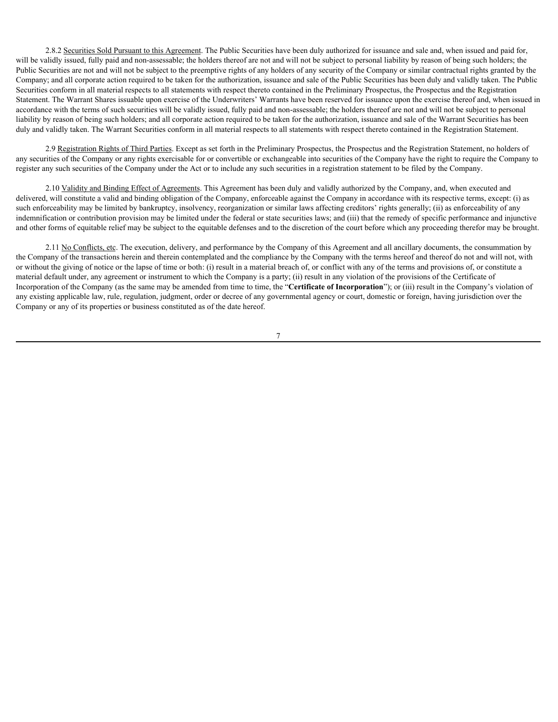2.8.2 Securities Sold Pursuant to this Agreement. The Public Securities have been duly authorized for issuance and sale and, when issued and paid for, will be validly issued, fully paid and non-assessable; the holders thereof are not and will not be subject to personal liability by reason of being such holders; the Public Securities are not and will not be subject to the preemptive rights of any holders of any security of the Company or similar contractual rights granted by the Company; and all corporate action required to be taken for the authorization, issuance and sale of the Public Securities has been duly and validly taken. The Public Securities conform in all material respects to all statements with respect thereto contained in the Preliminary Prospectus, the Prospectus and the Registration Statement. The Warrant Shares issuable upon exercise of the Underwriters' Warrants have been reserved for issuance upon the exercise thereof and, when issued in accordance with the terms of such securities will be validly issued, fully paid and non-assessable; the holders thereof are not and will not be subject to personal liability by reason of being such holders; and all corporate action required to be taken for the authorization, issuance and sale of the Warrant Securities has been duly and validly taken. The Warrant Securities conform in all material respects to all statements with respect thereto contained in the Registration Statement.

2.9 Registration Rights of Third Parties. Except as set forth in the Preliminary Prospectus, the Prospectus and the Registration Statement, no holders of any securities of the Company or any rights exercisable for or convertible or exchangeable into securities of the Company have the right to require the Company to register any such securities of the Company under the Act or to include any such securities in a registration statement to be filed by the Company.

2.10 Validity and Binding Effect of Agreements. This Agreement has been duly and validly authorized by the Company, and, when executed and delivered, will constitute a valid and binding obligation of the Company, enforceable against the Company in accordance with its respective terms, except: (i) as such enforceability may be limited by bankruptcy, insolvency, reorganization or similar laws affecting creditors' rights generally; (ii) as enforceability of any indemnification or contribution provision may be limited under the federal or state securities laws; and (iii) that the remedy of specific performance and injunctive and other forms of equitable relief may be subject to the equitable defenses and to the discretion of the court before which any proceeding therefor may be brought.

2.11 No Conflicts, etc. The execution, delivery, and performance by the Company of this Agreement and all ancillary documents, the consummation by the Company of the transactions herein and therein contemplated and the compliance by the Company with the terms hereof and thereof do not and will not, with or without the giving of notice or the lapse of time or both: (i) result in a material breach of, or conflict with any of the terms and provisions of, or constitute a material default under, any agreement or instrument to which the Company is a party; (ii) result in any violation of the provisions of the Certificate of Incorporation of the Company (as the same may be amended from time to time, the "**Certificate of Incorporation**"); or (iii) result in the Company's violation of any existing applicable law, rule, regulation, judgment, order or decree of any governmental agency or court, domestic or foreign, having jurisdiction over the Company or any of its properties or business constituted as of the date hereof.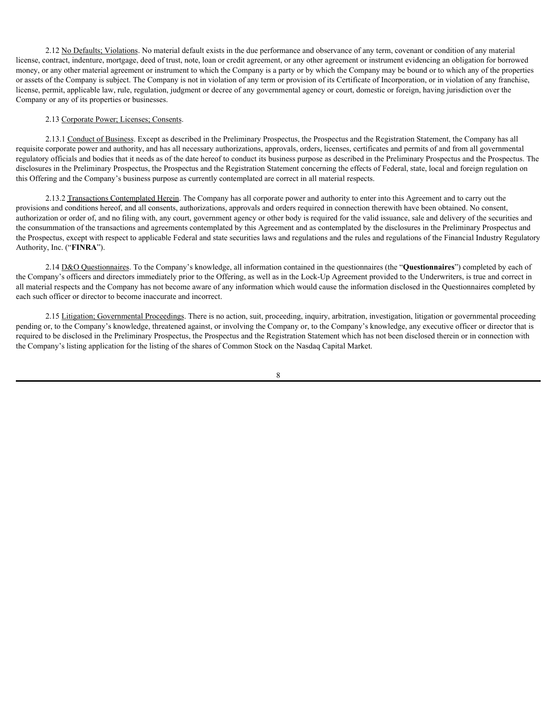2.12 No Defaults; Violations. No material default exists in the due performance and observance of any term, covenant or condition of any material license, contract, indenture, mortgage, deed of trust, note, loan or credit agreement, or any other agreement or instrument evidencing an obligation for borrowed money, or any other material agreement or instrument to which the Company is a party or by which the Company may be bound or to which any of the properties or assets of the Company is subject. The Company is not in violation of any term or provision of its Certificate of Incorporation, or in violation of any franchise, license, permit, applicable law, rule, regulation, judgment or decree of any governmental agency or court, domestic or foreign, having jurisdiction over the Company or any of its properties or businesses.

# 2.13 Corporate Power; Licenses; Consents.

2.13.1 Conduct of Business. Except as described in the Preliminary Prospectus, the Prospectus and the Registration Statement, the Company has all requisite corporate power and authority, and has all necessary authorizations, approvals, orders, licenses, certificates and permits of and from all governmental regulatory officials and bodies that it needs as of the date hereof to conduct its business purpose as described in the Preliminary Prospectus and the Prospectus. The disclosures in the Preliminary Prospectus, the Prospectus and the Registration Statement concerning the effects of Federal, state, local and foreign regulation on this Offering and the Company's business purpose as currently contemplated are correct in all material respects.

2.13.2 Transactions Contemplated Herein. The Company has all corporate power and authority to enter into this Agreement and to carry out the provisions and conditions hereof, and all consents, authorizations, approvals and orders required in connection therewith have been obtained. No consent, authorization or order of, and no filing with, any court, government agency or other body is required for the valid issuance, sale and delivery of the securities and the consummation of the transactions and agreements contemplated by this Agreement and as contemplated by the disclosures in the Preliminary Prospectus and the Prospectus, except with respect to applicable Federal and state securities laws and regulations and the rules and regulations of the Financial Industry Regulatory Authority, Inc. ("**FINRA**").

2.14 D&O Questionnaires. To the Company's knowledge, all information contained in the questionnaires (the "**Questionnaires**") completed by each of the Company's officers and directors immediately prior to the Offering, as well as in the Lock-Up Agreement provided to the Underwriters, is true and correct in all material respects and the Company has not become aware of any information which would cause the information disclosed in the Questionnaires completed by each such officer or director to become inaccurate and incorrect.

2.15 Litigation; Governmental Proceedings. There is no action, suit, proceeding, inquiry, arbitration, investigation, litigation or governmental proceeding pending or, to the Company's knowledge, threatened against, or involving the Company or, to the Company's knowledge, any executive officer or director that is required to be disclosed in the Preliminary Prospectus, the Prospectus and the Registration Statement which has not been disclosed therein or in connection with the Company's listing application for the listing of the shares of Common Stock on the Nasdaq Capital Market.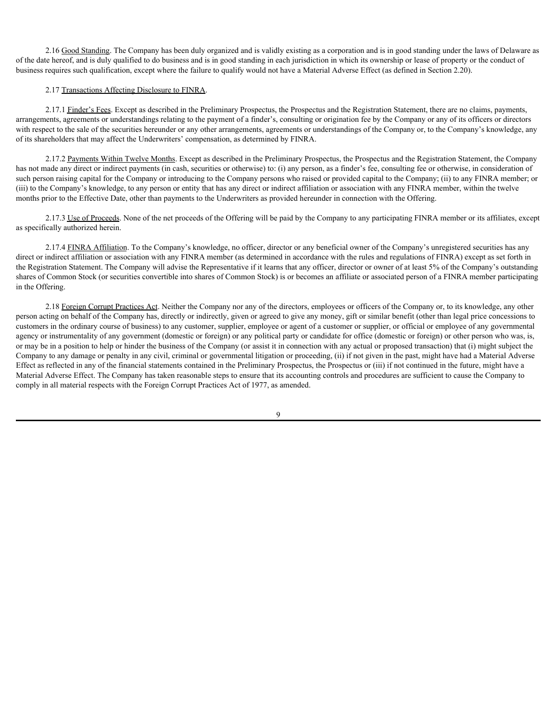2.16 Good Standing. The Company has been duly organized and is validly existing as a corporation and is in good standing under the laws of Delaware as of the date hereof, and is duly qualified to do business and is in good standing in each jurisdiction in which its ownership or lease of property or the conduct of business requires such qualification, except where the failure to qualify would not have a Material Adverse Effect (as defined in Section 2.20).

### 2.17 Transactions Affecting Disclosure to FINRA.

2.17.1 Finder's Fees. Except as described in the Preliminary Prospectus, the Prospectus and the Registration Statement, there are no claims, payments, arrangements, agreements or understandings relating to the payment of a finder's, consulting or origination fee by the Company or any of its officers or directors with respect to the sale of the securities hereunder or any other arrangements, agreements or understandings of the Company or, to the Company's knowledge, any of its shareholders that may affect the Underwriters' compensation, as determined by FINRA.

2.17.2 Payments Within Twelve Months. Except as described in the Preliminary Prospectus, the Prospectus and the Registration Statement, the Company has not made any direct or indirect payments (in cash, securities or otherwise) to: (i) any person, as a finder's fee, consulting fee or otherwise, in consideration of such person raising capital for the Company or introducing to the Company persons who raised or provided capital to the Company; (ii) to any FINRA member; or (iii) to the Company's knowledge, to any person or entity that has any direct or indirect affiliation or association with any FINRA member, within the twelve months prior to the Effective Date, other than payments to the Underwriters as provided hereunder in connection with the Offering.

2.17.3 Use of Proceeds. None of the net proceeds of the Offering will be paid by the Company to any participating FINRA member or its affiliates, except as specifically authorized herein.

2.17.4 FINRA Affiliation. To the Company's knowledge, no officer, director or any beneficial owner of the Company's unregistered securities has any direct or indirect affiliation or association with any FINRA member (as determined in accordance with the rules and regulations of FINRA) except as set forth in the Registration Statement. The Company will advise the Representative if it learns that any officer, director or owner of at least 5% of the Company's outstanding shares of Common Stock (or securities convertible into shares of Common Stock) is or becomes an affiliate or associated person of a FINRA member participating in the Offering.

2.18 Foreign Corrupt Practices Act. Neither the Company nor any of the directors, employees or officers of the Company or, to its knowledge, any other person acting on behalf of the Company has, directly or indirectly, given or agreed to give any money, gift or similar benefit (other than legal price concessions to customers in the ordinary course of business) to any customer, supplier, employee or agent of a customer or supplier, or official or employee of any governmental agency or instrumentality of any government (domestic or foreign) or any political party or candidate for office (domestic or foreign) or other person who was, is, or may be in a position to help or hinder the business of the Company (or assist it in connection with any actual or proposed transaction) that (i) might subject the Company to any damage or penalty in any civil, criminal or governmental litigation or proceeding, (ii) if not given in the past, might have had a Material Adverse Effect as reflected in any of the financial statements contained in the Preliminary Prospectus, the Prospectus or (iii) if not continued in the future, might have a Material Adverse Effect. The Company has taken reasonable steps to ensure that its accounting controls and procedures are sufficient to cause the Company to comply in all material respects with the Foreign Corrupt Practices Act of 1977, as amended.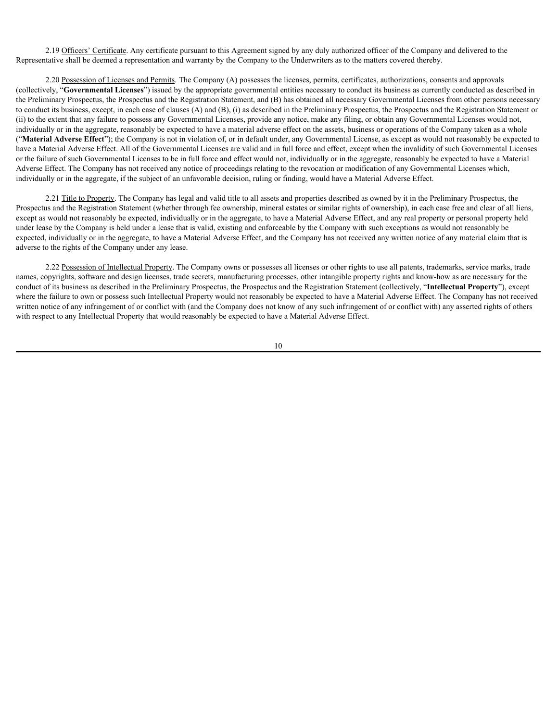2.19 Officers' Certificate. Any certificate pursuant to this Agreement signed by any duly authorized officer of the Company and delivered to the Representative shall be deemed a representation and warranty by the Company to the Underwriters as to the matters covered thereby.

2.20 Possession of Licenses and Permits. The Company (A) possesses the licenses, permits, certificates, authorizations, consents and approvals (collectively, "**Governmental Licenses**") issued by the appropriate governmental entities necessary to conduct its business as currently conducted as described in the Preliminary Prospectus, the Prospectus and the Registration Statement, and (B) has obtained all necessary Governmental Licenses from other persons necessary to conduct its business, except, in each case of clauses (A) and (B), (i) as described in the Preliminary Prospectus, the Prospectus and the Registration Statement or (ii) to the extent that any failure to possess any Governmental Licenses, provide any notice, make any filing, or obtain any Governmental Licenses would not, individually or in the aggregate, reasonably be expected to have a material adverse effect on the assets, business or operations of the Company taken as a whole ("**Material Adverse Effect**"); the Company is not in violation of, or in default under, any Governmental License, as except as would not reasonably be expected to have a Material Adverse Effect. All of the Governmental Licenses are valid and in full force and effect, except when the invalidity of such Governmental Licenses or the failure of such Governmental Licenses to be in full force and effect would not, individually or in the aggregate, reasonably be expected to have a Material Adverse Effect. The Company has not received any notice of proceedings relating to the revocation or modification of any Governmental Licenses which, individually or in the aggregate, if the subject of an unfavorable decision, ruling or finding, would have a Material Adverse Effect.

2.21 Title to Property. The Company has legal and valid title to all assets and properties described as owned by it in the Preliminary Prospectus, the Prospectus and the Registration Statement (whether through fee ownership, mineral estates or similar rights of ownership), in each case free and clear of all liens, except as would not reasonably be expected, individually or in the aggregate, to have a Material Adverse Effect, and any real property or personal property held under lease by the Company is held under a lease that is valid, existing and enforceable by the Company with such exceptions as would not reasonably be expected, individually or in the aggregate, to have a Material Adverse Effect, and the Company has not received any written notice of any material claim that is adverse to the rights of the Company under any lease.

2.22 Possession of Intellectual Property. The Company owns or possesses all licenses or other rights to use all patents, trademarks, service marks, trade names, copyrights, software and design licenses, trade secrets, manufacturing processes, other intangible property rights and know-how as are necessary for the conduct of its business as described in the Preliminary Prospectus, the Prospectus and the Registration Statement (collectively, "**Intellectual Property**"), except where the failure to own or possess such Intellectual Property would not reasonably be expected to have a Material Adverse Effect. The Company has not received written notice of any infringement of or conflict with (and the Company does not know of any such infringement of or conflict with) any asserted rights of others with respect to any Intellectual Property that would reasonably be expected to have a Material Adverse Effect.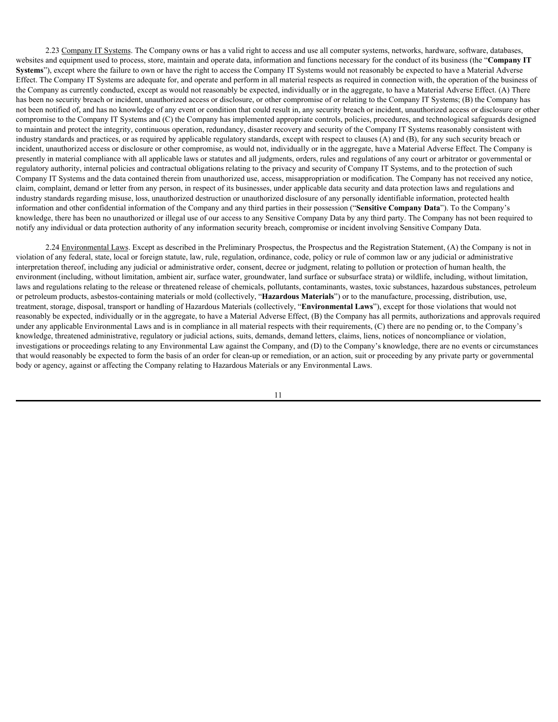2.23 Company IT Systems. The Company owns or has a valid right to access and use all computer systems, networks, hardware, software, databases, websites and equipment used to process, store, maintain and operate data, information and functions necessary for the conduct of its business (the "**Company IT Systems**"), except where the failure to own or have the right to access the Company IT Systems would not reasonably be expected to have a Material Adverse Effect. The Company IT Systems are adequate for, and operate and perform in all material respects as required in connection with, the operation of the business of the Company as currently conducted, except as would not reasonably be expected, individually or in the aggregate, to have a Material Adverse Effect. (A) There has been no security breach or incident, unauthorized access or disclosure, or other compromise of or relating to the Company IT Systems; (B) the Company has not been notified of, and has no knowledge of any event or condition that could result in, any security breach or incident, unauthorized access or disclosure or other compromise to the Company IT Systems and (C) the Company has implemented appropriate controls, policies, procedures, and technological safeguards designed to maintain and protect the integrity, continuous operation, redundancy, disaster recovery and security of the Company IT Systems reasonably consistent with industry standards and practices, or as required by applicable regulatory standards, except with respect to clauses (A) and (B), for any such security breach or incident, unauthorized access or disclosure or other compromise, as would not, individually or in the aggregate, have a Material Adverse Effect. The Company is presently in material compliance with all applicable laws or statutes and all judgments, orders, rules and regulations of any court or arbitrator or governmental or regulatory authority, internal policies and contractual obligations relating to the privacy and security of Company IT Systems, and to the protection of such Company IT Systems and the data contained therein from unauthorized use, access, misappropriation or modification. The Company has not received any notice, claim, complaint, demand or letter from any person, in respect of its businesses, under applicable data security and data protection laws and regulations and industry standards regarding misuse, loss, unauthorized destruction or unauthorized disclosure of any personally identifiable information, protected health information and other confidential information of the Company and any third parties in their possession ("**Sensitive Company Data**"). To the Company's knowledge, there has been no unauthorized or illegal use of our access to any Sensitive Company Data by any third party. The Company has not been required to notify any individual or data protection authority of any information security breach, compromise or incident involving Sensitive Company Data.

2.24 Environmental Laws. Except as described in the Preliminary Prospectus, the Prospectus and the Registration Statement, (A) the Company is not in violation of any federal, state, local or foreign statute, law, rule, regulation, ordinance, code, policy or rule of common law or any judicial or administrative interpretation thereof, including any judicial or administrative order, consent, decree or judgment, relating to pollution or protection of human health, the environment (including, without limitation, ambient air, surface water, groundwater, land surface or subsurface strata) or wildlife, including, without limitation, laws and regulations relating to the release or threatened release of chemicals, pollutants, contaminants, wastes, toxic substances, hazardous substances, petroleum or petroleum products, asbestos-containing materials or mold (collectively, "**Hazardous Materials**") or to the manufacture, processing, distribution, use, treatment, storage, disposal, transport or handling of Hazardous Materials (collectively, "**Environmental Laws**"), except for those violations that would not reasonably be expected, individually or in the aggregate, to have a Material Adverse Effect, (B) the Company has all permits, authorizations and approvals required under any applicable Environmental Laws and is in compliance in all material respects with their requirements, (C) there are no pending or, to the Company's knowledge, threatened administrative, regulatory or judicial actions, suits, demands, demand letters, claims, liens, notices of noncompliance or violation, investigations or proceedings relating to any Environmental Law against the Company, and (D) to the Company's knowledge, there are no events or circumstances that would reasonably be expected to form the basis of an order for clean-up or remediation, or an action, suit or proceeding by any private party or governmental body or agency, against or affecting the Company relating to Hazardous Materials or any Environmental Laws.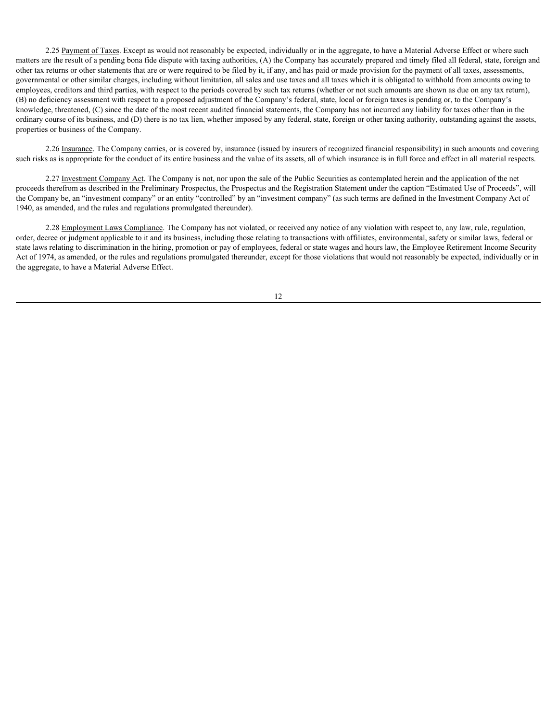2.25 Payment of Taxes. Except as would not reasonably be expected, individually or in the aggregate, to have a Material Adverse Effect or where such matters are the result of a pending bona fide dispute with taxing authorities, (A) the Company has accurately prepared and timely filed all federal, state, foreign and other tax returns or other statements that are or were required to be filed by it, if any, and has paid or made provision for the payment of all taxes, assessments, governmental or other similar charges, including without limitation, all sales and use taxes and all taxes which it is obligated to withhold from amounts owing to employees, creditors and third parties, with respect to the periods covered by such tax returns (whether or not such amounts are shown as due on any tax return), (B) no deficiency assessment with respect to a proposed adjustment of the Company's federal, state, local or foreign taxes is pending or, to the Company's knowledge, threatened, (C) since the date of the most recent audited financial statements, the Company has not incurred any liability for taxes other than in the ordinary course of its business, and (D) there is no tax lien, whether imposed by any federal, state, foreign or other taxing authority, outstanding against the assets, properties or business of the Company.

2.26 Insurance. The Company carries, or is covered by, insurance (issued by insurers of recognized financial responsibility) in such amounts and covering such risks as is appropriate for the conduct of its entire business and the value of its assets, all of which insurance is in full force and effect in all material respects.

2.27 Investment Company Act. The Company is not, nor upon the sale of the Public Securities as contemplated herein and the application of the net proceeds therefrom as described in the Preliminary Prospectus, the Prospectus and the Registration Statement under the caption "Estimated Use of Proceeds", will the Company be, an "investment company" or an entity "controlled" by an "investment company" (as such terms are defined in the Investment Company Act of 1940, as amended, and the rules and regulations promulgated thereunder).

2.28 Employment Laws Compliance. The Company has not violated, or received any notice of any violation with respect to, any law, rule, regulation, order, decree or judgment applicable to it and its business, including those relating to transactions with affiliates, environmental, safety or similar laws, federal or state laws relating to discrimination in the hiring, promotion or pay of employees, federal or state wages and hours law, the Employee Retirement Income Security Act of 1974, as amended, or the rules and regulations promulgated thereunder, except for those violations that would not reasonably be expected, individually or in the aggregate, to have a Material Adverse Effect.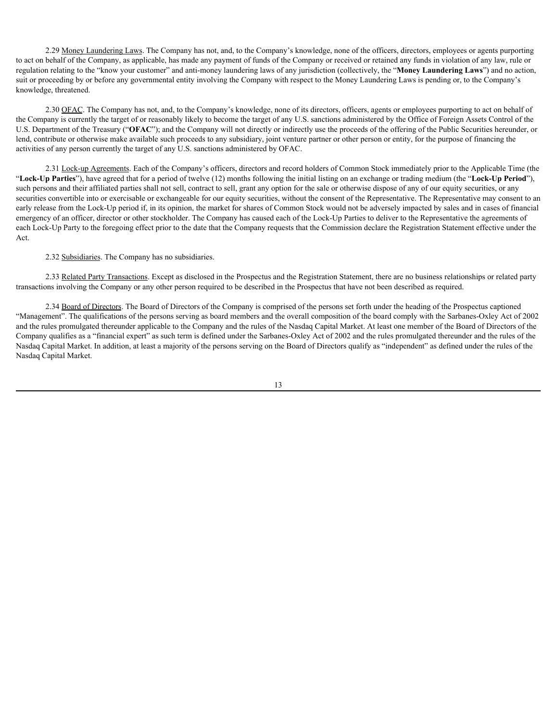2.29 Money Laundering Laws. The Company has not, and, to the Company's knowledge, none of the officers, directors, employees or agents purporting to act on behalf of the Company, as applicable, has made any payment of funds of the Company or received or retained any funds in violation of any law, rule or regulation relating to the "know your customer" and anti-money laundering laws of any jurisdiction (collectively, the "**Money Laundering Laws**") and no action, suit or proceeding by or before any governmental entity involving the Company with respect to the Money Laundering Laws is pending or, to the Company's knowledge, threatened.

2.30 OFAC. The Company has not, and, to the Company's knowledge, none of its directors, officers, agents or employees purporting to act on behalf of the Company is currently the target of or reasonably likely to become the target of any U.S. sanctions administered by the Office of Foreign Assets Control of the U.S. Department of the Treasury ("**OFAC**"); and the Company will not directly or indirectly use the proceeds of the offering of the Public Securities hereunder, or lend, contribute or otherwise make available such proceeds to any subsidiary, joint venture partner or other person or entity, for the purpose of financing the activities of any person currently the target of any U.S. sanctions administered by OFAC.

2.31 Lock-up Agreements. Each of the Company's officers, directors and record holders of Common Stock immediately prior to the Applicable Time (the "**Lock-Up Parties**"), have agreed that for a period of twelve (12) months following the initial listing on an exchange or trading medium (the "**Lock-Up Period**"), such persons and their affiliated parties shall not sell, contract to sell, grant any option for the sale or otherwise dispose of any of our equity securities, or any securities convertible into or exercisable or exchangeable for our equity securities, without the consent of the Representative. The Representative may consent to an early release from the Lock-Up period if, in its opinion, the market for shares of Common Stock would not be adversely impacted by sales and in cases of financial emergency of an officer, director or other stockholder. The Company has caused each of the Lock-Up Parties to deliver to the Representative the agreements of each Lock-Up Party to the foregoing effect prior to the date that the Company requests that the Commission declare the Registration Statement effective under the Act.

2.32 Subsidiaries. The Company has no subsidiaries.

2.33 Related Party Transactions. Except as disclosed in the Prospectus and the Registration Statement, there are no business relationships or related party transactions involving the Company or any other person required to be described in the Prospectus that have not been described as required.

2.34 Board of Directors. The Board of Directors of the Company is comprised of the persons set forth under the heading of the Prospectus captioned "Management". The qualifications of the persons serving as board members and the overall composition of the board comply with the Sarbanes-Oxley Act of 2002 and the rules promulgated thereunder applicable to the Company and the rules of the Nasdaq Capital Market. At least one member of the Board of Directors of the Company qualifies as a "financial expert" as such term is defined under the Sarbanes-Oxley Act of 2002 and the rules promulgated thereunder and the rules of the Nasdaq Capital Market. In addition, at least a majority of the persons serving on the Board of Directors qualify as "independent" as defined under the rules of the Nasdaq Capital Market.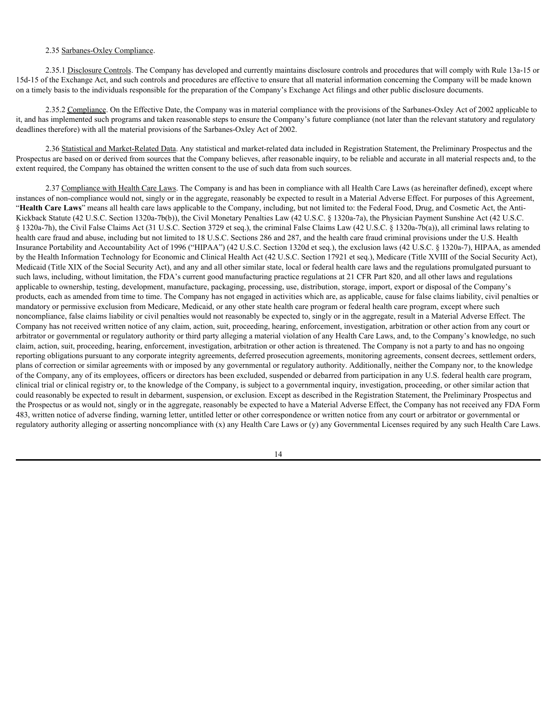# 2.35 Sarbanes-Oxley Compliance.

2.35.1 Disclosure Controls. The Company has developed and currently maintains disclosure controls and procedures that will comply with Rule 13a-15 or 15d-15 of the Exchange Act, and such controls and procedures are effective to ensure that all material information concerning the Company will be made known on a timely basis to the individuals responsible for the preparation of the Company's Exchange Act filings and other public disclosure documents.

2.35.2 Compliance. On the Effective Date, the Company was in material compliance with the provisions of the Sarbanes-Oxley Act of 2002 applicable to it, and has implemented such programs and taken reasonable steps to ensure the Company's future compliance (not later than the relevant statutory and regulatory deadlines therefore) with all the material provisions of the Sarbanes-Oxley Act of 2002.

2.36 Statistical and Market-Related Data. Any statistical and market-related data included in Registration Statement, the Preliminary Prospectus and the Prospectus are based on or derived from sources that the Company believes, after reasonable inquiry, to be reliable and accurate in all material respects and, to the extent required, the Company has obtained the written consent to the use of such data from such sources.

2.37 Compliance with Health Care Laws. The Company is and has been in compliance with all Health Care Laws (as hereinafter defined), except where instances of non-compliance would not, singly or in the aggregate, reasonably be expected to result in a Material Adverse Effect. For purposes of this Agreement, "**Health Care Laws**" means all health care laws applicable to the Company, including, but not limited to: the Federal Food, Drug, and Cosmetic Act, the Anti-Kickback Statute (42 U.S.C. Section 1320a-7b(b)), the Civil Monetary Penalties Law (42 U.S.C. § 1320a-7a), the Physician Payment Sunshine Act (42 U.S.C. § 1320a-7h), the Civil False Claims Act (31 U.S.C. Section 3729 et seq.), the criminal False Claims Law (42 U.S.C. § 1320a-7b(a)), all criminal laws relating to health care fraud and abuse, including but not limited to 18 U.S.C. Sections 286 and 287, and the health care fraud criminal provisions under the U.S. Health Insurance Portability and Accountability Act of 1996 ("HIPAA") (42 U.S.C. Section 1320d et seq.), the exclusion laws (42 U.S.C. § 1320a-7), HIPAA, as amended by the Health Information Technology for Economic and Clinical Health Act (42 U.S.C. Section 17921 et seq.), Medicare (Title XVIII of the Social Security Act), Medicaid (Title XIX of the Social Security Act), and any and all other similar state, local or federal health care laws and the regulations promulgated pursuant to such laws, including, without limitation, the FDA's current good manufacturing practice regulations at 21 CFR Part 820, and all other laws and regulations applicable to ownership, testing, development, manufacture, packaging, processing, use, distribution, storage, import, export or disposal of the Company's products, each as amended from time to time. The Company has not engaged in activities which are, as applicable, cause for false claims liability, civil penalties or mandatory or permissive exclusion from Medicare, Medicaid, or any other state health care program or federal health care program, except where such noncompliance, false claims liability or civil penalties would not reasonably be expected to, singly or in the aggregate, result in a Material Adverse Effect. The Company has not received written notice of any claim, action, suit, proceeding, hearing, enforcement, investigation, arbitration or other action from any court or arbitrator or governmental or regulatory authority or third party alleging a material violation of any Health Care Laws, and, to the Company's knowledge, no such claim, action, suit, proceeding, hearing, enforcement, investigation, arbitration or other action is threatened. The Company is not a party to and has no ongoing reporting obligations pursuant to any corporate integrity agreements, deferred prosecution agreements, monitoring agreements, consent decrees, settlement orders, plans of correction or similar agreements with or imposed by any governmental or regulatory authority. Additionally, neither the Company nor, to the knowledge of the Company, any of its employees, officers or directors has been excluded, suspended or debarred from participation in any U.S. federal health care program, clinical trial or clinical registry or, to the knowledge of the Company, is subject to a governmental inquiry, investigation, proceeding, or other similar action that could reasonably be expected to result in debarment, suspension, or exclusion. Except as described in the Registration Statement, the Preliminary Prospectus and the Prospectus or as would not, singly or in the aggregate, reasonably be expected to have a Material Adverse Effect, the Company has not received any FDA Form 483, written notice of adverse finding, warning letter, untitled letter or other correspondence or written notice from any court or arbitrator or governmental or regulatory authority alleging or asserting noncompliance with (x) any Health Care Laws or (y) any Governmental Licenses required by any such Health Care Laws.

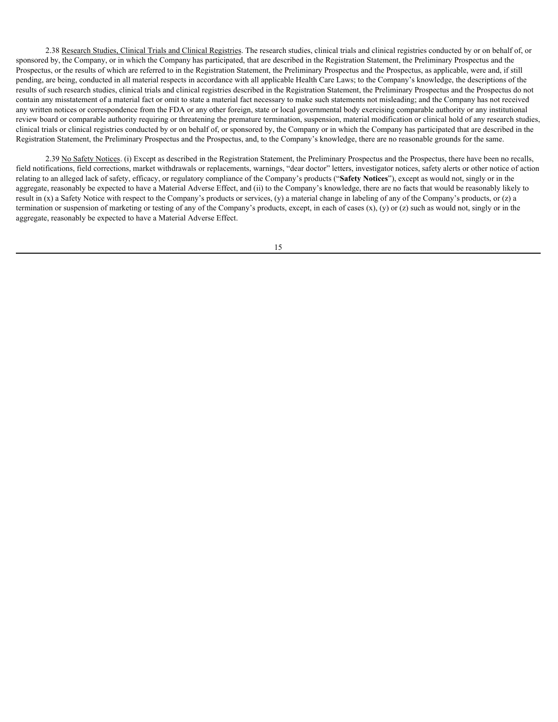2.38 Research Studies, Clinical Trials and Clinical Registries. The research studies, clinical trials and clinical registries conducted by or on behalf of, or sponsored by, the Company, or in which the Company has participated, that are described in the Registration Statement, the Preliminary Prospectus and the Prospectus, or the results of which are referred to in the Registration Statement, the Preliminary Prospectus and the Prospectus, as applicable, were and, if still pending, are being, conducted in all material respects in accordance with all applicable Health Care Laws; to the Company's knowledge, the descriptions of the results of such research studies, clinical trials and clinical registries described in the Registration Statement, the Preliminary Prospectus and the Prospectus do not contain any misstatement of a material fact or omit to state a material fact necessary to make such statements not misleading; and the Company has not received any written notices or correspondence from the FDA or any other foreign, state or local governmental body exercising comparable authority or any institutional review board or comparable authority requiring or threatening the premature termination, suspension, material modification or clinical hold of any research studies, clinical trials or clinical registries conducted by or on behalf of, or sponsored by, the Company or in which the Company has participated that are described in the Registration Statement, the Preliminary Prospectus and the Prospectus, and, to the Company's knowledge, there are no reasonable grounds for the same.

2.39 No Safety Notices. (i) Except as described in the Registration Statement, the Preliminary Prospectus and the Prospectus, there have been no recalls, field notifications, field corrections, market withdrawals or replacements, warnings, "dear doctor" letters, investigator notices, safety alerts or other notice of action relating to an alleged lack of safety, efficacy, or regulatory compliance of the Company's products ("**Safety Notices**"), except as would not, singly or in the aggregate, reasonably be expected to have a Material Adverse Effect, and (ii) to the Company's knowledge, there are no facts that would be reasonably likely to result in (x) a Safety Notice with respect to the Company's products or services, (y) a material change in labeling of any of the Company's products, or (z) a termination or suspension of marketing or testing of any of the Company's products, except, in each of cases  $(x)$ ,  $(y)$  or  $(z)$  such as would not, singly or in the aggregate, reasonably be expected to have a Material Adverse Effect.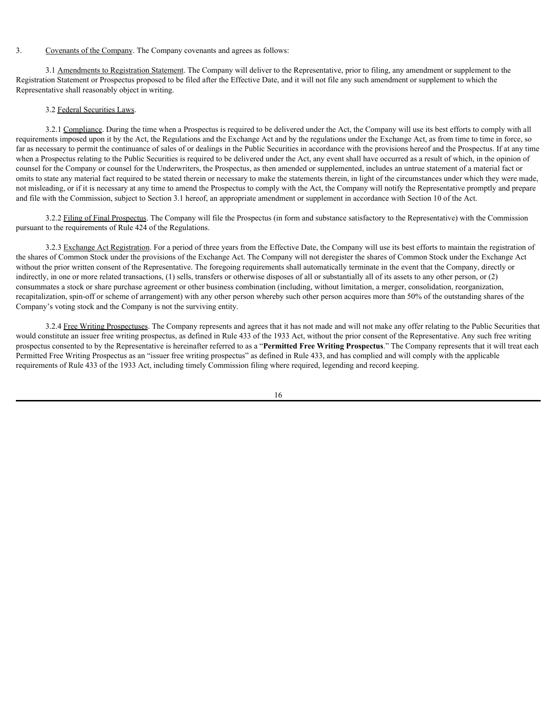# 3. Covenants of the Company. The Company covenants and agrees as follows:

3.1 Amendments to Registration Statement. The Company will deliver to the Representative, prior to filing, any amendment or supplement to the Registration Statement or Prospectus proposed to be filed after the Effective Date, and it will not file any such amendment or supplement to which the Representative shall reasonably object in writing.

## 3.2 Federal Securities Laws.

3.2.1 Compliance. During the time when a Prospectus is required to be delivered under the Act, the Company will use its best efforts to comply with all requirements imposed upon it by the Act, the Regulations and the Exchange Act and by the regulations under the Exchange Act, as from time to time in force, so far as necessary to permit the continuance of sales of or dealings in the Public Securities in accordance with the provisions hereof and the Prospectus. If at any time when a Prospectus relating to the Public Securities is required to be delivered under the Act, any event shall have occurred as a result of which, in the opinion of counsel for the Company or counsel for the Underwriters, the Prospectus, as then amended or supplemented, includes an untrue statement of a material fact or omits to state any material fact required to be stated therein or necessary to make the statements therein, in light of the circumstances under which they were made, not misleading, or if it is necessary at any time to amend the Prospectus to comply with the Act, the Company will notify the Representative promptly and prepare and file with the Commission, subject to Section 3.1 hereof, an appropriate amendment or supplement in accordance with Section 10 of the Act.

3.2.2 Filing of Final Prospectus. The Company will file the Prospectus (in form and substance satisfactory to the Representative) with the Commission pursuant to the requirements of Rule 424 of the Regulations.

3.2.3 Exchange Act Registration. For a period of three years from the Effective Date, the Company will use its best efforts to maintain the registration of the shares of Common Stock under the provisions of the Exchange Act. The Company will not deregister the shares of Common Stock under the Exchange Act without the prior written consent of the Representative. The foregoing requirements shall automatically terminate in the event that the Company, directly or indirectly, in one or more related transactions, (1) sells, transfers or otherwise disposes of all or substantially all of its assets to any other person, or (2) consummates a stock or share purchase agreement or other business combination (including, without limitation, a merger, consolidation, reorganization, recapitalization, spin-off or scheme of arrangement) with any other person whereby such other person acquires more than 50% of the outstanding shares of the Company's voting stock and the Company is not the surviving entity.

3.2.4 Free Writing Prospectuses. The Company represents and agrees that it has not made and will not make any offer relating to the Public Securities that would constitute an issuer free writing prospectus, as defined in Rule 433 of the 1933 Act, without the prior consent of the Representative. Any such free writing prospectus consented to by the Representative is hereinafter referred to as a "**Permitted Free Writing Prospectus**." The Company represents that it will treat each Permitted Free Writing Prospectus as an "issuer free writing prospectus" as defined in Rule 433, and has complied and will comply with the applicable requirements of Rule 433 of the 1933 Act, including timely Commission filing where required, legending and record keeping.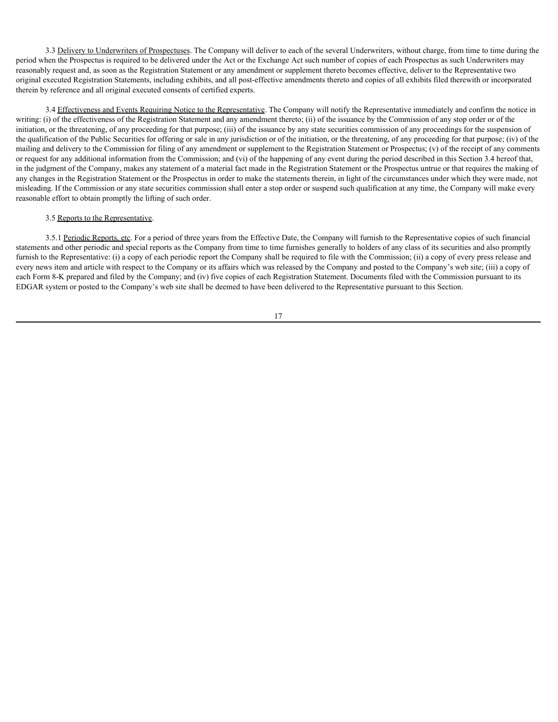3.3 Delivery to Underwriters of Prospectuses. The Company will deliver to each of the several Underwriters, without charge, from time to time during the period when the Prospectus is required to be delivered under the Act or the Exchange Act such number of copies of each Prospectus as such Underwriters may reasonably request and, as soon as the Registration Statement or any amendment or supplement thereto becomes effective, deliver to the Representative two original executed Registration Statements, including exhibits, and all post-effective amendments thereto and copies of all exhibits filed therewith or incorporated therein by reference and all original executed consents of certified experts.

3.4 Effectiveness and Events Requiring Notice to the Representative. The Company will notify the Representative immediately and confirm the notice in writing: (i) of the effectiveness of the Registration Statement and any amendment thereto; (ii) of the issuance by the Commission of any stop order or of the initiation, or the threatening, of any proceeding for that purpose; (iii) of the issuance by any state securities commission of any proceedings for the suspension of the qualification of the Public Securities for offering or sale in any jurisdiction or of the initiation, or the threatening, of any proceeding for that purpose; (iv) of the mailing and delivery to the Commission for filing of any amendment or supplement to the Registration Statement or Prospectus; (v) of the receipt of any comments or request for any additional information from the Commission; and (vi) of the happening of any event during the period described in this Section 3.4 hereof that, in the judgment of the Company, makes any statement of a material fact made in the Registration Statement or the Prospectus untrue or that requires the making of any changes in the Registration Statement or the Prospectus in order to make the statements therein, in light of the circumstances under which they were made, not misleading. If the Commission or any state securities commission shall enter a stop order or suspend such qualification at any time, the Company will make every reasonable effort to obtain promptly the lifting of such order.

#### 3.5 Reports to the Representative.

3.5.1 Periodic Reports, etc. For a period of three years from the Effective Date, the Company will furnish to the Representative copies of such financial statements and other periodic and special reports as the Company from time to time furnishes generally to holders of any class of its securities and also promptly furnish to the Representative: (i) a copy of each periodic report the Company shall be required to file with the Commission; (ii) a copy of every press release and every news item and article with respect to the Company or its affairs which was released by the Company and posted to the Company's web site; (iii) a copy of each Form 8-K prepared and filed by the Company; and (iv) five copies of each Registration Statement. Documents filed with the Commission pursuant to its EDGAR system or posted to the Company's web site shall be deemed to have been delivered to the Representative pursuant to this Section.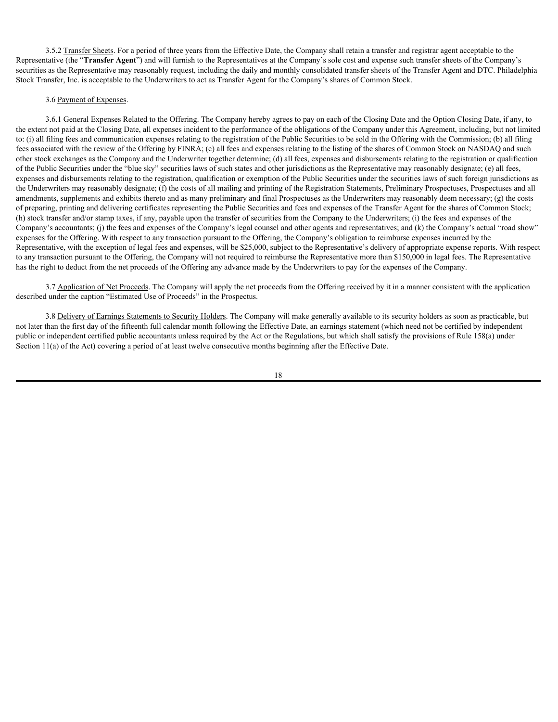3.5.2 Transfer Sheets. For a period of three years from the Effective Date, the Company shall retain a transfer and registrar agent acceptable to the Representative (the "**Transfer Agent**") and will furnish to the Representatives at the Company's sole cost and expense such transfer sheets of the Company's securities as the Representative may reasonably request, including the daily and monthly consolidated transfer sheets of the Transfer Agent and DTC. Philadelphia Stock Transfer, Inc. is acceptable to the Underwriters to act as Transfer Agent for the Company's shares of Common Stock.

### 3.6 Payment of Expenses.

3.6.1 General Expenses Related to the Offering. The Company hereby agrees to pay on each of the Closing Date and the Option Closing Date, if any, to the extent not paid at the Closing Date, all expenses incident to the performance of the obligations of the Company under this Agreement, including, but not limited to: (i) all filing fees and communication expenses relating to the registration of the Public Securities to be sold in the Offering with the Commission; (b) all filing fees associated with the review of the Offering by FINRA; (c) all fees and expenses relating to the listing of the shares of Common Stock on NASDAQ and such other stock exchanges as the Company and the Underwriter together determine; (d) all fees, expenses and disbursements relating to the registration or qualification of the Public Securities under the "blue sky" securities laws of such states and other jurisdictions as the Representative may reasonably designate; (e) all fees, expenses and disbursements relating to the registration, qualification or exemption of the Public Securities under the securities laws of such foreign jurisdictions as the Underwriters may reasonably designate; (f) the costs of all mailing and printing of the Registration Statements, Preliminary Prospectuses, Prospectuses and all amendments, supplements and exhibits thereto and as many preliminary and final Prospectuses as the Underwriters may reasonably deem necessary; (g) the costs of preparing, printing and delivering certificates representing the Public Securities and fees and expenses of the Transfer Agent for the shares of Common Stock; (h) stock transfer and/or stamp taxes, if any, payable upon the transfer of securities from the Company to the Underwriters; (i) the fees and expenses of the Company's accountants; (j) the fees and expenses of the Company's legal counsel and other agents and representatives; and (k) the Company's actual "road show" expenses for the Offering. With respect to any transaction pursuant to the Offering, the Company's obligation to reimburse expenses incurred by the Representative, with the exception of legal fees and expenses, will be \$25,000, subject to the Representative's delivery of appropriate expense reports. With respect to any transaction pursuant to the Offering, the Company will not required to reimburse the Representative more than \$150,000 in legal fees. The Representative has the right to deduct from the net proceeds of the Offering any advance made by the Underwriters to pay for the expenses of the Company.

3.7 Application of Net Proceeds. The Company will apply the net proceeds from the Offering received by it in a manner consistent with the application described under the caption "Estimated Use of Proceeds" in the Prospectus.

3.8 Delivery of Earnings Statements to Security Holders. The Company will make generally available to its security holders as soon as practicable, but not later than the first day of the fifteenth full calendar month following the Effective Date, an earnings statement (which need not be certified by independent public or independent certified public accountants unless required by the Act or the Regulations, but which shall satisfy the provisions of Rule 158(a) under Section 11(a) of the Act) covering a period of at least twelve consecutive months beginning after the Effective Date.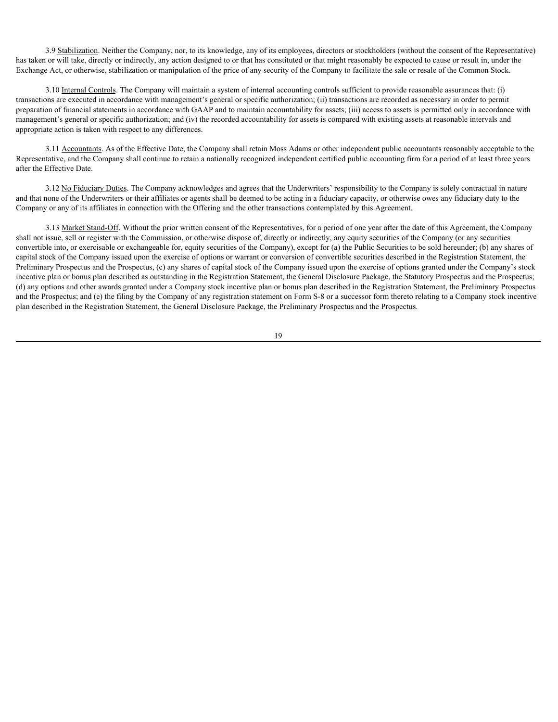3.9 Stabilization. Neither the Company, nor, to its knowledge, any of its employees, directors or stockholders (without the consent of the Representative) has taken or will take, directly or indirectly, any action designed to or that has constituted or that might reasonably be expected to cause or result in, under the Exchange Act, or otherwise, stabilization or manipulation of the price of any security of the Company to facilitate the sale or resale of the Common Stock.

3.10 Internal Controls. The Company will maintain a system of internal accounting controls sufficient to provide reasonable assurances that: (i) transactions are executed in accordance with management's general or specific authorization; (ii) transactions are recorded as necessary in order to permit preparation of financial statements in accordance with GAAP and to maintain accountability for assets; (iii) access to assets is permitted only in accordance with management's general or specific authorization; and (iv) the recorded accountability for assets is compared with existing assets at reasonable intervals and appropriate action is taken with respect to any differences.

3.11 Accountants. As of the Effective Date, the Company shall retain Moss Adams or other independent public accountants reasonably acceptable to the Representative, and the Company shall continue to retain a nationally recognized independent certified public accounting firm for a period of at least three years after the Effective Date.

3.12 No Fiduciary Duties. The Company acknowledges and agrees that the Underwriters' responsibility to the Company is solely contractual in nature and that none of the Underwriters or their affiliates or agents shall be deemed to be acting in a fiduciary capacity, or otherwise owes any fiduciary duty to the Company or any of its affiliates in connection with the Offering and the other transactions contemplated by this Agreement.

3.13 Market Stand-Off. Without the prior written consent of the Representatives, for a period of one year after the date of this Agreement, the Company shall not issue, sell or register with the Commission, or otherwise dispose of, directly or indirectly, any equity securities of the Company (or any securities convertible into, or exercisable or exchangeable for, equity securities of the Company), except for (a) the Public Securities to be sold hereunder; (b) any shares of capital stock of the Company issued upon the exercise of options or warrant or conversion of convertible securities described in the Registration Statement, the Preliminary Prospectus and the Prospectus, (c) any shares of capital stock of the Company issued upon the exercise of options granted under the Company's stock incentive plan or bonus plan described as outstanding in the Registration Statement, the General Disclosure Package, the Statutory Prospectus and the Prospectus; (d) any options and other awards granted under a Company stock incentive plan or bonus plan described in the Registration Statement, the Preliminary Prospectus and the Prospectus; and (e) the filing by the Company of any registration statement on Form S-8 or a successor form thereto relating to a Company stock incentive plan described in the Registration Statement, the General Disclosure Package, the Preliminary Prospectus and the Prospectus.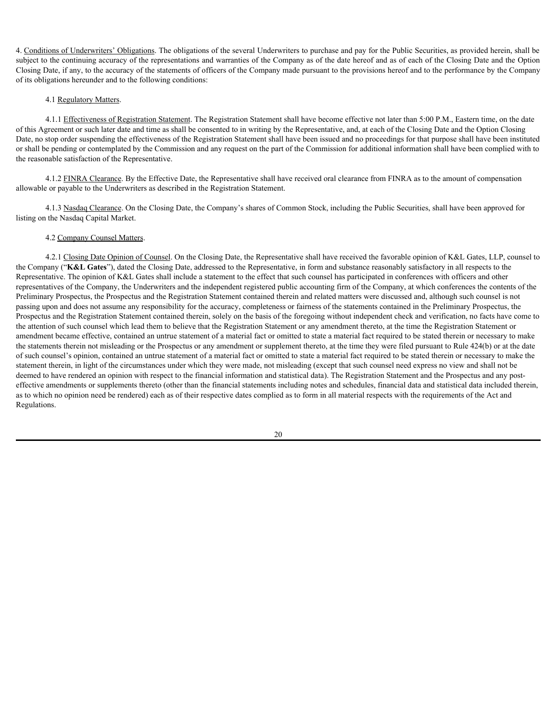4. Conditions of Underwriters' Obligations. The obligations of the several Underwriters to purchase and pay for the Public Securities, as provided herein, shall be subject to the continuing accuracy of the representations and warranties of the Company as of the date hereof and as of each of the Closing Date and the Option Closing Date, if any, to the accuracy of the statements of officers of the Company made pursuant to the provisions hereof and to the performance by the Company of its obligations hereunder and to the following conditions:

#### 4.1 Regulatory Matters.

4.1.1 Effectiveness of Registration Statement. The Registration Statement shall have become effective not later than 5:00 P.M., Eastern time, on the date of this Agreement or such later date and time as shall be consented to in writing by the Representative, and, at each of the Closing Date and the Option Closing Date, no stop order suspending the effectiveness of the Registration Statement shall have been issued and no proceedings for that purpose shall have been instituted or shall be pending or contemplated by the Commission and any request on the part of the Commission for additional information shall have been complied with to the reasonable satisfaction of the Representative.

4.1.2 FINRA Clearance. By the Effective Date, the Representative shall have received oral clearance from FINRA as to the amount of compensation allowable or payable to the Underwriters as described in the Registration Statement.

4.1.3 Nasdaq Clearance. On the Closing Date, the Company's shares of Common Stock, including the Public Securities, shall have been approved for listing on the Nasdaq Capital Market.

### 4.2 Company Counsel Matters.

4.2.1 Closing Date Opinion of Counsel. On the Closing Date, the Representative shall have received the favorable opinion of K&L Gates, LLP, counsel to the Company ("**K&L Gates**"), dated the Closing Date, addressed to the Representative, in form and substance reasonably satisfactory in all respects to the Representative. The opinion of K&L Gates shall include a statement to the effect that such counsel has participated in conferences with officers and other representatives of the Company, the Underwriters and the independent registered public accounting firm of the Company, at which conferences the contents of the Preliminary Prospectus, the Prospectus and the Registration Statement contained therein and related matters were discussed and, although such counsel is not passing upon and does not assume any responsibility for the accuracy, completeness or fairness of the statements contained in the Preliminary Prospectus, the Prospectus and the Registration Statement contained therein, solely on the basis of the foregoing without independent check and verification, no facts have come to the attention of such counsel which lead them to believe that the Registration Statement or any amendment thereto, at the time the Registration Statement or amendment became effective, contained an untrue statement of a material fact or omitted to state a material fact required to be stated therein or necessary to make the statements therein not misleading or the Prospectus or any amendment or supplement thereto, at the time they were filed pursuant to Rule 424(b) or at the date of such counsel's opinion, contained an untrue statement of a material fact or omitted to state a material fact required to be stated therein or necessary to make the statement therein, in light of the circumstances under which they were made, not misleading (except that such counsel need express no view and shall not be deemed to have rendered an opinion with respect to the financial information and statistical data). The Registration Statement and the Prospectus and any posteffective amendments or supplements thereto (other than the financial statements including notes and schedules, financial data and statistical data included therein, as to which no opinion need be rendered) each as of their respective dates complied as to form in all material respects with the requirements of the Act and Regulations.

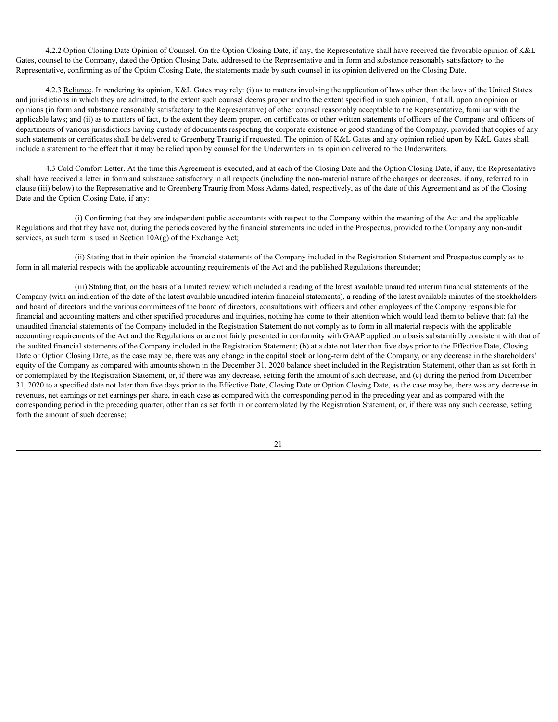4.2.2 Option Closing Date Opinion of Counsel. On the Option Closing Date, if any, the Representative shall have received the favorable opinion of K&L Gates, counsel to the Company, dated the Option Closing Date, addressed to the Representative and in form and substance reasonably satisfactory to the Representative, confirming as of the Option Closing Date, the statements made by such counsel in its opinion delivered on the Closing Date.

4.2.3 Reliance. In rendering its opinion, K&L Gates may rely: (i) as to matters involving the application of laws other than the laws of the United States and jurisdictions in which they are admitted, to the extent such counsel deems proper and to the extent specified in such opinion, if at all, upon an opinion or opinions (in form and substance reasonably satisfactory to the Representative) of other counsel reasonably acceptable to the Representative, familiar with the applicable laws; and (ii) as to matters of fact, to the extent they deem proper, on certificates or other written statements of officers of the Company and officers of departments of various jurisdictions having custody of documents respecting the corporate existence or good standing of the Company, provided that copies of any such statements or certificates shall be delivered to Greenberg Traurig if requested. The opinion of K&L Gates and any opinion relied upon by K&L Gates shall include a statement to the effect that it may be relied upon by counsel for the Underwriters in its opinion delivered to the Underwriters.

4.3 Cold Comfort Letter. At the time this Agreement is executed, and at each of the Closing Date and the Option Closing Date, if any, the Representative shall have received a letter in form and substance satisfactory in all respects (including the non-material nature of the changes or decreases, if any, referred to in clause (iii) below) to the Representative and to Greenberg Traurig from Moss Adams dated, respectively, as of the date of this Agreement and as of the Closing Date and the Option Closing Date, if any:

(i) Confirming that they are independent public accountants with respect to the Company within the meaning of the Act and the applicable Regulations and that they have not, during the periods covered by the financial statements included in the Prospectus, provided to the Company any non-audit services, as such term is used in Section  $10A(g)$  of the Exchange Act;

(ii) Stating that in their opinion the financial statements of the Company included in the Registration Statement and Prospectus comply as to form in all material respects with the applicable accounting requirements of the Act and the published Regulations thereunder;

(iii) Stating that, on the basis of a limited review which included a reading of the latest available unaudited interim financial statements of the Company (with an indication of the date of the latest available unaudited interim financial statements), a reading of the latest available minutes of the stockholders and board of directors and the various committees of the board of directors, consultations with officers and other employees of the Company responsible for financial and accounting matters and other specified procedures and inquiries, nothing has come to their attention which would lead them to believe that: (a) the unaudited financial statements of the Company included in the Registration Statement do not comply as to form in all material respects with the applicable accounting requirements of the Act and the Regulations or are not fairly presented in conformity with GAAP applied on a basis substantially consistent with that of the audited financial statements of the Company included in the Registration Statement; (b) at a date not later than five days prior to the Effective Date, Closing Date or Option Closing Date, as the case may be, there was any change in the capital stock or long-term debt of the Company, or any decrease in the shareholders' equity of the Company as compared with amounts shown in the December 31, 2020 balance sheet included in the Registration Statement, other than as set forth in or contemplated by the Registration Statement, or, if there was any decrease, setting forth the amount of such decrease, and (c) during the period from December 31, 2020 to a specified date not later than five days prior to the Effective Date, Closing Date or Option Closing Date, as the case may be, there was any decrease in revenues, net earnings or net earnings per share, in each case as compared with the corresponding period in the preceding year and as compared with the corresponding period in the preceding quarter, other than as set forth in or contemplated by the Registration Statement, or, if there was any such decrease, setting forth the amount of such decrease;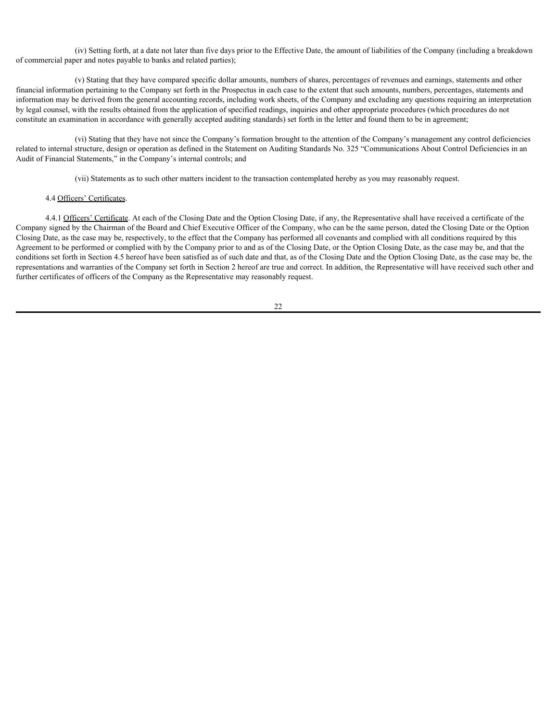(iv) Setting forth, at a date not later than five days prior to the Effective Date, the amount of liabilities of the Company (including a breakdown of commercial paper and notes payable to banks and related parties);

(v) Stating that they have compared specific dollar amounts, numbers of shares, percentages of revenues and earnings, statements and other financial information pertaining to the Company set forth in the Prospectus in each case to the extent that such amounts, numbers, percentages, statements and information may be derived from the general accounting records, including work sheets, of the Company and excluding any questions requiring an interpretation by legal counsel, with the results obtained from the application of specified readings, inquiries and other appropriate procedures (which procedures do not constitute an examination in accordance with generally accepted auditing standards) set forth in the letter and found them to be in agreement;

(vi) Stating that they have not since the Company's formation brought to the attention of the Company's management any control deficiencies related to internal structure, design or operation as defined in the Statement on Auditing Standards No. 325 "Communications About Control Deficiencies in an Audit of Financial Statements," in the Company's internal controls; and

(vii) Statements as to such other matters incident to the transaction contemplated hereby as you may reasonably request.

#### 4.4 Officers' Certificates.

4.4.1 Officers' Certificate. At each of the Closing Date and the Option Closing Date, if any, the Representative shall have received a certificate of the Company signed by the Chairman of the Board and Chief Executive Officer of the Company, who can be the same person, dated the Closing Date or the Option Closing Date, as the case may be, respectively, to the effect that the Company has performed all covenants and complied with all conditions required by this Agreement to be performed or complied with by the Company prior to and as of the Closing Date, or the Option Closing Date, as the case may be, and that the conditions set forth in Section 4.5 hereof have been satisfied as of such date and that, as of the Closing Date and the Option Closing Date, as the case may be, the representations and warranties of the Company set forth in Section 2 hereof are true and correct. In addition, the Representative will have received such other and further certificates of officers of the Company as the Representative may reasonably request.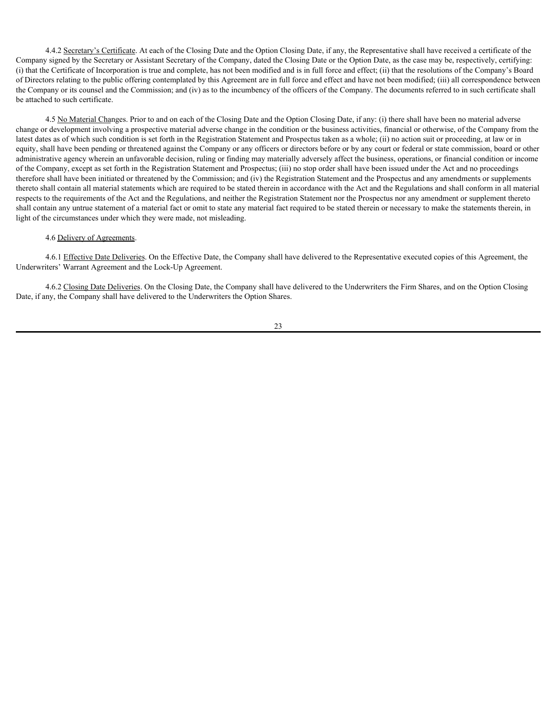4.4.2 Secretary's Certificate. At each of the Closing Date and the Option Closing Date, if any, the Representative shall have received a certificate of the Company signed by the Secretary or Assistant Secretary of the Company, dated the Closing Date or the Option Date, as the case may be, respectively, certifying: (i) that the Certificate of Incorporation is true and complete, has not been modified and is in full force and effect; (ii) that the resolutions of the Company's Board of Directors relating to the public offering contemplated by this Agreement are in full force and effect and have not been modified; (iii) all correspondence between the Company or its counsel and the Commission; and (iv) as to the incumbency of the officers of the Company. The documents referred to in such certificate shall be attached to such certificate.

4.5 No Material Changes. Prior to and on each of the Closing Date and the Option Closing Date, if any: (i) there shall have been no material adverse change or development involving a prospective material adverse change in the condition or the business activities, financial or otherwise, of the Company from the latest dates as of which such condition is set forth in the Registration Statement and Prospectus taken as a whole; (ii) no action suit or proceeding, at law or in equity, shall have been pending or threatened against the Company or any officers or directors before or by any court or federal or state commission, board or other administrative agency wherein an unfavorable decision, ruling or finding may materially adversely affect the business, operations, or financial condition or income of the Company, except as set forth in the Registration Statement and Prospectus; (iii) no stop order shall have been issued under the Act and no proceedings therefore shall have been initiated or threatened by the Commission; and (iv) the Registration Statement and the Prospectus and any amendments or supplements thereto shall contain all material statements which are required to be stated therein in accordance with the Act and the Regulations and shall conform in all material respects to the requirements of the Act and the Regulations, and neither the Registration Statement nor the Prospectus nor any amendment or supplement thereto shall contain any untrue statement of a material fact or omit to state any material fact required to be stated therein or necessary to make the statements therein, in light of the circumstances under which they were made, not misleading.

# 4.6 Delivery of Agreements.

4.6.1 Effective Date Deliveries. On the Effective Date, the Company shall have delivered to the Representative executed copies of this Agreement, the Underwriters' Warrant Agreement and the Lock-Up Agreement.

4.6.2 Closing Date Deliveries. On the Closing Date, the Company shall have delivered to the Underwriters the Firm Shares, and on the Option Closing Date, if any, the Company shall have delivered to the Underwriters the Option Shares.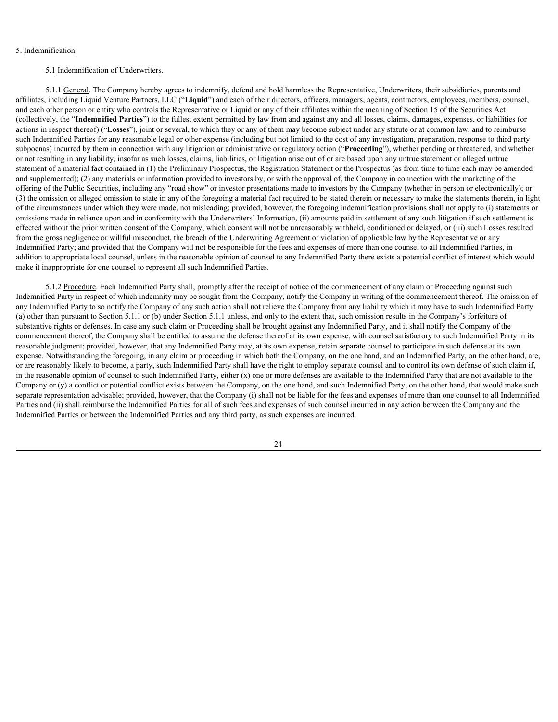# 5. Indemnification.

## 5.1 Indemnification of Underwriters.

5.1.1 General. The Company hereby agrees to indemnify, defend and hold harmless the Representative, Underwriters, their subsidiaries, parents and affiliates, including Liquid Venture Partners, LLC ("**Liquid**") and each of their directors, officers, managers, agents, contractors, employees, members, counsel, and each other person or entity who controls the Representative or Liquid or any of their affiliates within the meaning of Section 15 of the Securities Act (collectively, the "**Indemnified Parties**") to the fullest extent permitted by law from and against any and all losses, claims, damages, expenses, or liabilities (or actions in respect thereof) ("**Losses**"), joint or several, to which they or any of them may become subject under any statute or at common law, and to reimburse such Indemnified Parties for any reasonable legal or other expense (including but not limited to the cost of any investigation, preparation, response to third party subpoenas) incurred by them in connection with any litigation or administrative or regulatory action ("**Proceeding**"), whether pending or threatened, and whether or not resulting in any liability, insofar as such losses, claims, liabilities, or litigation arise out of or are based upon any untrue statement or alleged untrue statement of a material fact contained in (1) the Preliminary Prospectus, the Registration Statement or the Prospectus (as from time to time each may be amended and supplemented); (2) any materials or information provided to investors by, or with the approval of, the Company in connection with the marketing of the offering of the Public Securities, including any "road show" or investor presentations made to investors by the Company (whether in person or electronically); or (3) the omission or alleged omission to state in any of the foregoing a material fact required to be stated therein or necessary to make the statements therein, in light of the circumstances under which they were made, not misleading; provided, however, the foregoing indemnification provisions shall not apply to (i) statements or omissions made in reliance upon and in conformity with the Underwriters' Information, (ii) amounts paid in settlement of any such litigation if such settlement is effected without the prior written consent of the Company, which consent will not be unreasonably withheld, conditioned or delayed, or (iii) such Losses resulted from the gross negligence or willful misconduct, the breach of the Underwriting Agreement or violation of applicable law by the Representative or any Indemnified Party; and provided that the Company will not be responsible for the fees and expenses of more than one counsel to all Indemnified Parties, in addition to appropriate local counsel, unless in the reasonable opinion of counsel to any Indemnified Party there exists a potential conflict of interest which would make it inappropriate for one counsel to represent all such Indemnified Parties.

5.1.2 Procedure. Each Indemnified Party shall, promptly after the receipt of notice of the commencement of any claim or Proceeding against such Indemnified Party in respect of which indemnity may be sought from the Company, notify the Company in writing of the commencement thereof. The omission of any Indemnified Party to so notify the Company of any such action shall not relieve the Company from any liability which it may have to such Indemnified Party (a) other than pursuant to Section 5.1.1 or (b) under Section 5.1.1 unless, and only to the extent that, such omission results in the Company's forfeiture of substantive rights or defenses. In case any such claim or Proceeding shall be brought against any Indemnified Party, and it shall notify the Company of the commencement thereof, the Company shall be entitled to assume the defense thereof at its own expense, with counsel satisfactory to such Indemnified Party in its reasonable judgment; provided, however, that any Indemnified Party may, at its own expense, retain separate counsel to participate in such defense at its own expense. Notwithstanding the foregoing, in any claim or proceeding in which both the Company, on the one hand, and an Indemnified Party, on the other hand, are, or are reasonably likely to become, a party, such Indemnified Party shall have the right to employ separate counsel and to control its own defense of such claim if, in the reasonable opinion of counsel to such Indemnified Party, either  $(x)$  one or more defenses are available to the Indemnified Party that are not available to the Company or (y) a conflict or potential conflict exists between the Company, on the one hand, and such Indemnified Party, on the other hand, that would make such separate representation advisable; provided, however, that the Company (i) shall not be liable for the fees and expenses of more than one counsel to all Indemnified Parties and (ii) shall reimburse the Indemnified Parties for all of such fees and expenses of such counsel incurred in any action between the Company and the Indemnified Parties or between the Indemnified Parties and any third party, as such expenses are incurred.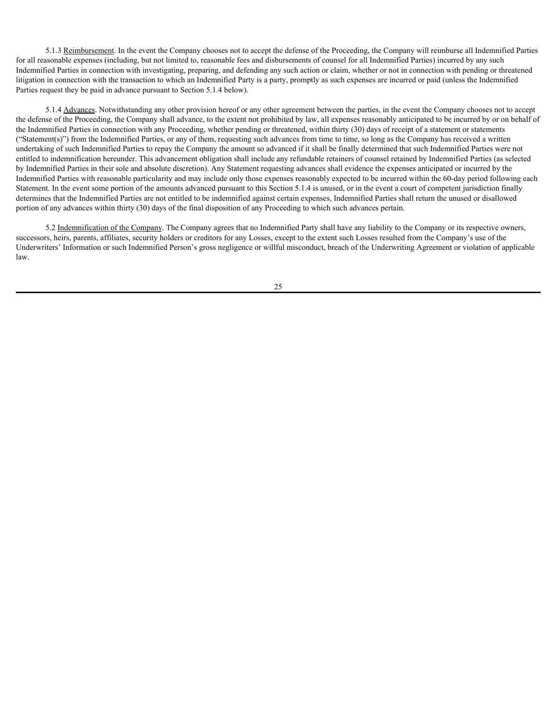5.1.3 Reimbursement. In the event the Company chooses not to accept the defense of the Proceeding, the Company will reimburse all Indemnified Parties for all reasonable expenses (including, but not limited to, reasonable fees and disbursements of counsel for all Indemnified Parties) incurred by any such Indemnified Parties in connection with investigating, preparing, and defending any such action or claim, whether or not in connection with pending or threatened litigation in connection with the transaction to which an Indemnified Party is a party, promptly as such expenses are incurred or paid (unless the Indemnified Parties request they be paid in advance pursuant to Section 5.1.4 below).

5.1.4 Advances. Notwithstanding any other provision hereof or any other agreement between the parties, in the event the Company chooses not to accept the defense of the Proceeding, the Company shall advance, to the extent not prohibited by law, all expenses reasonably anticipated to be incurred by or on behalf of the Indemnified Parties in connection with any Proceeding, whether pending or threatened, within thirty (30) days of receipt of a statement or statements ("Statement(s)") from the Indemnified Parties, or any of them, requesting such advances from time to time, so long as the Company has received a written undertaking of such Indemnified Parties to repay the Company the amount so advanced if it shall be finally determined that such Indemnified Parties were not entitled to indemnification hereunder. This advancement obligation shall include any refundable retainers of counsel retained by Indemnified Parties (as selected by Indemnified Parties in their sole and absolute discretion). Any Statement requesting advances shall evidence the expenses anticipated or incurred by the Indemnified Parties with reasonable particularity and may include only those expenses reasonably expected to be incurred within the 60-day period following each Statement. In the event some portion of the amounts advanced pursuant to this Section 5.1.4 is unused, or in the event a court of competent jurisdiction finally determines that the Indemnified Parties are not entitled to be indemnified against certain expenses, Indemnified Parties shall return the unused or disallowed portion of any advances within thirty (30) days of the final disposition of any Proceeding to which such advances pertain.

5.2 Indemnification of the Company. The Company agrees that no Indemnified Party shall have any liability to the Company or its respective owners, successors, heirs, parents, affiliates, security holders or creditors for any Losses, except to the extent such Losses resulted from the Company's use of the Underwriters' Information or such Indemnified Person's gross negligence or willful misconduct, breach of the Underwriting Agreement or violation of applicable law.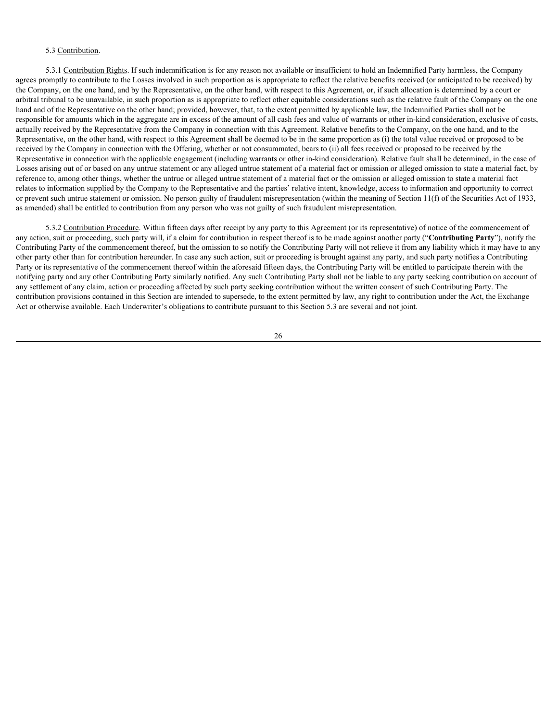# 5.3 Contribution.

5.3.1 Contribution Rights. If such indemnification is for any reason not available or insufficient to hold an Indemnified Party harmless, the Company agrees promptly to contribute to the Losses involved in such proportion as is appropriate to reflect the relative benefits received (or anticipated to be received) by the Company, on the one hand, and by the Representative, on the other hand, with respect to this Agreement, or, if such allocation is determined by a court or arbitral tribunal to be unavailable, in such proportion as is appropriate to reflect other equitable considerations such as the relative fault of the Company on the one hand and of the Representative on the other hand; provided, however, that, to the extent permitted by applicable law, the Indemnified Parties shall not be responsible for amounts which in the aggregate are in excess of the amount of all cash fees and value of warrants or other in-kind consideration, exclusive of costs, actually received by the Representative from the Company in connection with this Agreement. Relative benefits to the Company, on the one hand, and to the Representative, on the other hand, with respect to this Agreement shall be deemed to be in the same proportion as (i) the total value received or proposed to be received by the Company in connection with the Offering, whether or not consummated, bears to (ii) all fees received or proposed to be received by the Representative in connection with the applicable engagement (including warrants or other in-kind consideration). Relative fault shall be determined, in the case of Losses arising out of or based on any untrue statement or any alleged untrue statement of a material fact or omission or alleged omission to state a material fact, by reference to, among other things, whether the untrue or alleged untrue statement of a material fact or the omission or alleged omission to state a material fact relates to information supplied by the Company to the Representative and the parties' relative intent, knowledge, access to information and opportunity to correct or prevent such untrue statement or omission. No person guilty of fraudulent misrepresentation (within the meaning of Section 11(f) of the Securities Act of 1933, as amended) shall be entitled to contribution from any person who was not guilty of such fraudulent misrepresentation.

5.3.2 Contribution Procedure. Within fifteen days after receipt by any party to this Agreement (or its representative) of notice of the commencement of any action, suit or proceeding, such party will, if a claim for contribution in respect thereof is to be made against another party ("**Contributing Party**"), notify the Contributing Party of the commencement thereof, but the omission to so notify the Contributing Party will not relieve it from any liability which it may have to any other party other than for contribution hereunder. In case any such action, suit or proceeding is brought against any party, and such party notifies a Contributing Party or its representative of the commencement thereof within the aforesaid fifteen days, the Contributing Party will be entitled to participate therein with the notifying party and any other Contributing Party similarly notified. Any such Contributing Party shall not be liable to any party seeking contribution on account of any settlement of any claim, action or proceeding affected by such party seeking contribution without the written consent of such Contributing Party. The contribution provisions contained in this Section are intended to supersede, to the extent permitted by law, any right to contribution under the Act, the Exchange Act or otherwise available. Each Underwriter's obligations to contribute pursuant to this Section 5.3 are several and not joint.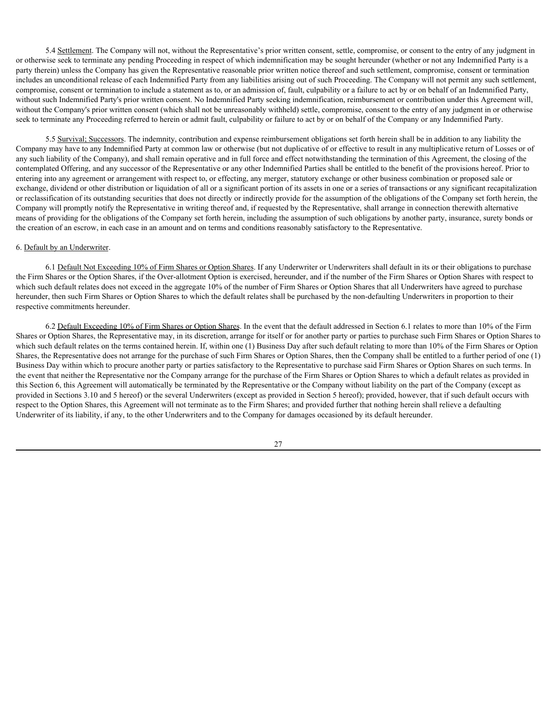5.4 Settlement. The Company will not, without the Representative's prior written consent, settle, compromise, or consent to the entry of any judgment in or otherwise seek to terminate any pending Proceeding in respect of which indemnification may be sought hereunder (whether or not any Indemnified Party is a party therein) unless the Company has given the Representative reasonable prior written notice thereof and such settlement, compromise, consent or termination includes an unconditional release of each Indemnified Party from any liabilities arising out of such Proceeding. The Company will not permit any such settlement, compromise, consent or termination to include a statement as to, or an admission of, fault, culpability or a failure to act by or on behalf of an Indemnified Party, without such Indemnified Party's prior written consent. No Indemnified Party seeking indemnification, reimbursement or contribution under this Agreement will, without the Company's prior written consent (which shall not be unreasonably withheld) settle, compromise, consent to the entry of any judgment in or otherwise seek to terminate any Proceeding referred to herein or admit fault, culpability or failure to act by or on behalf of the Company or any Indemnified Party.

5.5 Survival; Successors. The indemnity, contribution and expense reimbursement obligations set forth herein shall be in addition to any liability the Company may have to any Indemnified Party at common law or otherwise (but not duplicative of or effective to result in any multiplicative return of Losses or of any such liability of the Company), and shall remain operative and in full force and effect notwithstanding the termination of this Agreement, the closing of the contemplated Offering, and any successor of the Representative or any other Indemnified Parties shall be entitled to the benefit of the provisions hereof. Prior to entering into any agreement or arrangement with respect to, or effecting, any merger, statutory exchange or other business combination or proposed sale or exchange, dividend or other distribution or liquidation of all or a significant portion of its assets in one or a series of transactions or any significant recapitalization or reclassification of its outstanding securities that does not directly or indirectly provide for the assumption of the obligations of the Company set forth herein, the Company will promptly notify the Representative in writing thereof and, if requested by the Representative, shall arrange in connection therewith alternative means of providing for the obligations of the Company set forth herein, including the assumption of such obligations by another party, insurance, surety bonds or the creation of an escrow, in each case in an amount and on terms and conditions reasonably satisfactory to the Representative.

### 6. Default by an Underwriter.

6.1 Default Not Exceeding 10% of Firm Shares or Option Shares. If any Underwriter or Underwriters shall default in its or their obligations to purchase the Firm Shares or the Option Shares, if the Over-allotment Option is exercised, hereunder, and if the number of the Firm Shares or Option Shares with respect to which such default relates does not exceed in the aggregate 10% of the number of Firm Shares or Option Shares that all Underwriters have agreed to purchase hereunder, then such Firm Shares or Option Shares to which the default relates shall be purchased by the non-defaulting Underwriters in proportion to their respective commitments hereunder.

6.2 Default Exceeding 10% of Firm Shares or Option Shares. In the event that the default addressed in Section 6.1 relates to more than 10% of the Firm Shares or Option Shares, the Representative may, in its discretion, arrange for itself or for another party or parties to purchase such Firm Shares or Option Shares to which such default relates on the terms contained herein. If, within one (1) Business Day after such default relating to more than 10% of the Firm Shares or Option Shares, the Representative does not arrange for the purchase of such Firm Shares or Option Shares, then the Company shall be entitled to a further period of one (1) Business Day within which to procure another party or parties satisfactory to the Representative to purchase said Firm Shares or Option Shares on such terms. In the event that neither the Representative nor the Company arrange for the purchase of the Firm Shares or Option Shares to which a default relates as provided in this Section 6, this Agreement will automatically be terminated by the Representative or the Company without liability on the part of the Company (except as provided in Sections 3.10 and 5 hereof) or the several Underwriters (except as provided in Section 5 hereof); provided, however, that if such default occurs with respect to the Option Shares, this Agreement will not terminate as to the Firm Shares; and provided further that nothing herein shall relieve a defaulting Underwriter of its liability, if any, to the other Underwriters and to the Company for damages occasioned by its default hereunder.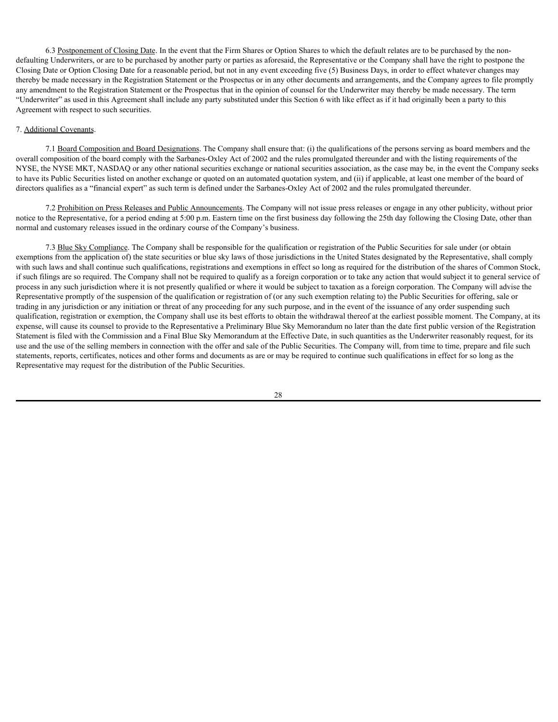6.3 Postponement of Closing Date. In the event that the Firm Shares or Option Shares to which the default relates are to be purchased by the nondefaulting Underwriters, or are to be purchased by another party or parties as aforesaid, the Representative or the Company shall have the right to postpone the Closing Date or Option Closing Date for a reasonable period, but not in any event exceeding five (5) Business Days, in order to effect whatever changes may thereby be made necessary in the Registration Statement or the Prospectus or in any other documents and arrangements, and the Company agrees to file promptly any amendment to the Registration Statement or the Prospectus that in the opinion of counsel for the Underwriter may thereby be made necessary. The term "Underwriter" as used in this Agreement shall include any party substituted under this Section 6 with like effect as if it had originally been a party to this Agreement with respect to such securities.

## 7. Additional Covenants.

7.1 Board Composition and Board Designations. The Company shall ensure that: (i) the qualifications of the persons serving as board members and the overall composition of the board comply with the Sarbanes-Oxley Act of 2002 and the rules promulgated thereunder and with the listing requirements of the NYSE, the NYSE MKT, NASDAQ or any other national securities exchange or national securities association, as the case may be, in the event the Company seeks to have its Public Securities listed on another exchange or quoted on an automated quotation system, and (ii) if applicable, at least one member of the board of directors qualifies as a "financial expert" as such term is defined under the Sarbanes-Oxley Act of 2002 and the rules promulgated thereunder.

7.2 Prohibition on Press Releases and Public Announcements. The Company will not issue press releases or engage in any other publicity, without prior notice to the Representative, for a period ending at 5:00 p.m. Eastern time on the first business day following the 25th day following the Closing Date, other than normal and customary releases issued in the ordinary course of the Company's business.

7.3 Blue Sky Compliance. The Company shall be responsible for the qualification or registration of the Public Securities for sale under (or obtain exemptions from the application of) the state securities or blue sky laws of those jurisdictions in the United States designated by the Representative, shall comply with such laws and shall continue such qualifications, registrations and exemptions in effect so long as required for the distribution of the shares of Common Stock, if such filings are so required. The Company shall not be required to qualify as a foreign corporation or to take any action that would subject it to general service of process in any such jurisdiction where it is not presently qualified or where it would be subject to taxation as a foreign corporation. The Company will advise the Representative promptly of the suspension of the qualification or registration of (or any such exemption relating to) the Public Securities for offering, sale or trading in any jurisdiction or any initiation or threat of any proceeding for any such purpose, and in the event of the issuance of any order suspending such qualification, registration or exemption, the Company shall use its best efforts to obtain the withdrawal thereof at the earliest possible moment. The Company, at its expense, will cause its counsel to provide to the Representative a Preliminary Blue Sky Memorandum no later than the date first public version of the Registration Statement is filed with the Commission and a Final Blue Sky Memorandum at the Effective Date, in such quantities as the Underwriter reasonably request, for its use and the use of the selling members in connection with the offer and sale of the Public Securities. The Company will, from time to time, prepare and file such statements, reports, certificates, notices and other forms and documents as are or may be required to continue such qualifications in effect for so long as the Representative may request for the distribution of the Public Securities.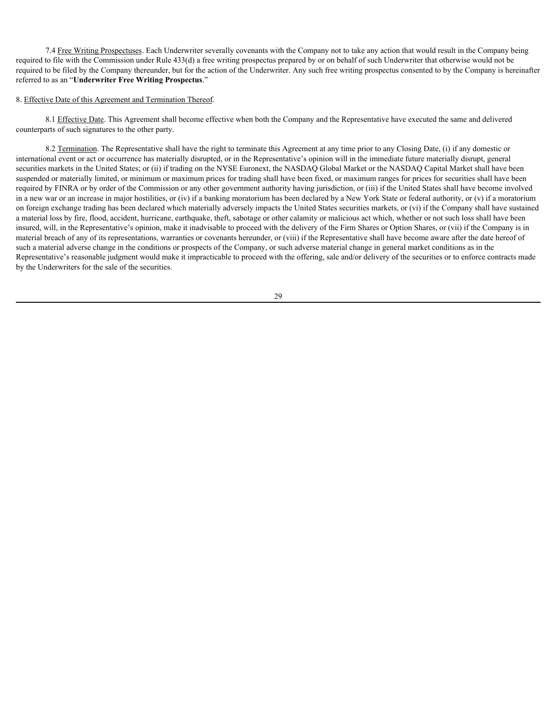7.4 Free Writing Prospectuses. Each Underwriter severally covenants with the Company not to take any action that would result in the Company being required to file with the Commission under Rule 433(d) a free writing prospectus prepared by or on behalf of such Underwriter that otherwise would not be required to be filed by the Company thereunder, but for the action of the Underwriter. Any such free writing prospectus consented to by the Company is hereinafter referred to as an "**Underwriter Free Writing Prospectus**."

### 8. Effective Date of this Agreement and Termination Thereof.

8.1 Effective Date. This Agreement shall become effective when both the Company and the Representative have executed the same and delivered counterparts of such signatures to the other party.

8.2 Termination. The Representative shall have the right to terminate this Agreement at any time prior to any Closing Date, (i) if any domestic or international event or act or occurrence has materially disrupted, or in the Representative's opinion will in the immediate future materially disrupt, general securities markets in the United States; or (ii) if trading on the NYSE Euronext, the NASDAQ Global Market or the NASDAQ Capital Market shall have been suspended or materially limited, or minimum or maximum prices for trading shall have been fixed, or maximum ranges for prices for securities shall have been required by FINRA or by order of the Commission or any other government authority having jurisdiction, or (iii) if the United States shall have become involved in a new war or an increase in major hostilities, or (iv) if a banking moratorium has been declared by a New York State or federal authority, or (v) if a moratorium on foreign exchange trading has been declared which materially adversely impacts the United States securities markets, or (vi) if the Company shall have sustained a material loss by fire, flood, accident, hurricane, earthquake, theft, sabotage or other calamity or malicious act which, whether or not such loss shall have been insured, will, in the Representative's opinion, make it inadvisable to proceed with the delivery of the Firm Shares or Option Shares, or (vii) if the Company is in material breach of any of its representations, warranties or covenants hereunder, or (viii) if the Representative shall have become aware after the date hereof of such a material adverse change in the conditions or prospects of the Company, or such adverse material change in general market conditions as in the Representative's reasonable judgment would make it impracticable to proceed with the offering, sale and/or delivery of the securities or to enforce contracts made by the Underwriters for the sale of the securities.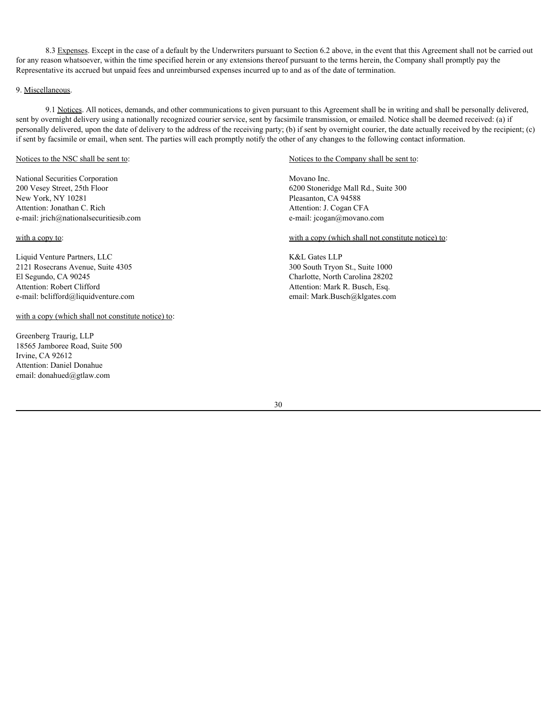8.3 Expenses. Except in the case of a default by the Underwriters pursuant to Section 6.2 above, in the event that this Agreement shall not be carried out for any reason whatsoever, within the time specified herein or any extensions thereof pursuant to the terms herein, the Company shall promptly pay the Representative its accrued but unpaid fees and unreimbursed expenses incurred up to and as of the date of termination.

### 9. Miscellaneous.

9.1 Notices. All notices, demands, and other communications to given pursuant to this Agreement shall be in writing and shall be personally delivered, sent by overnight delivery using a nationally recognized courier service, sent by facsimile transmission, or emailed. Notice shall be deemed received: (a) if personally delivered, upon the date of delivery to the address of the receiving party; (b) if sent by overnight courier, the date actually received by the recipient; (c) if sent by facsimile or email, when sent. The parties will each promptly notify the other of any changes to the following contact information.

#### Notices to the NSC shall be sent to:

National Securities Corporation 200 Vesey Street, 25th Floor New York, NY 10281 Attention: Jonathan C. Rich e-mail: jrich@nationalsecuritiesib.com

with a copy to:

Liquid Venture Partners, LLC 2121 Rosecrans Avenue, Suite 4305 El Segundo, CA 90245 Attention: Robert Clifford e-mail: bclifford@liquidventure.com email: Mark.Busch@klgates.com

# with a copy (which shall not constitute notice) to:

Greenberg Traurig, LLP 18565 Jamboree Road, Suite 500 Irvine, CA 92612 Attention: Daniel Donahue email: donahued@gtlaw.com

#### Notices to the Company shall be sent to:

Movano Inc. 6200 Stoneridge Mall Rd., Suite 300 Pleasanton, CA 94588 Attention: J. Cogan CFA e-mail: jcogan@movano.com

with a copy (which shall not constitute notice) to:

K&L Gates LLP 300 South Tryon St., Suite 1000 Charlotte, North Carolina 28202 Attention: Mark R. Busch, Esq.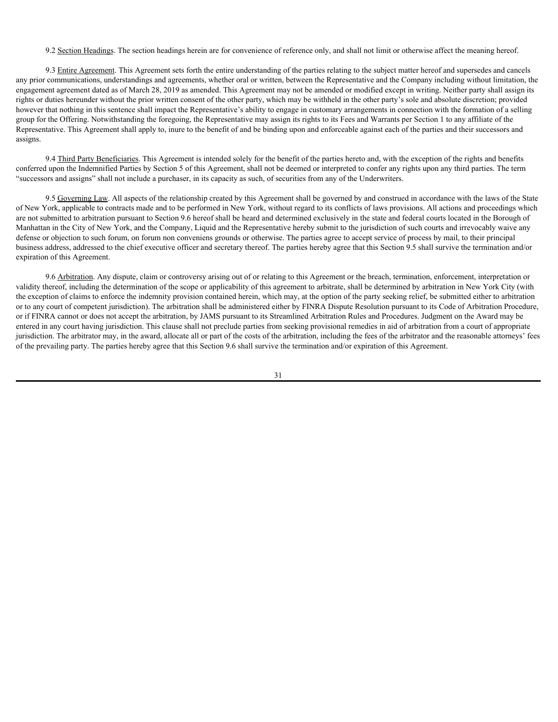9.2 Section Headings. The section headings herein are for convenience of reference only, and shall not limit or otherwise affect the meaning hereof.

9.3 Entire Agreement. This Agreement sets forth the entire understanding of the parties relating to the subject matter hereof and supersedes and cancels any prior communications, understandings and agreements, whether oral or written, between the Representative and the Company including without limitation, the engagement agreement dated as of March 28, 2019 as amended. This Agreement may not be amended or modified except in writing. Neither party shall assign its rights or duties hereunder without the prior written consent of the other party, which may be withheld in the other party's sole and absolute discretion; provided however that nothing in this sentence shall impact the Representative's ability to engage in customary arrangements in connection with the formation of a selling group for the Offering. Notwithstanding the foregoing, the Representative may assign its rights to its Fees and Warrants per Section 1 to any affiliate of the Representative. This Agreement shall apply to, inure to the benefit of and be binding upon and enforceable against each of the parties and their successors and assigns.

9.4 Third Party Beneficiaries. This Agreement is intended solely for the benefit of the parties hereto and, with the exception of the rights and benefits conferred upon the Indemnified Parties by Section 5 of this Agreement, shall not be deemed or interpreted to confer any rights upon any third parties. The term "successors and assigns" shall not include a purchaser, in its capacity as such, of securities from any of the Underwriters.

9.5 Governing Law. All aspects of the relationship created by this Agreement shall be governed by and construed in accordance with the laws of the State of New York, applicable to contracts made and to be performed in New York, without regard to its conflicts of laws provisions. All actions and proceedings which are not submitted to arbitration pursuant to Section 9.6 hereof shall be heard and determined exclusively in the state and federal courts located in the Borough of Manhattan in the City of New York, and the Company, Liquid and the Representative hereby submit to the jurisdiction of such courts and irrevocably waive any defense or objection to such forum, on forum non conveniens grounds or otherwise. The parties agree to accept service of process by mail, to their principal business address, addressed to the chief executive officer and secretary thereof. The parties hereby agree that this Section 9.5 shall survive the termination and/or expiration of this Agreement.

9.6 Arbitration. Any dispute, claim or controversy arising out of or relating to this Agreement or the breach, termination, enforcement, interpretation or validity thereof, including the determination of the scope or applicability of this agreement to arbitrate, shall be determined by arbitration in New York City (with the exception of claims to enforce the indemnity provision contained herein, which may, at the option of the party seeking relief, be submitted either to arbitration or to any court of competent jurisdiction). The arbitration shall be administered either by FINRA Dispute Resolution pursuant to its Code of Arbitration Procedure, or if FINRA cannot or does not accept the arbitration, by JAMS pursuant to its Streamlined Arbitration Rules and Procedures. Judgment on the Award may be entered in any court having jurisdiction. This clause shall not preclude parties from seeking provisional remedies in aid of arbitration from a court of appropriate jurisdiction. The arbitrator may, in the award, allocate all or part of the costs of the arbitration, including the fees of the arbitrator and the reasonable attorneys' fees of the prevailing party. The parties hereby agree that this Section 9.6 shall survive the termination and/or expiration of this Agreement.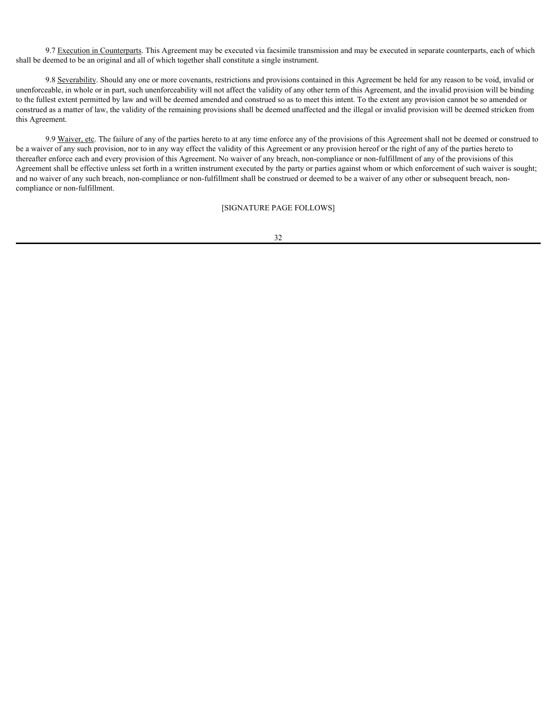9.7 Execution in Counterparts. This Agreement may be executed via facsimile transmission and may be executed in separate counterparts, each of which shall be deemed to be an original and all of which together shall constitute a single instrument.

9.8 Severability. Should any one or more covenants, restrictions and provisions contained in this Agreement be held for any reason to be void, invalid or unenforceable, in whole or in part, such unenforceability will not affect the validity of any other term of this Agreement, and the invalid provision will be binding to the fullest extent permitted by law and will be deemed amended and construed so as to meet this intent. To the extent any provision cannot be so amended or construed as a matter of law, the validity of the remaining provisions shall be deemed unaffected and the illegal or invalid provision will be deemed stricken from this Agreement.

9.9 Waiver, etc. The failure of any of the parties hereto to at any time enforce any of the provisions of this Agreement shall not be deemed or construed to be a waiver of any such provision, nor to in any way effect the validity of this Agreement or any provision hereof or the right of any of the parties hereto to thereafter enforce each and every provision of this Agreement. No waiver of any breach, non-compliance or non-fulfillment of any of the provisions of this Agreement shall be effective unless set forth in a written instrument executed by the party or parties against whom or which enforcement of such waiver is sought; and no waiver of any such breach, non-compliance or non-fulfillment shall be construed or deemed to be a waiver of any other or subsequent breach, noncompliance or non-fulfillment.

[SIGNATURE PAGE FOLLOWS]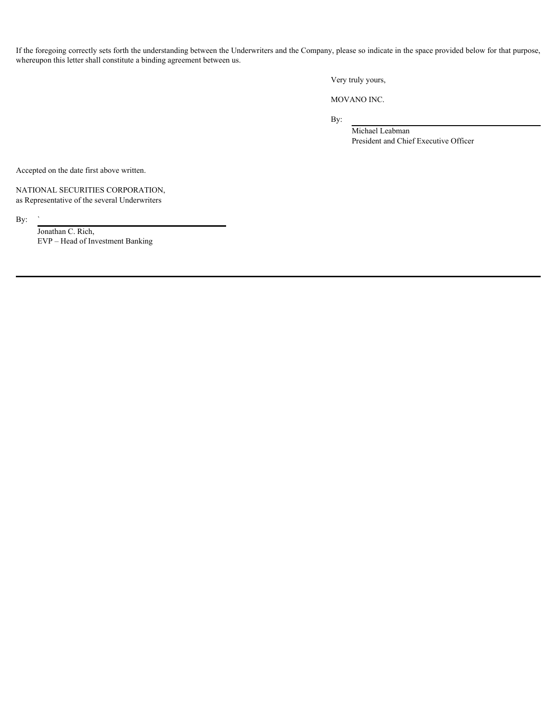If the foregoing correctly sets forth the understanding between the Underwriters and the Company, please so indicate in the space provided below for that purpose, whereupon this letter shall constitute a binding agreement between us.

Very truly yours,

MOVANO INC.

By:

Michael Leabman President and Chief Executive Officer

Accepted on the date first above written.

NATIONAL SECURITIES CORPORATION, as Representative of the several Underwriters

By:  $\int$  Jonathan C. Rich, EVP – Head of Investment Banking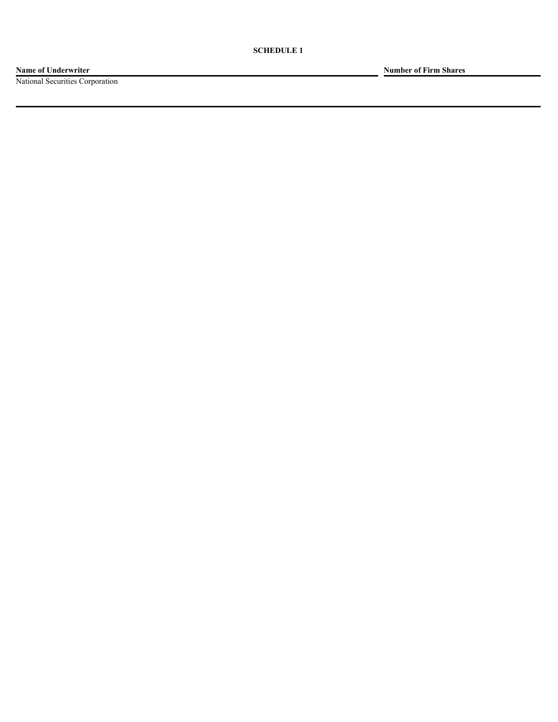**Name of Underwriter Number of Firm Shares**

National Securities Corporation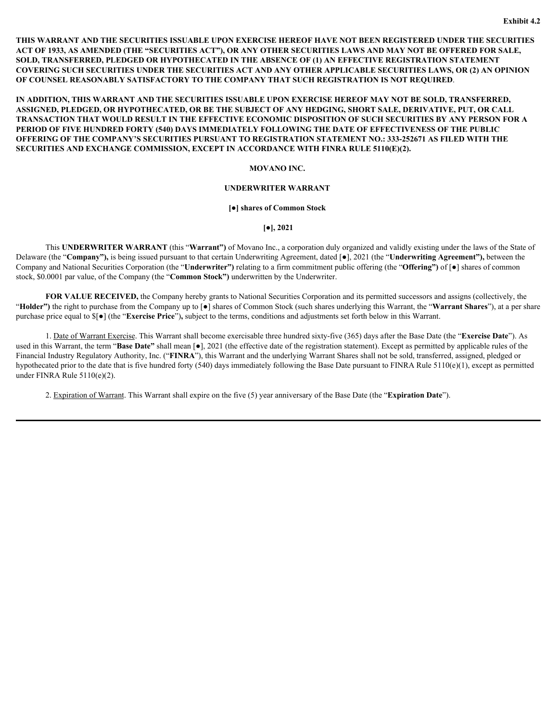**THIS WARRANT AND THE SECURITIES ISSUABLE UPON EXERCISE HEREOF HAVE NOT BEEN REGISTERED UNDER THE SECURITIES ACT OF 1933, AS AMENDED (THE "SECURITIES ACT"), OR ANY OTHER SECURITIES LAWS AND MAY NOT BE OFFERED FOR SALE, SOLD, TRANSFERRED, PLEDGED OR HYPOTHECATED IN THE ABSENCE OF (1) AN EFFECTIVE REGISTRATION STATEMENT COVERING SUCH SECURITIES UNDER THE SECURITIES ACT AND ANY OTHER APPLICABLE SECURITIES LAWS, OR (2) AN OPINION OF COUNSEL REASONABLY SATISFACTORY TO THE COMPANY THAT SUCH REGISTRATION IS NOT REQUIRED**.

**IN ADDITION, THIS WARRANT AND THE SECURITIES ISSUABLE UPON EXERCISE HEREOF MAY NOT BE SOLD, TRANSFERRED, ASSIGNED, PLEDGED, OR HYPOTHECATED, OR BE THE SUBJECT OF ANY HEDGING, SHORT SALE, DERIVATIVE, PUT, OR CALL TRANSACTION THAT WOULD RESULT IN THE EFFECTIVE ECONOMIC DISPOSITION OF SUCH SECURITIES BY ANY PERSON FOR A PERIOD OF FIVE HUNDRED FORTY (540) DAYS IMMEDIATELY FOLLOWING THE DATE OF EFFECTIVENESS OF THE PUBLIC OFFERING OF THE COMPANY'S SECURITIES PURSUANT TO REGISTRATION STATEMENT NO.: 333-252671 AS FILED WITH THE SECURITIES AND EXCHANGE COMMISSION, EXCEPT IN ACCORDANCE WITH FINRA RULE 5110(E)(2).**

#### **MOVANO INC.**

## **UNDERWRITER WARRANT**

#### **[●] shares of Common Stock**

**[●], 2021**

This **UNDERWRITER WARRANT** (this "**Warrant")** of Movano Inc., a corporation duly organized and validly existing under the laws of the State of Delaware (the "**Company"),** is being issued pursuant to that certain Underwriting Agreement, dated [●], 2021 (the "**Underwriting Agreement"),** between the Company and National Securities Corporation (the "**Underwriter")** relating to a firm commitment public offering (the "**Offering")** of [●] shares of common stock, \$0.0001 par value, of the Company (the "**Common Stock")** underwritten by the Underwriter.

**FOR VALUE RECEIVED,** the Company hereby grants to National Securities Corporation and its permitted successors and assigns (collectively, the "**Holder")** the right to purchase from the Company up to [●] shares of Common Stock (such shares underlying this Warrant, the "**Warrant Shares**"), at a per share purchase price equal to \$[●] (the "**Exercise Price**")**,** subject to the terms, conditions and adjustments set forth below in this Warrant.

1. Date of Warrant Exercise. This Warrant shall become exercisable three hundred sixty-five (365) days after the Base Date (the "**Exercise Date**"). As used in this Warrant, the term "**Base Date"** shall mean [●], 2021 (the effective date of the registration statement). Except as permitted by applicable rules of the Financial Industry Regulatory Authority, Inc. ("**FINRA**"), this Warrant and the underlying Warrant Shares shall not be sold, transferred, assigned, pledged or hypothecated prior to the date that is five hundred forty (540) days immediately following the Base Date pursuant to FINRA Rule 5110(e)(1), except as permitted under FINRA Rule 5110(e)(2).

2. Expiration of Warrant. This Warrant shall expire on the five (5) year anniversary of the Base Date (the "**Expiration Date**").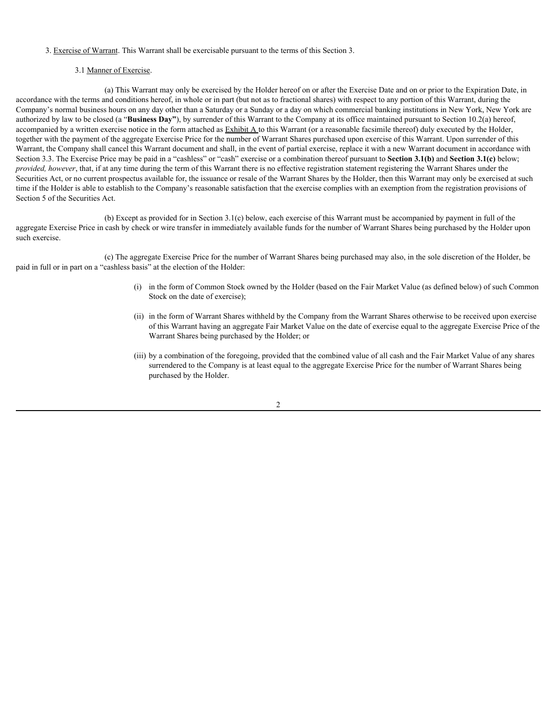## 3. Exercise of Warrant. This Warrant shall be exercisable pursuant to the terms of this Section 3.

## 3.1 Manner of Exercise.

(a) This Warrant may only be exercised by the Holder hereof on or after the Exercise Date and on or prior to the Expiration Date, in accordance with the terms and conditions hereof, in whole or in part (but not as to fractional shares) with respect to any portion of this Warrant, during the Company's normal business hours on any day other than a Saturday or a Sunday or a day on which commercial banking institutions in New York, New York are authorized by law to be closed (a "**Business Day"**), by surrender of this Warrant to the Company at its office maintained pursuant to Section 10.2(a) hereof, accompanied by a written exercise notice in the form attached as **Exhibit A** to this Warrant (or a reasonable facsimile thereof) duly executed by the Holder, together with the payment of the aggregate Exercise Price for the number of Warrant Shares purchased upon exercise of this Warrant. Upon surrender of this Warrant, the Company shall cancel this Warrant document and shall, in the event of partial exercise, replace it with a new Warrant document in accordance with Section 3.3. The Exercise Price may be paid in a "cashless" or "cash" exercise or a combination thereof pursuant to **Section 3.1(b)** and **Section 3.1(c)** below; *provided, however*, that, if at any time during the term of this Warrant there is no effective registration statement registering the Warrant Shares under the Securities Act, or no current prospectus available for, the issuance or resale of the Warrant Shares by the Holder, then this Warrant may only be exercised at such time if the Holder is able to establish to the Company's reasonable satisfaction that the exercise complies with an exemption from the registration provisions of Section 5 of the Securities Act.

(b) Except as provided for in Section 3.1(c) below, each exercise of this Warrant must be accompanied by payment in full of the aggregate Exercise Price in cash by check or wire transfer in immediately available funds for the number of Warrant Shares being purchased by the Holder upon such exercise.

(c) The aggregate Exercise Price for the number of Warrant Shares being purchased may also, in the sole discretion of the Holder, be paid in full or in part on a "cashless basis" at the election of the Holder:

- (i) in the form of Common Stock owned by the Holder (based on the Fair Market Value (as defined below) of such Common Stock on the date of exercise);
- (ii) in the form of Warrant Shares withheld by the Company from the Warrant Shares otherwise to be received upon exercise of this Warrant having an aggregate Fair Market Value on the date of exercise equal to the aggregate Exercise Price of the Warrant Shares being purchased by the Holder; or
- (iii) by a combination of the foregoing, provided that the combined value of all cash and the Fair Market Value of any shares surrendered to the Company is at least equal to the aggregate Exercise Price for the number of Warrant Shares being purchased by the Holder.

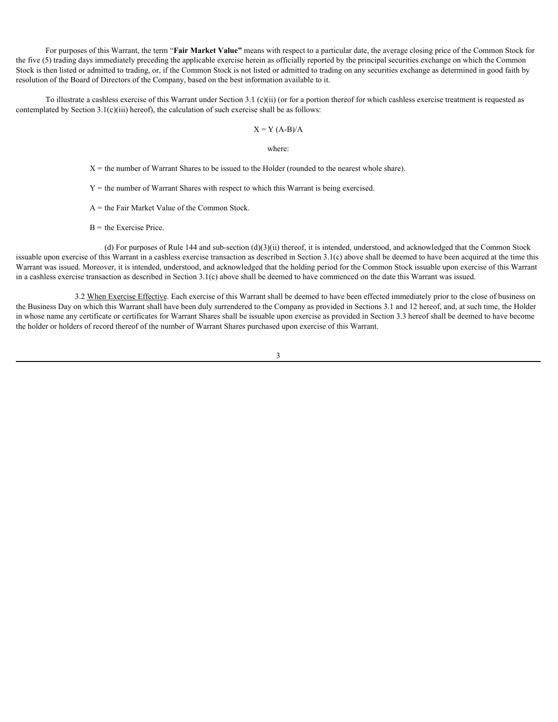For purposes of this Warrant, the term "**Fair Market Value"** means with respect to a particular date, the average closing price of the Common Stock for the five (5) trading days immediately preceding the applicable exercise herein as officially reported by the principal securities exchange on which the Common Stock is then listed or admitted to trading, or, if the Common Stock is not listed or admitted to trading on any securities exchange as determined in good faith by resolution of the Board of Directors of the Company, based on the best information available to it.

To illustrate a cashless exercise of this Warrant under Section 3.1 (c)(ii) (or for a portion thereof for which cashless exercise treatment is requested as contemplated by Section 3.1(c)(iii) hereof), the calculation of such exercise shall be as follows:

### $X = Y (A-B)/A$

### where:

 $X =$  the number of Warrant Shares to be issued to the Holder (rounded to the nearest whole share).

 $Y =$  the number of Warrant Shares with respect to which this Warrant is being exercised.

A = the Fair Market Value of the Common Stock.

 $B =$  the Exercise Price.

(d) For purposes of Rule 144 and sub-section (d)(3)(ii) thereof, it is intended, understood, and acknowledged that the Common Stock issuable upon exercise of this Warrant in a cashless exercise transaction as described in Section 3.1(c) above shall be deemed to have been acquired at the time this Warrant was issued. Moreover, it is intended, understood, and acknowledged that the holding period for the Common Stock issuable upon exercise of this Warrant in a cashless exercise transaction as described in Section 3.1(c) above shall be deemed to have commenced on the date this Warrant was issued.

3.2 When Exercise Effective. Each exercise of this Warrant shall be deemed to have been effected immediately prior to the close of business on the Business Day on which this Warrant shall have been duly surrendered to the Company as provided in Sections 3.1 and 12 hereof, and, at such time, the Holder in whose name any certificate or certificates for Warrant Shares shall be issuable upon exercise as provided in Section 3.3 hereof shall be deemed to have become the holder or holders of record thereof of the number of Warrant Shares purchased upon exercise of this Warrant.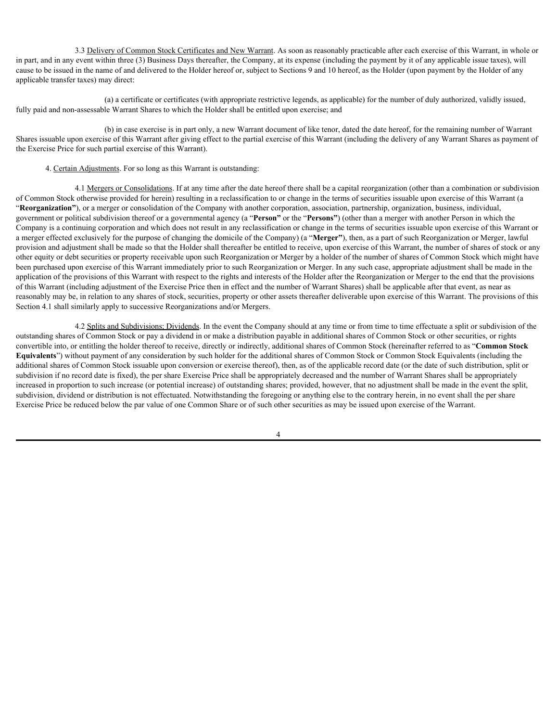3.3 Delivery of Common Stock Certificates and New Warrant. As soon as reasonably practicable after each exercise of this Warrant, in whole or in part, and in any event within three (3) Business Days thereafter, the Company, at its expense (including the payment by it of any applicable issue taxes), will cause to be issued in the name of and delivered to the Holder hereof or, subject to Sections 9 and 10 hereof, as the Holder (upon payment by the Holder of any applicable transfer taxes) may direct:

(a) a certificate or certificates (with appropriate restrictive legends, as applicable) for the number of duly authorized, validly issued, fully paid and non-assessable Warrant Shares to which the Holder shall be entitled upon exercise; and

(b) in case exercise is in part only, a new Warrant document of like tenor, dated the date hereof, for the remaining number of Warrant Shares issuable upon exercise of this Warrant after giving effect to the partial exercise of this Warrant (including the delivery of any Warrant Shares as payment of the Exercise Price for such partial exercise of this Warrant).

4. Certain Adjustments. For so long as this Warrant is outstanding:

4.1 Mergers or Consolidations. If at any time after the date hereof there shall be a capital reorganization (other than a combination or subdivision of Common Stock otherwise provided for herein) resulting in a reclassification to or change in the terms of securities issuable upon exercise of this Warrant (a "**Reorganization"**), or a merger or consolidation of the Company with another corporation, association, partnership, organization, business, individual, government or political subdivision thereof or a governmental agency (a "**Person"** or the "**Persons"**) (other than a merger with another Person in which the Company is a continuing corporation and which does not result in any reclassification or change in the terms of securities issuable upon exercise of this Warrant or a merger effected exclusively for the purpose of changing the domicile of the Company) (a "**Merger"**), then, as a part of such Reorganization or Merger, lawful provision and adjustment shall be made so that the Holder shall thereafter be entitled to receive, upon exercise of this Warrant, the number of shares of stock or any other equity or debt securities or property receivable upon such Reorganization or Merger by a holder of the number of shares of Common Stock which might have been purchased upon exercise of this Warrant immediately prior to such Reorganization or Merger. In any such case, appropriate adjustment shall be made in the application of the provisions of this Warrant with respect to the rights and interests of the Holder after the Reorganization or Merger to the end that the provisions of this Warrant (including adjustment of the Exercise Price then in effect and the number of Warrant Shares) shall be applicable after that event, as near as reasonably may be, in relation to any shares of stock, securities, property or other assets thereafter deliverable upon exercise of this Warrant. The provisions of this Section 4.1 shall similarly apply to successive Reorganizations and/or Mergers.

4.2 Splits and Subdivisions; Dividends. In the event the Company should at any time or from time to time effectuate a split or subdivision of the outstanding shares of Common Stock or pay a dividend in or make a distribution payable in additional shares of Common Stock or other securities, or rights convertible into, or entitling the holder thereof to receive, directly or indirectly, additional shares of Common Stock (hereinafter referred to as "**Common Stock Equivalents**") without payment of any consideration by such holder for the additional shares of Common Stock or Common Stock Equivalents (including the additional shares of Common Stock issuable upon conversion or exercise thereof), then, as of the applicable record date (or the date of such distribution, split or subdivision if no record date is fixed), the per share Exercise Price shall be appropriately decreased and the number of Warrant Shares shall be appropriately increased in proportion to such increase (or potential increase) of outstanding shares; provided, however, that no adjustment shall be made in the event the split, subdivision, dividend or distribution is not effectuated. Notwithstanding the foregoing or anything else to the contrary herein, in no event shall the per share Exercise Price be reduced below the par value of one Common Share or of such other securities as may be issued upon exercise of the Warrant.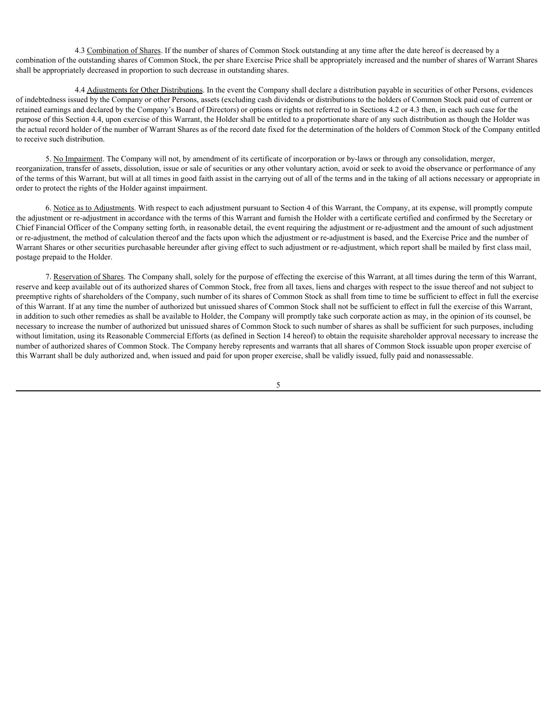4.3 Combination of Shares. If the number of shares of Common Stock outstanding at any time after the date hereof is decreased by a combination of the outstanding shares of Common Stock, the per share Exercise Price shall be appropriately increased and the number of shares of Warrant Shares shall be appropriately decreased in proportion to such decrease in outstanding shares.

4.4 Adjustments for Other Distributions. In the event the Company shall declare a distribution payable in securities of other Persons, evidences of indebtedness issued by the Company or other Persons, assets (excluding cash dividends or distributions to the holders of Common Stock paid out of current or retained earnings and declared by the Company's Board of Directors) or options or rights not referred to in Sections 4.2 or 4.3 then, in each such case for the purpose of this Section 4.4, upon exercise of this Warrant, the Holder shall be entitled to a proportionate share of any such distribution as though the Holder was the actual record holder of the number of Warrant Shares as of the record date fixed for the determination of the holders of Common Stock of the Company entitled to receive such distribution.

5. No Impairment. The Company will not, by amendment of its certificate of incorporation or by-laws or through any consolidation, merger, reorganization, transfer of assets, dissolution, issue or sale of securities or any other voluntary action, avoid or seek to avoid the observance or performance of any of the terms of this Warrant, but will at all times in good faith assist in the carrying out of all of the terms and in the taking of all actions necessary or appropriate in order to protect the rights of the Holder against impairment.

6. Notice as to Adjustments. With respect to each adjustment pursuant to Section 4 of this Warrant, the Company, at its expense, will promptly compute the adjustment or re-adjustment in accordance with the terms of this Warrant and furnish the Holder with a certificate certified and confirmed by the Secretary or Chief Financial Officer of the Company setting forth, in reasonable detail, the event requiring the adjustment or re-adjustment and the amount of such adjustment or re-adjustment, the method of calculation thereof and the facts upon which the adjustment or re-adjustment is based, and the Exercise Price and the number of Warrant Shares or other securities purchasable hereunder after giving effect to such adjustment or re-adjustment, which report shall be mailed by first class mail, postage prepaid to the Holder.

7. Reservation of Shares. The Company shall, solely for the purpose of effecting the exercise of this Warrant, at all times during the term of this Warrant, reserve and keep available out of its authorized shares of Common Stock, free from all taxes, liens and charges with respect to the issue thereof and not subject to preemptive rights of shareholders of the Company, such number of its shares of Common Stock as shall from time to time be sufficient to effect in full the exercise of this Warrant. If at any time the number of authorized but unissued shares of Common Stock shall not be sufficient to effect in full the exercise of this Warrant, in addition to such other remedies as shall be available to Holder, the Company will promptly take such corporate action as may, in the opinion of its counsel, be necessary to increase the number of authorized but unissued shares of Common Stock to such number of shares as shall be sufficient for such purposes, including without limitation, using its Reasonable Commercial Efforts (as defined in Section 14 hereof) to obtain the requisite shareholder approval necessary to increase the number of authorized shares of Common Stock. The Company hereby represents and warrants that all shares of Common Stock issuable upon proper exercise of this Warrant shall be duly authorized and, when issued and paid for upon proper exercise, shall be validly issued, fully paid and nonassessable.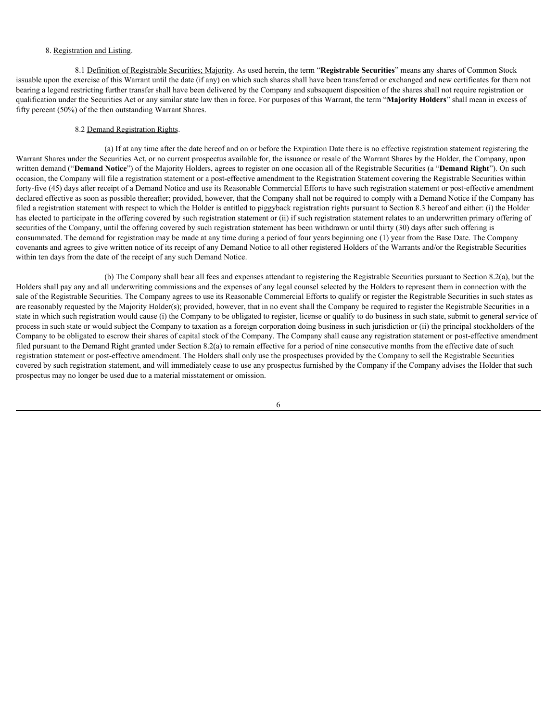## 8. Registration and Listing.

8.1 Definition of Registrable Securities; Majority. As used herein, the term "**Registrable Securities**" means any shares of Common Stock issuable upon the exercise of this Warrant until the date (if any) on which such shares shall have been transferred or exchanged and new certificates for them not bearing a legend restricting further transfer shall have been delivered by the Company and subsequent disposition of the shares shall not require registration or qualification under the Securities Act or any similar state law then in force. For purposes of this Warrant, the term "**Majority Holders**" shall mean in excess of fifty percent (50%) of the then outstanding Warrant Shares.

### 8.2 Demand Registration Rights.

(a) If at any time after the date hereof and on or before the Expiration Date there is no effective registration statement registering the Warrant Shares under the Securities Act, or no current prospectus available for, the issuance or resale of the Warrant Shares by the Holder, the Company, upon written demand ("**Demand Notice**") of the Majority Holders, agrees to register on one occasion all of the Registrable Securities (a "**Demand Right**"). On such occasion, the Company will file a registration statement or a post-effective amendment to the Registration Statement covering the Registrable Securities within forty-five (45) days after receipt of a Demand Notice and use its Reasonable Commercial Efforts to have such registration statement or post-effective amendment declared effective as soon as possible thereafter; provided, however, that the Company shall not be required to comply with a Demand Notice if the Company has filed a registration statement with respect to which the Holder is entitled to piggyback registration rights pursuant to Section 8.3 hereof and either: (i) the Holder has elected to participate in the offering covered by such registration statement or (ii) if such registration statement relates to an underwritten primary offering of securities of the Company, until the offering covered by such registration statement has been withdrawn or until thirty (30) days after such offering is consummated. The demand for registration may be made at any time during a period of four years beginning one (1) year from the Base Date. The Company covenants and agrees to give written notice of its receipt of any Demand Notice to all other registered Holders of the Warrants and/or the Registrable Securities within ten days from the date of the receipt of any such Demand Notice.

(b) The Company shall bear all fees and expenses attendant to registering the Registrable Securities pursuant to Section 8.2(a), but the Holders shall pay any and all underwriting commissions and the expenses of any legal counsel selected by the Holders to represent them in connection with the sale of the Registrable Securities. The Company agrees to use its Reasonable Commercial Efforts to qualify or register the Registrable Securities in such states as are reasonably requested by the Majority Holder(s); provided, however, that in no event shall the Company be required to register the Registrable Securities in a state in which such registration would cause (i) the Company to be obligated to register, license or qualify to do business in such state, submit to general service of process in such state or would subject the Company to taxation as a foreign corporation doing business in such jurisdiction or (ii) the principal stockholders of the Company to be obligated to escrow their shares of capital stock of the Company. The Company shall cause any registration statement or post-effective amendment filed pursuant to the Demand Right granted under Section 8.2(a) to remain effective for a period of nine consecutive months from the effective date of such registration statement or post-effective amendment. The Holders shall only use the prospectuses provided by the Company to sell the Registrable Securities covered by such registration statement, and will immediately cease to use any prospectus furnished by the Company if the Company advises the Holder that such prospectus may no longer be used due to a material misstatement or omission.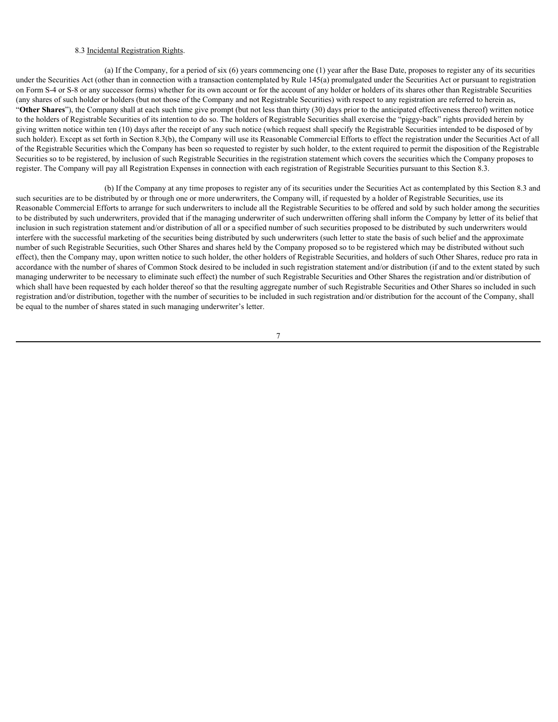## 8.3 Incidental Registration Rights.

(a) If the Company, for a period of six (6) years commencing one (1) year after the Base Date, proposes to register any of its securities under the Securities Act (other than in connection with a transaction contemplated by Rule 145(a) promulgated under the Securities Act or pursuant to registration on Form S-4 or S-8 or any successor forms) whether for its own account or for the account of any holder or holders of its shares other than Registrable Securities (any shares of such holder or holders (but not those of the Company and not Registrable Securities) with respect to any registration are referred to herein as, "**Other Shares**"), the Company shall at each such time give prompt (but not less than thirty (30) days prior to the anticipated effectiveness thereof) written notice to the holders of Registrable Securities of its intention to do so. The holders of Registrable Securities shall exercise the "piggy-back" rights provided herein by giving written notice within ten (10) days after the receipt of any such notice (which request shall specify the Registrable Securities intended to be disposed of by such holder). Except as set forth in Section 8.3(b), the Company will use its Reasonable Commercial Efforts to effect the registration under the Securities Act of all of the Registrable Securities which the Company has been so requested to register by such holder, to the extent required to permit the disposition of the Registrable Securities so to be registered, by inclusion of such Registrable Securities in the registration statement which covers the securities which the Company proposes to register. The Company will pay all Registration Expenses in connection with each registration of Registrable Securities pursuant to this Section 8.3.

(b) If the Company at any time proposes to register any of its securities under the Securities Act as contemplated by this Section 8.3 and such securities are to be distributed by or through one or more underwriters, the Company will, if requested by a holder of Registrable Securities, use its Reasonable Commercial Efforts to arrange for such underwriters to include all the Registrable Securities to be offered and sold by such holder among the securities to be distributed by such underwriters, provided that if the managing underwriter of such underwritten offering shall inform the Company by letter of its belief that inclusion in such registration statement and/or distribution of all or a specified number of such securities proposed to be distributed by such underwriters would interfere with the successful marketing of the securities being distributed by such underwriters (such letter to state the basis of such belief and the approximate number of such Registrable Securities, such Other Shares and shares held by the Company proposed so to be registered which may be distributed without such effect), then the Company may, upon written notice to such holder, the other holders of Registrable Securities, and holders of such Other Shares, reduce pro rata in accordance with the number of shares of Common Stock desired to be included in such registration statement and/or distribution (if and to the extent stated by such managing underwriter to be necessary to eliminate such effect) the number of such Registrable Securities and Other Shares the registration and/or distribution of which shall have been requested by each holder thereof so that the resulting aggregate number of such Registrable Securities and Other Shares so included in such registration and/or distribution, together with the number of securities to be included in such registration and/or distribution for the account of the Company, shall be equal to the number of shares stated in such managing underwriter's letter.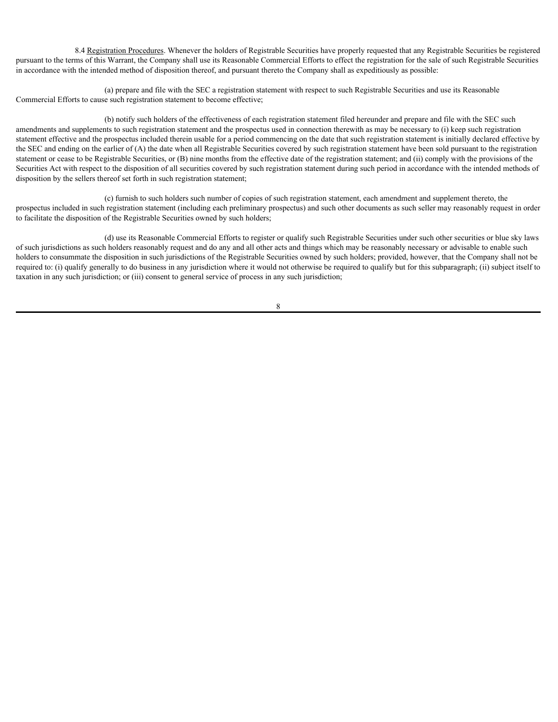8.4 Registration Procedures. Whenever the holders of Registrable Securities have properly requested that any Registrable Securities be registered pursuant to the terms of this Warrant, the Company shall use its Reasonable Commercial Efforts to effect the registration for the sale of such Registrable Securities in accordance with the intended method of disposition thereof, and pursuant thereto the Company shall as expeditiously as possible:

(a) prepare and file with the SEC a registration statement with respect to such Registrable Securities and use its Reasonable Commercial Efforts to cause such registration statement to become effective;

(b) notify such holders of the effectiveness of each registration statement filed hereunder and prepare and file with the SEC such amendments and supplements to such registration statement and the prospectus used in connection therewith as may be necessary to (i) keep such registration statement effective and the prospectus included therein usable for a period commencing on the date that such registration statement is initially declared effective by the SEC and ending on the earlier of (A) the date when all Registrable Securities covered by such registration statement have been sold pursuant to the registration statement or cease to be Registrable Securities, or (B) nine months from the effective date of the registration statement; and (ii) comply with the provisions of the Securities Act with respect to the disposition of all securities covered by such registration statement during such period in accordance with the intended methods of disposition by the sellers thereof set forth in such registration statement;

(c) furnish to such holders such number of copies of such registration statement, each amendment and supplement thereto, the prospectus included in such registration statement (including each preliminary prospectus) and such other documents as such seller may reasonably request in order to facilitate the disposition of the Registrable Securities owned by such holders;

(d) use its Reasonable Commercial Efforts to register or qualify such Registrable Securities under such other securities or blue sky laws of such jurisdictions as such holders reasonably request and do any and all other acts and things which may be reasonably necessary or advisable to enable such holders to consummate the disposition in such jurisdictions of the Registrable Securities owned by such holders; provided, however, that the Company shall not be required to: (i) qualify generally to do business in any jurisdiction where it would not otherwise be required to qualify but for this subparagraph; (ii) subject itself to taxation in any such jurisdiction; or (iii) consent to general service of process in any such jurisdiction;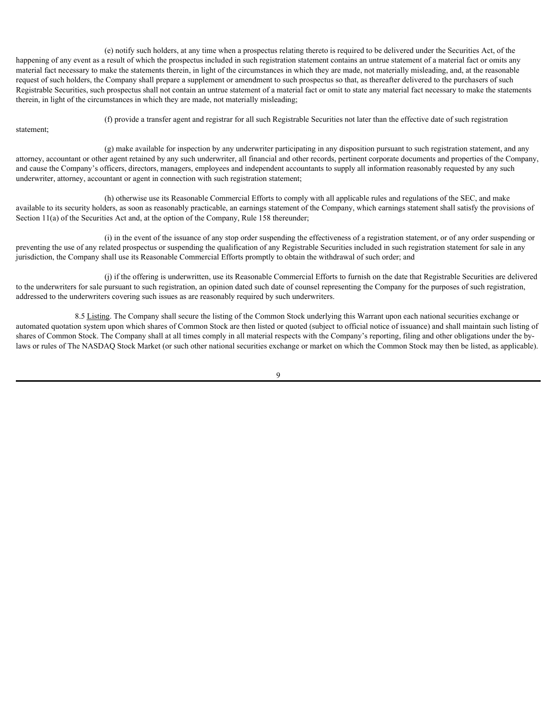(e) notify such holders, at any time when a prospectus relating thereto is required to be delivered under the Securities Act, of the happening of any event as a result of which the prospectus included in such registration statement contains an untrue statement of a material fact or omits any material fact necessary to make the statements therein, in light of the circumstances in which they are made, not materially misleading, and, at the reasonable request of such holders, the Company shall prepare a supplement or amendment to such prospectus so that, as thereafter delivered to the purchasers of such Registrable Securities, such prospectus shall not contain an untrue statement of a material fact or omit to state any material fact necessary to make the statements therein, in light of the circumstances in which they are made, not materially misleading;

statement;

(f) provide a transfer agent and registrar for all such Registrable Securities not later than the effective date of such registration

(g) make available for inspection by any underwriter participating in any disposition pursuant to such registration statement, and any attorney, accountant or other agent retained by any such underwriter, all financial and other records, pertinent corporate documents and properties of the Company, and cause the Company's officers, directors, managers, employees and independent accountants to supply all information reasonably requested by any such underwriter, attorney, accountant or agent in connection with such registration statement;

(h) otherwise use its Reasonable Commercial Efforts to comply with all applicable rules and regulations of the SEC, and make available to its security holders, as soon as reasonably practicable, an earnings statement of the Company, which earnings statement shall satisfy the provisions of Section 11(a) of the Securities Act and, at the option of the Company, Rule 158 thereunder;

(i) in the event of the issuance of any stop order suspending the effectiveness of a registration statement, or of any order suspending or preventing the use of any related prospectus or suspending the qualification of any Registrable Securities included in such registration statement for sale in any jurisdiction, the Company shall use its Reasonable Commercial Efforts promptly to obtain the withdrawal of such order; and

(j) if the offering is underwritten, use its Reasonable Commercial Efforts to furnish on the date that Registrable Securities are delivered to the underwriters for sale pursuant to such registration, an opinion dated such date of counsel representing the Company for the purposes of such registration, addressed to the underwriters covering such issues as are reasonably required by such underwriters.

8.5 Listing. The Company shall secure the listing of the Common Stock underlying this Warrant upon each national securities exchange or automated quotation system upon which shares of Common Stock are then listed or quoted (subject to official notice of issuance) and shall maintain such listing of shares of Common Stock. The Company shall at all times comply in all material respects with the Company's reporting, filing and other obligations under the bylaws or rules of The NASDAQ Stock Market (or such other national securities exchange or market on which the Common Stock may then be listed, as applicable).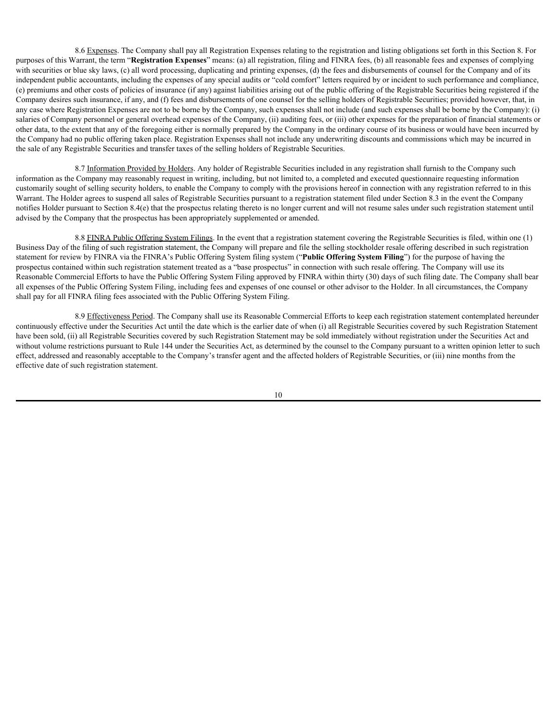8.6 Expenses. The Company shall pay all Registration Expenses relating to the registration and listing obligations set forth in this Section 8. For purposes of this Warrant, the term "**Registration Expenses**" means: (a) all registration, filing and FINRA fees, (b) all reasonable fees and expenses of complying with securities or blue sky laws, (c) all word processing, duplicating and printing expenses, (d) the fees and disbursements of counsel for the Company and of its independent public accountants, including the expenses of any special audits or "cold comfort" letters required by or incident to such performance and compliance, (e) premiums and other costs of policies of insurance (if any) against liabilities arising out of the public offering of the Registrable Securities being registered if the Company desires such insurance, if any, and (f) fees and disbursements of one counsel for the selling holders of Registrable Securities; provided however, that, in any case where Registration Expenses are not to be borne by the Company, such expenses shall not include (and such expenses shall be borne by the Company): (i) salaries of Company personnel or general overhead expenses of the Company, (ii) auditing fees, or (iii) other expenses for the preparation of financial statements or other data, to the extent that any of the foregoing either is normally prepared by the Company in the ordinary course of its business or would have been incurred by the Company had no public offering taken place. Registration Expenses shall not include any underwriting discounts and commissions which may be incurred in the sale of any Registrable Securities and transfer taxes of the selling holders of Registrable Securities.

8.7 Information Provided by Holders. Any holder of Registrable Securities included in any registration shall furnish to the Company such information as the Company may reasonably request in writing, including, but not limited to, a completed and executed questionnaire requesting information customarily sought of selling security holders, to enable the Company to comply with the provisions hereof in connection with any registration referred to in this Warrant. The Holder agrees to suspend all sales of Registrable Securities pursuant to a registration statement filed under Section 8.3 in the event the Company notifies Holder pursuant to Section 8.4(e) that the prospectus relating thereto is no longer current and will not resume sales under such registration statement until advised by the Company that the prospectus has been appropriately supplemented or amended.

8.8 FINRA Public Offering System Filings. In the event that a registration statement covering the Registrable Securities is filed, within one (1) Business Day of the filing of such registration statement, the Company will prepare and file the selling stockholder resale offering described in such registration statement for review by FINRA via the FINRA's Public Offering System filing system ("**Public Offering System Filing**") for the purpose of having the prospectus contained within such registration statement treated as a "base prospectus" in connection with such resale offering. The Company will use its Reasonable Commercial Efforts to have the Public Offering System Filing approved by FINRA within thirty (30) days of such filing date. The Company shall bear all expenses of the Public Offering System Filing, including fees and expenses of one counsel or other advisor to the Holder. In all circumstances, the Company shall pay for all FINRA filing fees associated with the Public Offering System Filing.

8.9 Effectiveness Period. The Company shall use its Reasonable Commercial Efforts to keep each registration statement contemplated hereunder continuously effective under the Securities Act until the date which is the earlier date of when (i) all Registrable Securities covered by such Registration Statement have been sold, (ii) all Registrable Securities covered by such Registration Statement may be sold immediately without registration under the Securities Act and without volume restrictions pursuant to Rule 144 under the Securities Act, as determined by the counsel to the Company pursuant to a written opinion letter to such effect, addressed and reasonably acceptable to the Company's transfer agent and the affected holders of Registrable Securities, or (iii) nine months from the effective date of such registration statement.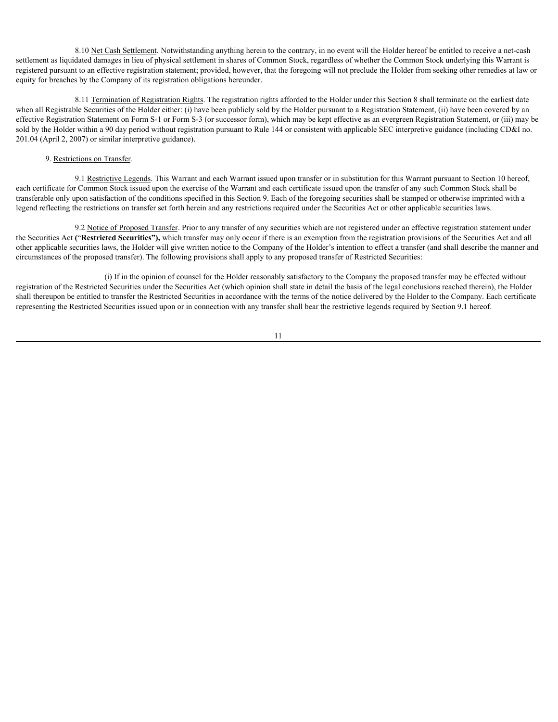8.10 Net Cash Settlement. Notwithstanding anything herein to the contrary, in no event will the Holder hereof be entitled to receive a net-cash settlement as liquidated damages in lieu of physical settlement in shares of Common Stock, regardless of whether the Common Stock underlying this Warrant is registered pursuant to an effective registration statement; provided, however, that the foregoing will not preclude the Holder from seeking other remedies at law or equity for breaches by the Company of its registration obligations hereunder.

8.11 Termination of Registration Rights. The registration rights afforded to the Holder under this Section 8 shall terminate on the earliest date when all Registrable Securities of the Holder either: (i) have been publicly sold by the Holder pursuant to a Registration Statement, (ii) have been covered by an effective Registration Statement on Form S-1 or Form S-3 (or successor form), which may be kept effective as an evergreen Registration Statement, or (iii) may be sold by the Holder within a 90 day period without registration pursuant to Rule 144 or consistent with applicable SEC interpretive guidance (including CD&I no. 201.04 (April 2, 2007) or similar interpretive guidance).

#### 9. Restrictions on Transfer.

9.1 Restrictive Legends. This Warrant and each Warrant issued upon transfer or in substitution for this Warrant pursuant to Section 10 hereof, each certificate for Common Stock issued upon the exercise of the Warrant and each certificate issued upon the transfer of any such Common Stock shall be transferable only upon satisfaction of the conditions specified in this Section 9. Each of the foregoing securities shall be stamped or otherwise imprinted with a legend reflecting the restrictions on transfer set forth herein and any restrictions required under the Securities Act or other applicable securities laws.

9.2 Notice of Proposed Transfer. Prior to any transfer of any securities which are not registered under an effective registration statement under the Securities Act **(**"**Restricted Securities"),** which transfer may only occur if there is an exemption from the registration provisions of the Securities Act and all other applicable securities laws, the Holder will give written notice to the Company of the Holder's intention to effect a transfer (and shall describe the manner and circumstances of the proposed transfer). The following provisions shall apply to any proposed transfer of Restricted Securities:

(i) If in the opinion of counsel for the Holder reasonably satisfactory to the Company the proposed transfer may be effected without registration of the Restricted Securities under the Securities Act (which opinion shall state in detail the basis of the legal conclusions reached therein), the Holder shall thereupon be entitled to transfer the Restricted Securities in accordance with the terms of the notice delivered by the Holder to the Company. Each certificate representing the Restricted Securities issued upon or in connection with any transfer shall bear the restrictive legends required by Section 9.1 hereof.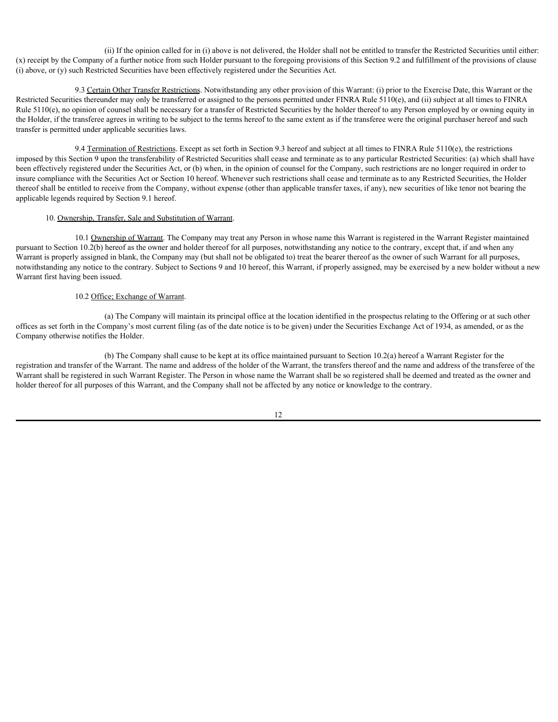(ii) If the opinion called for in (i) above is not delivered, the Holder shall not be entitled to transfer the Restricted Securities until either: (x) receipt by the Company of a further notice from such Holder pursuant to the foregoing provisions of this Section 9.2 and fulfillment of the provisions of clause (i) above, or (y) such Restricted Securities have been effectively registered under the Securities Act.

9.3 Certain Other Transfer Restrictions. Notwithstanding any other provision of this Warrant: (i) prior to the Exercise Date, this Warrant or the Restricted Securities thereunder may only be transferred or assigned to the persons permitted under FINRA Rule 5110(e), and (ii) subject at all times to FINRA Rule 5110(e), no opinion of counsel shall be necessary for a transfer of Restricted Securities by the holder thereof to any Person employed by or owning equity in the Holder, if the transferee agrees in writing to be subject to the terms hereof to the same extent as if the transferee were the original purchaser hereof and such transfer is permitted under applicable securities laws.

9.4 Termination of Restrictions. Except as set forth in Section 9.3 hereof and subject at all times to FINRA Rule 5110(e), the restrictions imposed by this Section 9 upon the transferability of Restricted Securities shall cease and terminate as to any particular Restricted Securities: (a) which shall have been effectively registered under the Securities Act, or (b) when, in the opinion of counsel for the Company, such restrictions are no longer required in order to insure compliance with the Securities Act or Section 10 hereof. Whenever such restrictions shall cease and terminate as to any Restricted Securities, the Holder thereof shall be entitled to receive from the Company, without expense (other than applicable transfer taxes, if any), new securities of like tenor not bearing the applicable legends required by Section 9.1 hereof.

#### 10. Ownership, Transfer, Sale and Substitution of Warrant.

10.1 Ownership of Warrant. The Company may treat any Person in whose name this Warrant is registered in the Warrant Register maintained pursuant to Section 10.2(b) hereof as the owner and holder thereof for all purposes, notwithstanding any notice to the contrary, except that, if and when any Warrant is properly assigned in blank, the Company may (but shall not be obligated to) treat the bearer thereof as the owner of such Warrant for all purposes, notwithstanding any notice to the contrary. Subject to Sections 9 and 10 hereof, this Warrant, if properly assigned, may be exercised by a new holder without a new Warrant first having been issued.

## 10.2 Office; Exchange of Warrant.

(a) The Company will maintain its principal office at the location identified in the prospectus relating to the Offering or at such other offices as set forth in the Company's most current filing (as of the date notice is to be given) under the Securities Exchange Act of 1934, as amended, or as the Company otherwise notifies the Holder.

(b) The Company shall cause to be kept at its office maintained pursuant to Section 10.2(a) hereof a Warrant Register for the registration and transfer of the Warrant. The name and address of the holder of the Warrant, the transfers thereof and the name and address of the transferee of the Warrant shall be registered in such Warrant Register. The Person in whose name the Warrant shall be so registered shall be deemed and treated as the owner and holder thereof for all purposes of this Warrant, and the Company shall not be affected by any notice or knowledge to the contrary.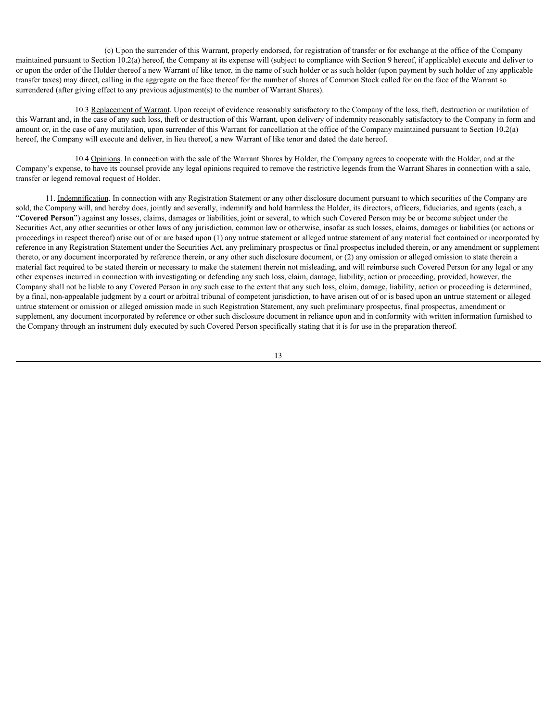(c) Upon the surrender of this Warrant, properly endorsed, for registration of transfer or for exchange at the office of the Company maintained pursuant to Section 10.2(a) hereof, the Company at its expense will (subject to compliance with Section 9 hereof, if applicable) execute and deliver to or upon the order of the Holder thereof a new Warrant of like tenor, in the name of such holder or as such holder (upon payment by such holder of any applicable transfer taxes) may direct, calling in the aggregate on the face thereof for the number of shares of Common Stock called for on the face of the Warrant so surrendered (after giving effect to any previous adjustment(s) to the number of Warrant Shares).

10.3 Replacement of Warrant. Upon receipt of evidence reasonably satisfactory to the Company of the loss, theft, destruction or mutilation of this Warrant and, in the case of any such loss, theft or destruction of this Warrant, upon delivery of indemnity reasonably satisfactory to the Company in form and amount or, in the case of any mutilation, upon surrender of this Warrant for cancellation at the office of the Company maintained pursuant to Section 10.2(a) hereof, the Company will execute and deliver, in lieu thereof, a new Warrant of like tenor and dated the date hereof.

10.4 Opinions. In connection with the sale of the Warrant Shares by Holder, the Company agrees to cooperate with the Holder, and at the Company's expense, to have its counsel provide any legal opinions required to remove the restrictive legends from the Warrant Shares in connection with a sale, transfer or legend removal request of Holder.

11. Indemnification. In connection with any Registration Statement or any other disclosure document pursuant to which securities of the Company are sold, the Company will, and hereby does, jointly and severally, indemnify and hold harmless the Holder, its directors, officers, fiduciaries, and agents (each, a "**Covered Person**") against any losses, claims, damages or liabilities, joint or several, to which such Covered Person may be or become subject under the Securities Act, any other securities or other laws of any jurisdiction, common law or otherwise, insofar as such losses, claims, damages or liabilities (or actions or proceedings in respect thereof) arise out of or are based upon (1) any untrue statement or alleged untrue statement of any material fact contained or incorporated by reference in any Registration Statement under the Securities Act, any preliminary prospectus or final prospectus included therein, or any amendment or supplement thereto, or any document incorporated by reference therein, or any other such disclosure document, or (2) any omission or alleged omission to state therein a material fact required to be stated therein or necessary to make the statement therein not misleading, and will reimburse such Covered Person for any legal or any other expenses incurred in connection with investigating or defending any such loss, claim, damage, liability, action or proceeding, provided, however, the Company shall not be liable to any Covered Person in any such case to the extent that any such loss, claim, damage, liability, action or proceeding is determined, by a final, non-appealable judgment by a court or arbitral tribunal of competent jurisdiction, to have arisen out of or is based upon an untrue statement or alleged untrue statement or omission or alleged omission made in such Registration Statement, any such preliminary prospectus, final prospectus, amendment or supplement, any document incorporated by reference or other such disclosure document in reliance upon and in conformity with written information furnished to the Company through an instrument duly executed by such Covered Person specifically stating that it is for use in the preparation thereof.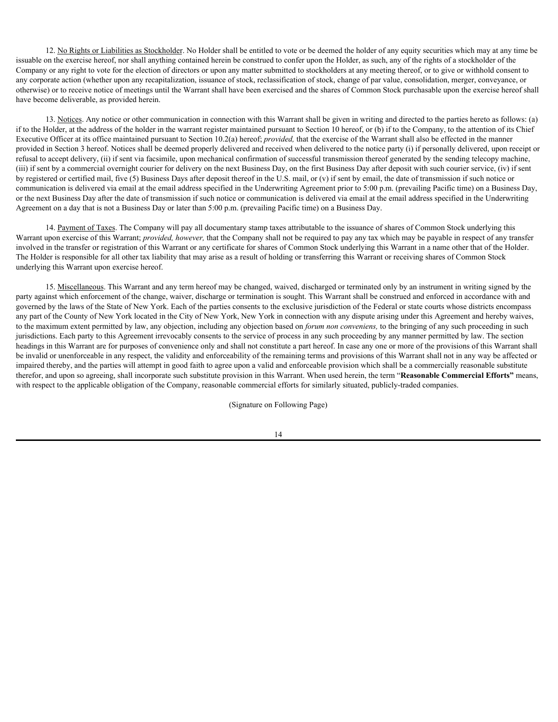12. No Rights or Liabilities as Stockholder. No Holder shall be entitled to vote or be deemed the holder of any equity securities which may at any time be issuable on the exercise hereof, nor shall anything contained herein be construed to confer upon the Holder, as such, any of the rights of a stockholder of the Company or any right to vote for the election of directors or upon any matter submitted to stockholders at any meeting thereof, or to give or withhold consent to any corporate action (whether upon any recapitalization, issuance of stock, reclassification of stock, change of par value, consolidation, merger, conveyance, or otherwise) or to receive notice of meetings until the Warrant shall have been exercised and the shares of Common Stock purchasable upon the exercise hereof shall have become deliverable, as provided herein.

13. Notices. Any notice or other communication in connection with this Warrant shall be given in writing and directed to the parties hereto as follows: (a) if to the Holder, at the address of the holder in the warrant register maintained pursuant to Section 10 hereof, or (b) if to the Company, to the attention of its Chief Executive Officer at its office maintained pursuant to Section 10.2(a) hereof; *provided,* that the exercise of the Warrant shall also be effected in the manner provided in Section 3 hereof. Notices shall be deemed properly delivered and received when delivered to the notice party (i) if personally delivered, upon receipt or refusal to accept delivery, (ii) if sent via facsimile, upon mechanical confirmation of successful transmission thereof generated by the sending telecopy machine, (iii) if sent by a commercial overnight courier for delivery on the next Business Day, on the first Business Day after deposit with such courier service, (iv) if sent by registered or certified mail, five (5) Business Days after deposit thereof in the U.S. mail, or (v) if sent by email, the date of transmission if such notice or communication is delivered via email at the email address specified in the Underwriting Agreement prior to 5:00 p.m. (prevailing Pacific time) on a Business Day, or the next Business Day after the date of transmission if such notice or communication is delivered via email at the email address specified in the Underwriting Agreement on a day that is not a Business Day or later than 5:00 p.m. (prevailing Pacific time) on a Business Day.

14. Payment of Taxes. The Company will pay all documentary stamp taxes attributable to the issuance of shares of Common Stock underlying this Warrant upon exercise of this Warrant; *provided, however,* that the Company shall not be required to pay any tax which may be payable in respect of any transfer involved in the transfer or registration of this Warrant or any certificate for shares of Common Stock underlying this Warrant in a name other that of the Holder. The Holder is responsible for all other tax liability that may arise as a result of holding or transferring this Warrant or receiving shares of Common Stock underlying this Warrant upon exercise hereof.

15. Miscellaneous. This Warrant and any term hereof may be changed, waived, discharged or terminated only by an instrument in writing signed by the party against which enforcement of the change, waiver, discharge or termination is sought. This Warrant shall be construed and enforced in accordance with and governed by the laws of the State of New York. Each of the parties consents to the exclusive jurisdiction of the Federal or state courts whose districts encompass any part of the County of New York located in the City of New York, New York in connection with any dispute arising under this Agreement and hereby waives, to the maximum extent permitted by law, any objection, including any objection based on *forum non conveniens,* to the bringing of any such proceeding in such jurisdictions. Each party to this Agreement irrevocably consents to the service of process in any such proceeding by any manner permitted by law. The section headings in this Warrant are for purposes of convenience only and shall not constitute a part hereof. In case any one or more of the provisions of this Warrant shall be invalid or unenforceable in any respect, the validity and enforceability of the remaining terms and provisions of this Warrant shall not in any way be affected or impaired thereby, and the parties will attempt in good faith to agree upon a valid and enforceable provision which shall be a commercially reasonable substitute therefor, and upon so agreeing, shall incorporate such substitute provision in this Warrant. When used herein, the term "**Reasonable Commercial Efforts"** means, with respect to the applicable obligation of the Company, reasonable commercial efforts for similarly situated, publicly-traded companies.

(Signature on Following Page)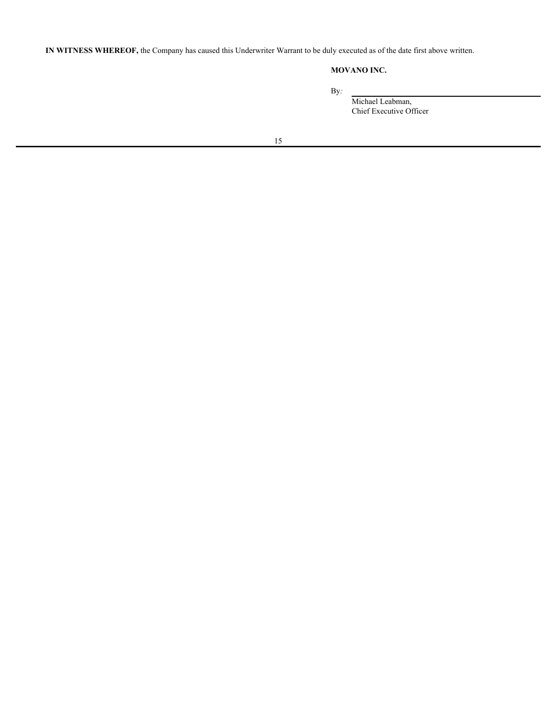**IN WITNESS WHEREOF,** the Company has caused this Underwriter Warrant to be duly executed as of the date first above written.

# **MOVANO INC.**

By*:*

Michael Leabman, Chief Executive Officer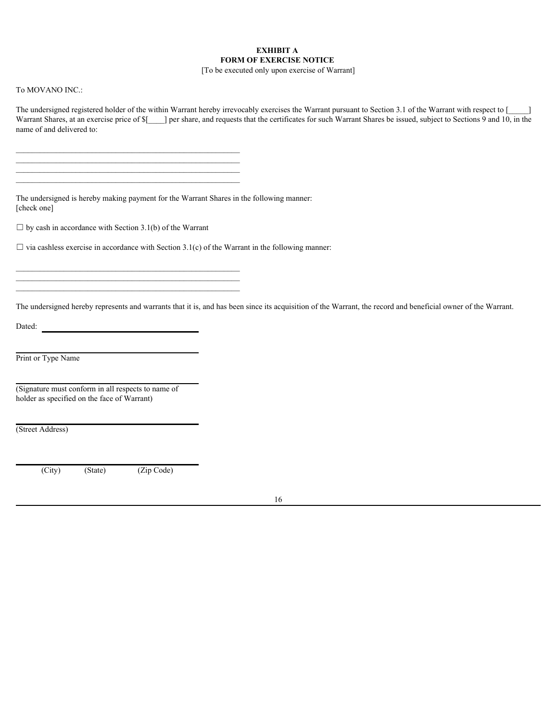# **EXHIBIT A FORM OF EXERCISE NOTICE**

[To be executed only upon exercise of Warrant]

## To MOVANO INC.:

The undersigned registered holder of the within Warrant hereby irrevocably exercises the Warrant pursuant to Section 3.1 of the Warrant with respect to [ Warrant Shares, at an exercise price of  $\frac{1}{2}$  per share, and requests that the certificates for such Warrant Shares be issued, subject to Sections 9 and 10, in the name of and delivered to:

The undersigned is hereby making payment for the Warrant Shares in the following manner: [check one]

 $\Box$  by cash in accordance with Section 3.1(b) of the Warrant

 $\frac{1}{2}$  ,  $\frac{1}{2}$  ,  $\frac{1}{2}$  ,  $\frac{1}{2}$  ,  $\frac{1}{2}$  ,  $\frac{1}{2}$  ,  $\frac{1}{2}$  ,  $\frac{1}{2}$  ,  $\frac{1}{2}$  ,  $\frac{1}{2}$  ,  $\frac{1}{2}$  ,  $\frac{1}{2}$  ,  $\frac{1}{2}$  ,  $\frac{1}{2}$  ,  $\frac{1}{2}$  ,  $\frac{1}{2}$  ,  $\frac{1}{2}$  ,  $\frac{1}{2}$  ,  $\frac{1$  $\frac{1}{2}$  ,  $\frac{1}{2}$  ,  $\frac{1}{2}$  ,  $\frac{1}{2}$  ,  $\frac{1}{2}$  ,  $\frac{1}{2}$  ,  $\frac{1}{2}$  ,  $\frac{1}{2}$  ,  $\frac{1}{2}$  ,  $\frac{1}{2}$  ,  $\frac{1}{2}$  ,  $\frac{1}{2}$  ,  $\frac{1}{2}$  ,  $\frac{1}{2}$  ,  $\frac{1}{2}$  ,  $\frac{1}{2}$  ,  $\frac{1}{2}$  ,  $\frac{1}{2}$  ,  $\frac{1$ 

 $\Box$  via cashless exercise in accordance with Section 3.1(c) of the Warrant in the following manner:

 $\mathcal{L}_\text{max}$ 

 $\mathcal{L}_\text{max}$ 

The undersigned hereby represents and warrants that it is, and has been since its acquisition of the Warrant, the record and beneficial owner of the Warrant.

Dated:

Print or Type Name

(Signature must conform in all respects to name of holder as specified on the face of Warrant)

(Street Address)

(City) (State) (Zip Code)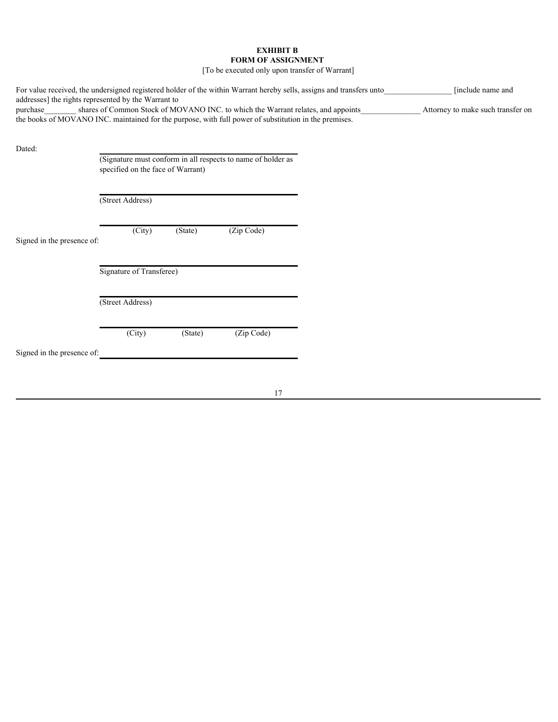# **EXHIBIT B FORM OF ASSIGNMENT**

[To be executed only upon transfer of Warrant]

|                                                                 |                                   |         |                                                                                                                                                                                           | For value received, the undersigned registered holder of the within Warrant hereby sells, assigns and transfers unto_ | [include name and                 |  |
|-----------------------------------------------------------------|-----------------------------------|---------|-------------------------------------------------------------------------------------------------------------------------------------------------------------------------------------------|-----------------------------------------------------------------------------------------------------------------------|-----------------------------------|--|
| addresses] the rights represented by the Warrant to<br>purchase |                                   |         | shares of Common Stock of MOVANO INC. to which the Warrant relates, and appoints<br>the books of MOVANO INC. maintained for the purpose, with full power of substitution in the premises. |                                                                                                                       | Attorney to make such transfer on |  |
| Dated:                                                          |                                   |         | (Signature must conform in all respects to name of holder as                                                                                                                              |                                                                                                                       |                                   |  |
|                                                                 | specified on the face of Warrant) |         |                                                                                                                                                                                           |                                                                                                                       |                                   |  |
|                                                                 | (Street Address)                  |         |                                                                                                                                                                                           |                                                                                                                       |                                   |  |
| Signed in the presence of:                                      | (City)                            | (State) | (Zip Code)                                                                                                                                                                                |                                                                                                                       |                                   |  |
|                                                                 | Signature of Transferee)          |         |                                                                                                                                                                                           |                                                                                                                       |                                   |  |
|                                                                 | (Street Address)                  |         |                                                                                                                                                                                           |                                                                                                                       |                                   |  |
|                                                                 | (City)                            | (State) | (Zip Code)                                                                                                                                                                                |                                                                                                                       |                                   |  |
| Signed in the presence of:                                      |                                   |         |                                                                                                                                                                                           |                                                                                                                       |                                   |  |
|                                                                 |                                   |         |                                                                                                                                                                                           |                                                                                                                       |                                   |  |